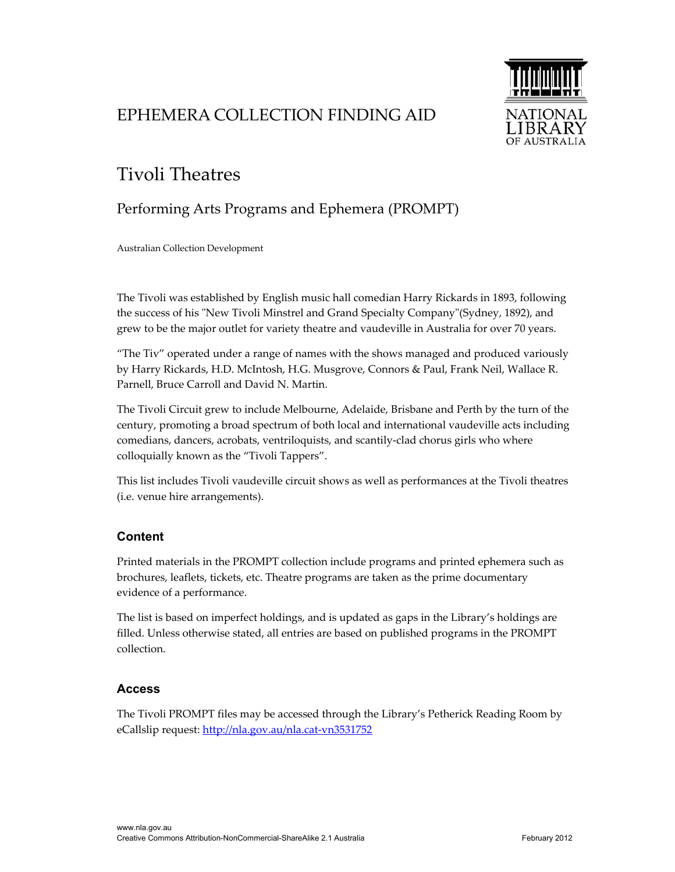# EPHEMERA COLLECTION FINDING AID



# Tivoli Theatres

# Performing Arts Programs and Ephemera (PROMPT)

Australian Collection Development

The Tivoli was established by English music hall comedian Harry Rickards in 1893, following the success of his "New Tivoli Minstrel and Grand Specialty Company" (Sydney, 1892), and grew to be the major outlet for variety theatre and vaudeville in Australia for over 70 years.

"The Tiv" operated under a range of names with the shows managed and produced variously by Harry Rickards, H.D. McIntosh, H.G. Musgrove, Connors & Paul, Frank Neil, Wallace R. Parnell, Bruce Carroll and David N. Martin.

The Tivoli Circuit grew to include Melbourne, Adelaide, Brisbane and Perth by the turn of the century, promoting a broad spectrum of both local and international vaudeville acts including comedians, dancers, acrobats, ventriloquists, and scantily‐clad chorus girls who where colloquially known as the "Tivoli Tappers".

This list includes Tivoli vaudeville circuit shows as well as performances at the Tivoli theatres (i.e. venue hire arrangements).

## **Content**

Printed materials in the PROMPT collection include programs and printed ephemera such as brochures, leaflets, tickets, etc. Theatre programs are taken as the prime documentary evidence of a performance.

The list is based on imperfect holdings, and is updated as gaps in the Library's holdings are filled. Unless otherwise stated, all entries are based on published programs in the PROMPT collection.

## **Access**

The Tivoli PROMPT files may be accessed through the Library's Petherick Reading Room by eCallslip request: http://nla.gov.au/nla.cat-vn3531752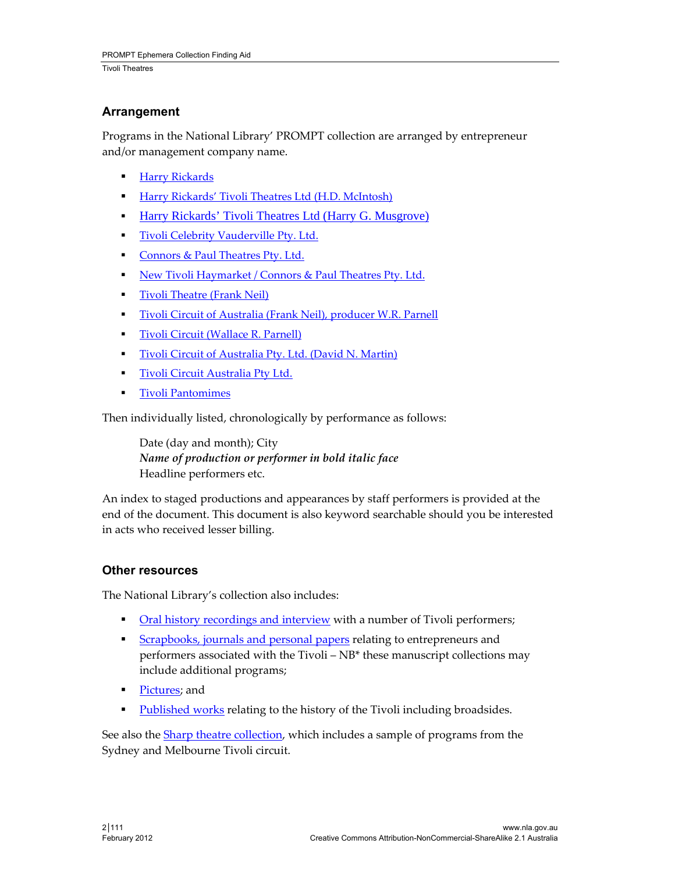## **Arrangement**

Programs in the National Library' PROMPT collection are arranged by entrepreneur and/or management company name.

- **Harry Rickards**
- **Harry Rickards' Tivoli Theatres Ltd (H.D. McIntosh)**
- **Harry Rickards' Tivoli Theatres Ltd (Harry G. Musgrove)**
- **Tivoli Celebrity Vauderville Pty. Ltd.**
- **Connors & Paul Theatres Pty. Ltd.**
- New Tivoli Haymarket / Connors & Paul Theatres Pty. Ltd.
- **Tivoli Theatre (Frank Neil)**
- Tivoli Circuit of Australia (Frank Neil), producer W.R. Parnell
- **Tivoli Circuit (Wallace R. Parnell)**
- Tivoli Circuit of Australia Pty. Ltd. (David N. Martin)
- **Tivoli Circuit Australia Pty Ltd.**
- **Tivoli Pantomimes**

Then individually listed, chronologically by performance as follows:

Date (day and month); City *Name of production or performer in bold italic face* Headline performers etc.

An index to staged productions and appearances by staff performers is provided at the end of the document. This document is also keyword searchable should you be interested in acts who received lesser billing.

### **Other resources**

The National Library's collection also includes:

- **Oral history recordings and interview with a number of Tivoli performers;**
- Scrapbooks, journals and personal papers relating to entrepreneurs and performers associated with the Tivoli – NB\* these manuscript collections may include additional programs;
- **Pictures**; and
- Published works relating to the history of the Tivoli including broadsides.

See also the Sharp theatre collection, which includes a sample of programs from the Sydney and Melbourne Tivoli circuit.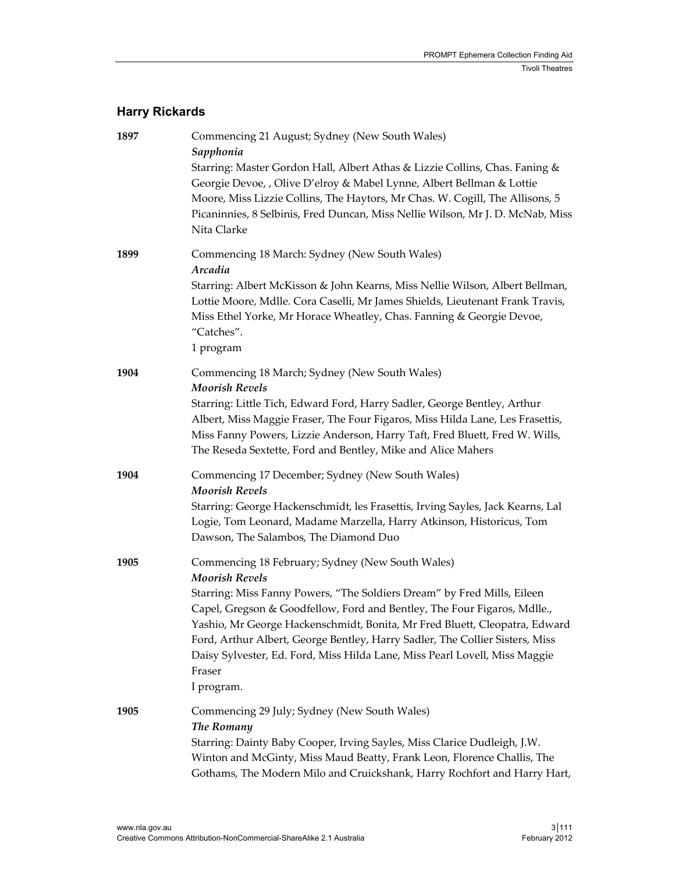# **Harry Rickards**

| 1897 | Commencing 21 August; Sydney (New South Wales)<br>Sapphonia                                                                                                                                                                                                                                                                                                                                                                                                                                          |
|------|------------------------------------------------------------------------------------------------------------------------------------------------------------------------------------------------------------------------------------------------------------------------------------------------------------------------------------------------------------------------------------------------------------------------------------------------------------------------------------------------------|
|      | Starring: Master Gordon Hall, Albert Athas & Lizzie Collins, Chas. Faning &<br>Georgie Devoe, , Olive D'elroy & Mabel Lynne, Albert Bellman & Lottie<br>Moore, Miss Lizzie Collins, The Haytors, Mr Chas. W. Cogill, The Allisons, 5<br>Picaninnies, 8 Selbinis, Fred Duncan, Miss Nellie Wilson, Mr J. D. McNab, Miss<br>Nita Clarke                                                                                                                                                                |
| 1899 | Commencing 18 March: Sydney (New South Wales)<br>Arcadia<br>Starring: Albert McKisson & John Kearns, Miss Nellie Wilson, Albert Bellman,<br>Lottie Moore, Mdlle. Cora Caselli, Mr James Shields, Lieutenant Frank Travis,<br>Miss Ethel Yorke, Mr Horace Wheatley, Chas. Fanning & Georgie Devoe,<br>"Catches".<br>1 program                                                                                                                                                                         |
| 1904 | Commencing 18 March; Sydney (New South Wales)<br><b>Moorish Revels</b><br>Starring: Little Tich, Edward Ford, Harry Sadler, George Bentley, Arthur<br>Albert, Miss Maggie Fraser, The Four Figaros, Miss Hilda Lane, Les Frasettis,<br>Miss Fanny Powers, Lizzie Anderson, Harry Taft, Fred Bluett, Fred W. Wills,<br>The Reseda Sextette, Ford and Bentley, Mike and Alice Mahers                                                                                                                   |
| 1904 | Commencing 17 December; Sydney (New South Wales)<br><b>Moorish Revels</b><br>Starring: George Hackenschmidt, les Frasettis, Irving Sayles, Jack Kearns, Lal<br>Logie, Tom Leonard, Madame Marzella, Harry Atkinson, Historicus, Tom<br>Dawson, The Salambos, The Diamond Duo                                                                                                                                                                                                                         |
| 1905 | Commencing 18 February; Sydney (New South Wales)<br><b>Moorish Revels</b><br>Starring: Miss Fanny Powers, "The Soldiers Dream" by Fred Mills, Eileen<br>Capel, Gregson & Goodfellow, Ford and Bentley, The Four Figaros, Mdlle.,<br>Yashio, Mr George Hackenschmidt, Bonita, Mr Fred Bluett, Cleopatra, Edward<br>Ford, Arthur Albert, George Bentley, Harry Sadler, The Collier Sisters, Miss<br>Daisy Sylvester, Ed. Ford, Miss Hilda Lane, Miss Pearl Lovell, Miss Maggie<br>Fraser<br>I program. |
| 1905 | Commencing 29 July; Sydney (New South Wales)<br>The Romany<br>Starring: Dainty Baby Cooper, Irving Sayles, Miss Clarice Dudleigh, J.W.<br>Winton and McGinty, Miss Maud Beatty, Frank Leon, Florence Challis, The<br>Gothams, The Modern Milo and Cruickshank, Harry Rochfort and Harry Hart,                                                                                                                                                                                                        |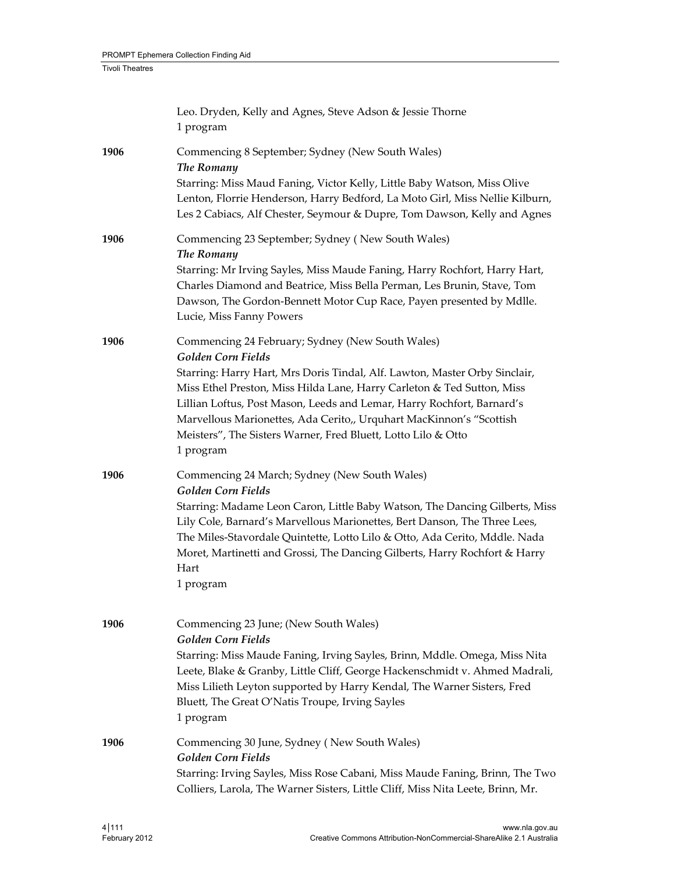|      | Leo. Dryden, Kelly and Agnes, Steve Adson & Jessie Thorne<br>1 program                                                                                                                                                                                                                                                                                                                                                                                               |
|------|----------------------------------------------------------------------------------------------------------------------------------------------------------------------------------------------------------------------------------------------------------------------------------------------------------------------------------------------------------------------------------------------------------------------------------------------------------------------|
| 1906 | Commencing 8 September; Sydney (New South Wales)<br>The Romany<br>Starring: Miss Maud Faning, Victor Kelly, Little Baby Watson, Miss Olive<br>Lenton, Florrie Henderson, Harry Bedford, La Moto Girl, Miss Nellie Kilburn,<br>Les 2 Cabiacs, Alf Chester, Seymour & Dupre, Tom Dawson, Kelly and Agnes                                                                                                                                                               |
| 1906 | Commencing 23 September; Sydney (New South Wales)<br>The Romany<br>Starring: Mr Irving Sayles, Miss Maude Faning, Harry Rochfort, Harry Hart,<br>Charles Diamond and Beatrice, Miss Bella Perman, Les Brunin, Stave, Tom<br>Dawson, The Gordon-Bennett Motor Cup Race, Payen presented by Mdlle.<br>Lucie, Miss Fanny Powers                                                                                                                                         |
| 1906 | Commencing 24 February; Sydney (New South Wales)<br><b>Golden Corn Fields</b><br>Starring: Harry Hart, Mrs Doris Tindal, Alf. Lawton, Master Orby Sinclair,<br>Miss Ethel Preston, Miss Hilda Lane, Harry Carleton & Ted Sutton, Miss<br>Lillian Loftus, Post Mason, Leeds and Lemar, Harry Rochfort, Barnard's<br>Marvellous Marionettes, Ada Cerito,, Urquhart MacKinnon's "Scottish<br>Meisters", The Sisters Warner, Fred Bluett, Lotto Lilo & Otto<br>1 program |
| 1906 | Commencing 24 March; Sydney (New South Wales)<br><b>Golden Corn Fields</b><br>Starring: Madame Leon Caron, Little Baby Watson, The Dancing Gilberts, Miss<br>Lily Cole, Barnard's Marvellous Marionettes, Bert Danson, The Three Lees,<br>The Miles-Stavordale Quintette, Lotto Lilo & Otto, Ada Cerito, Mddle. Nada<br>Moret, Martinetti and Grossi, The Dancing Gilberts, Harry Rochfort & Harry<br>Hart<br>1 program                                              |
| 1906 | Commencing 23 June; (New South Wales)<br><b>Golden Corn Fields</b><br>Starring: Miss Maude Faning, Irving Sayles, Brinn, Mddle. Omega, Miss Nita<br>Leete, Blake & Granby, Little Cliff, George Hackenschmidt v. Ahmed Madrali,<br>Miss Lilieth Leyton supported by Harry Kendal, The Warner Sisters, Fred<br>Bluett, The Great O'Natis Troupe, Irving Sayles<br>1 program                                                                                           |
| 1906 | Commencing 30 June, Sydney (New South Wales)<br><b>Golden Corn Fields</b><br>Starring: Irving Sayles, Miss Rose Cabani, Miss Maude Faning, Brinn, The Two<br>Colliers, Larola, The Warner Sisters, Little Cliff, Miss Nita Leete, Brinn, Mr.                                                                                                                                                                                                                         |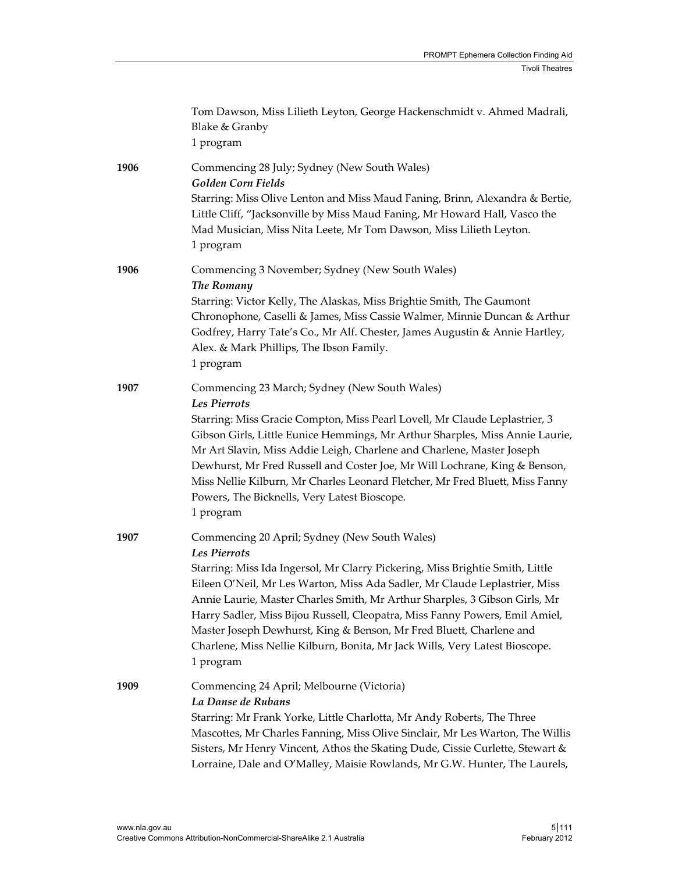|      | Tom Dawson, Miss Lilieth Leyton, George Hackenschmidt v. Ahmed Madrali,<br>Blake & Granby<br>1 program                                                                                                                                                                                                                                                                                                                                                                                                                                                       |
|------|--------------------------------------------------------------------------------------------------------------------------------------------------------------------------------------------------------------------------------------------------------------------------------------------------------------------------------------------------------------------------------------------------------------------------------------------------------------------------------------------------------------------------------------------------------------|
| 1906 | Commencing 28 July; Sydney (New South Wales)<br><b>Golden Corn Fields</b><br>Starring: Miss Olive Lenton and Miss Maud Faning, Brinn, Alexandra & Bertie,<br>Little Cliff, "Jacksonville by Miss Maud Faning, Mr Howard Hall, Vasco the<br>Mad Musician, Miss Nita Leete, Mr Tom Dawson, Miss Lilieth Leyton.<br>1 program                                                                                                                                                                                                                                   |
| 1906 | Commencing 3 November; Sydney (New South Wales)<br>The Romany<br>Starring: Victor Kelly, The Alaskas, Miss Brightie Smith, The Gaumont<br>Chronophone, Caselli & James, Miss Cassie Walmer, Minnie Duncan & Arthur<br>Godfrey, Harry Tate's Co., Mr Alf. Chester, James Augustin & Annie Hartley,<br>Alex. & Mark Phillips, The Ibson Family.<br>1 program                                                                                                                                                                                                   |
| 1907 | Commencing 23 March; Sydney (New South Wales)<br>Les Pierrots<br>Starring: Miss Gracie Compton, Miss Pearl Lovell, Mr Claude Leplastrier, 3<br>Gibson Girls, Little Eunice Hemmings, Mr Arthur Sharples, Miss Annie Laurie,<br>Mr Art Slavin, Miss Addie Leigh, Charlene and Charlene, Master Joseph<br>Dewhurst, Mr Fred Russell and Coster Joe, Mr Will Lochrane, King & Benson,<br>Miss Nellie Kilburn, Mr Charles Leonard Fletcher, Mr Fred Bluett, Miss Fanny<br>Powers, The Bicknells, Very Latest Bioscope.<br>1 program                              |
| 1907 | Commencing 20 April; Sydney (New South Wales)<br>Les Pierrots<br>Starring: Miss Ida Ingersol, Mr Clarry Pickering, Miss Brightie Smith, Little<br>Eileen O'Neil, Mr Les Warton, Miss Ada Sadler, Mr Claude Leplastrier, Miss<br>Annie Laurie, Master Charles Smith, Mr Arthur Sharples, 3 Gibson Girls, Mr<br>Harry Sadler, Miss Bijou Russell, Cleopatra, Miss Fanny Powers, Emil Amiel,<br>Master Joseph Dewhurst, King & Benson, Mr Fred Bluett, Charlene and<br>Charlene, Miss Nellie Kilburn, Bonita, Mr Jack Wills, Very Latest Bioscope.<br>1 program |
| 1909 | Commencing 24 April; Melbourne (Victoria)<br>La Danse de Rubans<br>Starring: Mr Frank Yorke, Little Charlotta, Mr Andy Roberts, The Three<br>Mascottes, Mr Charles Fanning, Miss Olive Sinclair, Mr Les Warton, The Willis<br>Sisters, Mr Henry Vincent, Athos the Skating Dude, Cissie Curlette, Stewart &<br>Lorraine, Dale and O'Malley, Maisie Rowlands, Mr G.W. Hunter, The Laurels,                                                                                                                                                                    |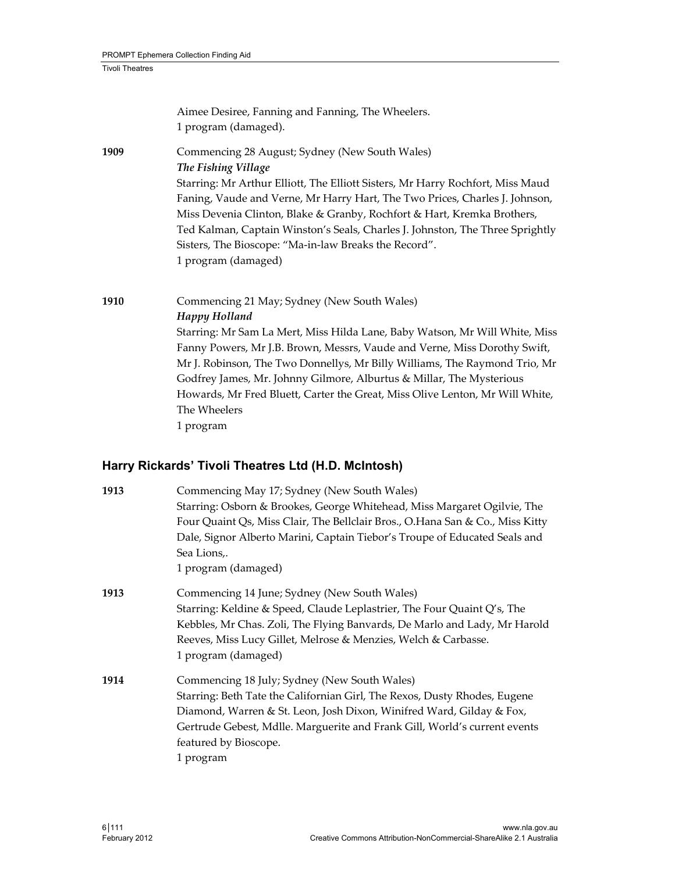Aimee Desiree, Fanning and Fanning, The Wheelers. 1 program (damaged).

**1909** Commencing 28 August; Sydney (New South Wales) *The Fishing Village* Starring: Mr Arthur Elliott, The Elliott Sisters, Mr Harry Rochfort, Miss Maud Faning, Vaude and Verne, Mr Harry Hart, The Two Prices, Charles J. Johnson, Miss Devenia Clinton, Blake & Granby, Rochfort & Hart, Kremka Brothers, Ted Kalman, Captain Winston's Seals, Charles J. Johnston, The Three Sprightly Sisters, The Bioscope: "Ma‐in‐law Breaks the Record". 1 program (damaged) **1910** Commencing 21 May; Sydney (New South Wales) *Happy Holland* Starring: Mr Sam La Mert, Miss Hilda Lane, Baby Watson, Mr Will White, Miss Fanny Powers, Mr J.B. Brown, Messrs, Vaude and Verne, Miss Dorothy Swift, Mr J. Robinson, The Two Donnellys, Mr Billy Williams, The Raymond Trio, Mr Godfrey James, Mr. Johnny Gilmore, Alburtus & Millar, The Mysterious

Howards, Mr Fred Bluett, Carter the Great, Miss Olive Lenton, Mr Will White,

The Wheelers 1 program

## **Harry Rickards' Tivoli Theatres Ltd (H.D. McIntosh)**

| 1913 | Commencing May 17; Sydney (New South Wales)                                   |
|------|-------------------------------------------------------------------------------|
|      | Starring: Osborn & Brookes, George Whitehead, Miss Margaret Ogilvie, The      |
|      | Four Quaint Qs, Miss Clair, The Bellclair Bros., O.Hana San & Co., Miss Kitty |
|      | Dale, Signor Alberto Marini, Captain Tiebor's Troupe of Educated Seals and    |
|      | Sea Lions,.                                                                   |
|      | 1 program (damaged)                                                           |
| 1913 | Commencing 14 June; Sydney (New South Wales)                                  |
|      | Starring: Keldine & Speed, Claude Leplastrier, The Four Quaint Q's, The       |
|      | Kebbles, Mr Chas. Zoli, The Flying Banvards, De Marlo and Lady, Mr Harold     |
|      | Reeves, Miss Lucy Gillet, Melrose & Menzies, Welch & Carbasse.                |
|      | 1 program (damaged)                                                           |
| 1914 | Commencing 18 July; Sydney (New South Wales)                                  |
|      | Starring: Beth Tate the Californian Girl, The Rexos, Dusty Rhodes, Eugene     |
|      | Diamond, Warren & St. Leon, Josh Dixon, Winifred Ward, Gilday & Fox,          |
|      | Gertrude Gebest, Mdlle. Marguerite and Frank Gill, World's current events     |
|      | featured by Bioscope.                                                         |
|      | 1 program                                                                     |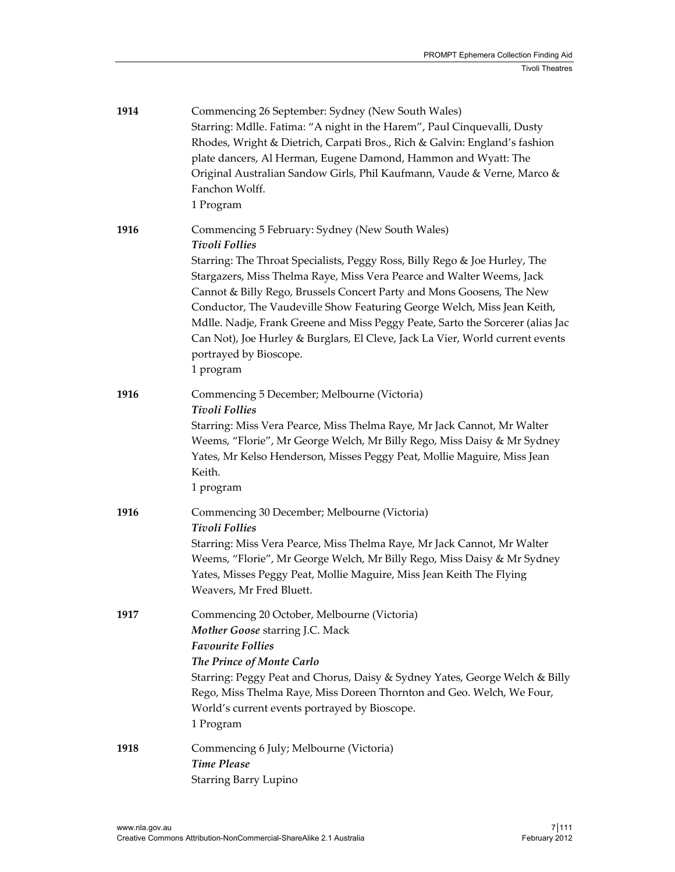| 1914 | Commencing 26 September: Sydney (New South Wales)<br>Starring: Mdlle. Fatima: "A night in the Harem", Paul Cinquevalli, Dusty<br>Rhodes, Wright & Dietrich, Carpati Bros., Rich & Galvin: England's fashion<br>plate dancers, Al Herman, Eugene Damond, Hammon and Wyatt: The<br>Original Australian Sandow Girls, Phil Kaufmann, Vaude & Verne, Marco &<br>Fanchon Wolff.<br>1 Program                                                                                                                                                                                                       |
|------|-----------------------------------------------------------------------------------------------------------------------------------------------------------------------------------------------------------------------------------------------------------------------------------------------------------------------------------------------------------------------------------------------------------------------------------------------------------------------------------------------------------------------------------------------------------------------------------------------|
| 1916 | Commencing 5 February: Sydney (New South Wales)<br><b>Tivoli Follies</b><br>Starring: The Throat Specialists, Peggy Ross, Billy Rego & Joe Hurley, The<br>Stargazers, Miss Thelma Raye, Miss Vera Pearce and Walter Weems, Jack<br>Cannot & Billy Rego, Brussels Concert Party and Mons Goosens, The New<br>Conductor, The Vaudeville Show Featuring George Welch, Miss Jean Keith,<br>Mdlle. Nadje, Frank Greene and Miss Peggy Peate, Sarto the Sorcerer (alias Jac<br>Can Not), Joe Hurley & Burglars, El Cleve, Jack La Vier, World current events<br>portrayed by Bioscope.<br>1 program |
| 1916 | Commencing 5 December; Melbourne (Victoria)<br><b>Tivoli Follies</b><br>Starring: Miss Vera Pearce, Miss Thelma Raye, Mr Jack Cannot, Mr Walter<br>Weems, "Florie", Mr George Welch, Mr Billy Rego, Miss Daisy & Mr Sydney<br>Yates, Mr Kelso Henderson, Misses Peggy Peat, Mollie Maguire, Miss Jean<br>Keith.<br>1 program                                                                                                                                                                                                                                                                  |
| 1916 | Commencing 30 December; Melbourne (Victoria)<br><b>Tivoli Follies</b><br>Starring: Miss Vera Pearce, Miss Thelma Raye, Mr Jack Cannot, Mr Walter<br>Weems, "Florie", Mr George Welch, Mr Billy Rego, Miss Daisy & Mr Sydney<br>Yates, Misses Peggy Peat, Mollie Maguire, Miss Jean Keith The Flying<br>Weavers, Mr Fred Bluett.                                                                                                                                                                                                                                                               |
| 1917 | Commencing 20 October, Melbourne (Victoria)<br>Mother Goose starring J.C. Mack<br><b>Favourite Follies</b><br>The Prince of Monte Carlo<br>Starring: Peggy Peat and Chorus, Daisy & Sydney Yates, George Welch & Billy<br>Rego, Miss Thelma Raye, Miss Doreen Thornton and Geo. Welch, We Four,<br>World's current events portrayed by Bioscope.<br>1 Program                                                                                                                                                                                                                                 |
| 1918 | Commencing 6 July; Melbourne (Victoria)<br><b>Time Please</b><br><b>Starring Barry Lupino</b>                                                                                                                                                                                                                                                                                                                                                                                                                                                                                                 |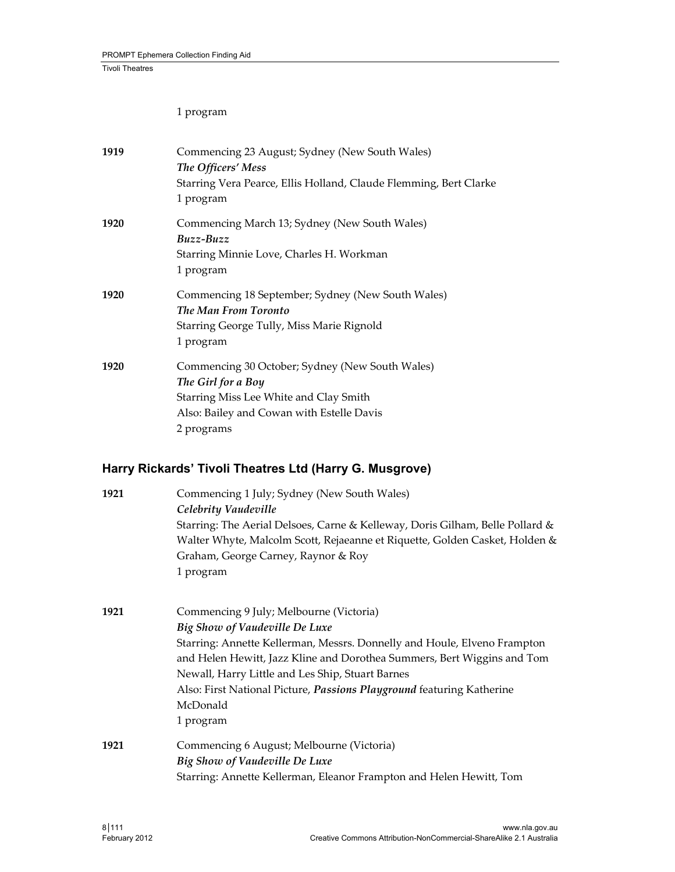### 1 program

| 1919 | Commencing 23 August; Sydney (New South Wales)<br>The Officers' Mess<br>Starring Vera Pearce, Ellis Holland, Claude Flemming, Bert Clarke<br>1 program                     |
|------|----------------------------------------------------------------------------------------------------------------------------------------------------------------------------|
| 1920 | Commencing March 13; Sydney (New South Wales)<br>Buzz-Buzz<br>Starring Minnie Love, Charles H. Workman<br>1 program                                                        |
| 1920 | Commencing 18 September; Sydney (New South Wales)<br>The Man From Toronto<br>Starring George Tully, Miss Marie Rignold<br>1 program                                        |
| 1920 | Commencing 30 October; Sydney (New South Wales)<br>The Girl for a Boy<br>Starring Miss Lee White and Clay Smith<br>Also: Bailey and Cowan with Estelle Davis<br>2 programs |

# **Harry Rickards' Tivoli Theatres Ltd (Harry G. Musgrove)**

| 1921 | Commencing 1 July; Sydney (New South Wales)<br>Celebrity Vaudeville<br>Starring: The Aerial Delsoes, Carne & Kelleway, Doris Gilham, Belle Pollard &<br>Walter Whyte, Malcolm Scott, Rejaeanne et Riquette, Golden Casket, Holden &<br>Graham, George Carney, Raynor & Roy<br>1 program                                                                                                |
|------|----------------------------------------------------------------------------------------------------------------------------------------------------------------------------------------------------------------------------------------------------------------------------------------------------------------------------------------------------------------------------------------|
| 1921 | Commencing 9 July; Melbourne (Victoria)<br>Big Show of Vaudeville De Luxe<br>Starring: Annette Kellerman, Messrs. Donnelly and Houle, Elveno Frampton<br>and Helen Hewitt, Jazz Kline and Dorothea Summers, Bert Wiggins and Tom<br>Newall, Harry Little and Les Ship, Stuart Barnes<br>Also: First National Picture, Passions Playground featuring Katherine<br>McDonald<br>1 program |
| 1921 | Commencing 6 August; Melbourne (Victoria)<br>Big Show of Vaudeville De Luxe<br>Starring: Annette Kellerman, Eleanor Frampton and Helen Hewitt, Tom                                                                                                                                                                                                                                     |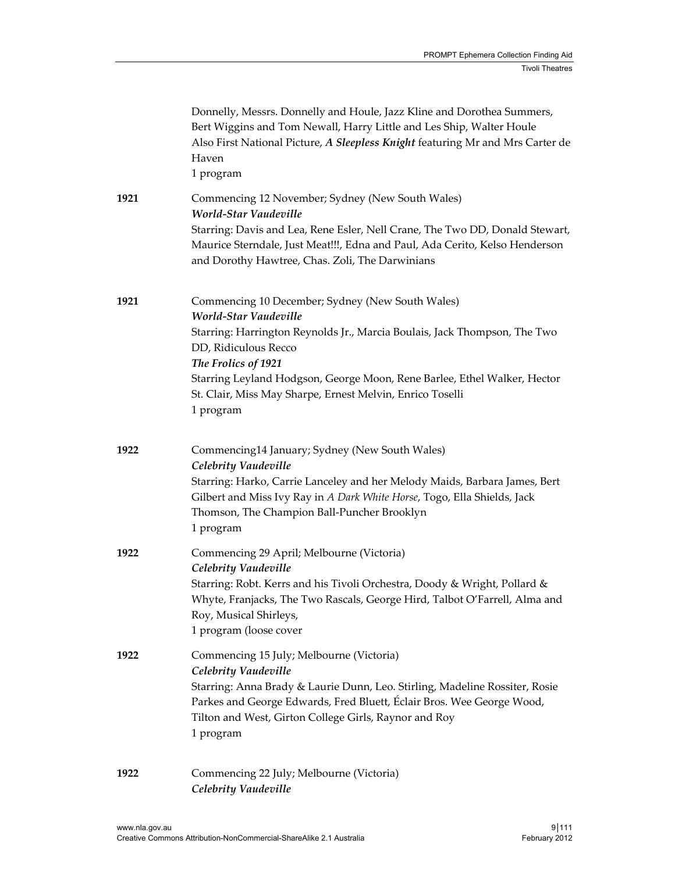|      | Donnelly, Messrs. Donnelly and Houle, Jazz Kline and Dorothea Summers,<br>Bert Wiggins and Tom Newall, Harry Little and Les Ship, Walter Houle<br>Also First National Picture, A Sleepless Knight featuring Mr and Mrs Carter de<br>Haven<br>1 program                                                                                                      |
|------|-------------------------------------------------------------------------------------------------------------------------------------------------------------------------------------------------------------------------------------------------------------------------------------------------------------------------------------------------------------|
| 1921 | Commencing 12 November; Sydney (New South Wales)<br>World-Star Vaudeville<br>Starring: Davis and Lea, Rene Esler, Nell Crane, The Two DD, Donald Stewart,<br>Maurice Sterndale, Just Meat!!!, Edna and Paul, Ada Cerito, Kelso Henderson<br>and Dorothy Hawtree, Chas. Zoli, The Darwinians                                                                 |
| 1921 | Commencing 10 December; Sydney (New South Wales)<br>World-Star Vaudeville<br>Starring: Harrington Reynolds Jr., Marcia Boulais, Jack Thompson, The Two<br>DD, Ridiculous Recco<br>The Frolics of 1921<br>Starring Leyland Hodgson, George Moon, Rene Barlee, Ethel Walker, Hector<br>St. Clair, Miss May Sharpe, Ernest Melvin, Enrico Toselli<br>1 program |
| 1922 | Commencing14 January; Sydney (New South Wales)<br>Celebrity Vaudeville<br>Starring: Harko, Carrie Lanceley and her Melody Maids, Barbara James, Bert<br>Gilbert and Miss Ivy Ray in A Dark White Horse, Togo, Ella Shields, Jack<br>Thomson, The Champion Ball-Puncher Brooklyn<br>1 program                                                                |
| 1922 | Commencing 29 April; Melbourne (Victoria)<br>Celebrity Vaudeville<br>Starring: Robt. Kerrs and his Tivoli Orchestra, Doody & Wright, Pollard &<br>Whyte, Franjacks, The Two Rascals, George Hird, Talbot O'Farrell, Alma and<br>Roy, Musical Shirleys,<br>1 program (loose cover                                                                            |
| 1922 | Commencing 15 July; Melbourne (Victoria)<br>Celebrity Vaudeville<br>Starring: Anna Brady & Laurie Dunn, Leo. Stirling, Madeline Rossiter, Rosie<br>Parkes and George Edwards, Fred Bluett, Éclair Bros. Wee George Wood,<br>Tilton and West, Girton College Girls, Raynor and Roy<br>1 program                                                              |
| 1922 | Commencing 22 July; Melbourne (Victoria)                                                                                                                                                                                                                                                                                                                    |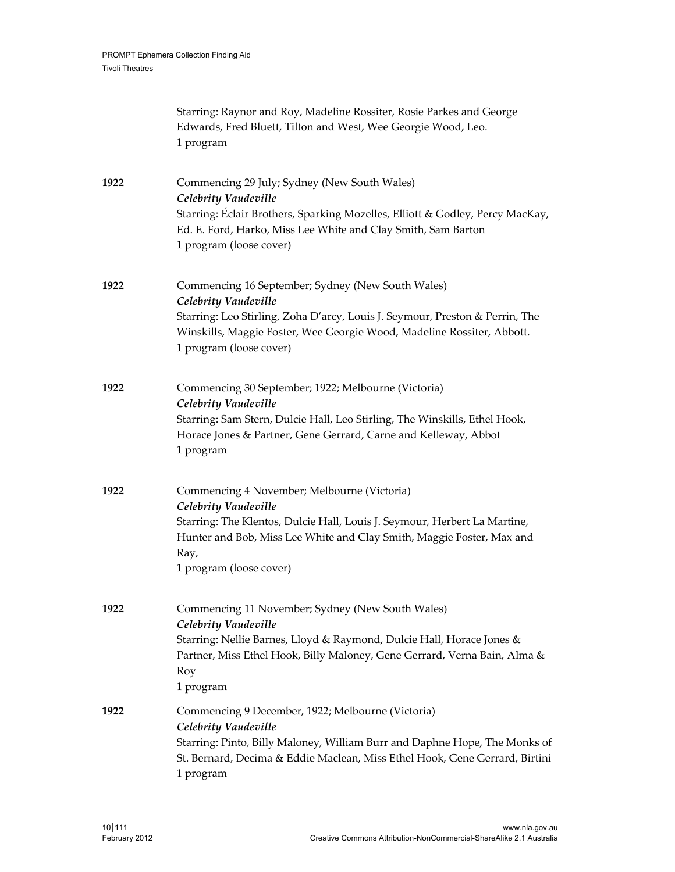|      | Starring: Raynor and Roy, Madeline Rossiter, Rosie Parkes and George<br>Edwards, Fred Bluett, Tilton and West, Wee Georgie Wood, Leo.<br>1 program                                                                                                             |
|------|----------------------------------------------------------------------------------------------------------------------------------------------------------------------------------------------------------------------------------------------------------------|
| 1922 | Commencing 29 July; Sydney (New South Wales)<br>Celebrity Vaudeville<br>Starring: Éclair Brothers, Sparking Mozelles, Elliott & Godley, Percy MacKay,<br>Ed. E. Ford, Harko, Miss Lee White and Clay Smith, Sam Barton<br>1 program (loose cover)              |
| 1922 | Commencing 16 September; Sydney (New South Wales)<br>Celebrity Vaudeville<br>Starring: Leo Stirling, Zoha D'arcy, Louis J. Seymour, Preston & Perrin, The<br>Winskills, Maggie Foster, Wee Georgie Wood, Madeline Rossiter, Abbott.<br>1 program (loose cover) |
| 1922 | Commencing 30 September; 1922; Melbourne (Victoria)<br>Celebrity Vaudeville<br>Starring: Sam Stern, Dulcie Hall, Leo Stirling, The Winskills, Ethel Hook,<br>Horace Jones & Partner, Gene Gerrard, Carne and Kelleway, Abbot<br>1 program                      |
| 1922 | Commencing 4 November; Melbourne (Victoria)<br>Celebrity Vaudeville<br>Starring: The Klentos, Dulcie Hall, Louis J. Seymour, Herbert La Martine,<br>Hunter and Bob, Miss Lee White and Clay Smith, Maggie Foster, Max and<br>Ray,<br>1 program (loose cover)   |
| 1922 | Commencing 11 November; Sydney (New South Wales)<br>Celebrity Vaudeville<br>Starring: Nellie Barnes, Lloyd & Raymond, Dulcie Hall, Horace Jones &<br>Partner, Miss Ethel Hook, Billy Maloney, Gene Gerrard, Verna Bain, Alma &<br>Roy<br>1 program             |
| 1922 | Commencing 9 December, 1922; Melbourne (Victoria)<br>Celebrity Vaudeville<br>Starring: Pinto, Billy Maloney, William Burr and Daphne Hope, The Monks of<br>St. Bernard, Decima & Eddie Maclean, Miss Ethel Hook, Gene Gerrard, Birtini<br>1 program            |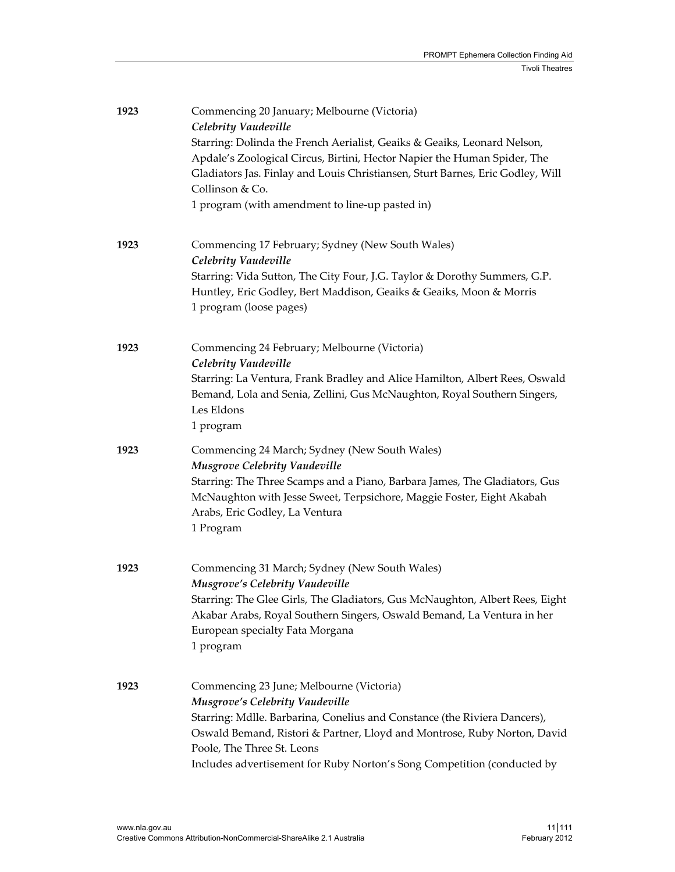| 1923 | Commencing 20 January; Melbourne (Victoria)<br>Celebrity Vaudeville<br>Starring: Dolinda the French Aerialist, Geaiks & Geaiks, Leonard Nelson,<br>Apdale's Zoological Circus, Birtini, Hector Napier the Human Spider, The<br>Gladiators Jas. Finlay and Louis Christiansen, Sturt Barnes, Eric Godley, Will<br>Collinson & Co.<br>1 program (with amendment to line-up pasted in) |
|------|-------------------------------------------------------------------------------------------------------------------------------------------------------------------------------------------------------------------------------------------------------------------------------------------------------------------------------------------------------------------------------------|
| 1923 | Commencing 17 February; Sydney (New South Wales)<br>Celebrity Vaudeville<br>Starring: Vida Sutton, The City Four, J.G. Taylor & Dorothy Summers, G.P.<br>Huntley, Eric Godley, Bert Maddison, Geaiks & Geaiks, Moon & Morris<br>1 program (loose pages)                                                                                                                             |
| 1923 | Commencing 24 February; Melbourne (Victoria)<br>Celebrity Vaudeville<br>Starring: La Ventura, Frank Bradley and Alice Hamilton, Albert Rees, Oswald<br>Bemand, Lola and Senia, Zellini, Gus McNaughton, Royal Southern Singers,<br>Les Eldons<br>1 program                                                                                                                          |
| 1923 | Commencing 24 March; Sydney (New South Wales)<br><b>Musgrove Celebrity Vaudeville</b><br>Starring: The Three Scamps and a Piano, Barbara James, The Gladiators, Gus<br>McNaughton with Jesse Sweet, Terpsichore, Maggie Foster, Eight Akabah<br>Arabs, Eric Godley, La Ventura<br>1 Program                                                                                         |
| 1923 | Commencing 31 March; Sydney (New South Wales)<br><b>Musgrove's Celebrity Vaudeville</b><br>Starring: The Glee Girls, The Gladiators, Gus McNaughton, Albert Rees, Eight<br>Akabar Arabs, Royal Southern Singers, Oswald Bemand, La Ventura in her<br>European specialty Fata Morgana<br>1 program                                                                                   |
| 1923 | Commencing 23 June; Melbourne (Victoria)<br>Musgrove's Celebrity Vaudeville<br>Starring: Mdlle. Barbarina, Conelius and Constance (the Riviera Dancers),<br>Oswald Bemand, Ristori & Partner, Lloyd and Montrose, Ruby Norton, David<br>Poole, The Three St. Leons<br>Includes advertisement for Ruby Norton's Song Competition (conducted by                                       |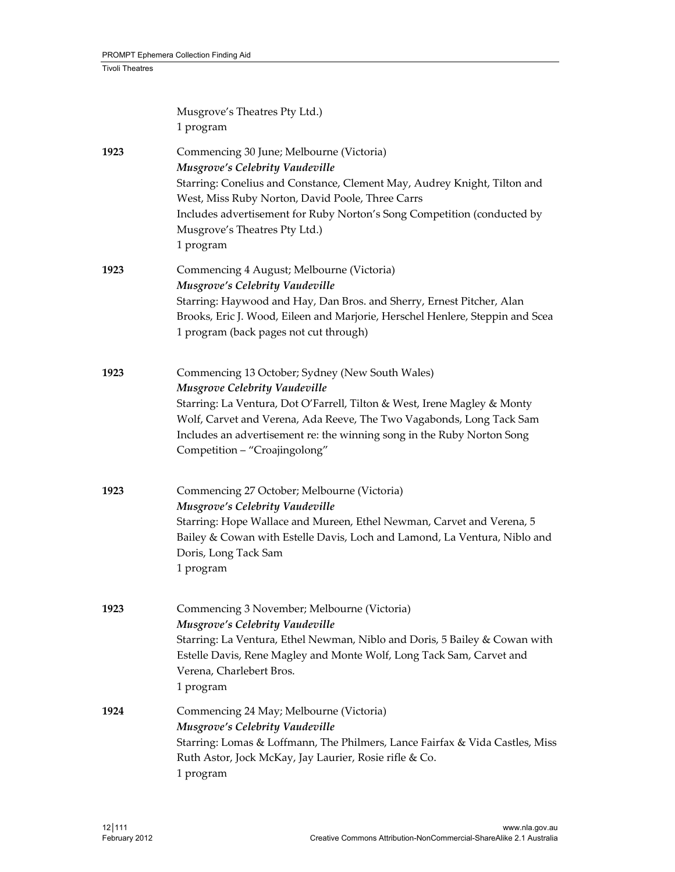|      | Musgrove's Theatres Pty Ltd.)<br>1 program                                                                                                                                                                                                                                                                                                             |
|------|--------------------------------------------------------------------------------------------------------------------------------------------------------------------------------------------------------------------------------------------------------------------------------------------------------------------------------------------------------|
| 1923 | Commencing 30 June; Melbourne (Victoria)<br><b>Musgrove's Celebrity Vaudeville</b><br>Starring: Conelius and Constance, Clement May, Audrey Knight, Tilton and<br>West, Miss Ruby Norton, David Poole, Three Carrs<br>Includes advertisement for Ruby Norton's Song Competition (conducted by<br>Musgrove's Theatres Pty Ltd.)<br>1 program            |
| 1923 | Commencing 4 August; Melbourne (Victoria)<br><b>Musgrove's Celebrity Vaudeville</b><br>Starring: Haywood and Hay, Dan Bros. and Sherry, Ernest Pitcher, Alan<br>Brooks, Eric J. Wood, Eileen and Marjorie, Herschel Henlere, Steppin and Scea<br>1 program (back pages not cut through)                                                                |
| 1923 | Commencing 13 October; Sydney (New South Wales)<br><b>Musgrove Celebrity Vaudeville</b><br>Starring: La Ventura, Dot O'Farrell, Tilton & West, Irene Magley & Monty<br>Wolf, Carvet and Verena, Ada Reeve, The Two Vagabonds, Long Tack Sam<br>Includes an advertisement re: the winning song in the Ruby Norton Song<br>Competition - "Croajingolong" |
| 1923 | Commencing 27 October; Melbourne (Victoria)<br><b>Musgrove's Celebrity Vaudeville</b><br>Starring: Hope Wallace and Mureen, Ethel Newman, Carvet and Verena, 5<br>Bailey & Cowan with Estelle Davis, Loch and Lamond, La Ventura, Niblo and<br>Doris, Long Tack Sam<br>1 program                                                                       |
| 1923 | Commencing 3 November; Melbourne (Victoria)<br><b>Musgrove's Celebrity Vaudeville</b><br>Starring: La Ventura, Ethel Newman, Niblo and Doris, 5 Bailey & Cowan with<br>Estelle Davis, Rene Magley and Monte Wolf, Long Tack Sam, Carvet and<br>Verena, Charlebert Bros.<br>1 program                                                                   |
| 1924 | Commencing 24 May; Melbourne (Victoria)<br><b>Musgrove's Celebrity Vaudeville</b><br>Starring: Lomas & Loffmann, The Philmers, Lance Fairfax & Vida Castles, Miss<br>Ruth Astor, Jock McKay, Jay Laurier, Rosie rifle & Co.<br>1 program                                                                                                               |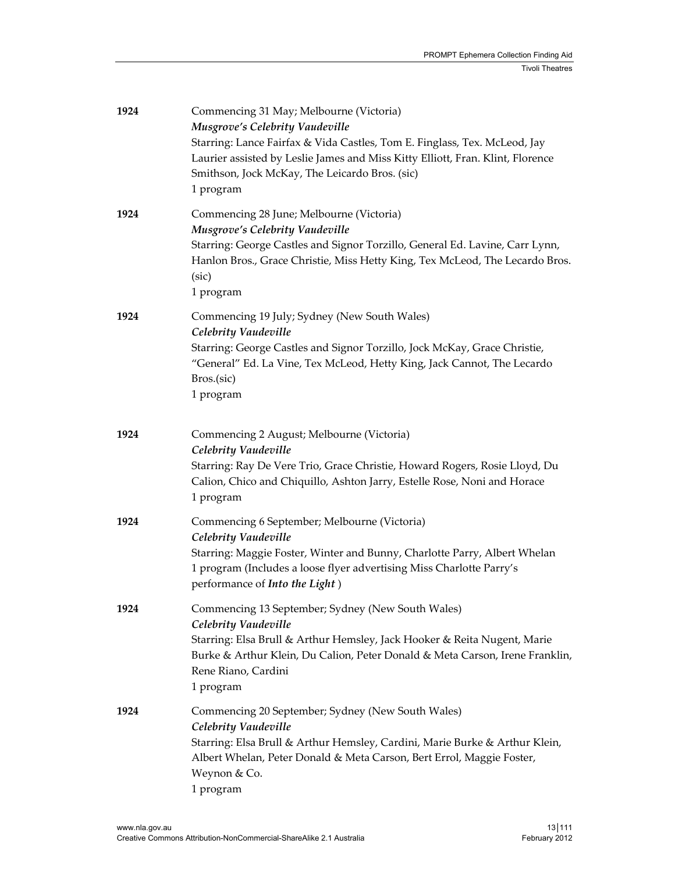| 1924 | Commencing 31 May; Melbourne (Victoria)<br>Musgrove's Celebrity Vaudeville<br>Starring: Lance Fairfax & Vida Castles, Tom E. Finglass, Tex. McLeod, Jay<br>Laurier assisted by Leslie James and Miss Kitty Elliott, Fran. Klint, Florence<br>Smithson, Jock McKay, The Leicardo Bros. (sic)<br>1 program |
|------|----------------------------------------------------------------------------------------------------------------------------------------------------------------------------------------------------------------------------------------------------------------------------------------------------------|
| 1924 | Commencing 28 June; Melbourne (Victoria)<br>Musgrove's Celebrity Vaudeville<br>Starring: George Castles and Signor Torzillo, General Ed. Lavine, Carr Lynn,<br>Hanlon Bros., Grace Christie, Miss Hetty King, Tex McLeod, The Lecardo Bros.<br>(sic)<br>1 program                                        |
| 1924 | Commencing 19 July; Sydney (New South Wales)<br>Celebrity Vaudeville<br>Starring: George Castles and Signor Torzillo, Jock McKay, Grace Christie,<br>"General" Ed. La Vine, Tex McLeod, Hetty King, Jack Cannot, The Lecardo<br>Bros.(sic)<br>1 program                                                  |
| 1924 | Commencing 2 August; Melbourne (Victoria)<br>Celebrity Vaudeville<br>Starring: Ray De Vere Trio, Grace Christie, Howard Rogers, Rosie Lloyd, Du<br>Calion, Chico and Chiquillo, Ashton Jarry, Estelle Rose, Noni and Horace<br>1 program                                                                 |
| 1924 | Commencing 6 September; Melbourne (Victoria)<br>Celebrity Vaudeville<br>Starring: Maggie Foster, Winter and Bunny, Charlotte Parry, Albert Whelan<br>1 program (Includes a loose flyer advertising Miss Charlotte Parry's<br>performance of Into the Light)                                              |
| 1924 | Commencing 13 September; Sydney (New South Wales)<br>Celebrity Vaudeville<br>Starring: Elsa Brull & Arthur Hemsley, Jack Hooker & Reita Nugent, Marie<br>Burke & Arthur Klein, Du Calion, Peter Donald & Meta Carson, Irene Franklin,<br>Rene Riano, Cardini<br>1 program                                |
| 1924 | Commencing 20 September; Sydney (New South Wales)<br>Celebrity Vaudeville<br>Starring: Elsa Brull & Arthur Hemsley, Cardini, Marie Burke & Arthur Klein,<br>Albert Whelan, Peter Donald & Meta Carson, Bert Errol, Maggie Foster,<br>Weynon & Co.<br>1 program                                           |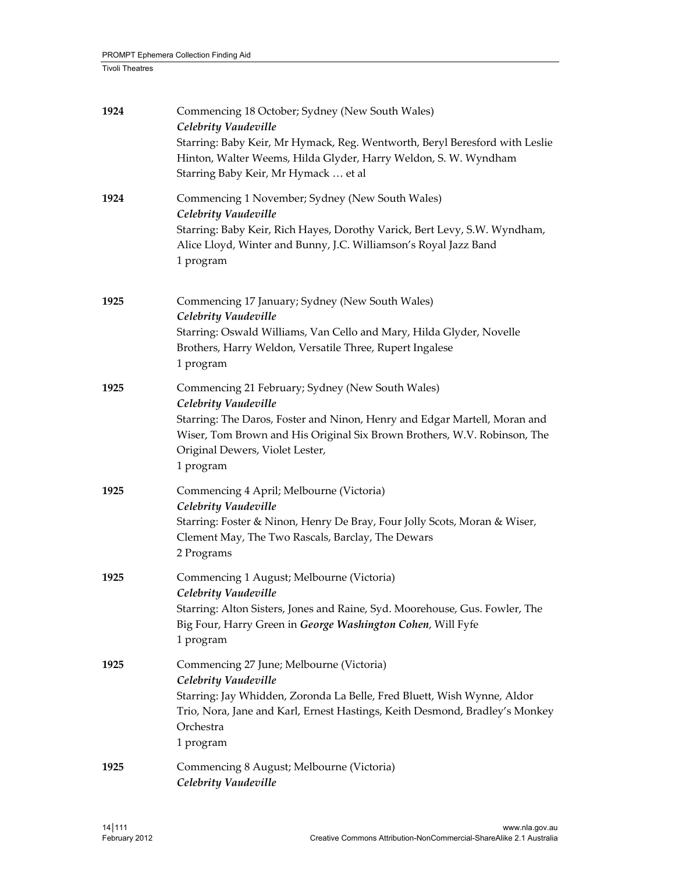| 1924 | Commencing 18 October; Sydney (New South Wales)<br>Celebrity Vaudeville<br>Starring: Baby Keir, Mr Hymack, Reg. Wentworth, Beryl Beresford with Leslie<br>Hinton, Walter Weems, Hilda Glyder, Harry Weldon, S. W. Wyndham<br>Starring Baby Keir, Mr Hymack  et al                 |
|------|-----------------------------------------------------------------------------------------------------------------------------------------------------------------------------------------------------------------------------------------------------------------------------------|
| 1924 | Commencing 1 November; Sydney (New South Wales)<br>Celebrity Vaudeville<br>Starring: Baby Keir, Rich Hayes, Dorothy Varick, Bert Levy, S.W. Wyndham,<br>Alice Lloyd, Winter and Bunny, J.C. Williamson's Royal Jazz Band<br>1 program                                             |
| 1925 | Commencing 17 January; Sydney (New South Wales)<br>Celebrity Vaudeville<br>Starring: Oswald Williams, Van Cello and Mary, Hilda Glyder, Novelle<br>Brothers, Harry Weldon, Versatile Three, Rupert Ingalese<br>1 program                                                          |
| 1925 | Commencing 21 February; Sydney (New South Wales)<br>Celebrity Vaudeville<br>Starring: The Daros, Foster and Ninon, Henry and Edgar Martell, Moran and<br>Wiser, Tom Brown and His Original Six Brown Brothers, W.V. Robinson, The<br>Original Dewers, Violet Lester,<br>1 program |
| 1925 | Commencing 4 April; Melbourne (Victoria)<br>Celebrity Vaudeville<br>Starring: Foster & Ninon, Henry De Bray, Four Jolly Scots, Moran & Wiser,<br>Clement May, The Two Rascals, Barclay, The Dewars<br>2 Programs                                                                  |
| 1925 | Commencing 1 August; Melbourne (Victoria)<br>Celebrity Vaudeville<br>Starring: Alton Sisters, Jones and Raine, Syd. Moorehouse, Gus. Fowler, The<br>Big Four, Harry Green in George Washington Cohen, Will Fyfe<br>1 program                                                      |
| 1925 | Commencing 27 June; Melbourne (Victoria)<br>Celebrity Vaudeville<br>Starring: Jay Whidden, Zoronda La Belle, Fred Bluett, Wish Wynne, Aldor<br>Trio, Nora, Jane and Karl, Ernest Hastings, Keith Desmond, Bradley's Monkey<br>Orchestra<br>1 program                              |
| 1925 | Commencing 8 August; Melbourne (Victoria)<br>Celebrity Vaudeville                                                                                                                                                                                                                 |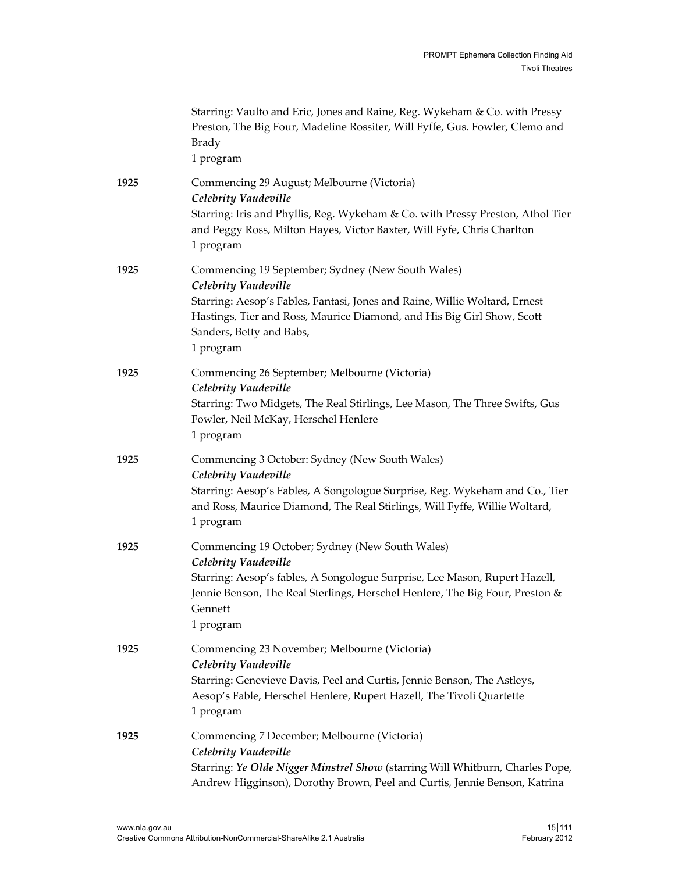|      | Starring: Vaulto and Eric, Jones and Raine, Reg. Wykeham & Co. with Pressy<br>Preston, The Big Four, Madeline Rossiter, Will Fyffe, Gus. Fowler, Clemo and<br><b>Brady</b><br>1 program                                                                                    |
|------|----------------------------------------------------------------------------------------------------------------------------------------------------------------------------------------------------------------------------------------------------------------------------|
| 1925 | Commencing 29 August; Melbourne (Victoria)<br>Celebrity Vaudeville<br>Starring: Iris and Phyllis, Reg. Wykeham & Co. with Pressy Preston, Athol Tier<br>and Peggy Ross, Milton Hayes, Victor Baxter, Will Fyfe, Chris Charlton<br>1 program                                |
| 1925 | Commencing 19 September; Sydney (New South Wales)<br>Celebrity Vaudeville<br>Starring: Aesop's Fables, Fantasi, Jones and Raine, Willie Woltard, Ernest<br>Hastings, Tier and Ross, Maurice Diamond, and His Big Girl Show, Scott<br>Sanders, Betty and Babs,<br>1 program |
| 1925 | Commencing 26 September; Melbourne (Victoria)<br>Celebrity Vaudeville<br>Starring: Two Midgets, The Real Stirlings, Lee Mason, The Three Swifts, Gus<br>Fowler, Neil McKay, Herschel Henlere<br>1 program                                                                  |
| 1925 | Commencing 3 October: Sydney (New South Wales)<br>Celebrity Vaudeville<br>Starring: Aesop's Fables, A Songologue Surprise, Reg. Wykeham and Co., Tier<br>and Ross, Maurice Diamond, The Real Stirlings, Will Fyffe, Willie Woltard,<br>1 program                           |
| 1925 | Commencing 19 October; Sydney (New South Wales)<br>Celebrity Vaudeville<br>Starring: Aesop's fables, A Songologue Surprise, Lee Mason, Rupert Hazell,<br>Jennie Benson, The Real Sterlings, Herschel Henlere, The Big Four, Preston &<br>Gennett<br>1 program              |
| 1925 | Commencing 23 November; Melbourne (Victoria)<br>Celebrity Vaudeville<br>Starring: Genevieve Davis, Peel and Curtis, Jennie Benson, The Astleys,<br>Aesop's Fable, Herschel Henlere, Rupert Hazell, The Tivoli Quartette<br>1 program                                       |
| 1925 | Commencing 7 December; Melbourne (Victoria)<br>Celebrity Vaudeville<br>Starring: Ye Olde Nigger Minstrel Show (starring Will Whitburn, Charles Pope,<br>Andrew Higginson), Dorothy Brown, Peel and Curtis, Jennie Benson, Katrina                                          |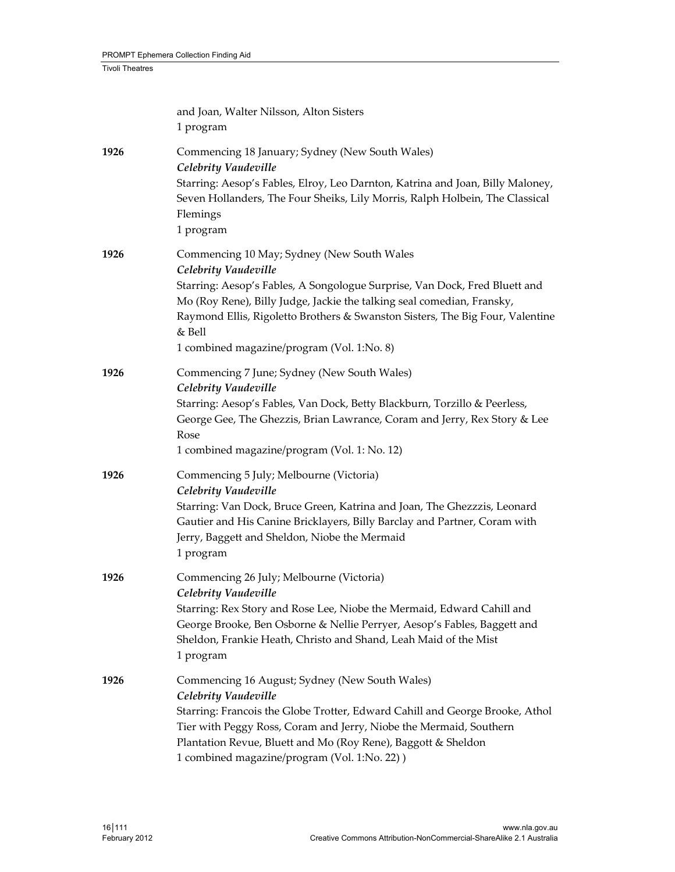|      | and Joan, Walter Nilsson, Alton Sisters<br>1 program                                                                                                                                                                                                                                                                                                                |
|------|---------------------------------------------------------------------------------------------------------------------------------------------------------------------------------------------------------------------------------------------------------------------------------------------------------------------------------------------------------------------|
| 1926 | Commencing 18 January; Sydney (New South Wales)<br>Celebrity Vaudeville<br>Starring: Aesop's Fables, Elroy, Leo Darnton, Katrina and Joan, Billy Maloney,<br>Seven Hollanders, The Four Sheiks, Lily Morris, Ralph Holbein, The Classical<br>Flemings<br>1 program                                                                                                  |
| 1926 | Commencing 10 May; Sydney (New South Wales<br>Celebrity Vaudeville<br>Starring: Aesop's Fables, A Songologue Surprise, Van Dock, Fred Bluett and<br>Mo (Roy Rene), Billy Judge, Jackie the talking seal comedian, Fransky,<br>Raymond Ellis, Rigoletto Brothers & Swanston Sisters, The Big Four, Valentine<br>& Bell<br>1 combined magazine/program (Vol. 1:No. 8) |
| 1926 | Commencing 7 June; Sydney (New South Wales)<br>Celebrity Vaudeville<br>Starring: Aesop's Fables, Van Dock, Betty Blackburn, Torzillo & Peerless,<br>George Gee, The Ghezzis, Brian Lawrance, Coram and Jerry, Rex Story & Lee<br>Rose<br>1 combined magazine/program (Vol. 1: No. 12)                                                                               |
| 1926 | Commencing 5 July; Melbourne (Victoria)<br>Celebrity Vaudeville<br>Starring: Van Dock, Bruce Green, Katrina and Joan, The Ghezzzis, Leonard<br>Gautier and His Canine Bricklayers, Billy Barclay and Partner, Coram with<br>Jerry, Baggett and Sheldon, Niobe the Mermaid<br>1 program                                                                              |
| 1926 | Commencing 26 July; Melbourne (Victoria)<br>Celebrity Vaudeville<br>Starring: Rex Story and Rose Lee, Niobe the Mermaid, Edward Cahill and<br>George Brooke, Ben Osborne & Nellie Perryer, Aesop's Fables, Baggett and<br>Sheldon, Frankie Heath, Christo and Shand, Leah Maid of the Mist<br>1 program                                                             |
| 1926 | Commencing 16 August; Sydney (New South Wales)<br>Celebrity Vaudeville<br>Starring: Francois the Globe Trotter, Edward Cahill and George Brooke, Athol<br>Tier with Peggy Ross, Coram and Jerry, Niobe the Mermaid, Southern<br>Plantation Revue, Bluett and Mo (Roy Rene), Baggott & Sheldon<br>1 combined magazine/program (Vol. 1:No. 22))                       |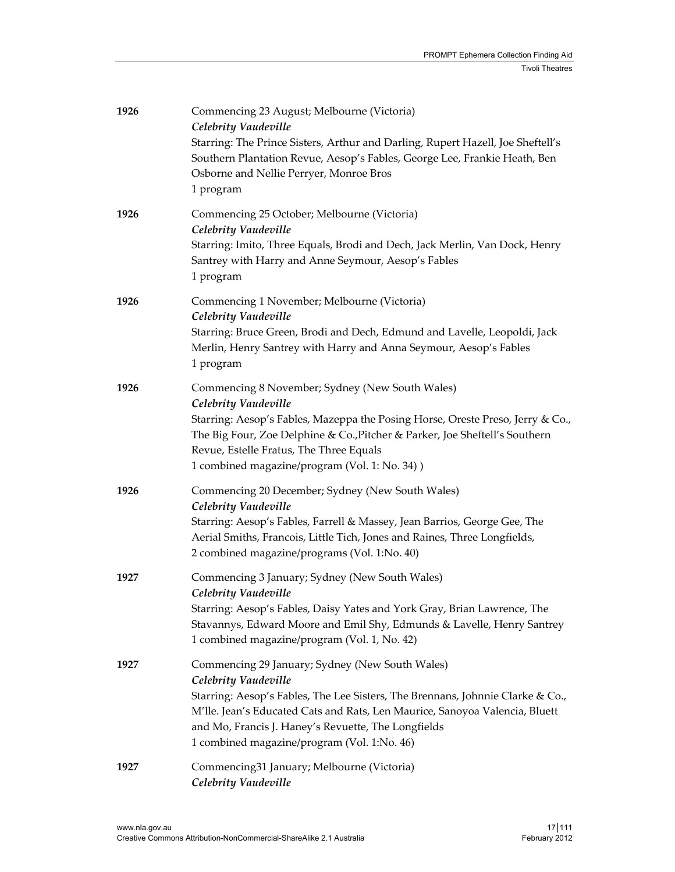| 1926 | Commencing 23 August; Melbourne (Victoria)<br>Celebrity Vaudeville<br>Starring: The Prince Sisters, Arthur and Darling, Rupert Hazell, Joe Sheftell's<br>Southern Plantation Revue, Aesop's Fables, George Lee, Frankie Heath, Ben<br>Osborne and Nellie Perryer, Monroe Bros<br>1 program                                                     |
|------|------------------------------------------------------------------------------------------------------------------------------------------------------------------------------------------------------------------------------------------------------------------------------------------------------------------------------------------------|
| 1926 | Commencing 25 October; Melbourne (Victoria)<br>Celebrity Vaudeville<br>Starring: Imito, Three Equals, Brodi and Dech, Jack Merlin, Van Dock, Henry<br>Santrey with Harry and Anne Seymour, Aesop's Fables<br>1 program                                                                                                                         |
| 1926 | Commencing 1 November; Melbourne (Victoria)<br>Celebrity Vaudeville<br>Starring: Bruce Green, Brodi and Dech, Edmund and Lavelle, Leopoldi, Jack<br>Merlin, Henry Santrey with Harry and Anna Seymour, Aesop's Fables<br>1 program                                                                                                             |
| 1926 | Commencing 8 November; Sydney (New South Wales)<br>Celebrity Vaudeville<br>Starring: Aesop's Fables, Mazeppa the Posing Horse, Oreste Preso, Jerry & Co.,<br>The Big Four, Zoe Delphine & Co., Pitcher & Parker, Joe Sheftell's Southern<br>Revue, Estelle Fratus, The Three Equals<br>1 combined magazine/program (Vol. 1: No. 34))           |
| 1926 | Commencing 20 December; Sydney (New South Wales)<br>Celebrity Vaudeville<br>Starring: Aesop's Fables, Farrell & Massey, Jean Barrios, George Gee, The<br>Aerial Smiths, Francois, Little Tich, Jones and Raines, Three Longfields,<br>2 combined magazine/programs (Vol. 1:No. 40)                                                             |
| 1927 | Commencing 3 January; Sydney (New South Wales)<br>Celebrity Vaudeville<br>Starring: Aesop's Fables, Daisy Yates and York Gray, Brian Lawrence, The<br>Stavannys, Edward Moore and Emil Shy, Edmunds & Lavelle, Henry Santrey<br>1 combined magazine/program (Vol. 1, No. 42)                                                                   |
| 1927 | Commencing 29 January; Sydney (New South Wales)<br>Celebrity Vaudeville<br>Starring: Aesop's Fables, The Lee Sisters, The Brennans, Johnnie Clarke & Co.,<br>M'lle. Jean's Educated Cats and Rats, Len Maurice, Sanoyoa Valencia, Bluett<br>and Mo, Francis J. Haney's Revuette, The Longfields<br>1 combined magazine/program (Vol. 1:No. 46) |
| 1927 | Commencing31 January; Melbourne (Victoria)<br>Celebrity Vaudeville                                                                                                                                                                                                                                                                             |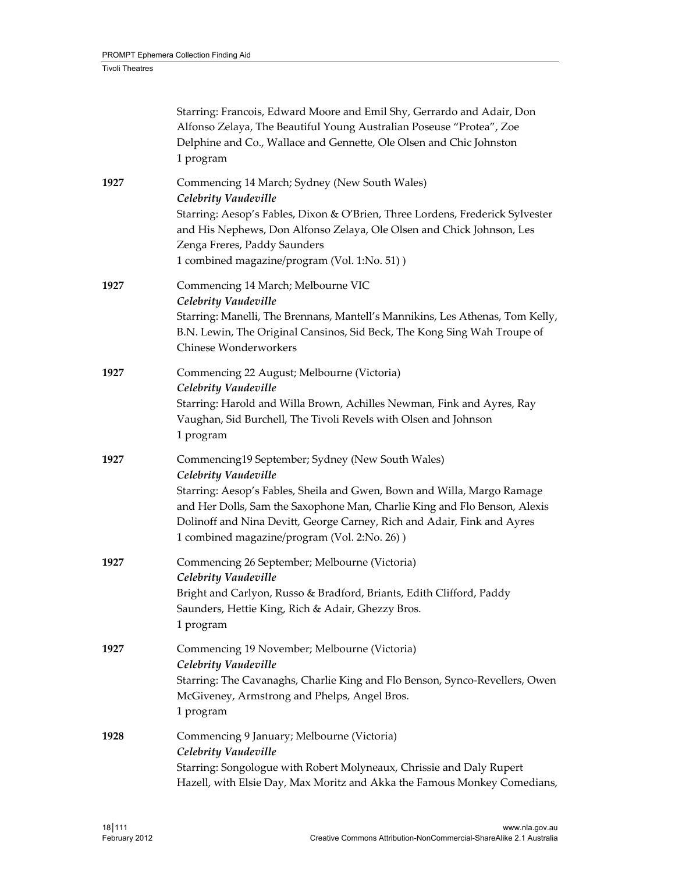|      | Starring: Francois, Edward Moore and Emil Shy, Gerrardo and Adair, Don<br>Alfonso Zelaya, The Beautiful Young Australian Poseuse "Protea", Zoe<br>Delphine and Co., Wallace and Gennette, Ole Olsen and Chic Johnston<br>1 program                                                                                                                          |
|------|-------------------------------------------------------------------------------------------------------------------------------------------------------------------------------------------------------------------------------------------------------------------------------------------------------------------------------------------------------------|
| 1927 | Commencing 14 March; Sydney (New South Wales)<br>Celebrity Vaudeville<br>Starring: Aesop's Fables, Dixon & O'Brien, Three Lordens, Frederick Sylvester<br>and His Nephews, Don Alfonso Zelaya, Ole Olsen and Chick Johnson, Les<br>Zenga Freres, Paddy Saunders<br>1 combined magazine/program (Vol. 1:No. 51))                                             |
| 1927 | Commencing 14 March; Melbourne VIC<br>Celebrity Vaudeville<br>Starring: Manelli, The Brennans, Mantell's Mannikins, Les Athenas, Tom Kelly,<br>B.N. Lewin, The Original Cansinos, Sid Beck, The Kong Sing Wah Troupe of<br>Chinese Wonderworkers                                                                                                            |
| 1927 | Commencing 22 August; Melbourne (Victoria)<br>Celebrity Vaudeville<br>Starring: Harold and Willa Brown, Achilles Newman, Fink and Ayres, Ray<br>Vaughan, Sid Burchell, The Tivoli Revels with Olsen and Johnson<br>1 program                                                                                                                                |
| 1927 | Commencing19 September; Sydney (New South Wales)<br>Celebrity Vaudeville<br>Starring: Aesop's Fables, Sheila and Gwen, Bown and Willa, Margo Ramage<br>and Her Dolls, Sam the Saxophone Man, Charlie King and Flo Benson, Alexis<br>Dolinoff and Nina Devitt, George Carney, Rich and Adair, Fink and Ayres<br>1 combined magazine/program (Vol. 2:No. 26)) |
| 1927 | Commencing 26 September; Melbourne (Victoria)<br>Celebrity Vaudeville<br>Bright and Carlyon, Russo & Bradford, Briants, Edith Clifford, Paddy<br>Saunders, Hettie King, Rich & Adair, Ghezzy Bros.<br>1 program                                                                                                                                             |
| 1927 | Commencing 19 November; Melbourne (Victoria)<br>Celebrity Vaudeville<br>Starring: The Cavanaghs, Charlie King and Flo Benson, Synco-Revellers, Owen<br>McGiveney, Armstrong and Phelps, Angel Bros.<br>1 program                                                                                                                                            |
| 1928 | Commencing 9 January; Melbourne (Victoria)<br>Celebrity Vaudeville<br>Starring: Songologue with Robert Molyneaux, Chrissie and Daly Rupert<br>Hazell, with Elsie Day, Max Moritz and Akka the Famous Monkey Comedians,                                                                                                                                      |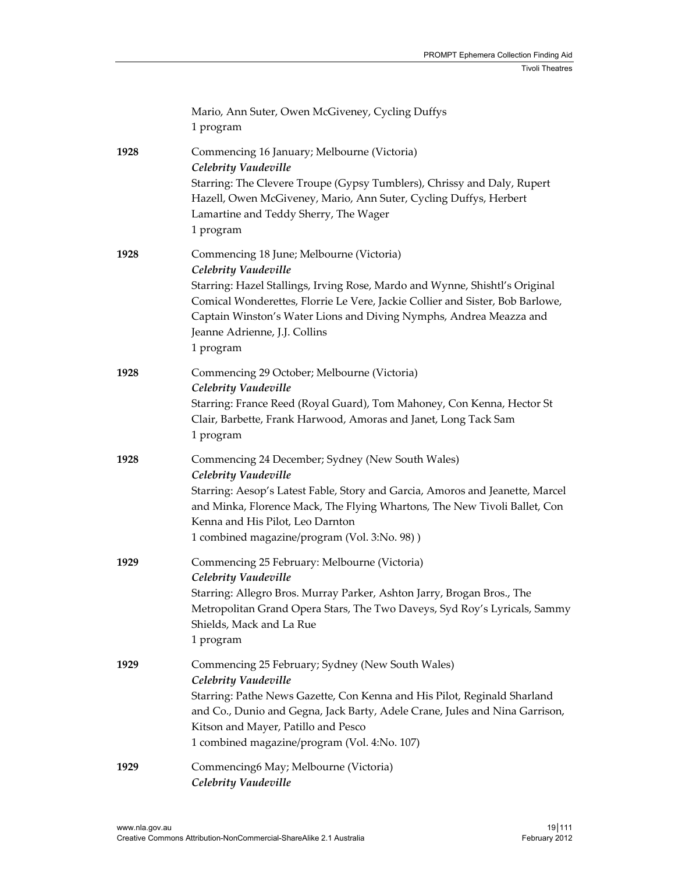|      | Mario, Ann Suter, Owen McGiveney, Cycling Duffys<br>1 program                                                                                                                                                                                                                                                                                        |
|------|------------------------------------------------------------------------------------------------------------------------------------------------------------------------------------------------------------------------------------------------------------------------------------------------------------------------------------------------------|
| 1928 | Commencing 16 January; Melbourne (Victoria)<br>Celebrity Vaudeville<br>Starring: The Clevere Troupe (Gypsy Tumblers), Chrissy and Daly, Rupert<br>Hazell, Owen McGiveney, Mario, Ann Suter, Cycling Duffys, Herbert<br>Lamartine and Teddy Sherry, The Wager<br>1 program                                                                            |
| 1928 | Commencing 18 June; Melbourne (Victoria)<br>Celebrity Vaudeville<br>Starring: Hazel Stallings, Irving Rose, Mardo and Wynne, Shishtl's Original<br>Comical Wonderettes, Florrie Le Vere, Jackie Collier and Sister, Bob Barlowe,<br>Captain Winston's Water Lions and Diving Nymphs, Andrea Meazza and<br>Jeanne Adrienne, J.J. Collins<br>1 program |
| 1928 | Commencing 29 October; Melbourne (Victoria)<br>Celebrity Vaudeville<br>Starring: France Reed (Royal Guard), Tom Mahoney, Con Kenna, Hector St<br>Clair, Barbette, Frank Harwood, Amoras and Janet, Long Tack Sam<br>1 program                                                                                                                        |
| 1928 | Commencing 24 December; Sydney (New South Wales)<br>Celebrity Vaudeville<br>Starring: Aesop's Latest Fable, Story and Garcia, Amoros and Jeanette, Marcel<br>and Minka, Florence Mack, The Flying Whartons, The New Tivoli Ballet, Con<br>Kenna and His Pilot, Leo Darnton<br>1 combined magazine/program (Vol. 3:No. 98))                           |
| 1929 | Commencing 25 February: Melbourne (Victoria)<br>Celebrity Vaudeville<br>Starring: Allegro Bros. Murray Parker, Ashton Jarry, Brogan Bros., The<br>Metropolitan Grand Opera Stars, The Two Daveys, Syd Roy's Lyricals, Sammy<br>Shields, Mack and La Rue<br>1 program                                                                                 |
| 1929 | Commencing 25 February; Sydney (New South Wales)<br>Celebrity Vaudeville<br>Starring: Pathe News Gazette, Con Kenna and His Pilot, Reginald Sharland<br>and Co., Dunio and Gegna, Jack Barty, Adele Crane, Jules and Nina Garrison,<br>Kitson and Mayer, Patillo and Pesco<br>1 combined magazine/program (Vol. 4:No. 107)                           |
| 1929 | Commencing6 May; Melbourne (Victoria)<br>Celebrity Vaudeville                                                                                                                                                                                                                                                                                        |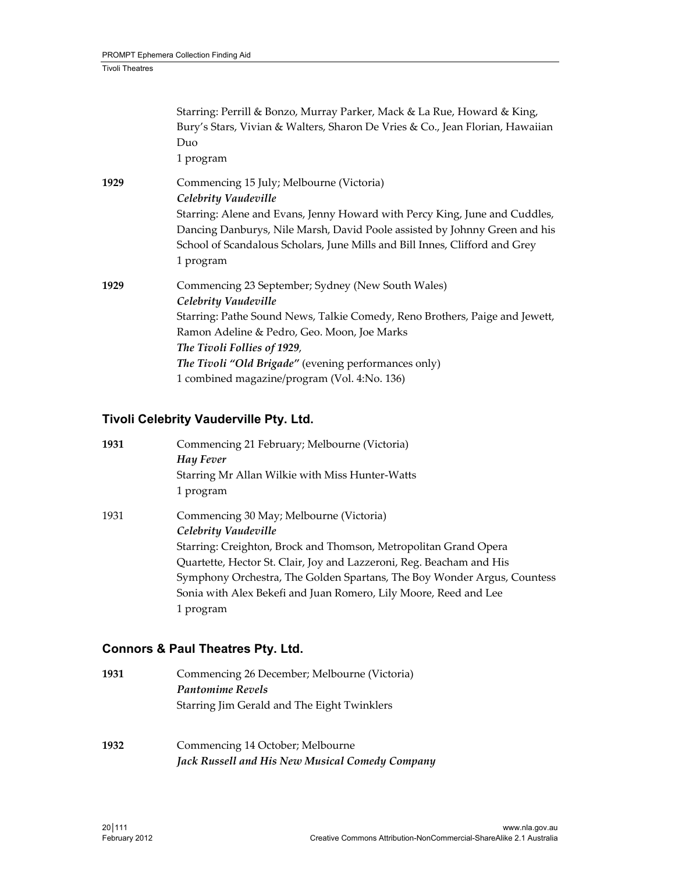|      | Starring: Perrill & Bonzo, Murray Parker, Mack & La Rue, Howard & King,       |
|------|-------------------------------------------------------------------------------|
|      | Bury's Stars, Vivian & Walters, Sharon De Vries & Co., Jean Florian, Hawaiian |
|      | Duo                                                                           |
|      | 1 program                                                                     |
| 1929 | Commencing 15 July; Melbourne (Victoria)                                      |
|      | Celebrity Vaudeville                                                          |
|      | Starring: Alene and Evans, Jenny Howard with Percy King, June and Cuddles,    |
|      | Dancing Danburys, Nile Marsh, David Poole assisted by Johnny Green and his    |
|      | School of Scandalous Scholars, June Mills and Bill Innes, Clifford and Grey   |
|      | 1 program                                                                     |
| 1929 | Commencing 23 September; Sydney (New South Wales)                             |
|      | Celebrity Vaudeville                                                          |
|      | Starring: Pathe Sound News, Talkie Comedy, Reno Brothers, Paige and Jewett,   |
|      | Ramon Adeline & Pedro, Geo. Moon, Joe Marks                                   |
|      | The Tivoli Follies of 1929,                                                   |
|      | The Tivoli "Old Brigade" (evening performances only)                          |
|      | 1 combined magazine/program (Vol. 4:No. 136)                                  |

# **Tivoli Celebrity Vauderville Pty. Ltd.**

| 1931 | Commencing 21 February; Melbourne (Victoria)                            |
|------|-------------------------------------------------------------------------|
|      | <b>Hay Fever</b>                                                        |
|      | Starring Mr Allan Wilkie with Miss Hunter-Watts                         |
|      | 1 program                                                               |
| 1931 | Commencing 30 May; Melbourne (Victoria)                                 |
|      | Celebrity Vaudeville                                                    |
|      | Starring: Creighton, Brock and Thomson, Metropolitan Grand Opera        |
|      | Quartette, Hector St. Clair, Joy and Lazzeroni, Reg. Beacham and His    |
|      | Symphony Orchestra, The Golden Spartans, The Boy Wonder Argus, Countess |
|      | Sonia with Alex Bekefi and Juan Romero, Lily Moore, Reed and Lee        |
|      | 1 program                                                               |
|      |                                                                         |

## **Connors & Paul Theatres Pty. Ltd.**

| 1931 | Commencing 26 December; Melbourne (Victoria)    |
|------|-------------------------------------------------|
|      | <b>Pantomime Revels</b>                         |
|      | Starring Jim Gerald and The Eight Twinklers     |
|      |                                                 |
| 1932 | Commencing 14 October; Melbourne                |
|      | Jack Russell and His New Musical Comedy Company |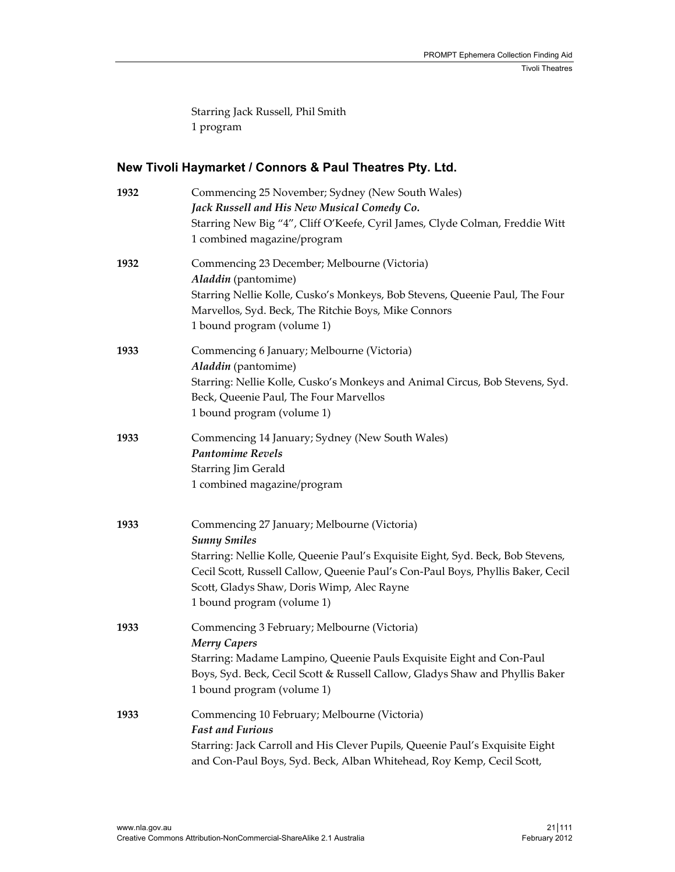Starring Jack Russell, Phil Smith 1 program

## **New Tivoli Haymarket / Connors & Paul Theatres Pty. Ltd.**

| 1932 | Commencing 25 November; Sydney (New South Wales)<br>Jack Russell and His New Musical Comedy Co.<br>Starring New Big "4", Cliff O'Keefe, Cyril James, Clyde Colman, Freddie Witt<br>1 combined magazine/program                                                                                                       |
|------|----------------------------------------------------------------------------------------------------------------------------------------------------------------------------------------------------------------------------------------------------------------------------------------------------------------------|
| 1932 | Commencing 23 December; Melbourne (Victoria)<br>Aladdin (pantomime)<br>Starring Nellie Kolle, Cusko's Monkeys, Bob Stevens, Queenie Paul, The Four<br>Marvellos, Syd. Beck, The Ritchie Boys, Mike Connors<br>1 bound program (volume 1)                                                                             |
| 1933 | Commencing 6 January; Melbourne (Victoria)<br>Aladdin (pantomime)<br>Starring: Nellie Kolle, Cusko's Monkeys and Animal Circus, Bob Stevens, Syd.<br>Beck, Queenie Paul, The Four Marvellos<br>1 bound program (volume 1)                                                                                            |
| 1933 | Commencing 14 January; Sydney (New South Wales)<br><b>Pantomime Revels</b><br><b>Starring Jim Gerald</b><br>1 combined magazine/program                                                                                                                                                                              |
| 1933 | Commencing 27 January; Melbourne (Victoria)<br><b>Sunny Smiles</b><br>Starring: Nellie Kolle, Queenie Paul's Exquisite Eight, Syd. Beck, Bob Stevens,<br>Cecil Scott, Russell Callow, Queenie Paul's Con-Paul Boys, Phyllis Baker, Cecil<br>Scott, Gladys Shaw, Doris Wimp, Alec Rayne<br>1 bound program (volume 1) |
| 1933 | Commencing 3 February; Melbourne (Victoria)<br><b>Merry Capers</b><br>Starring: Madame Lampino, Queenie Pauls Exquisite Eight and Con-Paul<br>Boys, Syd. Beck, Cecil Scott & Russell Callow, Gladys Shaw and Phyllis Baker<br>1 bound program (volume 1)                                                             |
| 1933 | Commencing 10 February; Melbourne (Victoria)<br><b>Fast and Furious</b><br>Starring: Jack Carroll and His Clever Pupils, Queenie Paul's Exquisite Eight<br>and Con-Paul Boys, Syd. Beck, Alban Whitehead, Roy Kemp, Cecil Scott,                                                                                     |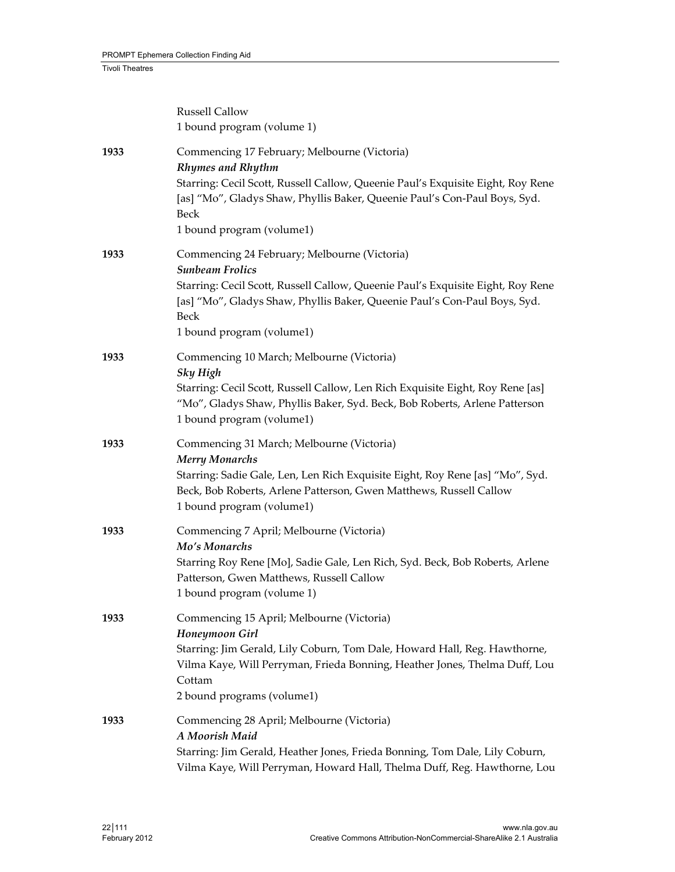|      | <b>Russell Callow</b><br>1 bound program (volume 1)                                                                                                                                                                                                                                |
|------|------------------------------------------------------------------------------------------------------------------------------------------------------------------------------------------------------------------------------------------------------------------------------------|
| 1933 | Commencing 17 February; Melbourne (Victoria)<br>Rhymes and Rhythm<br>Starring: Cecil Scott, Russell Callow, Queenie Paul's Exquisite Eight, Roy Rene<br>[as] "Mo", Gladys Shaw, Phyllis Baker, Queenie Paul's Con-Paul Boys, Syd.<br><b>Beck</b><br>1 bound program (volume1)      |
| 1933 | Commencing 24 February; Melbourne (Victoria)<br><b>Sunbeam Frolics</b><br>Starring: Cecil Scott, Russell Callow, Queenie Paul's Exquisite Eight, Roy Rene<br>[as] "Mo", Gladys Shaw, Phyllis Baker, Queenie Paul's Con-Paul Boys, Syd.<br><b>Beck</b><br>1 bound program (volume1) |
| 1933 | Commencing 10 March; Melbourne (Victoria)<br>Sky High<br>Starring: Cecil Scott, Russell Callow, Len Rich Exquisite Eight, Roy Rene [as]<br>"Mo", Gladys Shaw, Phyllis Baker, Syd. Beck, Bob Roberts, Arlene Patterson<br>1 bound program (volume1)                                 |
| 1933 | Commencing 31 March; Melbourne (Victoria)<br><b>Merry Monarchs</b><br>Starring: Sadie Gale, Len, Len Rich Exquisite Eight, Roy Rene [as] "Mo", Syd.<br>Beck, Bob Roberts, Arlene Patterson, Gwen Matthews, Russell Callow<br>1 bound program (volume1)                             |
| 1933 | Commencing 7 April; Melbourne (Victoria)<br>Mo's Monarchs<br>Starring Roy Rene [Mo], Sadie Gale, Len Rich, Syd. Beck, Bob Roberts, Arlene<br>Patterson, Gwen Matthews, Russell Callow<br>1 bound program (volume 1)                                                                |
| 1933 | Commencing 15 April; Melbourne (Victoria)<br>Honeymoon Girl<br>Starring: Jim Gerald, Lily Coburn, Tom Dale, Howard Hall, Reg. Hawthorne,<br>Vilma Kaye, Will Perryman, Frieda Bonning, Heather Jones, Thelma Duff, Lou<br>Cottam<br>2 bound programs (volume1)                     |
| 1933 | Commencing 28 April; Melbourne (Victoria)<br>A Moorish Maid<br>Starring: Jim Gerald, Heather Jones, Frieda Bonning, Tom Dale, Lily Coburn,<br>Vilma Kaye, Will Perryman, Howard Hall, Thelma Duff, Reg. Hawthorne, Lou                                                             |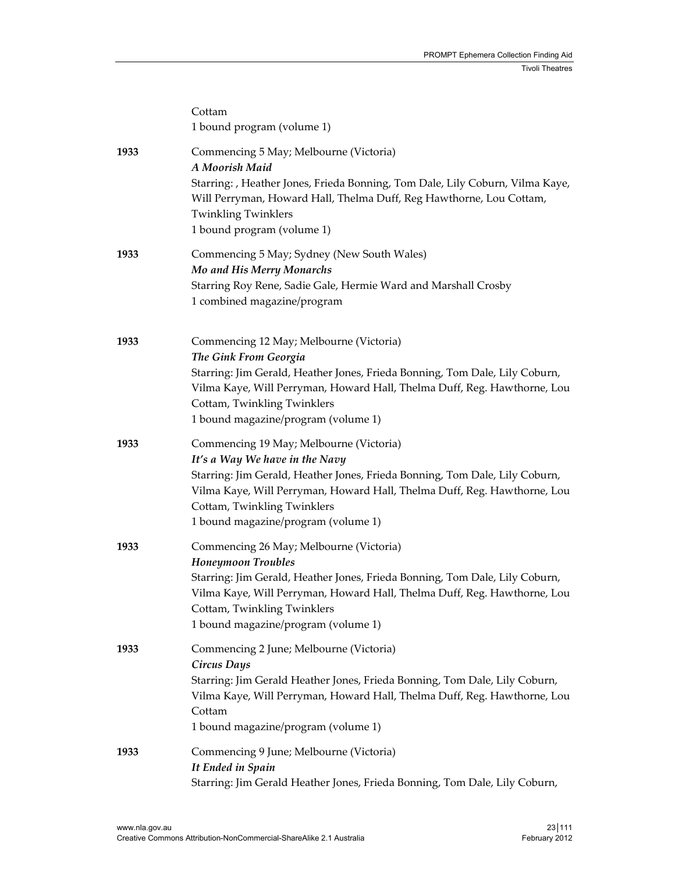|      | Cottam<br>1 bound program (volume 1)                                                                                                                                                                                                                                                                       |
|------|------------------------------------------------------------------------------------------------------------------------------------------------------------------------------------------------------------------------------------------------------------------------------------------------------------|
| 1933 | Commencing 5 May; Melbourne (Victoria)<br>A Moorish Maid<br>Starring: , Heather Jones, Frieda Bonning, Tom Dale, Lily Coburn, Vilma Kaye,<br>Will Perryman, Howard Hall, Thelma Duff, Reg Hawthorne, Lou Cottam,<br><b>Twinkling Twinklers</b><br>1 bound program (volume 1)                               |
| 1933 | Commencing 5 May; Sydney (New South Wales)<br><b>Mo and His Merry Monarchs</b><br>Starring Roy Rene, Sadie Gale, Hermie Ward and Marshall Crosby<br>1 combined magazine/program                                                                                                                            |
| 1933 | Commencing 12 May; Melbourne (Victoria)<br>The Gink From Georgia<br>Starring: Jim Gerald, Heather Jones, Frieda Bonning, Tom Dale, Lily Coburn,<br>Vilma Kaye, Will Perryman, Howard Hall, Thelma Duff, Reg. Hawthorne, Lou<br>Cottam, Twinkling Twinklers<br>1 bound magazine/program (volume 1)          |
| 1933 | Commencing 19 May; Melbourne (Victoria)<br>It's a Way We have in the Navy<br>Starring: Jim Gerald, Heather Jones, Frieda Bonning, Tom Dale, Lily Coburn,<br>Vilma Kaye, Will Perryman, Howard Hall, Thelma Duff, Reg. Hawthorne, Lou<br>Cottam, Twinkling Twinklers<br>1 bound magazine/program (volume 1) |
| 1933 | Commencing 26 May; Melbourne (Victoria)<br><b>Honeymoon Troubles</b><br>Starring: Jim Gerald, Heather Jones, Frieda Bonning, Tom Dale, Lily Coburn,<br>Vilma Kaye, Will Perryman, Howard Hall, Thelma Duff, Reg. Hawthorne, Lou<br>Cottam, Twinkling Twinklers<br>1 bound magazine/program (volume 1)      |
| 1933 | Commencing 2 June; Melbourne (Victoria)<br>Circus Days<br>Starring: Jim Gerald Heather Jones, Frieda Bonning, Tom Dale, Lily Coburn,<br>Vilma Kaye, Will Perryman, Howard Hall, Thelma Duff, Reg. Hawthorne, Lou<br>Cottam<br>1 bound magazine/program (volume 1)                                          |
| 1933 | Commencing 9 June; Melbourne (Victoria)<br>It Ended in Spain<br>Starring: Jim Gerald Heather Jones, Frieda Bonning, Tom Dale, Lily Coburn,                                                                                                                                                                 |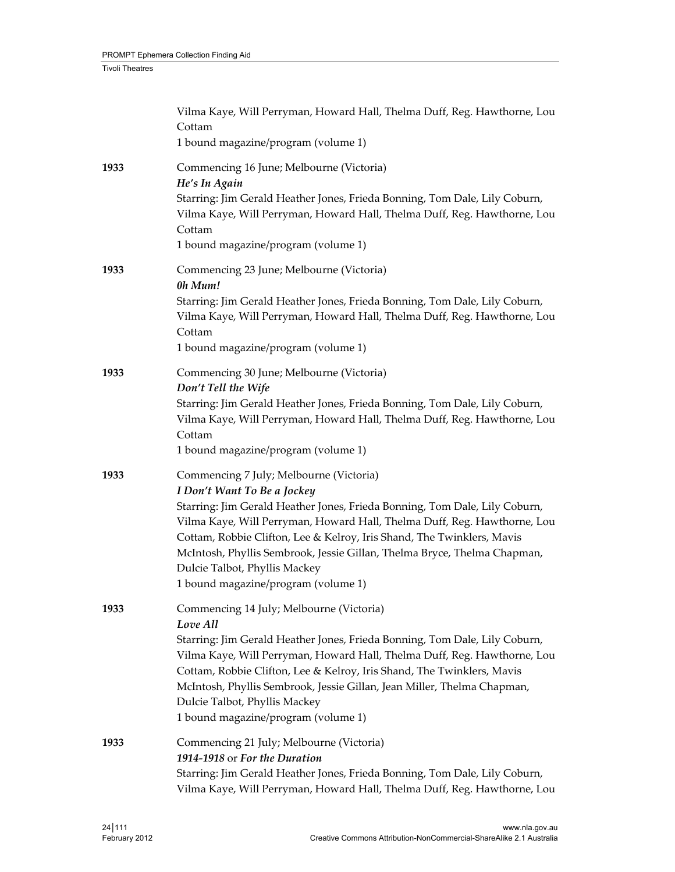|      | Vilma Kaye, Will Perryman, Howard Hall, Thelma Duff, Reg. Hawthorne, Lou<br>Cottam<br>1 bound magazine/program (volume 1)                                                                                                                                                                                                                                                                                                                                      |
|------|----------------------------------------------------------------------------------------------------------------------------------------------------------------------------------------------------------------------------------------------------------------------------------------------------------------------------------------------------------------------------------------------------------------------------------------------------------------|
| 1933 | Commencing 16 June; Melbourne (Victoria)<br>He's In Again<br>Starring: Jim Gerald Heather Jones, Frieda Bonning, Tom Dale, Lily Coburn,<br>Vilma Kaye, Will Perryman, Howard Hall, Thelma Duff, Reg. Hawthorne, Lou<br>Cottam<br>1 bound magazine/program (volume 1)                                                                                                                                                                                           |
| 1933 | Commencing 23 June; Melbourne (Victoria)<br>0h Mum!<br>Starring: Jim Gerald Heather Jones, Frieda Bonning, Tom Dale, Lily Coburn,<br>Vilma Kaye, Will Perryman, Howard Hall, Thelma Duff, Reg. Hawthorne, Lou<br>Cottam<br>1 bound magazine/program (volume 1)                                                                                                                                                                                                 |
| 1933 | Commencing 30 June; Melbourne (Victoria)<br>Don't Tell the Wife<br>Starring: Jim Gerald Heather Jones, Frieda Bonning, Tom Dale, Lily Coburn,<br>Vilma Kaye, Will Perryman, Howard Hall, Thelma Duff, Reg. Hawthorne, Lou<br>Cottam<br>1 bound magazine/program (volume 1)                                                                                                                                                                                     |
| 1933 | Commencing 7 July; Melbourne (Victoria)<br>I Don't Want To Be a Jockey<br>Starring: Jim Gerald Heather Jones, Frieda Bonning, Tom Dale, Lily Coburn,<br>Vilma Kaye, Will Perryman, Howard Hall, Thelma Duff, Reg. Hawthorne, Lou<br>Cottam, Robbie Clifton, Lee & Kelroy, Iris Shand, The Twinklers, Mavis<br>McIntosh, Phyllis Sembrook, Jessie Gillan, Thelma Bryce, Thelma Chapman,<br>Dulcie Talbot, Phyllis Mackey<br>1 bound magazine/program (volume 1) |
| 1933 | Commencing 14 July; Melbourne (Victoria)<br>Love All<br>Starring: Jim Gerald Heather Jones, Frieda Bonning, Tom Dale, Lily Coburn,<br>Vilma Kaye, Will Perryman, Howard Hall, Thelma Duff, Reg. Hawthorne, Lou<br>Cottam, Robbie Clifton, Lee & Kelroy, Iris Shand, The Twinklers, Mavis<br>McIntosh, Phyllis Sembrook, Jessie Gillan, Jean Miller, Thelma Chapman,<br>Dulcie Talbot, Phyllis Mackey<br>1 bound magazine/program (volume 1)                    |
| 1933 | Commencing 21 July; Melbourne (Victoria)<br>1914-1918 or For the Duration<br>Starring: Jim Gerald Heather Jones, Frieda Bonning, Tom Dale, Lily Coburn,<br>Vilma Kaye, Will Perryman, Howard Hall, Thelma Duff, Reg. Hawthorne, Lou                                                                                                                                                                                                                            |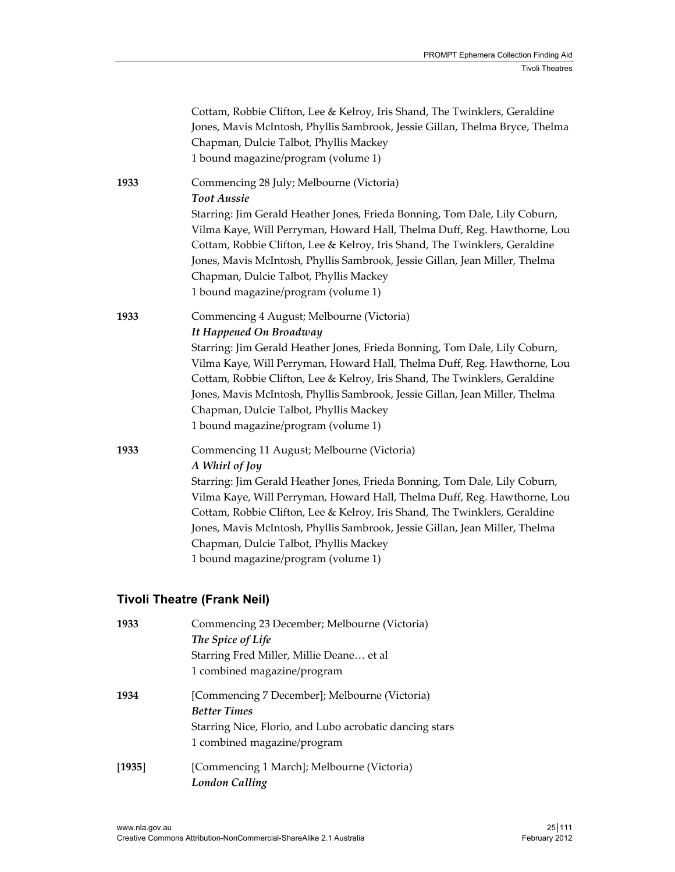|      | Cottam, Robbie Clifton, Lee & Kelroy, Iris Shand, The Twinklers, Geraldine<br>Jones, Mavis McIntosh, Phyllis Sambrook, Jessie Gillan, Thelma Bryce, Thelma<br>Chapman, Dulcie Talbot, Phyllis Mackey<br>1 bound magazine/program (volume 1)                                                                                                                                                                                                                                  |
|------|------------------------------------------------------------------------------------------------------------------------------------------------------------------------------------------------------------------------------------------------------------------------------------------------------------------------------------------------------------------------------------------------------------------------------------------------------------------------------|
| 1933 | Commencing 28 July; Melbourne (Victoria)<br><b>Toot Aussie</b><br>Starring: Jim Gerald Heather Jones, Frieda Bonning, Tom Dale, Lily Coburn,<br>Vilma Kaye, Will Perryman, Howard Hall, Thelma Duff, Reg. Hawthorne, Lou<br>Cottam, Robbie Clifton, Lee & Kelroy, Iris Shand, The Twinklers, Geraldine<br>Jones, Mavis McIntosh, Phyllis Sambrook, Jessie Gillan, Jean Miller, Thelma<br>Chapman, Dulcie Talbot, Phyllis Mackey<br>1 bound magazine/program (volume 1)       |
| 1933 | Commencing 4 August; Melbourne (Victoria)<br>It Happened On Broadway<br>Starring: Jim Gerald Heather Jones, Frieda Bonning, Tom Dale, Lily Coburn,<br>Vilma Kaye, Will Perryman, Howard Hall, Thelma Duff, Reg. Hawthorne, Lou<br>Cottam, Robbie Clifton, Lee & Kelroy, Iris Shand, The Twinklers, Geraldine<br>Jones, Mavis McIntosh, Phyllis Sambrook, Jessie Gillan, Jean Miller, Thelma<br>Chapman, Dulcie Talbot, Phyllis Mackey<br>1 bound magazine/program (volume 1) |
| 1933 | Commencing 11 August; Melbourne (Victoria)<br>A Whirl of Joy<br>Starring: Jim Gerald Heather Jones, Frieda Bonning, Tom Dale, Lily Coburn,<br>Vilma Kaye, Will Perryman, Howard Hall, Thelma Duff, Reg. Hawthorne, Lou<br>Cottam, Robbie Clifton, Lee & Kelroy, Iris Shand, The Twinklers, Geraldine<br>Jones, Mavis McIntosh, Phyllis Sambrook, Jessie Gillan, Jean Miller, Thelma<br>Chapman, Dulcie Talbot, Phyllis Mackey<br>1 bound magazine/program (volume 1)         |

## **Tivoli Theatre (Frank Neil)**

| 1933   | Commencing 23 December; Melbourne (Victoria)            |
|--------|---------------------------------------------------------|
|        | The Spice of Life                                       |
|        | Starring Fred Miller, Millie Deane et al                |
|        | 1 combined magazine/program                             |
| 1934   | [Commencing 7 December]; Melbourne (Victoria)           |
|        | <b>Better Times</b>                                     |
|        | Starring Nice, Florio, and Lubo acrobatic dancing stars |
|        | 1 combined magazine/program                             |
| [1935] | [Commencing 1 March]; Melbourne (Victoria)              |
|        | London Calling                                          |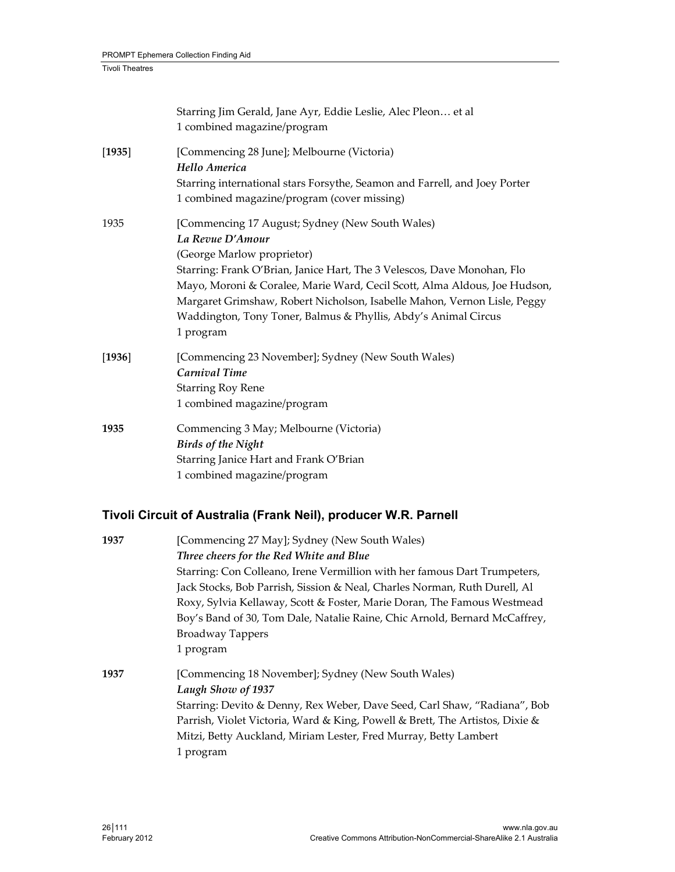|        | Starring Jim Gerald, Jane Ayr, Eddie Leslie, Alec Pleon et al<br>1 combined magazine/program                                                                                                                                                                                                                                                                                                                         |
|--------|----------------------------------------------------------------------------------------------------------------------------------------------------------------------------------------------------------------------------------------------------------------------------------------------------------------------------------------------------------------------------------------------------------------------|
| [1935] | [Commencing 28 June]; Melbourne (Victoria)<br><b>Hello America</b><br>Starring international stars Forsythe, Seamon and Farrell, and Joey Porter<br>1 combined magazine/program (cover missing)                                                                                                                                                                                                                      |
| 1935   | [Commencing 17 August; Sydney (New South Wales)<br>La Revue D'Amour<br>(George Marlow proprietor)<br>Starring: Frank O'Brian, Janice Hart, The 3 Velescos, Dave Monohan, Flo<br>Mayo, Moroni & Coralee, Marie Ward, Cecil Scott, Alma Aldous, Joe Hudson,<br>Margaret Grimshaw, Robert Nicholson, Isabelle Mahon, Vernon Lisle, Peggy<br>Waddington, Tony Toner, Balmus & Phyllis, Abdy's Animal Circus<br>1 program |
| [1936] | [Commencing 23 November]; Sydney (New South Wales)<br>Carnival Time<br><b>Starring Roy Rene</b><br>1 combined magazine/program                                                                                                                                                                                                                                                                                       |
| 1935   | Commencing 3 May; Melbourne (Victoria)<br><b>Birds of the Night</b><br>Starring Janice Hart and Frank O'Brian<br>1 combined magazine/program                                                                                                                                                                                                                                                                         |

## **Tivoli Circuit of Australia (Frank Neil), producer W.R. Parnell**

| 1937 | [Commencing 27 May]; Sydney (New South Wales)                                |
|------|------------------------------------------------------------------------------|
|      | Three cheers for the Red White and Blue                                      |
|      | Starring: Con Colleano, Irene Vermillion with her famous Dart Trumpeters,    |
|      | Jack Stocks, Bob Parrish, Sission & Neal, Charles Norman, Ruth Durell, Al    |
|      | Roxy, Sylvia Kellaway, Scott & Foster, Marie Doran, The Famous Westmead      |
|      | Boy's Band of 30, Tom Dale, Natalie Raine, Chic Arnold, Bernard McCaffrey,   |
|      | <b>Broadway Tappers</b>                                                      |
|      | 1 program                                                                    |
| 1937 | [Commencing 18 November]; Sydney (New South Wales)                           |
|      | Laugh Show of 1937                                                           |
|      | Starring: Devito & Denny, Rex Weber, Dave Seed, Carl Shaw, "Radiana", Bob    |
|      | Parrish, Violet Victoria, Ward & King, Powell & Brett, The Artistos, Dixie & |
|      | Mitzi, Betty Auckland, Miriam Lester, Fred Murray, Betty Lambert             |
|      | 1 program                                                                    |
|      |                                                                              |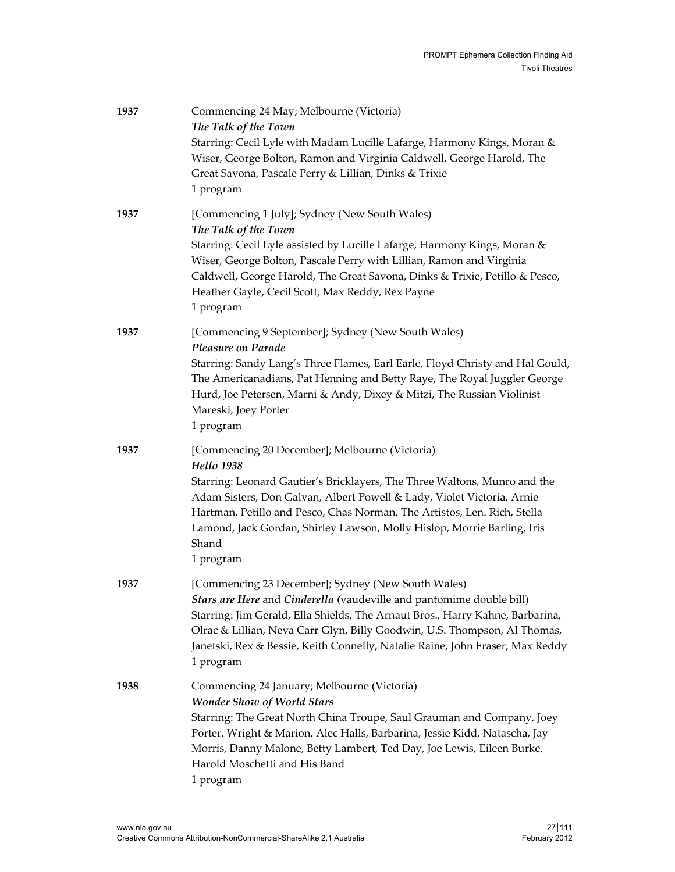| 1937 | Commencing 24 May; Melbourne (Victoria)<br>The Talk of the Town<br>Starring: Cecil Lyle with Madam Lucille Lafarge, Harmony Kings, Moran &<br>Wiser, George Bolton, Ramon and Virginia Caldwell, George Harold, The<br>Great Savona, Pascale Perry & Lillian, Dinks & Trixie<br>1 program                                                                                                               |
|------|---------------------------------------------------------------------------------------------------------------------------------------------------------------------------------------------------------------------------------------------------------------------------------------------------------------------------------------------------------------------------------------------------------|
| 1937 | [Commencing 1 July]; Sydney (New South Wales)<br>The Talk of the Town<br>Starring: Cecil Lyle assisted by Lucille Lafarge, Harmony Kings, Moran &<br>Wiser, George Bolton, Pascale Perry with Lillian, Ramon and Virginia<br>Caldwell, George Harold, The Great Savona, Dinks & Trixie, Petillo & Pesco,<br>Heather Gayle, Cecil Scott, Max Reddy, Rex Payne<br>1 program                               |
| 1937 | [Commencing 9 September]; Sydney (New South Wales)<br>Pleasure on Parade<br>Starring: Sandy Lang's Three Flames, Earl Earle, Floyd Christy and Hal Gould,<br>The Americanadians, Pat Henning and Betty Raye, The Royal Juggler George<br>Hurd, Joe Petersen, Marni & Andy, Dixey & Mitzi, The Russian Violinist<br>Mareski, Joey Porter<br>1 program                                                    |
| 1937 | [Commencing 20 December]; Melbourne (Victoria)<br><b>Hello</b> 1938<br>Starring: Leonard Gautier's Bricklayers, The Three Waltons, Munro and the<br>Adam Sisters, Don Galvan, Albert Powell & Lady, Violet Victoria, Arnie<br>Hartman, Petillo and Pesco, Chas Norman, The Artistos, Len. Rich, Stella<br>Lamond, Jack Gordan, Shirley Lawson, Molly Hislop, Morrie Barling, Iris<br>Shand<br>1 program |
| 1937 | [Commencing 23 December]; Sydney (New South Wales)<br>Stars are Here and Cinderella (vaudeville and pantomime double bill)<br>Starring: Jim Gerald, Ella Shields, The Arnaut Bros., Harry Kahne, Barbarina,<br>Olrac & Lillian, Neva Carr Glyn, Billy Goodwin, U.S. Thompson, Al Thomas,<br>Janetski, Rex & Bessie, Keith Connelly, Natalie Raine, John Fraser, Max Reddy<br>1 program                  |
| 1938 | Commencing 24 January; Melbourne (Victoria)<br><b>Wonder Show of World Stars</b><br>Starring: The Great North China Troupe, Saul Grauman and Company, Joey<br>Porter, Wright & Marion, Alec Halls, Barbarina, Jessie Kidd, Natascha, Jay<br>Morris, Danny Malone, Betty Lambert, Ted Day, Joe Lewis, Eileen Burke,<br>Harold Moschetti and His Band<br>1 program                                        |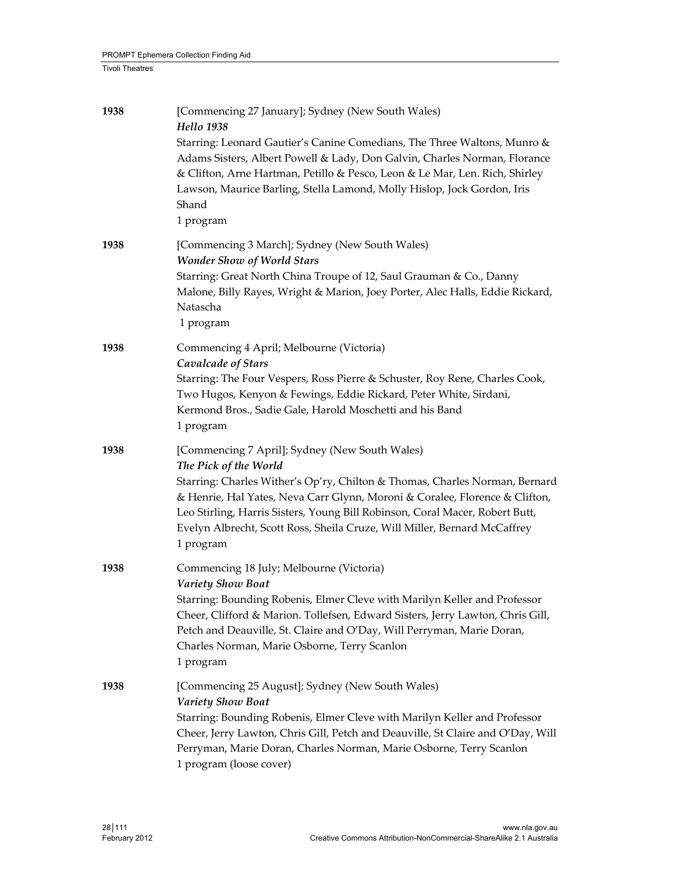| 1938 | [Commencing 27 January]; Sydney (New South Wales)<br><b>Hello</b> 1938                                                                                                                                                                                                                                                                                                                                          |
|------|-----------------------------------------------------------------------------------------------------------------------------------------------------------------------------------------------------------------------------------------------------------------------------------------------------------------------------------------------------------------------------------------------------------------|
|      | Starring: Leonard Gautier's Canine Comedians, The Three Waltons, Munro &<br>Adams Sisters, Albert Powell & Lady, Don Galvin, Charles Norman, Florance<br>& Clifton, Arne Hartman, Petillo & Pesco, Leon & Le Mar, Len. Rich, Shirley<br>Lawson, Maurice Barling, Stella Lamond, Molly Hislop, Jock Gordon, Iris<br>Shand<br>1 program                                                                           |
| 1938 | [Commencing 3 March]; Sydney (New South Wales)<br><b>Wonder Show of World Stars</b><br>Starring: Great North China Troupe of 12, Saul Grauman & Co., Danny<br>Malone, Billy Rayes, Wright & Marion, Joey Porter, Alec Halls, Eddie Rickard,<br>Natascha<br>1 program                                                                                                                                            |
| 1938 | Commencing 4 April; Melbourne (Victoria)<br>Cavalcade of Stars<br>Starring: The Four Vespers, Ross Pierre & Schuster, Roy Rene, Charles Cook,<br>Two Hugos, Kenyon & Fewings, Eddie Rickard, Peter White, Sirdani,<br>Kermond Bros., Sadie Gale, Harold Moschetti and his Band<br>1 program                                                                                                                     |
| 1938 | [Commencing 7 April]; Sydney (New South Wales)<br>The Pick of the World<br>Starring: Charles Wither's Op'ry, Chilton & Thomas, Charles Norman, Bernard<br>& Henrie, Hal Yates, Neva Carr Glynn, Moroni & Coralee, Florence & Clifton,<br>Leo Stirling, Harris Sisters, Young Bill Robinson, Coral Macer, Robert Butt,<br>Evelyn Albrecht, Scott Ross, Sheila Cruze, Will Miller, Bernard McCaffrey<br>1 program |
| 1938 | Commencing 18 July; Melbourne (Victoria)<br><b>Variety Show Boat</b><br>Starring: Bounding Robenis, Elmer Cleve with Marilyn Keller and Professor<br>Cheer, Clifford & Marion. Tollefsen, Edward Sisters, Jerry Lawton, Chris Gill,<br>Petch and Deauville, St. Claire and O'Day, Will Perryman, Marie Doran,<br>Charles Norman, Marie Osborne, Terry Scanlon<br>1 program                                      |
| 1938 | [Commencing 25 August]; Sydney (New South Wales)<br><b>Variety Show Boat</b><br>Starring: Bounding Robenis, Elmer Cleve with Marilyn Keller and Professor<br>Cheer, Jerry Lawton, Chris Gill, Petch and Deauville, St Claire and O'Day, Will<br>Perryman, Marie Doran, Charles Norman, Marie Osborne, Terry Scanlon<br>1 program (loose cover)                                                                  |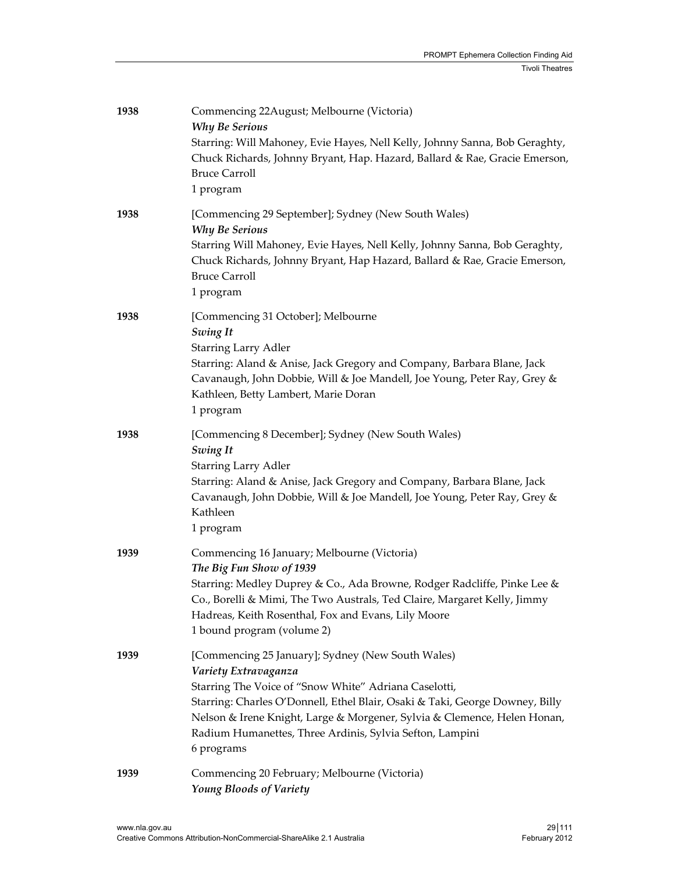| 1938 | Commencing 22August; Melbourne (Victoria)<br><b>Why Be Serious</b><br>Starring: Will Mahoney, Evie Hayes, Nell Kelly, Johnny Sanna, Bob Geraghty,<br>Chuck Richards, Johnny Bryant, Hap. Hazard, Ballard & Rae, Gracie Emerson,<br><b>Bruce Carroll</b><br>1 program                                                                                                     |
|------|--------------------------------------------------------------------------------------------------------------------------------------------------------------------------------------------------------------------------------------------------------------------------------------------------------------------------------------------------------------------------|
| 1938 | [Commencing 29 September]; Sydney (New South Wales)<br><b>Why Be Serious</b><br>Starring Will Mahoney, Evie Hayes, Nell Kelly, Johnny Sanna, Bob Geraghty,<br>Chuck Richards, Johnny Bryant, Hap Hazard, Ballard & Rae, Gracie Emerson,<br><b>Bruce Carroll</b><br>1 program                                                                                             |
| 1938 | [Commencing 31 October]; Melbourne<br><b>Swing It</b><br><b>Starring Larry Adler</b><br>Starring: Aland & Anise, Jack Gregory and Company, Barbara Blane, Jack<br>Cavanaugh, John Dobbie, Will & Joe Mandell, Joe Young, Peter Ray, Grey &<br>Kathleen, Betty Lambert, Marie Doran<br>1 program                                                                          |
| 1938 | [Commencing 8 December]; Sydney (New South Wales)<br><b>Swing It</b><br><b>Starring Larry Adler</b><br>Starring: Aland & Anise, Jack Gregory and Company, Barbara Blane, Jack<br>Cavanaugh, John Dobbie, Will & Joe Mandell, Joe Young, Peter Ray, Grey &<br>Kathleen<br>1 program                                                                                       |
| 1939 | Commencing 16 January; Melbourne (Victoria)<br>The Big Fun Show of 1939<br>Starring: Medley Duprey & Co., Ada Browne, Rodger Radcliffe, Pinke Lee &<br>Co., Borelli & Mimi, The Two Australs, Ted Claire, Margaret Kelly, Jimmy<br>Hadreas, Keith Rosenthal, Fox and Evans, Lily Moore<br>1 bound program (volume 2)                                                     |
| 1939 | [Commencing 25 January]; Sydney (New South Wales)<br>Variety Extravaganza<br>Starring The Voice of "Snow White" Adriana Caselotti,<br>Starring: Charles O'Donnell, Ethel Blair, Osaki & Taki, George Downey, Billy<br>Nelson & Irene Knight, Large & Morgener, Sylvia & Clemence, Helen Honan,<br>Radium Humanettes, Three Ardinis, Sylvia Sefton, Lampini<br>6 programs |
| 1939 | Commencing 20 February; Melbourne (Victoria)<br><b>Young Bloods of Variety</b>                                                                                                                                                                                                                                                                                           |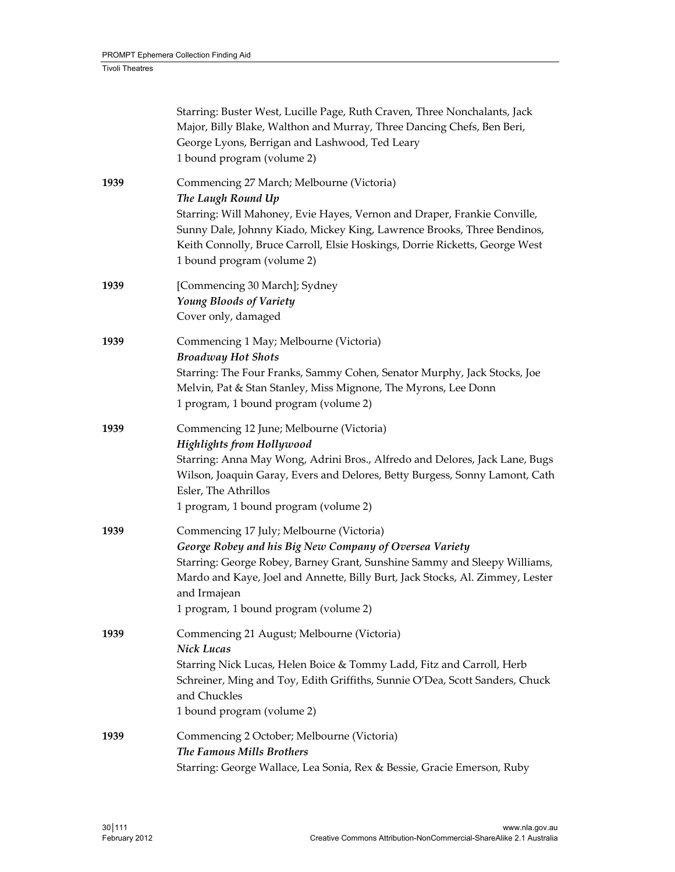|      | Starring: Buster West, Lucille Page, Ruth Craven, Three Nonchalants, Jack<br>Major, Billy Blake, Walthon and Murray, Three Dancing Chefs, Ben Beri,<br>George Lyons, Berrigan and Lashwood, Ted Leary<br>1 bound program (volume 2)                                                                                                 |
|------|-------------------------------------------------------------------------------------------------------------------------------------------------------------------------------------------------------------------------------------------------------------------------------------------------------------------------------------|
| 1939 | Commencing 27 March; Melbourne (Victoria)<br>The Laugh Round Up<br>Starring: Will Mahoney, Evie Hayes, Vernon and Draper, Frankie Conville,<br>Sunny Dale, Johnny Kiado, Mickey King, Lawrence Brooks, Three Bendinos,<br>Keith Connolly, Bruce Carroll, Elsie Hoskings, Dorrie Ricketts, George West<br>1 bound program (volume 2) |
| 1939 | [Commencing 30 March]; Sydney<br>Young Bloods of Variety<br>Cover only, damaged                                                                                                                                                                                                                                                     |
| 1939 | Commencing 1 May; Melbourne (Victoria)<br><b>Broadway Hot Shots</b><br>Starring: The Four Franks, Sammy Cohen, Senator Murphy, Jack Stocks, Joe<br>Melvin, Pat & Stan Stanley, Miss Mignone, The Myrons, Lee Donn<br>1 program, 1 bound program (volume 2)                                                                          |
| 1939 | Commencing 12 June; Melbourne (Victoria)<br><b>Highlights from Hollywood</b><br>Starring: Anna May Wong, Adrini Bros., Alfredo and Delores, Jack Lane, Bugs<br>Wilson, Joaquin Garay, Evers and Delores, Betty Burgess, Sonny Lamont, Cath<br>Esler, The Athrillos<br>1 program, 1 bound program (volume 2)                         |
| 1939 | Commencing 17 July; Melbourne (Victoria)<br>George Robey and his Big New Company of Oversea Variety<br>Starring: George Robey, Barney Grant, Sunshine Sammy and Sleepy Williams,<br>Mardo and Kaye, Joel and Annette, Billy Burt, Jack Stocks, Al. Zimmey, Lester<br>and Irmajean<br>1 program, 1 bound program (volume 2)          |
| 1939 | Commencing 21 August; Melbourne (Victoria)<br>Nick Lucas<br>Starring Nick Lucas, Helen Boice & Tommy Ladd, Fitz and Carroll, Herb<br>Schreiner, Ming and Toy, Edith Griffiths, Sunnie O'Dea, Scott Sanders, Chuck<br>and Chuckles<br>1 bound program (volume 2)                                                                     |
| 1939 | Commencing 2 October; Melbourne (Victoria)<br>The Famous Mills Brothers<br>Starring: George Wallace, Lea Sonia, Rex & Bessie, Gracie Emerson, Ruby                                                                                                                                                                                  |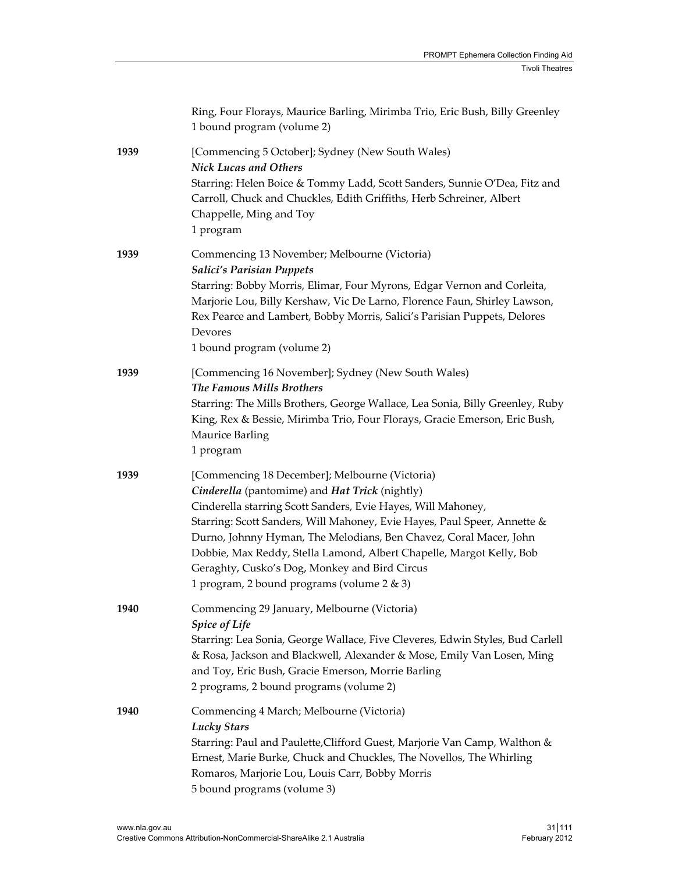|      | Ring, Four Florays, Maurice Barling, Mirimba Trio, Eric Bush, Billy Greenley<br>1 bound program (volume 2)                                                                                                                                                                                                                                                                                                                                                                               |
|------|------------------------------------------------------------------------------------------------------------------------------------------------------------------------------------------------------------------------------------------------------------------------------------------------------------------------------------------------------------------------------------------------------------------------------------------------------------------------------------------|
| 1939 | [Commencing 5 October]; Sydney (New South Wales)<br><b>Nick Lucas and Others</b><br>Starring: Helen Boice & Tommy Ladd, Scott Sanders, Sunnie O'Dea, Fitz and<br>Carroll, Chuck and Chuckles, Edith Griffiths, Herb Schreiner, Albert<br>Chappelle, Ming and Toy<br>1 program                                                                                                                                                                                                            |
| 1939 | Commencing 13 November; Melbourne (Victoria)<br><b>Salici's Parisian Puppets</b><br>Starring: Bobby Morris, Elimar, Four Myrons, Edgar Vernon and Corleita,<br>Marjorie Lou, Billy Kershaw, Vic De Larno, Florence Faun, Shirley Lawson,<br>Rex Pearce and Lambert, Bobby Morris, Salici's Parisian Puppets, Delores<br>Devores<br>1 bound program (volume 2)                                                                                                                            |
| 1939 | [Commencing 16 November]; Sydney (New South Wales)<br>The Famous Mills Brothers<br>Starring: The Mills Brothers, George Wallace, Lea Sonia, Billy Greenley, Ruby<br>King, Rex & Bessie, Mirimba Trio, Four Florays, Gracie Emerson, Eric Bush,<br><b>Maurice Barling</b><br>1 program                                                                                                                                                                                                    |
| 1939 | [Commencing 18 December]; Melbourne (Victoria)<br>Cinderella (pantomime) and Hat Trick (nightly)<br>Cinderella starring Scott Sanders, Evie Hayes, Will Mahoney,<br>Starring: Scott Sanders, Will Mahoney, Evie Hayes, Paul Speer, Annette &<br>Durno, Johnny Hyman, The Melodians, Ben Chavez, Coral Macer, John<br>Dobbie, Max Reddy, Stella Lamond, Albert Chapelle, Margot Kelly, Bob<br>Geraghty, Cusko's Dog, Monkey and Bird Circus<br>1 program, 2 bound programs (volume 2 & 3) |
| 1940 | Commencing 29 January, Melbourne (Victoria)<br><b>Spice of Life</b><br>Starring: Lea Sonia, George Wallace, Five Cleveres, Edwin Styles, Bud Carlell<br>& Rosa, Jackson and Blackwell, Alexander & Mose, Emily Van Losen, Ming<br>and Toy, Eric Bush, Gracie Emerson, Morrie Barling<br>2 programs, 2 bound programs (volume 2)                                                                                                                                                          |
| 1940 | Commencing 4 March; Melbourne (Victoria)<br>Lucky Stars<br>Starring: Paul and Paulette, Clifford Guest, Marjorie Van Camp, Walthon &<br>Ernest, Marie Burke, Chuck and Chuckles, The Novellos, The Whirling<br>Romaros, Marjorie Lou, Louis Carr, Bobby Morris<br>5 bound programs (volume 3)                                                                                                                                                                                            |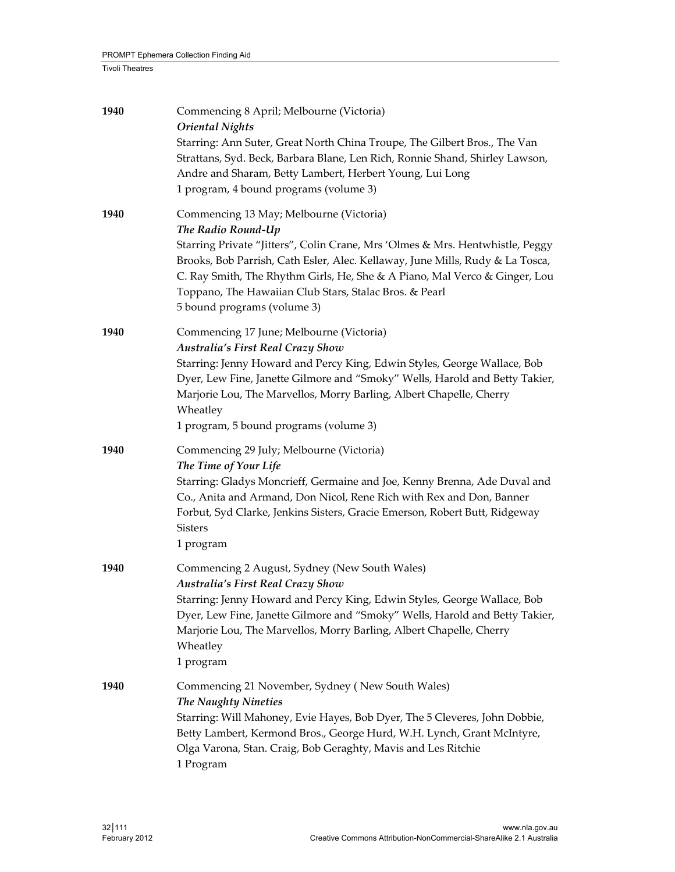| 1940 | Commencing 8 April; Melbourne (Victoria)<br><b>Oriental Nights</b>                                                                                                                                                                                                                                                                                                                                     |
|------|--------------------------------------------------------------------------------------------------------------------------------------------------------------------------------------------------------------------------------------------------------------------------------------------------------------------------------------------------------------------------------------------------------|
|      | Starring: Ann Suter, Great North China Troupe, The Gilbert Bros., The Van<br>Strattans, Syd. Beck, Barbara Blane, Len Rich, Ronnie Shand, Shirley Lawson,<br>Andre and Sharam, Betty Lambert, Herbert Young, Lui Long<br>1 program, 4 bound programs (volume 3)                                                                                                                                        |
| 1940 | Commencing 13 May; Melbourne (Victoria)<br>The Radio Round-Up<br>Starring Private "Jitters", Colin Crane, Mrs 'Olmes & Mrs. Hentwhistle, Peggy<br>Brooks, Bob Parrish, Cath Esler, Alec. Kellaway, June Mills, Rudy & La Tosca,<br>C. Ray Smith, The Rhythm Girls, He, She & A Piano, Mal Verco & Ginger, Lou<br>Toppano, The Hawaiian Club Stars, Stalac Bros. & Pearl<br>5 bound programs (volume 3) |
| 1940 | Commencing 17 June; Melbourne (Victoria)<br>Australia's First Real Crazy Show<br>Starring: Jenny Howard and Percy King, Edwin Styles, George Wallace, Bob<br>Dyer, Lew Fine, Janette Gilmore and "Smoky" Wells, Harold and Betty Takier,<br>Marjorie Lou, The Marvellos, Morry Barling, Albert Chapelle, Cherry<br>Wheatley<br>1 program, 5 bound programs (volume 3)                                  |
| 1940 | Commencing 29 July; Melbourne (Victoria)<br>The Time of Your Life<br>Starring: Gladys Moncrieff, Germaine and Joe, Kenny Brenna, Ade Duval and<br>Co., Anita and Armand, Don Nicol, Rene Rich with Rex and Don, Banner<br>Forbut, Syd Clarke, Jenkins Sisters, Gracie Emerson, Robert Butt, Ridgeway<br><b>Sisters</b><br>1 program                                                                    |
| 1940 | Commencing 2 August, Sydney (New South Wales)<br>Australia's First Real Crazy Show<br>Starring: Jenny Howard and Percy King, Edwin Styles, George Wallace, Bob<br>Dyer, Lew Fine, Janette Gilmore and "Smoky" Wells, Harold and Betty Takier,<br>Marjorie Lou, The Marvellos, Morry Barling, Albert Chapelle, Cherry<br>Wheatley<br>1 program                                                          |
| 1940 | Commencing 21 November, Sydney (New South Wales)<br><b>The Naughty Nineties</b><br>Starring: Will Mahoney, Evie Hayes, Bob Dyer, The 5 Cleveres, John Dobbie,<br>Betty Lambert, Kermond Bros., George Hurd, W.H. Lynch, Grant McIntyre,<br>Olga Varona, Stan. Craig, Bob Geraghty, Mavis and Les Ritchie<br>1 Program                                                                                  |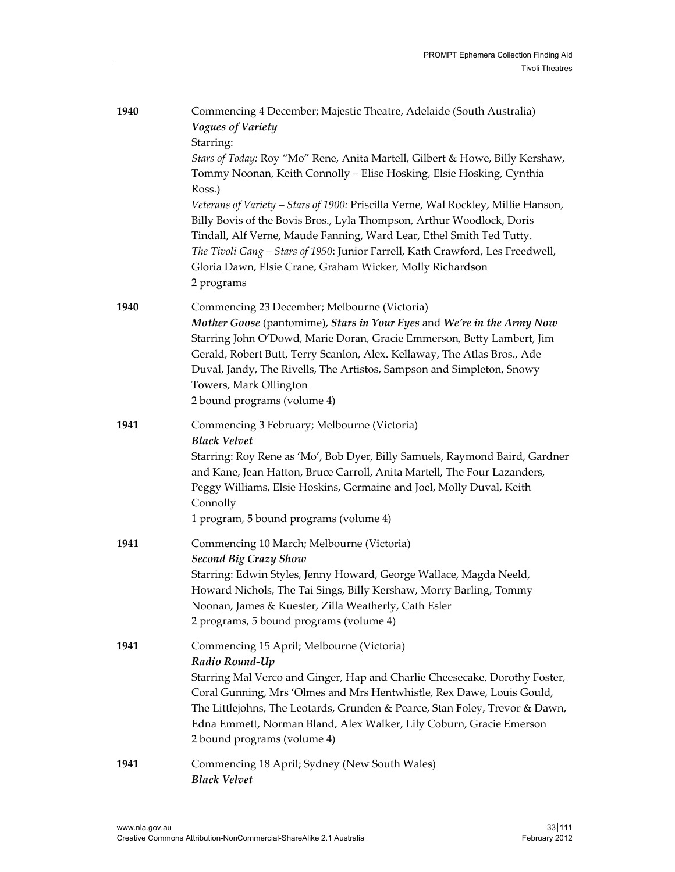| 1940 | Commencing 4 December; Majestic Theatre, Adelaide (South Australia)<br><b>Vogues of Variety</b><br>Starring:<br>Stars of Today: Roy "Mo" Rene, Anita Martell, Gilbert & Howe, Billy Kershaw,<br>Tommy Noonan, Keith Connolly - Elise Hosking, Elsie Hosking, Cynthia<br>Ross.)<br>Veterans of Variety - Stars of 1900: Priscilla Verne, Wal Rockley, Millie Hanson,<br>Billy Bovis of the Bovis Bros., Lyla Thompson, Arthur Woodlock, Doris<br>Tindall, Alf Verne, Maude Fanning, Ward Lear, Ethel Smith Ted Tutty.<br>The Tivoli Gang - Stars of 1950: Junior Farrell, Kath Crawford, Les Freedwell,<br>Gloria Dawn, Elsie Crane, Graham Wicker, Molly Richardson<br>2 programs |
|------|-----------------------------------------------------------------------------------------------------------------------------------------------------------------------------------------------------------------------------------------------------------------------------------------------------------------------------------------------------------------------------------------------------------------------------------------------------------------------------------------------------------------------------------------------------------------------------------------------------------------------------------------------------------------------------------|
| 1940 | Commencing 23 December; Melbourne (Victoria)<br>Mother Goose (pantomime), Stars in Your Eyes and We're in the Army Now<br>Starring John O'Dowd, Marie Doran, Gracie Emmerson, Betty Lambert, Jim<br>Gerald, Robert Butt, Terry Scanlon, Alex. Kellaway, The Atlas Bros., Ade<br>Duval, Jandy, The Rivells, The Artistos, Sampson and Simpleton, Snowy<br>Towers, Mark Ollington<br>2 bound programs (volume 4)                                                                                                                                                                                                                                                                    |
| 1941 | Commencing 3 February; Melbourne (Victoria)<br><b>Black Velvet</b><br>Starring: Roy Rene as 'Mo', Bob Dyer, Billy Samuels, Raymond Baird, Gardner<br>and Kane, Jean Hatton, Bruce Carroll, Anita Martell, The Four Lazanders,<br>Peggy Williams, Elsie Hoskins, Germaine and Joel, Molly Duval, Keith<br>Connolly<br>1 program, 5 bound programs (volume 4)                                                                                                                                                                                                                                                                                                                       |
| 1941 | Commencing 10 March; Melbourne (Victoria)<br><b>Second Big Crazy Show</b><br>Starring: Edwin Styles, Jenny Howard, George Wallace, Magda Neeld,<br>Howard Nichols, The Tai Sings, Billy Kershaw, Morry Barling, Tommy<br>Noonan, James & Kuester, Zilla Weatherly, Cath Esler<br>2 programs, 5 bound programs (volume 4)                                                                                                                                                                                                                                                                                                                                                          |
| 1941 | Commencing 15 April; Melbourne (Victoria)<br>Radio Round-Up<br>Starring Mal Verco and Ginger, Hap and Charlie Cheesecake, Dorothy Foster,<br>Coral Gunning, Mrs 'Olmes and Mrs Hentwhistle, Rex Dawe, Louis Gould,<br>The Littlejohns, The Leotards, Grunden & Pearce, Stan Foley, Trevor & Dawn,<br>Edna Emmett, Norman Bland, Alex Walker, Lily Coburn, Gracie Emerson<br>2 bound programs (volume 4)                                                                                                                                                                                                                                                                           |
| 1941 | Commencing 18 April; Sydney (New South Wales)<br><b>Black Velvet</b>                                                                                                                                                                                                                                                                                                                                                                                                                                                                                                                                                                                                              |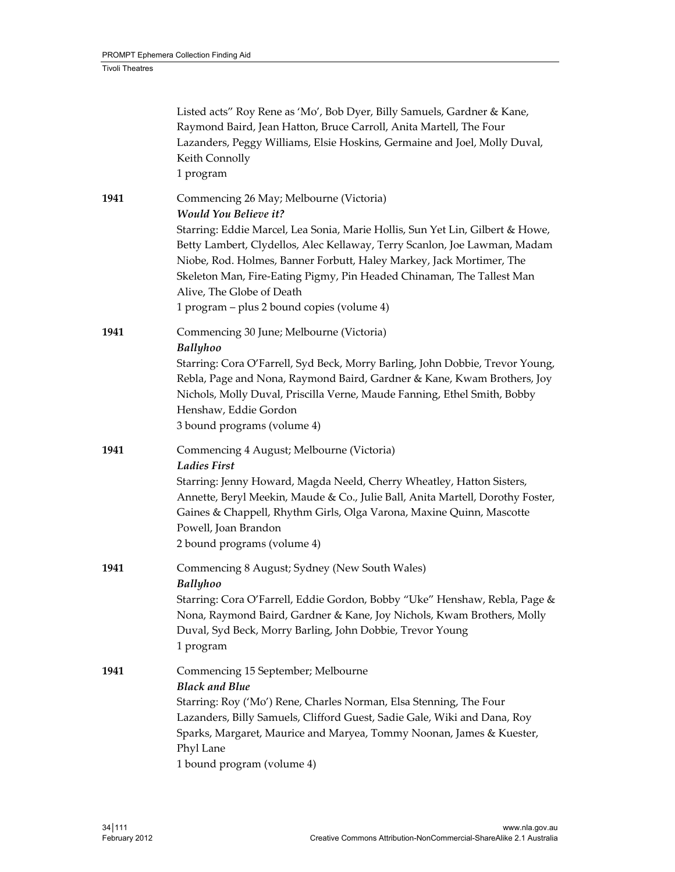|      | Listed acts" Roy Rene as 'Mo', Bob Dyer, Billy Samuels, Gardner & Kane,<br>Raymond Baird, Jean Hatton, Bruce Carroll, Anita Martell, The Four<br>Lazanders, Peggy Williams, Elsie Hoskins, Germaine and Joel, Molly Duval,<br>Keith Connolly<br>1 program                                                                                                                                                                                                         |
|------|-------------------------------------------------------------------------------------------------------------------------------------------------------------------------------------------------------------------------------------------------------------------------------------------------------------------------------------------------------------------------------------------------------------------------------------------------------------------|
| 1941 | Commencing 26 May; Melbourne (Victoria)<br><b>Would You Believe it?</b><br>Starring: Eddie Marcel, Lea Sonia, Marie Hollis, Sun Yet Lin, Gilbert & Howe,<br>Betty Lambert, Clydellos, Alec Kellaway, Terry Scanlon, Joe Lawman, Madam<br>Niobe, Rod. Holmes, Banner Forbutt, Haley Markey, Jack Mortimer, The<br>Skeleton Man, Fire-Eating Pigmy, Pin Headed Chinaman, The Tallest Man<br>Alive, The Globe of Death<br>1 program – plus 2 bound copies (volume 4) |
| 1941 | Commencing 30 June; Melbourne (Victoria)<br>Ballyhoo<br>Starring: Cora O'Farrell, Syd Beck, Morry Barling, John Dobbie, Trevor Young,<br>Rebla, Page and Nona, Raymond Baird, Gardner & Kane, Kwam Brothers, Joy<br>Nichols, Molly Duval, Priscilla Verne, Maude Fanning, Ethel Smith, Bobby<br>Henshaw, Eddie Gordon<br>3 bound programs (volume 4)                                                                                                              |
| 1941 | Commencing 4 August; Melbourne (Victoria)<br><b>Ladies First</b><br>Starring: Jenny Howard, Magda Neeld, Cherry Wheatley, Hatton Sisters,<br>Annette, Beryl Meekin, Maude & Co., Julie Ball, Anita Martell, Dorothy Foster,<br>Gaines & Chappell, Rhythm Girls, Olga Varona, Maxine Quinn, Mascotte<br>Powell, Joan Brandon<br>2 bound programs (volume 4)                                                                                                        |
| 1941 | Commencing 8 August; Sydney (New South Wales)<br>Ballyhoo<br>Starring: Cora O'Farrell, Eddie Gordon, Bobby "Uke" Henshaw, Rebla, Page &<br>Nona, Raymond Baird, Gardner & Kane, Joy Nichols, Kwam Brothers, Molly<br>Duval, Syd Beck, Morry Barling, John Dobbie, Trevor Young<br>1 program                                                                                                                                                                       |
| 1941 | Commencing 15 September; Melbourne<br><b>Black and Blue</b><br>Starring: Roy ('Mo') Rene, Charles Norman, Elsa Stenning, The Four<br>Lazanders, Billy Samuels, Clifford Guest, Sadie Gale, Wiki and Dana, Roy<br>Sparks, Margaret, Maurice and Maryea, Tommy Noonan, James & Kuester,<br>Phyl Lane<br>1 bound program (volume 4)                                                                                                                                  |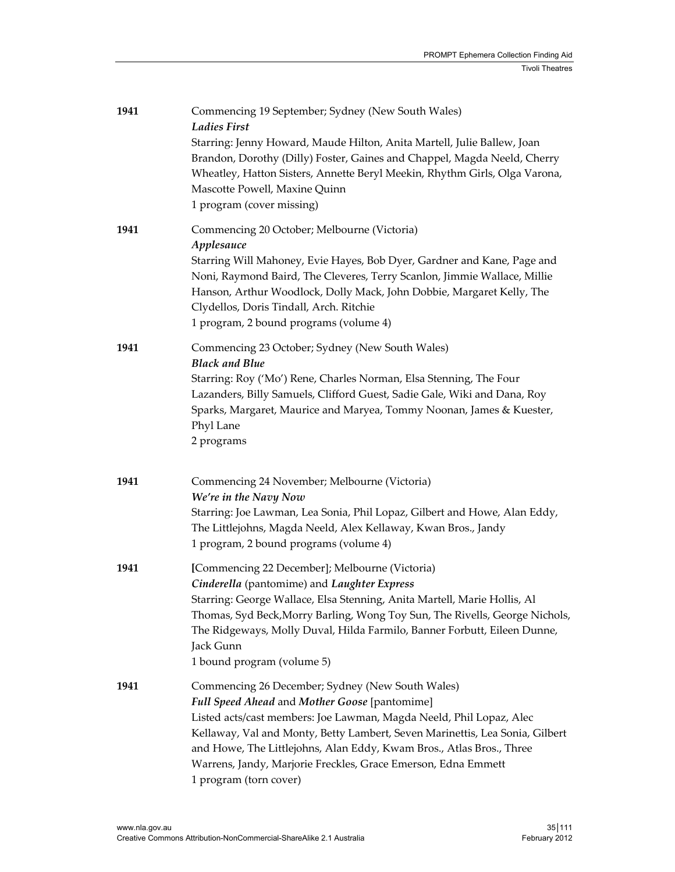| 1941 | Commencing 19 September; Sydney (New South Wales)<br><b>Ladies First</b><br>Starring: Jenny Howard, Maude Hilton, Anita Martell, Julie Ballew, Joan<br>Brandon, Dorothy (Dilly) Foster, Gaines and Chappel, Magda Neeld, Cherry<br>Wheatley, Hatton Sisters, Annette Beryl Meekin, Rhythm Girls, Olga Varona,<br>Mascotte Powell, Maxine Quinn<br>1 program (cover missing)                                                 |
|------|-----------------------------------------------------------------------------------------------------------------------------------------------------------------------------------------------------------------------------------------------------------------------------------------------------------------------------------------------------------------------------------------------------------------------------|
| 1941 | Commencing 20 October; Melbourne (Victoria)<br>Applesauce<br>Starring Will Mahoney, Evie Hayes, Bob Dyer, Gardner and Kane, Page and<br>Noni, Raymond Baird, The Cleveres, Terry Scanlon, Jimmie Wallace, Millie<br>Hanson, Arthur Woodlock, Dolly Mack, John Dobbie, Margaret Kelly, The<br>Clydellos, Doris Tindall, Arch. Ritchie<br>1 program, 2 bound programs (volume 4)                                              |
| 1941 | Commencing 23 October; Sydney (New South Wales)<br><b>Black and Blue</b><br>Starring: Roy ('Mo') Rene, Charles Norman, Elsa Stenning, The Four<br>Lazanders, Billy Samuels, Clifford Guest, Sadie Gale, Wiki and Dana, Roy<br>Sparks, Margaret, Maurice and Maryea, Tommy Noonan, James & Kuester,<br>Phyl Lane<br>2 programs                                                                                               |
| 1941 | Commencing 24 November; Melbourne (Victoria)<br>We're in the Navy Now<br>Starring: Joe Lawman, Lea Sonia, Phil Lopaz, Gilbert and Howe, Alan Eddy,<br>The Littlejohns, Magda Neeld, Alex Kellaway, Kwan Bros., Jandy<br>1 program, 2 bound programs (volume 4)                                                                                                                                                              |
| 1941 | [Commencing 22 December]; Melbourne (Victoria)<br>Cinderella (pantomime) and Laughter Express<br>Starring: George Wallace, Elsa Stenning, Anita Martell, Marie Hollis, Al<br>Thomas, Syd Beck, Morry Barling, Wong Toy Sun, The Rivells, George Nichols,<br>The Ridgeways, Molly Duval, Hilda Farmilo, Banner Forbutt, Eileen Dunne,<br>Jack Gunn<br>1 bound program (volume 5)                                             |
| 1941 | Commencing 26 December; Sydney (New South Wales)<br>Full Speed Ahead and Mother Goose [pantomime]<br>Listed acts/cast members: Joe Lawman, Magda Neeld, Phil Lopaz, Alec<br>Kellaway, Val and Monty, Betty Lambert, Seven Marinettis, Lea Sonia, Gilbert<br>and Howe, The Littlejohns, Alan Eddy, Kwam Bros., Atlas Bros., Three<br>Warrens, Jandy, Marjorie Freckles, Grace Emerson, Edna Emmett<br>1 program (torn cover) |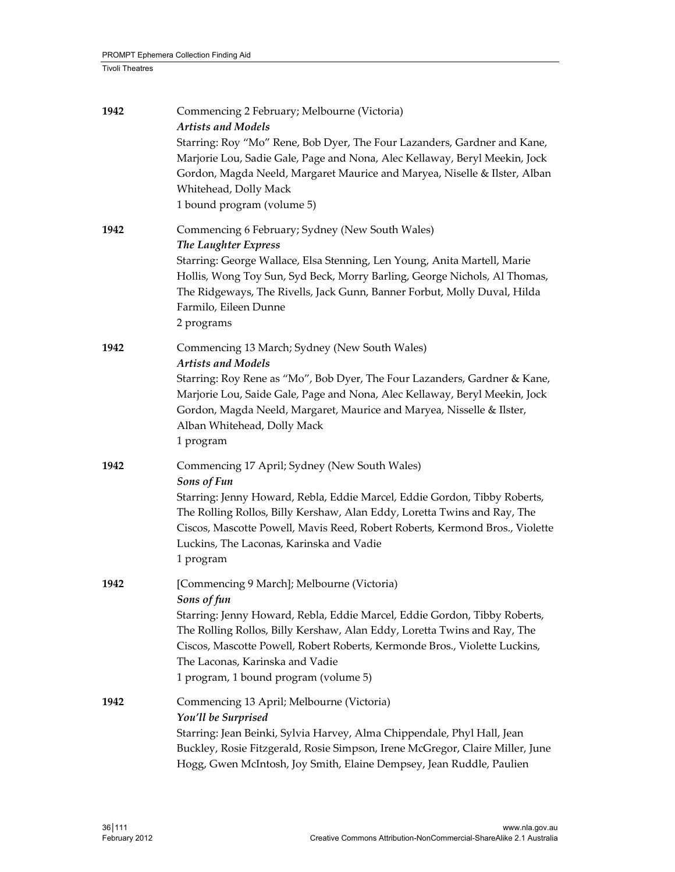| 1942 | Commencing 2 February; Melbourne (Victoria)<br><b>Artists and Models</b><br>Starring: Roy "Mo" Rene, Bob Dyer, The Four Lazanders, Gardner and Kane,<br>Marjorie Lou, Sadie Gale, Page and Nona, Alec Kellaway, Beryl Meekin, Jock                                                                                                                                           |
|------|------------------------------------------------------------------------------------------------------------------------------------------------------------------------------------------------------------------------------------------------------------------------------------------------------------------------------------------------------------------------------|
|      | Gordon, Magda Neeld, Margaret Maurice and Maryea, Niselle & Ilster, Alban<br>Whitehead, Dolly Mack<br>1 bound program (volume 5)                                                                                                                                                                                                                                             |
| 1942 | Commencing 6 February; Sydney (New South Wales)<br>The Laughter Express<br>Starring: George Wallace, Elsa Stenning, Len Young, Anita Martell, Marie<br>Hollis, Wong Toy Sun, Syd Beck, Morry Barling, George Nichols, Al Thomas,<br>The Ridgeways, The Rivells, Jack Gunn, Banner Forbut, Molly Duval, Hilda<br>Farmilo, Eileen Dunne<br>2 programs                          |
| 1942 | Commencing 13 March; Sydney (New South Wales)<br><b>Artists and Models</b><br>Starring: Roy Rene as "Mo", Bob Dyer, The Four Lazanders, Gardner & Kane,<br>Marjorie Lou, Saide Gale, Page and Nona, Alec Kellaway, Beryl Meekin, Jock<br>Gordon, Magda Neeld, Margaret, Maurice and Maryea, Nisselle & Ilster,<br>Alban Whitehead, Dolly Mack<br>1 program                   |
| 1942 | Commencing 17 April; Sydney (New South Wales)<br>Sons of Fun<br>Starring: Jenny Howard, Rebla, Eddie Marcel, Eddie Gordon, Tibby Roberts,<br>The Rolling Rollos, Billy Kershaw, Alan Eddy, Loretta Twins and Ray, The<br>Ciscos, Mascotte Powell, Mavis Reed, Robert Roberts, Kermond Bros., Violette<br>Luckins, The Laconas, Karinska and Vadie<br>1 program               |
| 1942 | [Commencing 9 March]; Melbourne (Victoria)<br>Sons of fun<br>Starring: Jenny Howard, Rebla, Eddie Marcel, Eddie Gordon, Tibby Roberts,<br>The Rolling Rollos, Billy Kershaw, Alan Eddy, Loretta Twins and Ray, The<br>Ciscos, Mascotte Powell, Robert Roberts, Kermonde Bros., Violette Luckins,<br>The Laconas, Karinska and Vadie<br>1 program, 1 bound program (volume 5) |
| 1942 | Commencing 13 April; Melbourne (Victoria)<br>You'll be Surprised<br>Starring: Jean Beinki, Sylvia Harvey, Alma Chippendale, Phyl Hall, Jean<br>Buckley, Rosie Fitzgerald, Rosie Simpson, Irene McGregor, Claire Miller, June<br>Hogg, Gwen McIntosh, Joy Smith, Elaine Dempsey, Jean Ruddle, Paulien                                                                         |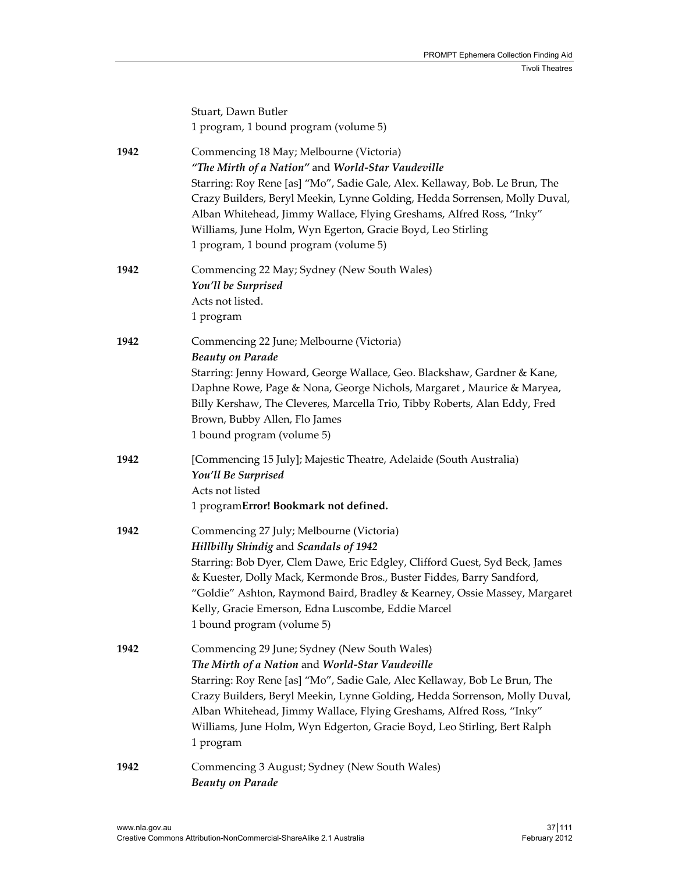Stuart, Dawn Butler 1 program, 1 bound program (volume 5)

| 1942 | Commencing 18 May; Melbourne (Victoria)<br>"The Mirth of a Nation" and World-Star Vaudeville<br>Starring: Roy Rene [as] "Mo", Sadie Gale, Alex. Kellaway, Bob. Le Brun, The<br>Crazy Builders, Beryl Meekin, Lynne Golding, Hedda Sorrensen, Molly Duval,<br>Alban Whitehead, Jimmy Wallace, Flying Greshams, Alfred Ross, "Inky"<br>Williams, June Holm, Wyn Egerton, Gracie Boyd, Leo Stirling<br>1 program, 1 bound program (volume 5) |
|------|-------------------------------------------------------------------------------------------------------------------------------------------------------------------------------------------------------------------------------------------------------------------------------------------------------------------------------------------------------------------------------------------------------------------------------------------|
| 1942 | Commencing 22 May; Sydney (New South Wales)<br>You'll be Surprised<br>Acts not listed.<br>1 program                                                                                                                                                                                                                                                                                                                                       |
| 1942 | Commencing 22 June; Melbourne (Victoria)<br><b>Beauty on Parade</b><br>Starring: Jenny Howard, George Wallace, Geo. Blackshaw, Gardner & Kane,<br>Daphne Rowe, Page & Nona, George Nichols, Margaret, Maurice & Maryea,<br>Billy Kershaw, The Cleveres, Marcella Trio, Tibby Roberts, Alan Eddy, Fred<br>Brown, Bubby Allen, Flo James<br>1 bound program (volume 5)                                                                      |
| 1942 | [Commencing 15 July]; Majestic Theatre, Adelaide (South Australia)<br>You'll Be Surprised<br>Acts not listed<br>1 programError! Bookmark not defined.                                                                                                                                                                                                                                                                                     |
| 1942 | Commencing 27 July; Melbourne (Victoria)<br>Hillbilly Shindig and Scandals of 1942<br>Starring: Bob Dyer, Clem Dawe, Eric Edgley, Clifford Guest, Syd Beck, James<br>& Kuester, Dolly Mack, Kermonde Bros., Buster Fiddes, Barry Sandford,<br>"Goldie" Ashton, Raymond Baird, Bradley & Kearney, Ossie Massey, Margaret<br>Kelly, Gracie Emerson, Edna Luscombe, Eddie Marcel<br>1 bound program (volume 5)                               |
| 1942 | Commencing 29 June; Sydney (New South Wales)<br>The Mirth of a Nation and World-Star Vaudeville<br>Starring: Roy Rene [as] "Mo", Sadie Gale, Alec Kellaway, Bob Le Brun, The<br>Crazy Builders, Beryl Meekin, Lynne Golding, Hedda Sorrenson, Molly Duval,<br>Alban Whitehead, Jimmy Wallace, Flying Greshams, Alfred Ross, "Inky"<br>Williams, June Holm, Wyn Edgerton, Gracie Boyd, Leo Stirling, Bert Ralph<br>1 program               |
| 1942 | Commencing 3 August; Sydney (New South Wales)<br><b>Beauty on Parade</b>                                                                                                                                                                                                                                                                                                                                                                  |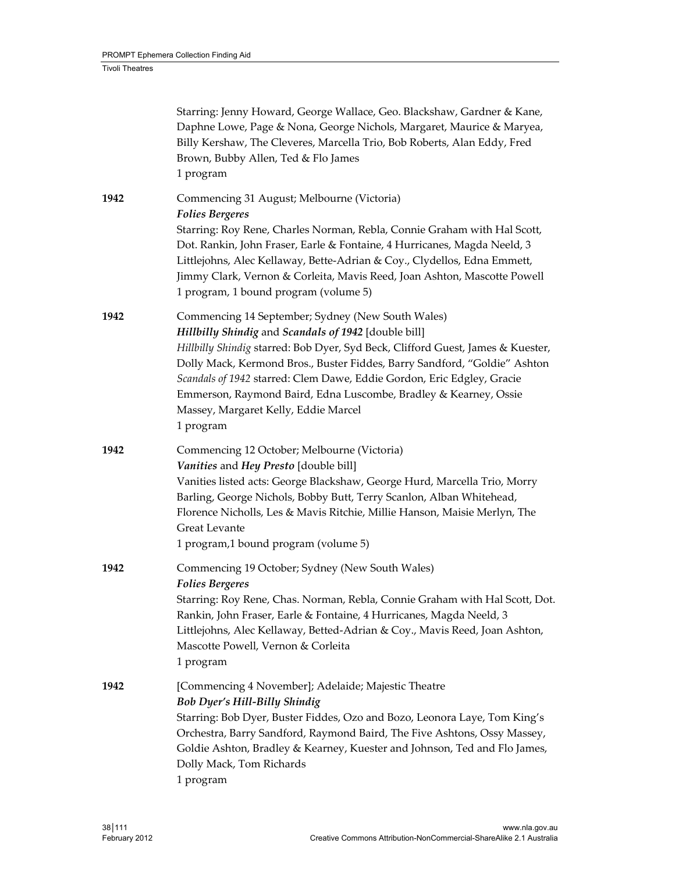|      | Starring: Jenny Howard, George Wallace, Geo. Blackshaw, Gardner & Kane,<br>Daphne Lowe, Page & Nona, George Nichols, Margaret, Maurice & Maryea,<br>Billy Kershaw, The Cleveres, Marcella Trio, Bob Roberts, Alan Eddy, Fred<br>Brown, Bubby Allen, Ted & Flo James<br>1 program                                                                                                                                                                                             |
|------|------------------------------------------------------------------------------------------------------------------------------------------------------------------------------------------------------------------------------------------------------------------------------------------------------------------------------------------------------------------------------------------------------------------------------------------------------------------------------|
| 1942 | Commencing 31 August; Melbourne (Victoria)<br><b>Folies Bergeres</b><br>Starring: Roy Rene, Charles Norman, Rebla, Connie Graham with Hal Scott,<br>Dot. Rankin, John Fraser, Earle & Fontaine, 4 Hurricanes, Magda Neeld, 3<br>Littlejohns, Alec Kellaway, Bette-Adrian & Coy., Clydellos, Edna Emmett,<br>Jimmy Clark, Vernon & Corleita, Mavis Reed, Joan Ashton, Mascotte Powell<br>1 program, 1 bound program (volume 5)                                                |
| 1942 | Commencing 14 September; Sydney (New South Wales)<br>Hillbilly Shindig and Scandals of 1942 [double bill]<br>Hillbilly Shindig starred: Bob Dyer, Syd Beck, Clifford Guest, James & Kuester,<br>Dolly Mack, Kermond Bros., Buster Fiddes, Barry Sandford, "Goldie" Ashton<br>Scandals of 1942 starred: Clem Dawe, Eddie Gordon, Eric Edgley, Gracie<br>Emmerson, Raymond Baird, Edna Luscombe, Bradley & Kearney, Ossie<br>Massey, Margaret Kelly, Eddie Marcel<br>1 program |
| 1942 | Commencing 12 October; Melbourne (Victoria)<br>Vanities and Hey Presto [double bill]<br>Vanities listed acts: George Blackshaw, George Hurd, Marcella Trio, Morry<br>Barling, George Nichols, Bobby Butt, Terry Scanlon, Alban Whitehead,<br>Florence Nicholls, Les & Mavis Ritchie, Millie Hanson, Maisie Merlyn, The<br>Great Levante<br>1 program, 1 bound program (volume 5)                                                                                             |
| 1942 | Commencing 19 October; Sydney (New South Wales)<br><b>Folies Bergeres</b><br>Starring: Roy Rene, Chas. Norman, Rebla, Connie Graham with Hal Scott, Dot.<br>Rankin, John Fraser, Earle & Fontaine, 4 Hurricanes, Magda Neeld, 3<br>Littlejohns, Alec Kellaway, Betted-Adrian & Coy., Mavis Reed, Joan Ashton,<br>Mascotte Powell, Vernon & Corleita<br>1 program                                                                                                             |
| 1942 | [Commencing 4 November]; Adelaide; Majestic Theatre<br><b>Bob Dyer's Hill-Billy Shindig</b><br>Starring: Bob Dyer, Buster Fiddes, Ozo and Bozo, Leonora Laye, Tom King's<br>Orchestra, Barry Sandford, Raymond Baird, The Five Ashtons, Ossy Massey,<br>Goldie Ashton, Bradley & Kearney, Kuester and Johnson, Ted and Flo James,<br>Dolly Mack, Tom Richards<br>1 program                                                                                                   |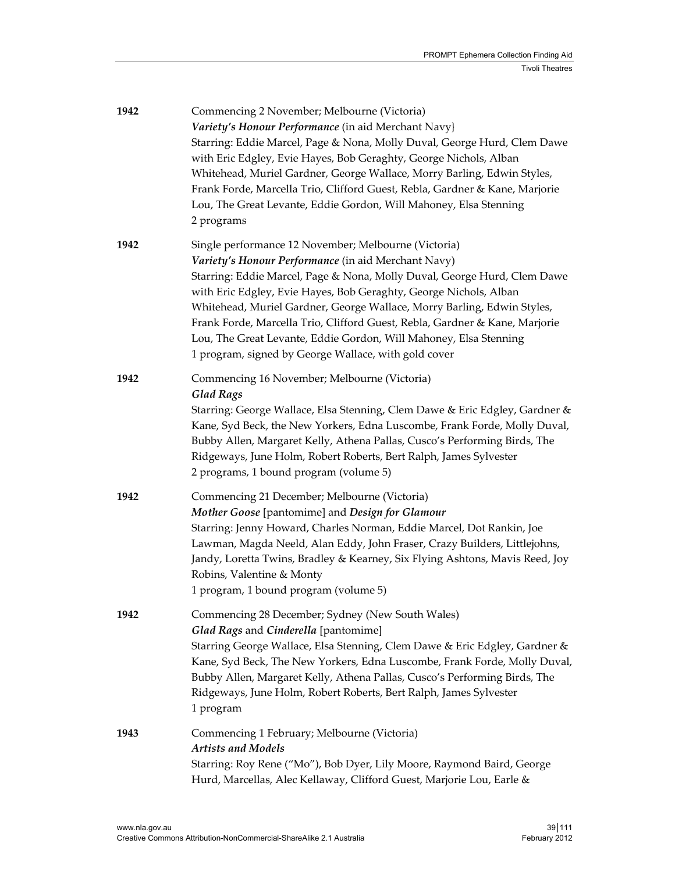| 1942 | Commencing 2 November; Melbourne (Victoria)<br>Variety's Honour Performance (in aid Merchant Navy}<br>Starring: Eddie Marcel, Page & Nona, Molly Duval, George Hurd, Clem Dawe<br>with Eric Edgley, Evie Hayes, Bob Geraghty, George Nichols, Alban<br>Whitehead, Muriel Gardner, George Wallace, Morry Barling, Edwin Styles,<br>Frank Forde, Marcella Trio, Clifford Guest, Rebla, Gardner & Kane, Marjorie<br>Lou, The Great Levante, Eddie Gordon, Will Mahoney, Elsa Stenning<br>2 programs                                                    |
|------|-----------------------------------------------------------------------------------------------------------------------------------------------------------------------------------------------------------------------------------------------------------------------------------------------------------------------------------------------------------------------------------------------------------------------------------------------------------------------------------------------------------------------------------------------------|
| 1942 | Single performance 12 November; Melbourne (Victoria)<br>Variety's Honour Performance (in aid Merchant Navy)<br>Starring: Eddie Marcel, Page & Nona, Molly Duval, George Hurd, Clem Dawe<br>with Eric Edgley, Evie Hayes, Bob Geraghty, George Nichols, Alban<br>Whitehead, Muriel Gardner, George Wallace, Morry Barling, Edwin Styles,<br>Frank Forde, Marcella Trio, Clifford Guest, Rebla, Gardner & Kane, Marjorie<br>Lou, The Great Levante, Eddie Gordon, Will Mahoney, Elsa Stenning<br>1 program, signed by George Wallace, with gold cover |
| 1942 | Commencing 16 November; Melbourne (Victoria)<br><b>Glad Rags</b><br>Starring: George Wallace, Elsa Stenning, Clem Dawe & Eric Edgley, Gardner &<br>Kane, Syd Beck, the New Yorkers, Edna Luscombe, Frank Forde, Molly Duval,<br>Bubby Allen, Margaret Kelly, Athena Pallas, Cusco's Performing Birds, The<br>Ridgeways, June Holm, Robert Roberts, Bert Ralph, James Sylvester<br>2 programs, 1 bound program (volume 5)                                                                                                                            |
| 1942 | Commencing 21 December; Melbourne (Victoria)<br>Mother Goose [pantomime] and Design for Glamour<br>Starring: Jenny Howard, Charles Norman, Eddie Marcel, Dot Rankin, Joe<br>Lawman, Magda Neeld, Alan Eddy, John Fraser, Crazy Builders, Littlejohns,<br>Jandy, Loretta Twins, Bradley & Kearney, Six Flying Ashtons, Mavis Reed, Joy<br>Robins, Valentine & Monty<br>1 program, 1 bound program (volume 5)                                                                                                                                         |
| 1942 | Commencing 28 December; Sydney (New South Wales)<br>Glad Rags and Cinderella [pantomime]<br>Starring George Wallace, Elsa Stenning, Clem Dawe & Eric Edgley, Gardner &<br>Kane, Syd Beck, The New Yorkers, Edna Luscombe, Frank Forde, Molly Duval,<br>Bubby Allen, Margaret Kelly, Athena Pallas, Cusco's Performing Birds, The<br>Ridgeways, June Holm, Robert Roberts, Bert Ralph, James Sylvester<br>1 program                                                                                                                                  |
| 1943 | Commencing 1 February; Melbourne (Victoria)<br><b>Artists and Models</b><br>Starring: Roy Rene ("Mo"), Bob Dyer, Lily Moore, Raymond Baird, George<br>Hurd, Marcellas, Alec Kellaway, Clifford Guest, Marjorie Lou, Earle &                                                                                                                                                                                                                                                                                                                         |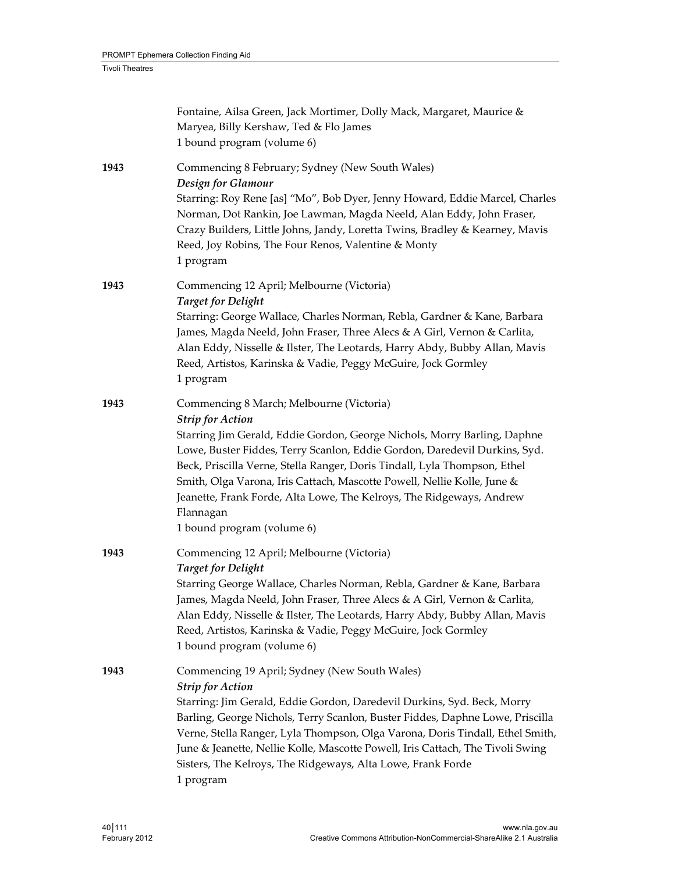|      | Fontaine, Ailsa Green, Jack Mortimer, Dolly Mack, Margaret, Maurice &<br>Maryea, Billy Kershaw, Ted & Flo James<br>1 bound program (volume 6)                                                                                                                                                                                                                                                                                                                                                           |
|------|---------------------------------------------------------------------------------------------------------------------------------------------------------------------------------------------------------------------------------------------------------------------------------------------------------------------------------------------------------------------------------------------------------------------------------------------------------------------------------------------------------|
| 1943 | Commencing 8 February; Sydney (New South Wales)<br>Design for Glamour<br>Starring: Roy Rene [as] "Mo", Bob Dyer, Jenny Howard, Eddie Marcel, Charles<br>Norman, Dot Rankin, Joe Lawman, Magda Neeld, Alan Eddy, John Fraser,<br>Crazy Builders, Little Johns, Jandy, Loretta Twins, Bradley & Kearney, Mavis<br>Reed, Joy Robins, The Four Renos, Valentine & Monty<br>1 program                                                                                                                        |
| 1943 | Commencing 12 April; Melbourne (Victoria)<br><b>Target for Delight</b><br>Starring: George Wallace, Charles Norman, Rebla, Gardner & Kane, Barbara<br>James, Magda Neeld, John Fraser, Three Alecs & A Girl, Vernon & Carlita,<br>Alan Eddy, Nisselle & Ilster, The Leotards, Harry Abdy, Bubby Allan, Mavis<br>Reed, Artistos, Karinska & Vadie, Peggy McGuire, Jock Gormley<br>1 program                                                                                                              |
| 1943 | Commencing 8 March; Melbourne (Victoria)<br><b>Strip for Action</b><br>Starring Jim Gerald, Eddie Gordon, George Nichols, Morry Barling, Daphne<br>Lowe, Buster Fiddes, Terry Scanlon, Eddie Gordon, Daredevil Durkins, Syd.<br>Beck, Priscilla Verne, Stella Ranger, Doris Tindall, Lyla Thompson, Ethel<br>Smith, Olga Varona, Iris Cattach, Mascotte Powell, Nellie Kolle, June &<br>Jeanette, Frank Forde, Alta Lowe, The Kelroys, The Ridgeways, Andrew<br>Flannagan<br>1 bound program (volume 6) |
| 1943 | Commencing 12 April; Melbourne (Victoria)<br><b>Target for Delight</b><br>Starring George Wallace, Charles Norman, Rebla, Gardner & Kane, Barbara<br>James, Magda Neeld, John Fraser, Three Alecs & A Girl, Vernon & Carlita,<br>Alan Eddy, Nisselle & Ilster, The Leotards, Harry Abdy, Bubby Allan, Mavis<br>Reed, Artistos, Karinska & Vadie, Peggy McGuire, Jock Gormley<br>1 bound program (volume 6)                                                                                              |
| 1943 | Commencing 19 April; Sydney (New South Wales)<br><b>Strip for Action</b><br>Starring: Jim Gerald, Eddie Gordon, Daredevil Durkins, Syd. Beck, Morry<br>Barling, George Nichols, Terry Scanlon, Buster Fiddes, Daphne Lowe, Priscilla<br>Verne, Stella Ranger, Lyla Thompson, Olga Varona, Doris Tindall, Ethel Smith,<br>June & Jeanette, Nellie Kolle, Mascotte Powell, Iris Cattach, The Tivoli Swing<br>Sisters, The Kelroys, The Ridgeways, Alta Lowe, Frank Forde<br>1 program                     |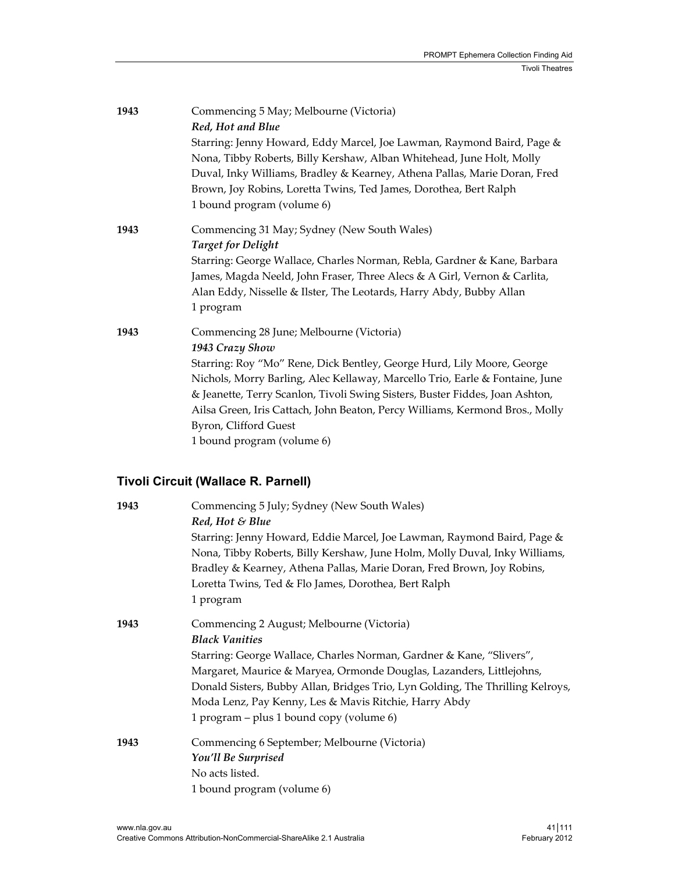| 1943 | Commencing 5 May; Melbourne (Victoria)                                       |
|------|------------------------------------------------------------------------------|
|      | Red, Hot and Blue                                                            |
|      | Starring: Jenny Howard, Eddy Marcel, Joe Lawman, Raymond Baird, Page &       |
|      | Nona, Tibby Roberts, Billy Kershaw, Alban Whitehead, June Holt, Molly        |
|      | Duval, Inky Williams, Bradley & Kearney, Athena Pallas, Marie Doran, Fred    |
|      | Brown, Joy Robins, Loretta Twins, Ted James, Dorothea, Bert Ralph            |
|      | 1 bound program (volume 6)                                                   |
| 1943 | Commencing 31 May; Sydney (New South Wales)                                  |
|      | <b>Target for Delight</b>                                                    |
|      | Starring: George Wallace, Charles Norman, Rebla, Gardner & Kane, Barbara     |
|      | James, Magda Neeld, John Fraser, Three Alecs & A Girl, Vernon & Carlita,     |
|      | Alan Eddy, Nisselle & Ilster, The Leotards, Harry Abdy, Bubby Allan          |
|      | 1 program                                                                    |
| 1943 | Commencing 28 June; Melbourne (Victoria)                                     |
|      | 1943 Crazy Show                                                              |
|      | Starring: Roy "Mo" Rene, Dick Bentley, George Hurd, Lily Moore, George       |
|      | Nichols, Morry Barling, Alec Kellaway, Marcello Trio, Earle & Fontaine, June |
|      | & Jeanette, Terry Scanlon, Tivoli Swing Sisters, Buster Fiddes, Joan Ashton, |
|      | Ailsa Green, Iris Cattach, John Beaton, Percy Williams, Kermond Bros., Molly |
|      | Byron, Clifford Guest                                                        |
|      | 1 bound program (volume 6)                                                   |

# **Tivoli Circuit (Wallace R. Parnell)**

| 1943 | Commencing 5 July; Sydney (New South Wales)<br>Red, Hot & Blue<br>Starring: Jenny Howard, Eddie Marcel, Joe Lawman, Raymond Baird, Page &<br>Nona, Tibby Roberts, Billy Kershaw, June Holm, Molly Duval, Inky Williams,<br>Bradley & Kearney, Athena Pallas, Marie Doran, Fred Brown, Joy Robins,<br>Loretta Twins, Ted & Flo James, Dorothea, Bert Ralph<br>1 program                                    |
|------|-----------------------------------------------------------------------------------------------------------------------------------------------------------------------------------------------------------------------------------------------------------------------------------------------------------------------------------------------------------------------------------------------------------|
| 1943 | Commencing 2 August; Melbourne (Victoria)<br><b>Black Vanities</b><br>Starring: George Wallace, Charles Norman, Gardner & Kane, "Slivers",<br>Margaret, Maurice & Maryea, Ormonde Douglas, Lazanders, Littlejohns,<br>Donald Sisters, Bubby Allan, Bridges Trio, Lyn Golding, The Thrilling Kelroys,<br>Moda Lenz, Pay Kenny, Les & Mavis Ritchie, Harry Abdy<br>1 program – plus 1 bound copy (volume 6) |
| 1943 | Commencing 6 September; Melbourne (Victoria)<br>You'll Be Surprised<br>No acts listed.<br>1 bound program (volume 6)                                                                                                                                                                                                                                                                                      |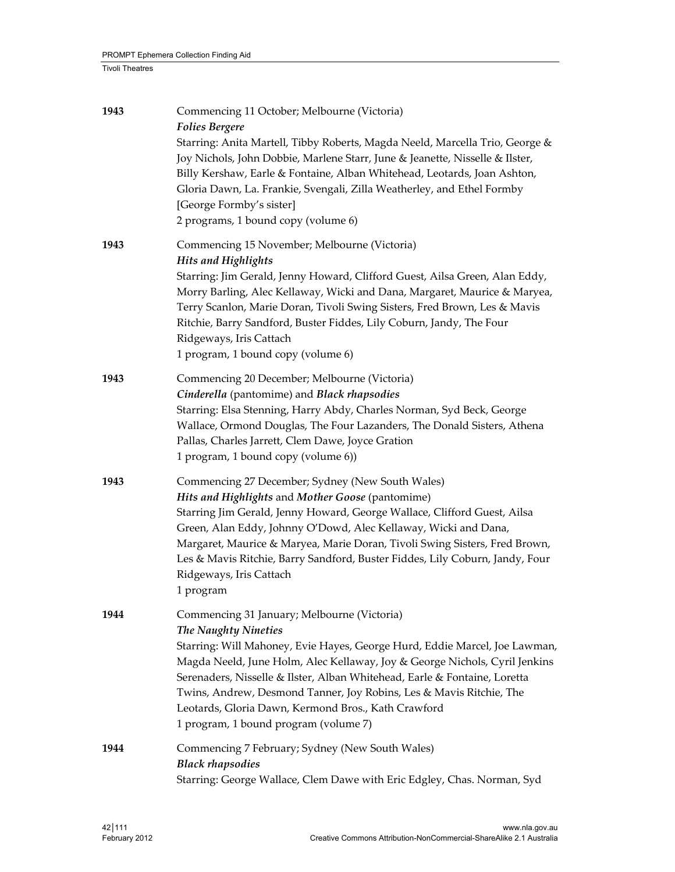| 1943 | Commencing 11 October; Melbourne (Victoria)<br><b>Folies Bergere</b><br>Starring: Anita Martell, Tibby Roberts, Magda Neeld, Marcella Trio, George &<br>Joy Nichols, John Dobbie, Marlene Starr, June & Jeanette, Nisselle & Ilster,<br>Billy Kershaw, Earle & Fontaine, Alban Whitehead, Leotards, Joan Ashton,<br>Gloria Dawn, La. Frankie, Svengali, Zilla Weatherley, and Ethel Formby<br>[George Formby's sister]<br>2 programs, 1 bound copy (volume 6)                       |
|------|-------------------------------------------------------------------------------------------------------------------------------------------------------------------------------------------------------------------------------------------------------------------------------------------------------------------------------------------------------------------------------------------------------------------------------------------------------------------------------------|
| 1943 | Commencing 15 November; Melbourne (Victoria)<br><b>Hits and Highlights</b><br>Starring: Jim Gerald, Jenny Howard, Clifford Guest, Ailsa Green, Alan Eddy,<br>Morry Barling, Alec Kellaway, Wicki and Dana, Margaret, Maurice & Maryea,<br>Terry Scanlon, Marie Doran, Tivoli Swing Sisters, Fred Brown, Les & Mavis<br>Ritchie, Barry Sandford, Buster Fiddes, Lily Coburn, Jandy, The Four<br>Ridgeways, Iris Cattach<br>1 program, 1 bound copy (volume 6)                        |
| 1943 | Commencing 20 December; Melbourne (Victoria)<br>Cinderella (pantomime) and Black rhapsodies<br>Starring: Elsa Stenning, Harry Abdy, Charles Norman, Syd Beck, George<br>Wallace, Ormond Douglas, The Four Lazanders, The Donald Sisters, Athena<br>Pallas, Charles Jarrett, Clem Dawe, Joyce Gration<br>1 program, 1 bound copy (volume 6))                                                                                                                                         |
| 1943 | Commencing 27 December; Sydney (New South Wales)<br>Hits and Highlights and Mother Goose (pantomime)<br>Starring Jim Gerald, Jenny Howard, George Wallace, Clifford Guest, Ailsa<br>Green, Alan Eddy, Johnny O'Dowd, Alec Kellaway, Wicki and Dana,<br>Margaret, Maurice & Maryea, Marie Doran, Tivoli Swing Sisters, Fred Brown,<br>Les & Mavis Ritchie, Barry Sandford, Buster Fiddes, Lily Coburn, Jandy, Four<br>Ridgeways, Iris Cattach<br>1 program                           |
| 1944 | Commencing 31 January; Melbourne (Victoria)<br>The Naughty Nineties<br>Starring: Will Mahoney, Evie Hayes, George Hurd, Eddie Marcel, Joe Lawman,<br>Magda Neeld, June Holm, Alec Kellaway, Joy & George Nichols, Cyril Jenkins<br>Serenaders, Nisselle & Ilster, Alban Whitehead, Earle & Fontaine, Loretta<br>Twins, Andrew, Desmond Tanner, Joy Robins, Les & Mavis Ritchie, The<br>Leotards, Gloria Dawn, Kermond Bros., Kath Crawford<br>1 program, 1 bound program (volume 7) |
| 1944 | Commencing 7 February; Sydney (New South Wales)<br><b>Black rhapsodies</b><br>Starring: George Wallace, Clem Dawe with Eric Edgley, Chas. Norman, Syd                                                                                                                                                                                                                                                                                                                               |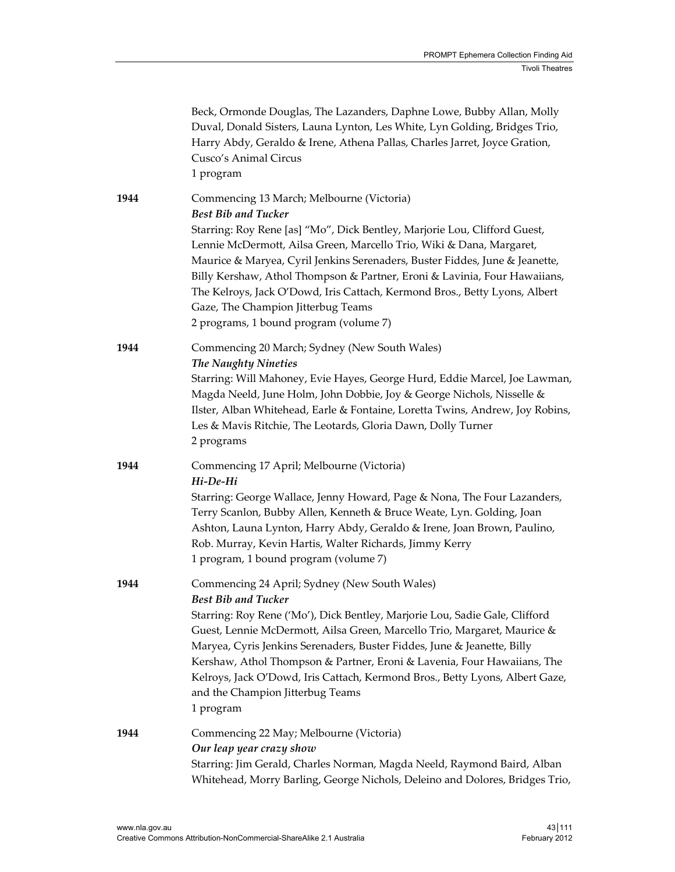|      | Beck, Ormonde Douglas, The Lazanders, Daphne Lowe, Bubby Allan, Molly<br>Duval, Donald Sisters, Launa Lynton, Les White, Lyn Golding, Bridges Trio,<br>Harry Abdy, Geraldo & Irene, Athena Pallas, Charles Jarret, Joyce Gration,<br>Cusco's Animal Circus<br>1 program                                                                                                                                                                                                                                                                                |
|------|--------------------------------------------------------------------------------------------------------------------------------------------------------------------------------------------------------------------------------------------------------------------------------------------------------------------------------------------------------------------------------------------------------------------------------------------------------------------------------------------------------------------------------------------------------|
| 1944 | Commencing 13 March; Melbourne (Victoria)<br><b>Best Bib and Tucker</b><br>Starring: Roy Rene [as] "Mo", Dick Bentley, Marjorie Lou, Clifford Guest,<br>Lennie McDermott, Ailsa Green, Marcello Trio, Wiki & Dana, Margaret,<br>Maurice & Maryea, Cyril Jenkins Serenaders, Buster Fiddes, June & Jeanette,<br>Billy Kershaw, Athol Thompson & Partner, Eroni & Lavinia, Four Hawaiians,<br>The Kelroys, Jack O'Dowd, Iris Cattach, Kermond Bros., Betty Lyons, Albert<br>Gaze, The Champion Jitterbug Teams<br>2 programs, 1 bound program (volume 7) |
| 1944 | Commencing 20 March; Sydney (New South Wales)<br><b>The Naughty Nineties</b><br>Starring: Will Mahoney, Evie Hayes, George Hurd, Eddie Marcel, Joe Lawman,<br>Magda Neeld, June Holm, John Dobbie, Joy & George Nichols, Nisselle &<br>Ilster, Alban Whitehead, Earle & Fontaine, Loretta Twins, Andrew, Joy Robins,<br>Les & Mavis Ritchie, The Leotards, Gloria Dawn, Dolly Turner<br>2 programs                                                                                                                                                     |
| 1944 | Commencing 17 April; Melbourne (Victoria)<br>Hi-De-Hi<br>Starring: George Wallace, Jenny Howard, Page & Nona, The Four Lazanders,<br>Terry Scanlon, Bubby Allen, Kenneth & Bruce Weate, Lyn. Golding, Joan<br>Ashton, Launa Lynton, Harry Abdy, Geraldo & Irene, Joan Brown, Paulino,<br>Rob. Murray, Kevin Hartis, Walter Richards, Jimmy Kerry<br>1 program, 1 bound program (volume 7)                                                                                                                                                              |
| 1944 | Commencing 24 April; Sydney (New South Wales)<br><b>Best Bib and Tucker</b><br>Starring: Roy Rene ('Mo'), Dick Bentley, Marjorie Lou, Sadie Gale, Clifford<br>Guest, Lennie McDermott, Ailsa Green, Marcello Trio, Margaret, Maurice &<br>Maryea, Cyris Jenkins Serenaders, Buster Fiddes, June & Jeanette, Billy<br>Kershaw, Athol Thompson & Partner, Eroni & Lavenia, Four Hawaiians, The<br>Kelroys, Jack O'Dowd, Iris Cattach, Kermond Bros., Betty Lyons, Albert Gaze,<br>and the Champion Jitterbug Teams<br>1 program                          |
| 1944 | Commencing 22 May; Melbourne (Victoria)<br>Our leap year crazy show<br>Starring: Jim Gerald, Charles Norman, Magda Neeld, Raymond Baird, Alban<br>Whitehead, Morry Barling, George Nichols, Deleino and Dolores, Bridges Trio,                                                                                                                                                                                                                                                                                                                         |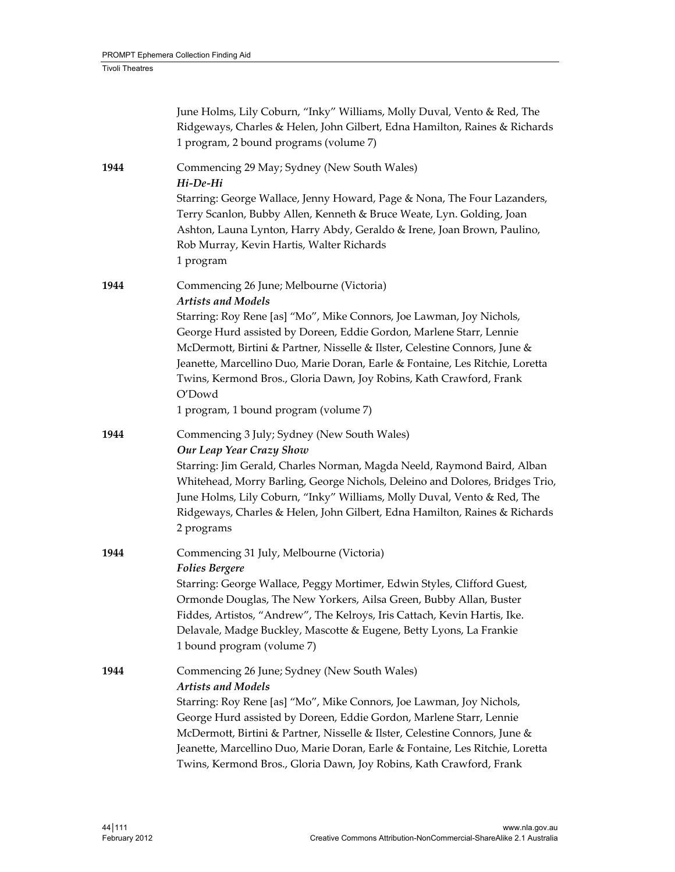|      | June Holms, Lily Coburn, "Inky" Williams, Molly Duval, Vento & Red, The<br>Ridgeways, Charles & Helen, John Gilbert, Edna Hamilton, Raines & Richards<br>1 program, 2 bound programs (volume 7)                                                                                                                                                                                                                                                                                                               |
|------|---------------------------------------------------------------------------------------------------------------------------------------------------------------------------------------------------------------------------------------------------------------------------------------------------------------------------------------------------------------------------------------------------------------------------------------------------------------------------------------------------------------|
| 1944 | Commencing 29 May; Sydney (New South Wales)<br>Hi-De-Hi<br>Starring: George Wallace, Jenny Howard, Page & Nona, The Four Lazanders,<br>Terry Scanlon, Bubby Allen, Kenneth & Bruce Weate, Lyn. Golding, Joan<br>Ashton, Launa Lynton, Harry Abdy, Geraldo & Irene, Joan Brown, Paulino,<br>Rob Murray, Kevin Hartis, Walter Richards<br>1 program                                                                                                                                                             |
| 1944 | Commencing 26 June; Melbourne (Victoria)<br><b>Artists and Models</b><br>Starring: Roy Rene [as] "Mo", Mike Connors, Joe Lawman, Joy Nichols,<br>George Hurd assisted by Doreen, Eddie Gordon, Marlene Starr, Lennie<br>McDermott, Birtini & Partner, Nisselle & Ilster, Celestine Connors, June &<br>Jeanette, Marcellino Duo, Marie Doran, Earle & Fontaine, Les Ritchie, Loretta<br>Twins, Kermond Bros., Gloria Dawn, Joy Robins, Kath Crawford, Frank<br>O'Dowd<br>1 program, 1 bound program (volume 7) |
| 1944 | Commencing 3 July; Sydney (New South Wales)<br>Our Leap Year Crazy Show<br>Starring: Jim Gerald, Charles Norman, Magda Neeld, Raymond Baird, Alban<br>Whitehead, Morry Barling, George Nichols, Deleino and Dolores, Bridges Trio,<br>June Holms, Lily Coburn, "Inky" Williams, Molly Duval, Vento & Red, The<br>Ridgeways, Charles & Helen, John Gilbert, Edna Hamilton, Raines & Richards<br>2 programs                                                                                                     |
| 1944 | Commencing 31 July, Melbourne (Victoria)<br><b>Folies Bergere</b><br>Starring: George Wallace, Peggy Mortimer, Edwin Styles, Clifford Guest,<br>Ormonde Douglas, The New Yorkers, Ailsa Green, Bubby Allan, Buster<br>Fiddes, Artistos, "Andrew", The Kelroys, Iris Cattach, Kevin Hartis, Ike.<br>Delavale, Madge Buckley, Mascotte & Eugene, Betty Lyons, La Frankie<br>1 bound program (volume 7)                                                                                                          |
| 1944 | Commencing 26 June; Sydney (New South Wales)<br><b>Artists and Models</b><br>Starring: Roy Rene [as] "Mo", Mike Connors, Joe Lawman, Joy Nichols,<br>George Hurd assisted by Doreen, Eddie Gordon, Marlene Starr, Lennie<br>McDermott, Birtini & Partner, Nisselle & Ilster, Celestine Connors, June &<br>Jeanette, Marcellino Duo, Marie Doran, Earle & Fontaine, Les Ritchie, Loretta<br>Twins, Kermond Bros., Gloria Dawn, Joy Robins, Kath Crawford, Frank                                                |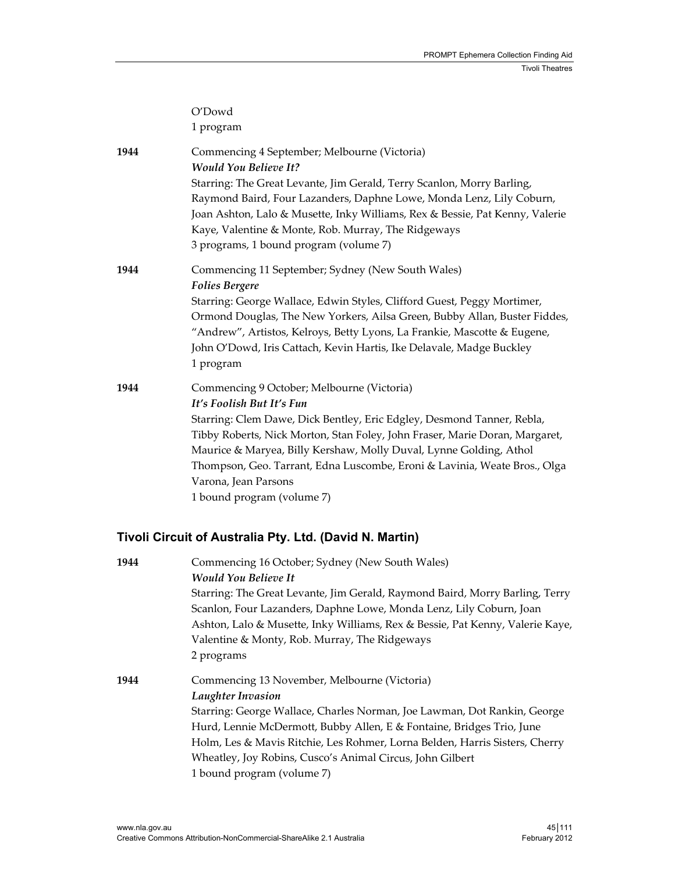|      | O'Dowd<br>1 program                                                                                                                                                                                                                                                                                                                                                                                                                       |
|------|-------------------------------------------------------------------------------------------------------------------------------------------------------------------------------------------------------------------------------------------------------------------------------------------------------------------------------------------------------------------------------------------------------------------------------------------|
| 1944 | Commencing 4 September; Melbourne (Victoria)<br><b>Would You Believe It?</b><br>Starring: The Great Levante, Jim Gerald, Terry Scanlon, Morry Barling,<br>Raymond Baird, Four Lazanders, Daphne Lowe, Monda Lenz, Lily Coburn,<br>Joan Ashton, Lalo & Musette, Inky Williams, Rex & Bessie, Pat Kenny, Valerie<br>Kaye, Valentine & Monte, Rob. Murray, The Ridgeways<br>3 programs, 1 bound program (volume 7)                           |
| 1944 | Commencing 11 September; Sydney (New South Wales)<br><b>Folies Bergere</b><br>Starring: George Wallace, Edwin Styles, Clifford Guest, Peggy Mortimer,<br>Ormond Douglas, The New Yorkers, Ailsa Green, Bubby Allan, Buster Fiddes,<br>"Andrew", Artistos, Kelroys, Betty Lyons, La Frankie, Mascotte & Eugene,<br>John O'Dowd, Iris Cattach, Kevin Hartis, Ike Delavale, Madge Buckley<br>1 program                                       |
| 1944 | Commencing 9 October; Melbourne (Victoria)<br>It's Foolish But It's Fun<br>Starring: Clem Dawe, Dick Bentley, Eric Edgley, Desmond Tanner, Rebla,<br>Tibby Roberts, Nick Morton, Stan Foley, John Fraser, Marie Doran, Margaret,<br>Maurice & Maryea, Billy Kershaw, Molly Duval, Lynne Golding, Athol<br>Thompson, Geo. Tarrant, Edna Luscombe, Eroni & Lavinia, Weate Bros., Olga<br>Varona, Jean Parsons<br>1 bound program (volume 7) |

## **Tivoli Circuit of Australia Pty. Ltd. (David N. Martin)**

| 1944 | Commencing 16 October; Sydney (New South Wales)                               |
|------|-------------------------------------------------------------------------------|
|      | <b>Would You Believe It</b>                                                   |
|      | Starring: The Great Levante, Jim Gerald, Raymond Baird, Morry Barling, Terry  |
|      | Scanlon, Four Lazanders, Daphne Lowe, Monda Lenz, Lily Coburn, Joan           |
|      | Ashton, Lalo & Musette, Inky Williams, Rex & Bessie, Pat Kenny, Valerie Kaye, |
|      | Valentine & Monty, Rob. Murray, The Ridgeways                                 |
|      | 2 programs                                                                    |
| 1944 | Commencing 13 November, Melbourne (Victoria)                                  |
|      | Laughter Invasion                                                             |
|      | Starring: George Wallace, Charles Norman, Joe Lawman, Dot Rankin, George      |
|      | Hurd, Lennie McDermott, Bubby Allen, E & Fontaine, Bridges Trio, June         |
|      | Holm, Les & Mavis Ritchie, Les Rohmer, Lorna Belden, Harris Sisters, Cherry   |
|      | Wheatley, Joy Robins, Cusco's Animal Circus, John Gilbert                     |
|      | 1 bound program (volume 7)                                                    |
|      |                                                                               |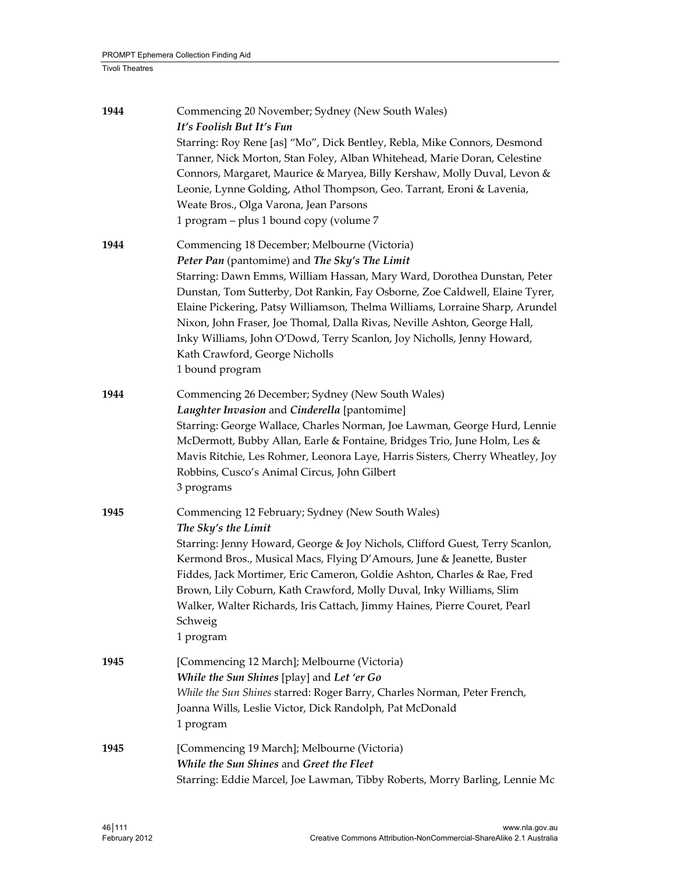| 1944 | Commencing 20 November; Sydney (New South Wales)<br>It's Foolish But It's Fun<br>Starring: Roy Rene [as] "Mo", Dick Bentley, Rebla, Mike Connors, Desmond<br>Tanner, Nick Morton, Stan Foley, Alban Whitehead, Marie Doran, Celestine<br>Connors, Margaret, Maurice & Maryea, Billy Kershaw, Molly Duval, Levon &<br>Leonie, Lynne Golding, Athol Thompson, Geo. Tarrant, Eroni & Lavenia,<br>Weate Bros., Olga Varona, Jean Parsons<br>1 program – plus 1 bound copy (volume 7                                                                     |
|------|-----------------------------------------------------------------------------------------------------------------------------------------------------------------------------------------------------------------------------------------------------------------------------------------------------------------------------------------------------------------------------------------------------------------------------------------------------------------------------------------------------------------------------------------------------|
| 1944 | Commencing 18 December; Melbourne (Victoria)<br>Peter Pan (pantomime) and The Sky's The Limit<br>Starring: Dawn Emms, William Hassan, Mary Ward, Dorothea Dunstan, Peter<br>Dunstan, Tom Sutterby, Dot Rankin, Fay Osborne, Zoe Caldwell, Elaine Tyrer,<br>Elaine Pickering, Patsy Williamson, Thelma Williams, Lorraine Sharp, Arundel<br>Nixon, John Fraser, Joe Thomal, Dalla Rivas, Neville Ashton, George Hall,<br>Inky Williams, John O'Dowd, Terry Scanlon, Joy Nicholls, Jenny Howard,<br>Kath Crawford, George Nicholls<br>1 bound program |
| 1944 | Commencing 26 December; Sydney (New South Wales)<br>Laughter Invasion and Cinderella [pantomime]<br>Starring: George Wallace, Charles Norman, Joe Lawman, George Hurd, Lennie<br>McDermott, Bubby Allan, Earle & Fontaine, Bridges Trio, June Holm, Les &<br>Mavis Ritchie, Les Rohmer, Leonora Laye, Harris Sisters, Cherry Wheatley, Joy<br>Robbins, Cusco's Animal Circus, John Gilbert<br>3 programs                                                                                                                                            |
| 1945 | Commencing 12 February; Sydney (New South Wales)<br>The Sky's the Limit<br>Starring: Jenny Howard, George & Joy Nichols, Clifford Guest, Terry Scanlon,<br>Kermond Bros., Musical Macs, Flying D'Amours, June & Jeanette, Buster<br>Fiddes, Jack Mortimer, Eric Cameron, Goldie Ashton, Charles & Rae, Fred<br>Brown, Lily Coburn, Kath Crawford, Molly Duval, Inky Williams, Slim<br>Walker, Walter Richards, Iris Cattach, Jimmy Haines, Pierre Couret, Pearl<br>Schweig<br>1 program                                                             |
| 1945 | [Commencing 12 March]; Melbourne (Victoria)<br>While the Sun Shines [play] and Let 'er Go<br>While the Sun Shines starred: Roger Barry, Charles Norman, Peter French,<br>Joanna Wills, Leslie Victor, Dick Randolph, Pat McDonald<br>1 program                                                                                                                                                                                                                                                                                                      |
| 1945 | [Commencing 19 March]; Melbourne (Victoria)<br>While the Sun Shines and Greet the Fleet<br>Starring: Eddie Marcel, Joe Lawman, Tibby Roberts, Morry Barling, Lennie Mc                                                                                                                                                                                                                                                                                                                                                                              |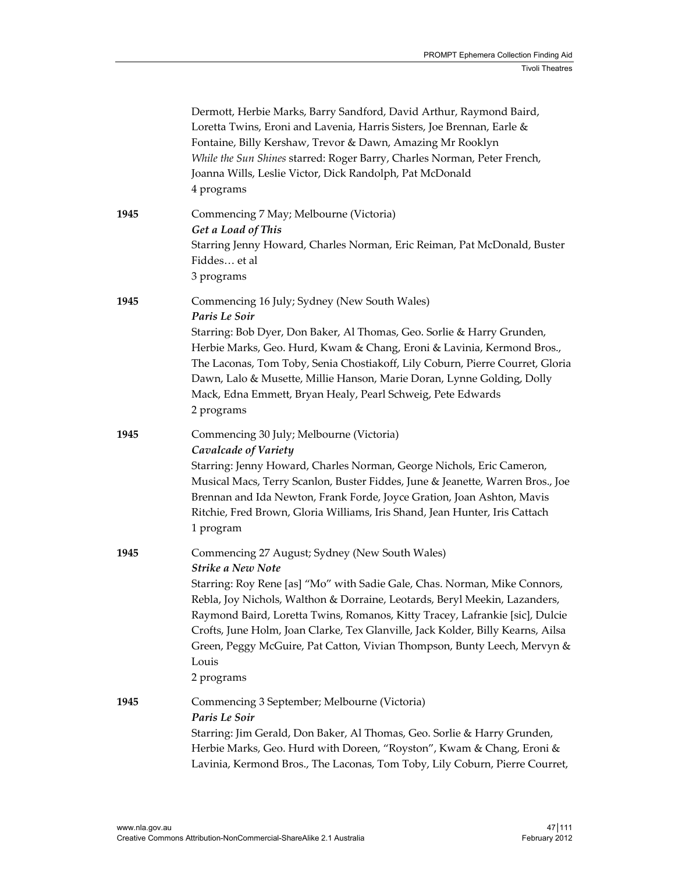|      | Dermott, Herbie Marks, Barry Sandford, David Arthur, Raymond Baird,<br>Loretta Twins, Eroni and Lavenia, Harris Sisters, Joe Brennan, Earle &<br>Fontaine, Billy Kershaw, Trevor & Dawn, Amazing Mr Rooklyn<br>While the Sun Shines starred: Roger Barry, Charles Norman, Peter French,<br>Joanna Wills, Leslie Victor, Dick Randolph, Pat McDonald<br>4 programs                                                                                                                                    |
|------|------------------------------------------------------------------------------------------------------------------------------------------------------------------------------------------------------------------------------------------------------------------------------------------------------------------------------------------------------------------------------------------------------------------------------------------------------------------------------------------------------|
| 1945 | Commencing 7 May; Melbourne (Victoria)<br>Get a Load of This<br>Starring Jenny Howard, Charles Norman, Eric Reiman, Pat McDonald, Buster<br>Fiddes et al<br>3 programs                                                                                                                                                                                                                                                                                                                               |
| 1945 | Commencing 16 July; Sydney (New South Wales)<br>Paris Le Soir<br>Starring: Bob Dyer, Don Baker, Al Thomas, Geo. Sorlie & Harry Grunden,<br>Herbie Marks, Geo. Hurd, Kwam & Chang, Eroni & Lavinia, Kermond Bros.,<br>The Laconas, Tom Toby, Senia Chostiakoff, Lily Coburn, Pierre Courret, Gloria<br>Dawn, Lalo & Musette, Millie Hanson, Marie Doran, Lynne Golding, Dolly<br>Mack, Edna Emmett, Bryan Healy, Pearl Schweig, Pete Edwards<br>2 programs                                            |
| 1945 | Commencing 30 July; Melbourne (Victoria)<br>Cavalcade of Variety<br>Starring: Jenny Howard, Charles Norman, George Nichols, Eric Cameron,<br>Musical Macs, Terry Scanlon, Buster Fiddes, June & Jeanette, Warren Bros., Joe<br>Brennan and Ida Newton, Frank Forde, Joyce Gration, Joan Ashton, Mavis<br>Ritchie, Fred Brown, Gloria Williams, Iris Shand, Jean Hunter, Iris Cattach<br>1 program                                                                                                    |
| 1945 | Commencing 27 August; Sydney (New South Wales)<br>Strike a New Note<br>Starring: Roy Rene [as] "Mo" with Sadie Gale, Chas. Norman, Mike Connors,<br>Rebla, Joy Nichols, Walthon & Dorraine, Leotards, Beryl Meekin, Lazanders,<br>Raymond Baird, Loretta Twins, Romanos, Kitty Tracey, Lafrankie [sic], Dulcie<br>Crofts, June Holm, Joan Clarke, Tex Glanville, Jack Kolder, Billy Kearns, Ailsa<br>Green, Peggy McGuire, Pat Catton, Vivian Thompson, Bunty Leech, Mervyn &<br>Louis<br>2 programs |
| 1945 | Commencing 3 September; Melbourne (Victoria)<br>Paris Le Soir<br>Starring: Jim Gerald, Don Baker, Al Thomas, Geo. Sorlie & Harry Grunden,<br>Herbie Marks, Geo. Hurd with Doreen, "Royston", Kwam & Chang, Eroni &<br>Lavinia, Kermond Bros., The Laconas, Tom Toby, Lily Coburn, Pierre Courret,                                                                                                                                                                                                    |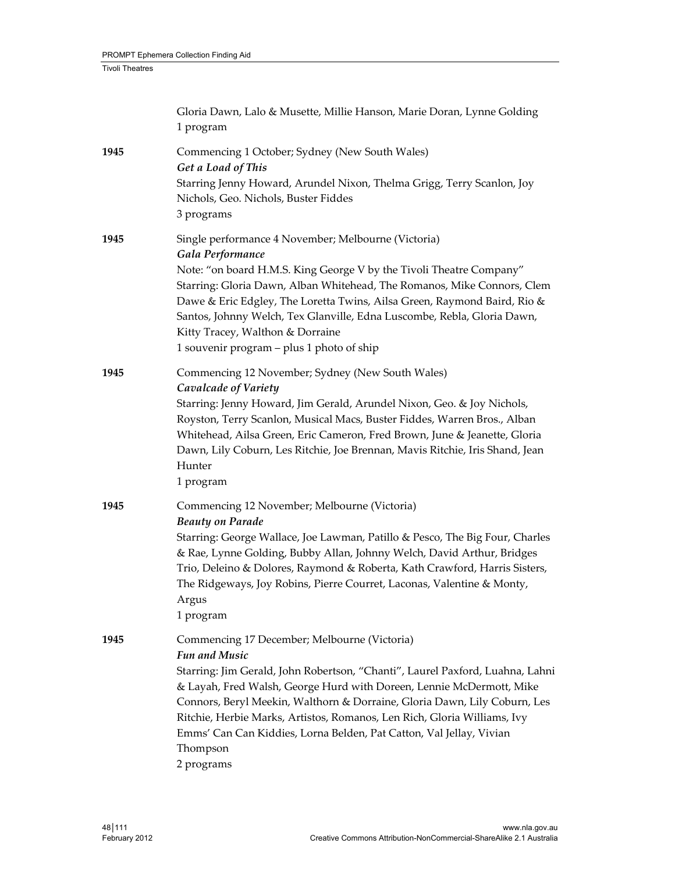|      | Gloria Dawn, Lalo & Musette, Millie Hanson, Marie Doran, Lynne Golding<br>1 program                                                                                                                                                                                                                                                                                                                                                                                                     |
|------|-----------------------------------------------------------------------------------------------------------------------------------------------------------------------------------------------------------------------------------------------------------------------------------------------------------------------------------------------------------------------------------------------------------------------------------------------------------------------------------------|
| 1945 | Commencing 1 October; Sydney (New South Wales)<br>Get a Load of This<br>Starring Jenny Howard, Arundel Nixon, Thelma Grigg, Terry Scanlon, Joy<br>Nichols, Geo. Nichols, Buster Fiddes<br>3 programs                                                                                                                                                                                                                                                                                    |
| 1945 | Single performance 4 November; Melbourne (Victoria)<br>Gala Performance<br>Note: "on board H.M.S. King George V by the Tivoli Theatre Company"<br>Starring: Gloria Dawn, Alban Whitehead, The Romanos, Mike Connors, Clem<br>Dawe & Eric Edgley, The Loretta Twins, Ailsa Green, Raymond Baird, Rio &<br>Santos, Johnny Welch, Tex Glanville, Edna Luscombe, Rebla, Gloria Dawn,<br>Kitty Tracey, Walthon & Dorraine<br>1 souvenir program - plus 1 photo of ship                       |
| 1945 | Commencing 12 November; Sydney (New South Wales)<br>Cavalcade of Variety<br>Starring: Jenny Howard, Jim Gerald, Arundel Nixon, Geo. & Joy Nichols,<br>Royston, Terry Scanlon, Musical Macs, Buster Fiddes, Warren Bros., Alban<br>Whitehead, Ailsa Green, Eric Cameron, Fred Brown, June & Jeanette, Gloria<br>Dawn, Lily Coburn, Les Ritchie, Joe Brennan, Mavis Ritchie, Iris Shand, Jean<br>Hunter<br>1 program                                                                      |
| 1945 | Commencing 12 November; Melbourne (Victoria)<br><b>Beauty on Parade</b><br>Starring: George Wallace, Joe Lawman, Patillo & Pesco, The Big Four, Charles<br>& Rae, Lynne Golding, Bubby Allan, Johnny Welch, David Arthur, Bridges<br>Trio, Deleino & Dolores, Raymond & Roberta, Kath Crawford, Harris Sisters,<br>The Ridgeways, Joy Robins, Pierre Courret, Laconas, Valentine & Monty,<br>Argus<br>1 program                                                                         |
| 1945 | Commencing 17 December; Melbourne (Victoria)<br><b>Fun and Music</b><br>Starring: Jim Gerald, John Robertson, "Chanti", Laurel Paxford, Luahna, Lahni<br>& Layah, Fred Walsh, George Hurd with Doreen, Lennie McDermott, Mike<br>Connors, Beryl Meekin, Walthorn & Dorraine, Gloria Dawn, Lily Coburn, Les<br>Ritchie, Herbie Marks, Artistos, Romanos, Len Rich, Gloria Williams, Ivy<br>Emms' Can Can Kiddies, Lorna Belden, Pat Catton, Val Jellay, Vivian<br>Thompson<br>2 programs |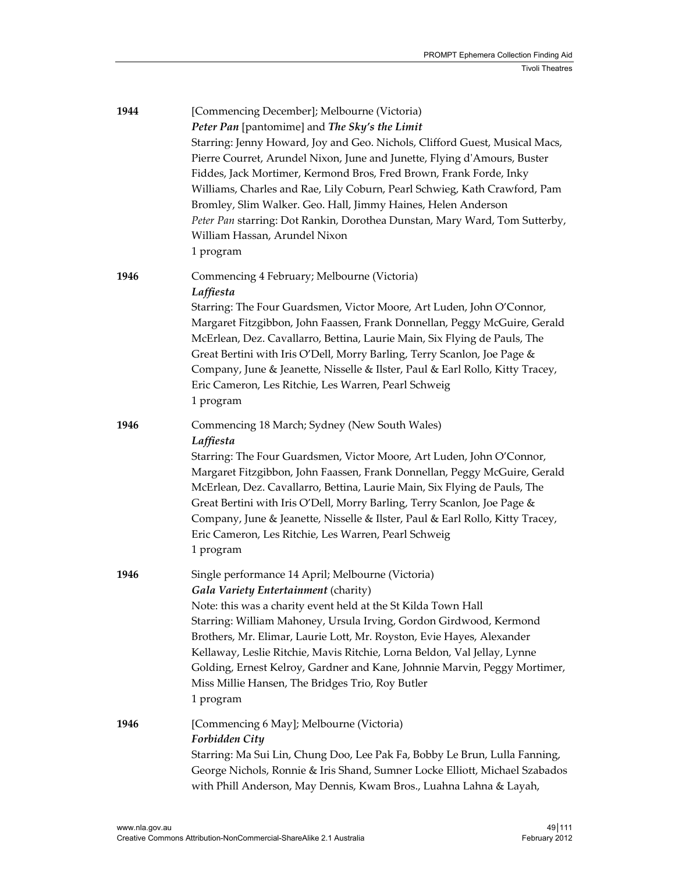| 1944 | [Commencing December]; Melbourne (Victoria)<br>Peter Pan [pantomime] and The Sky's the Limit<br>Starring: Jenny Howard, Joy and Geo. Nichols, Clifford Guest, Musical Macs,<br>Pierre Courret, Arundel Nixon, June and Junette, Flying d'Amours, Buster<br>Fiddes, Jack Mortimer, Kermond Bros, Fred Brown, Frank Forde, Inky<br>Williams, Charles and Rae, Lily Coburn, Pearl Schwieg, Kath Crawford, Pam<br>Bromley, Slim Walker. Geo. Hall, Jimmy Haines, Helen Anderson<br>Peter Pan starring: Dot Rankin, Dorothea Dunstan, Mary Ward, Tom Sutterby,<br>William Hassan, Arundel Nixon<br>1 program |
|------|---------------------------------------------------------------------------------------------------------------------------------------------------------------------------------------------------------------------------------------------------------------------------------------------------------------------------------------------------------------------------------------------------------------------------------------------------------------------------------------------------------------------------------------------------------------------------------------------------------|
| 1946 | Commencing 4 February; Melbourne (Victoria)<br>Laffiesta<br>Starring: The Four Guardsmen, Victor Moore, Art Luden, John O'Connor,<br>Margaret Fitzgibbon, John Faassen, Frank Donnellan, Peggy McGuire, Gerald<br>McErlean, Dez. Cavallarro, Bettina, Laurie Main, Six Flying de Pauls, The<br>Great Bertini with Iris O'Dell, Morry Barling, Terry Scanlon, Joe Page &<br>Company, June & Jeanette, Nisselle & Ilster, Paul & Earl Rollo, Kitty Tracey,<br>Eric Cameron, Les Ritchie, Les Warren, Pearl Schweig<br>1 program                                                                           |
| 1946 | Commencing 18 March; Sydney (New South Wales)<br>Laffiesta<br>Starring: The Four Guardsmen, Victor Moore, Art Luden, John O'Connor,<br>Margaret Fitzgibbon, John Faassen, Frank Donnellan, Peggy McGuire, Gerald<br>McErlean, Dez. Cavallarro, Bettina, Laurie Main, Six Flying de Pauls, The<br>Great Bertini with Iris O'Dell, Morry Barling, Terry Scanlon, Joe Page &<br>Company, June & Jeanette, Nisselle & Ilster, Paul & Earl Rollo, Kitty Tracey,<br>Eric Cameron, Les Ritchie, Les Warren, Pearl Schweig<br>1 program                                                                         |
| 1946 | Single performance 14 April; Melbourne (Victoria)<br>Gala Variety Entertainment (charity)<br>Note: this was a charity event held at the St Kilda Town Hall<br>Starring: William Mahoney, Ursula Irving, Gordon Girdwood, Kermond<br>Brothers, Mr. Elimar, Laurie Lott, Mr. Royston, Evie Hayes, Alexander<br>Kellaway, Leslie Ritchie, Mavis Ritchie, Lorna Beldon, Val Jellay, Lynne<br>Golding, Ernest Kelroy, Gardner and Kane, Johnnie Marvin, Peggy Mortimer,<br>Miss Millie Hansen, The Bridges Trio, Roy Butler<br>1 program                                                                     |
| 1946 | [Commencing 6 May]; Melbourne (Victoria)<br>Forbidden City<br>Starring: Ma Sui Lin, Chung Doo, Lee Pak Fa, Bobby Le Brun, Lulla Fanning,<br>George Nichols, Ronnie & Iris Shand, Sumner Locke Elliott, Michael Szabados<br>with Phill Anderson, May Dennis, Kwam Bros., Luahna Lahna & Layah,                                                                                                                                                                                                                                                                                                           |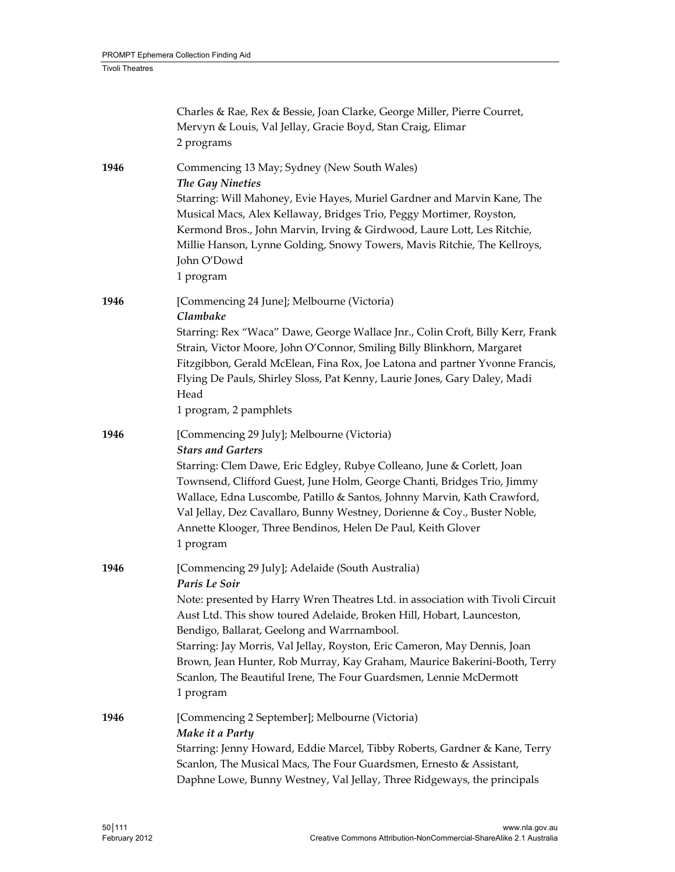|      | Charles & Rae, Rex & Bessie, Joan Clarke, George Miller, Pierre Courret,<br>Mervyn & Louis, Val Jellay, Gracie Boyd, Stan Craig, Elimar<br>2 programs                                                                                                                                                                                                                                                                                                                                                                    |
|------|--------------------------------------------------------------------------------------------------------------------------------------------------------------------------------------------------------------------------------------------------------------------------------------------------------------------------------------------------------------------------------------------------------------------------------------------------------------------------------------------------------------------------|
| 1946 | Commencing 13 May; Sydney (New South Wales)<br>The Gay Nineties<br>Starring: Will Mahoney, Evie Hayes, Muriel Gardner and Marvin Kane, The<br>Musical Macs, Alex Kellaway, Bridges Trio, Peggy Mortimer, Royston,<br>Kermond Bros., John Marvin, Irving & Girdwood, Laure Lott, Les Ritchie,<br>Millie Hanson, Lynne Golding, Snowy Towers, Mavis Ritchie, The Kellroys,<br>John O'Dowd<br>1 program                                                                                                                     |
| 1946 | [Commencing 24 June]; Melbourne (Victoria)<br>Clambake<br>Starring: Rex "Waca" Dawe, George Wallace Jnr., Colin Croft, Billy Kerr, Frank<br>Strain, Victor Moore, John O'Connor, Smiling Billy Blinkhorn, Margaret<br>Fitzgibbon, Gerald McElean, Fina Rox, Joe Latona and partner Yvonne Francis,<br>Flying De Pauls, Shirley Sloss, Pat Kenny, Laurie Jones, Gary Daley, Madi<br>Head<br>1 program, 2 pamphlets                                                                                                        |
| 1946 | [Commencing 29 July]; Melbourne (Victoria)<br><b>Stars and Garters</b><br>Starring: Clem Dawe, Eric Edgley, Rubye Colleano, June & Corlett, Joan<br>Townsend, Clifford Guest, June Holm, George Chanti, Bridges Trio, Jimmy<br>Wallace, Edna Luscombe, Patillo & Santos, Johnny Marvin, Kath Crawford,<br>Val Jellay, Dez Cavallaro, Bunny Westney, Dorienne & Coy., Buster Noble,<br>Annette Klooger, Three Bendinos, Helen De Paul, Keith Glover<br>1 program                                                          |
| 1946 | [Commencing 29 July]; Adelaide (South Australia)<br>Paris Le Soir<br>Note: presented by Harry Wren Theatres Ltd. in association with Tivoli Circuit<br>Aust Ltd. This show toured Adelaide, Broken Hill, Hobart, Launceston,<br>Bendigo, Ballarat, Geelong and Warrnambool.<br>Starring: Jay Morris, Val Jellay, Royston, Eric Cameron, May Dennis, Joan<br>Brown, Jean Hunter, Rob Murray, Kay Graham, Maurice Bakerini-Booth, Terry<br>Scanlon, The Beautiful Irene, The Four Guardsmen, Lennie McDermott<br>1 program |
| 1946 | [Commencing 2 September]; Melbourne (Victoria)<br>Make it a Party<br>Starring: Jenny Howard, Eddie Marcel, Tibby Roberts, Gardner & Kane, Terry<br>Scanlon, The Musical Macs, The Four Guardsmen, Ernesto & Assistant,<br>Daphne Lowe, Bunny Westney, Val Jellay, Three Ridgeways, the principals                                                                                                                                                                                                                        |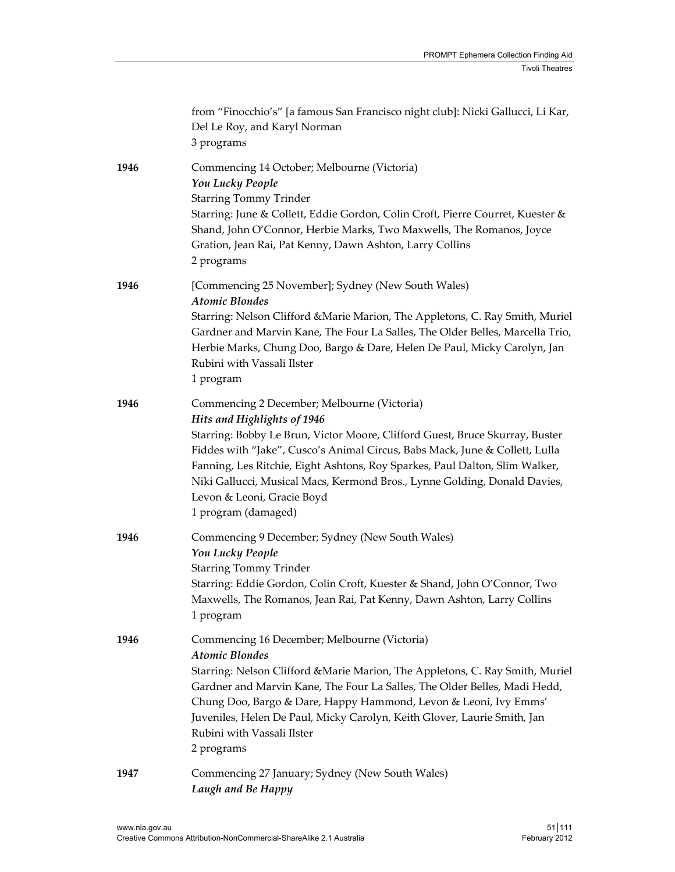|      | from "Finocchio's" [a famous San Francisco night club]: Nicki Gallucci, Li Kar,<br>Del Le Roy, and Karyl Norman<br>3 programs                                                                                                                                                                                                                                                                                                                              |
|------|------------------------------------------------------------------------------------------------------------------------------------------------------------------------------------------------------------------------------------------------------------------------------------------------------------------------------------------------------------------------------------------------------------------------------------------------------------|
| 1946 | Commencing 14 October; Melbourne (Victoria)<br>You Lucky People<br><b>Starring Tommy Trinder</b><br>Starring: June & Collett, Eddie Gordon, Colin Croft, Pierre Courret, Kuester &<br>Shand, John O'Connor, Herbie Marks, Two Maxwells, The Romanos, Joyce<br>Gration, Jean Rai, Pat Kenny, Dawn Ashton, Larry Collins<br>2 programs                                                                                                                       |
| 1946 | [Commencing 25 November]; Sydney (New South Wales)<br><b>Atomic Blondes</b><br>Starring: Nelson Clifford & Marie Marion, The Appletons, C. Ray Smith, Muriel<br>Gardner and Marvin Kane, The Four La Salles, The Older Belles, Marcella Trio,<br>Herbie Marks, Chung Doo, Bargo & Dare, Helen De Paul, Micky Carolyn, Jan<br>Rubini with Vassali Ilster<br>1 program                                                                                       |
| 1946 | Commencing 2 December; Melbourne (Victoria)<br>Hits and Highlights of 1946<br>Starring: Bobby Le Brun, Victor Moore, Clifford Guest, Bruce Skurray, Buster<br>Fiddes with "Jake", Cusco's Animal Circus, Babs Mack, June & Collett, Lulla<br>Fanning, Les Ritchie, Eight Ashtons, Roy Sparkes, Paul Dalton, Slim Walker,<br>Niki Gallucci, Musical Macs, Kermond Bros., Lynne Golding, Donald Davies,<br>Levon & Leoni, Gracie Boyd<br>1 program (damaged) |
| 1946 | Commencing 9 December; Sydney (New South Wales)<br>You Lucky People<br><b>Starring Tommy Trinder</b><br>Starring: Eddie Gordon, Colin Croft, Kuester & Shand, John O'Connor, Two<br>Maxwells, The Romanos, Jean Rai, Pat Kenny, Dawn Ashton, Larry Collins<br>1 program                                                                                                                                                                                    |
| 1946 | Commencing 16 December; Melbourne (Victoria)<br><b>Atomic Blondes</b><br>Starring: Nelson Clifford & Marie Marion, The Appletons, C. Ray Smith, Muriel<br>Gardner and Marvin Kane, The Four La Salles, The Older Belles, Madi Hedd,<br>Chung Doo, Bargo & Dare, Happy Hammond, Levon & Leoni, Ivy Emms'<br>Juveniles, Helen De Paul, Micky Carolyn, Keith Glover, Laurie Smith, Jan<br>Rubini with Vassali Ilster<br>2 programs                            |
| 1947 | Commencing 27 January; Sydney (New South Wales)<br><b>Laugh and Be Happy</b>                                                                                                                                                                                                                                                                                                                                                                               |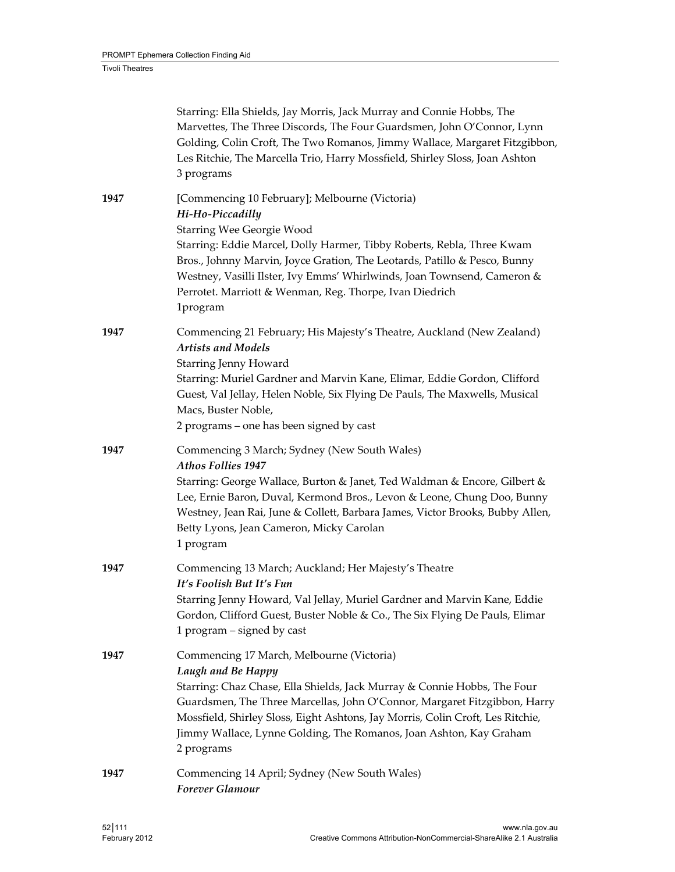|      | Starring: Ella Shields, Jay Morris, Jack Murray and Connie Hobbs, The<br>Marvettes, The Three Discords, The Four Guardsmen, John O'Connor, Lynn<br>Golding, Colin Croft, The Two Romanos, Jimmy Wallace, Margaret Fitzgibbon,<br>Les Ritchie, The Marcella Trio, Harry Mossfield, Shirley Sloss, Joan Ashton<br>3 programs                                                                                      |
|------|-----------------------------------------------------------------------------------------------------------------------------------------------------------------------------------------------------------------------------------------------------------------------------------------------------------------------------------------------------------------------------------------------------------------|
| 1947 | [Commencing 10 February]; Melbourne (Victoria)<br>Hi-Ho-Piccadilly<br><b>Starring Wee Georgie Wood</b><br>Starring: Eddie Marcel, Dolly Harmer, Tibby Roberts, Rebla, Three Kwam<br>Bros., Johnny Marvin, Joyce Gration, The Leotards, Patillo & Pesco, Bunny<br>Westney, Vasilli Ilster, Ivy Emms' Whirlwinds, Joan Townsend, Cameron &<br>Perrotet. Marriott & Wenman, Reg. Thorpe, Ivan Diedrich<br>1program |
| 1947 | Commencing 21 February; His Majesty's Theatre, Auckland (New Zealand)<br><b>Artists and Models</b><br><b>Starring Jenny Howard</b><br>Starring: Muriel Gardner and Marvin Kane, Elimar, Eddie Gordon, Clifford<br>Guest, Val Jellay, Helen Noble, Six Flying De Pauls, The Maxwells, Musical<br>Macs, Buster Noble,<br>2 programs - one has been signed by cast                                                 |
| 1947 | Commencing 3 March; Sydney (New South Wales)<br>Athos Follies 1947<br>Starring: George Wallace, Burton & Janet, Ted Waldman & Encore, Gilbert &<br>Lee, Ernie Baron, Duval, Kermond Bros., Levon & Leone, Chung Doo, Bunny<br>Westney, Jean Rai, June & Collett, Barbara James, Victor Brooks, Bubby Allen,<br>Betty Lyons, Jean Cameron, Micky Carolan<br>1 program                                            |
| 1947 | Commencing 13 March; Auckland; Her Majesty's Theatre<br>It's Foolish But It's Fun<br>Starring Jenny Howard, Val Jellay, Muriel Gardner and Marvin Kane, Eddie<br>Gordon, Clifford Guest, Buster Noble & Co., The Six Flying De Pauls, Elimar<br>1 program - signed by cast                                                                                                                                      |
| 1947 | Commencing 17 March, Melbourne (Victoria)<br>Laugh and Be Happy<br>Starring: Chaz Chase, Ella Shields, Jack Murray & Connie Hobbs, The Four<br>Guardsmen, The Three Marcellas, John O'Connor, Margaret Fitzgibbon, Harry<br>Mossfield, Shirley Sloss, Eight Ashtons, Jay Morris, Colin Croft, Les Ritchie,<br>Jimmy Wallace, Lynne Golding, The Romanos, Joan Ashton, Kay Graham<br>2 programs                  |
| 1947 | Commencing 14 April; Sydney (New South Wales)<br>Forever Glamour                                                                                                                                                                                                                                                                                                                                                |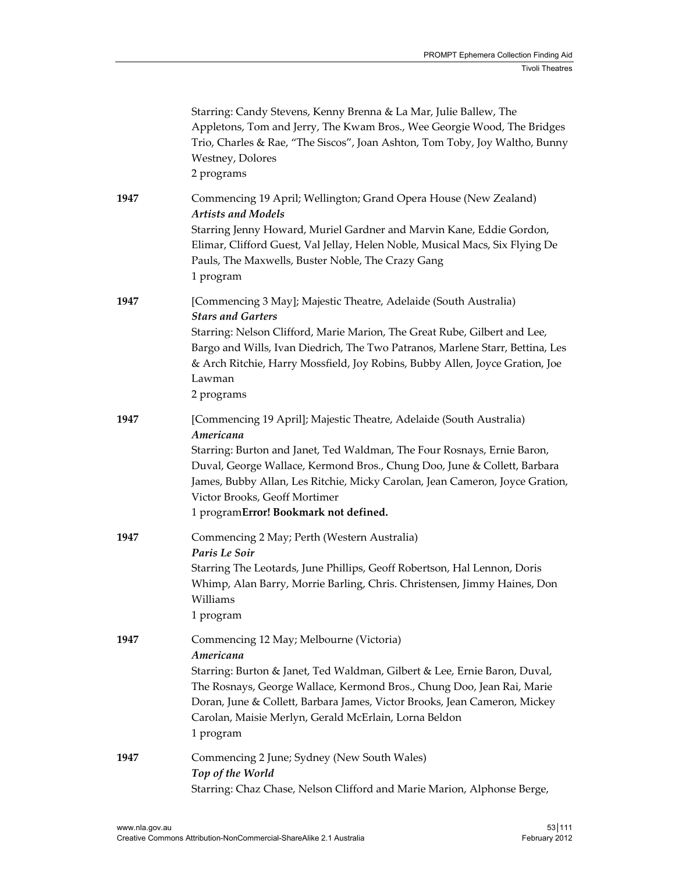|      | Starring: Candy Stevens, Kenny Brenna & La Mar, Julie Ballew, The<br>Appletons, Tom and Jerry, The Kwam Bros., Wee Georgie Wood, The Bridges<br>Trio, Charles & Rae, "The Siscos", Joan Ashton, Tom Toby, Joy Waltho, Bunny<br>Westney, Dolores<br>2 programs                                                                                                                                     |
|------|---------------------------------------------------------------------------------------------------------------------------------------------------------------------------------------------------------------------------------------------------------------------------------------------------------------------------------------------------------------------------------------------------|
| 1947 | Commencing 19 April; Wellington; Grand Opera House (New Zealand)<br><b>Artists and Models</b><br>Starring Jenny Howard, Muriel Gardner and Marvin Kane, Eddie Gordon,<br>Elimar, Clifford Guest, Val Jellay, Helen Noble, Musical Macs, Six Flying De<br>Pauls, The Maxwells, Buster Noble, The Crazy Gang<br>1 program                                                                           |
| 1947 | [Commencing 3 May]; Majestic Theatre, Adelaide (South Australia)<br><b>Stars and Garters</b><br>Starring: Nelson Clifford, Marie Marion, The Great Rube, Gilbert and Lee,<br>Bargo and Wills, Ivan Diedrich, The Two Patranos, Marlene Starr, Bettina, Les<br>& Arch Ritchie, Harry Mossfield, Joy Robins, Bubby Allen, Joyce Gration, Joe<br>Lawman<br>2 programs                                |
| 1947 | [Commencing 19 April]; Majestic Theatre, Adelaide (South Australia)<br>Americana<br>Starring: Burton and Janet, Ted Waldman, The Four Rosnays, Ernie Baron,<br>Duval, George Wallace, Kermond Bros., Chung Doo, June & Collett, Barbara<br>James, Bubby Allan, Les Ritchie, Micky Carolan, Jean Cameron, Joyce Gration,<br>Victor Brooks, Geoff Mortimer<br>1 programError! Bookmark not defined. |
| 1947 | Commencing 2 May; Perth (Western Australia)<br>Paris Le Soir<br>Starring The Leotards, June Phillips, Geoff Robertson, Hal Lennon, Doris<br>Whimp, Alan Barry, Morrie Barling, Chris. Christensen, Jimmy Haines, Don<br>Williams<br>1 program                                                                                                                                                     |
| 1947 | Commencing 12 May; Melbourne (Victoria)<br>Americana<br>Starring: Burton & Janet, Ted Waldman, Gilbert & Lee, Ernie Baron, Duval,<br>The Rosnays, George Wallace, Kermond Bros., Chung Doo, Jean Rai, Marie<br>Doran, June & Collett, Barbara James, Victor Brooks, Jean Cameron, Mickey<br>Carolan, Maisie Merlyn, Gerald McErlain, Lorna Beldon<br>1 program                                    |
| 1947 | Commencing 2 June; Sydney (New South Wales)<br>Top of the World<br>Starring: Chaz Chase, Nelson Clifford and Marie Marion, Alphonse Berge,                                                                                                                                                                                                                                                        |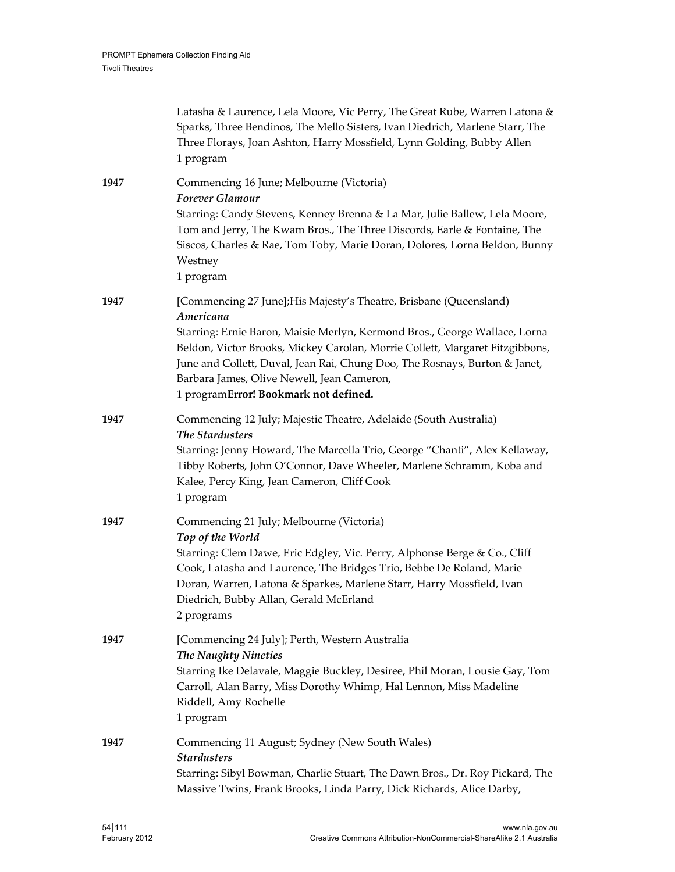|      | Latasha & Laurence, Lela Moore, Vic Perry, The Great Rube, Warren Latona &<br>Sparks, Three Bendinos, The Mello Sisters, Ivan Diedrich, Marlene Starr, The<br>Three Florays, Joan Ashton, Harry Mossfield, Lynn Golding, Bubby Allen<br>1 program                                                                                                                                                                  |
|------|--------------------------------------------------------------------------------------------------------------------------------------------------------------------------------------------------------------------------------------------------------------------------------------------------------------------------------------------------------------------------------------------------------------------|
| 1947 | Commencing 16 June; Melbourne (Victoria)<br>Forever Glamour<br>Starring: Candy Stevens, Kenney Brenna & La Mar, Julie Ballew, Lela Moore,<br>Tom and Jerry, The Kwam Bros., The Three Discords, Earle & Fontaine, The<br>Siscos, Charles & Rae, Tom Toby, Marie Doran, Dolores, Lorna Beldon, Bunny<br>Westney<br>1 program                                                                                        |
| 1947 | [Commencing 27 June]; His Majesty's Theatre, Brisbane (Queensland)<br>Americana<br>Starring: Ernie Baron, Maisie Merlyn, Kermond Bros., George Wallace, Lorna<br>Beldon, Victor Brooks, Mickey Carolan, Morrie Collett, Margaret Fitzgibbons,<br>June and Collett, Duval, Jean Rai, Chung Doo, The Rosnays, Burton & Janet,<br>Barbara James, Olive Newell, Jean Cameron,<br>1 programError! Bookmark not defined. |
| 1947 | Commencing 12 July; Majestic Theatre, Adelaide (South Australia)<br>The Stardusters<br>Starring: Jenny Howard, The Marcella Trio, George "Chanti", Alex Kellaway,<br>Tibby Roberts, John O'Connor, Dave Wheeler, Marlene Schramm, Koba and<br>Kalee, Percy King, Jean Cameron, Cliff Cook<br>1 program                                                                                                             |
| 1947 | Commencing 21 July; Melbourne (Victoria)<br>Top of the World<br>Starring: Clem Dawe, Eric Edgley, Vic. Perry, Alphonse Berge & Co., Cliff<br>Cook, Latasha and Laurence, The Bridges Trio, Bebbe De Roland, Marie<br>Doran, Warren, Latona & Sparkes, Marlene Starr, Harry Mossfield, Ivan<br>Diedrich, Bubby Allan, Gerald McErland<br>2 programs                                                                 |
| 1947 | [Commencing 24 July]; Perth, Western Australia<br><b>The Naughty Nineties</b><br>Starring Ike Delavale, Maggie Buckley, Desiree, Phil Moran, Lousie Gay, Tom<br>Carroll, Alan Barry, Miss Dorothy Whimp, Hal Lennon, Miss Madeline<br>Riddell, Amy Rochelle<br>1 program                                                                                                                                           |
| 1947 | Commencing 11 August; Sydney (New South Wales)<br><b>Stardusters</b><br>Starring: Sibyl Bowman, Charlie Stuart, The Dawn Bros., Dr. Roy Pickard, The<br>Massive Twins, Frank Brooks, Linda Parry, Dick Richards, Alice Darby,                                                                                                                                                                                      |
|      |                                                                                                                                                                                                                                                                                                                                                                                                                    |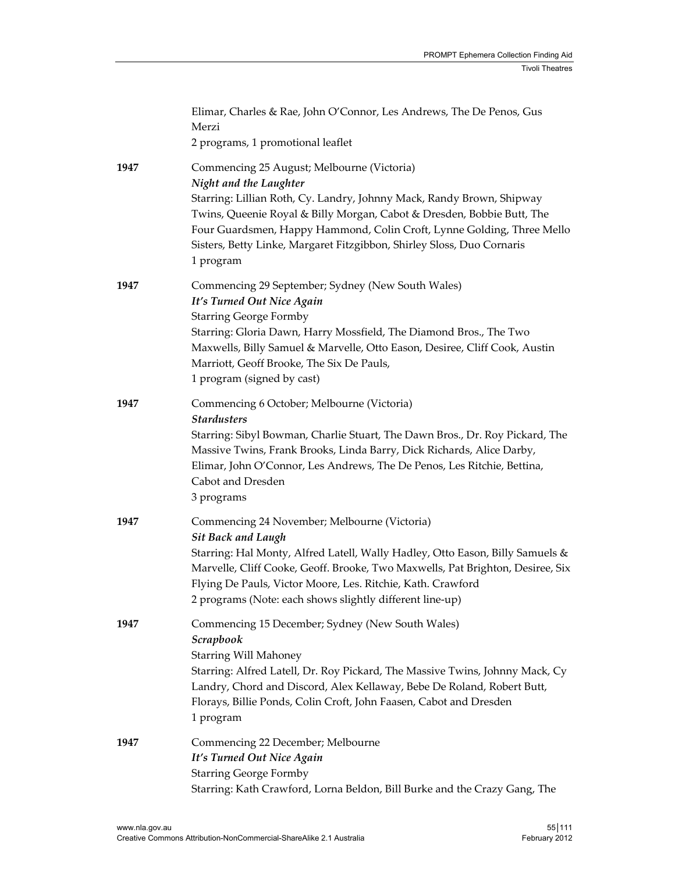|      | Elimar, Charles & Rae, John O'Connor, Les Andrews, The De Penos, Gus<br>Merzi<br>2 programs, 1 promotional leaflet                                                                                                                                                                                                                                                                       |
|------|------------------------------------------------------------------------------------------------------------------------------------------------------------------------------------------------------------------------------------------------------------------------------------------------------------------------------------------------------------------------------------------|
| 1947 | Commencing 25 August; Melbourne (Victoria)<br>Night and the Laughter<br>Starring: Lillian Roth, Cy. Landry, Johnny Mack, Randy Brown, Shipway<br>Twins, Queenie Royal & Billy Morgan, Cabot & Dresden, Bobbie Butt, The<br>Four Guardsmen, Happy Hammond, Colin Croft, Lynne Golding, Three Mello<br>Sisters, Betty Linke, Margaret Fitzgibbon, Shirley Sloss, Duo Cornaris<br>1 program |
| 1947 | Commencing 29 September; Sydney (New South Wales)<br>It's Turned Out Nice Again<br><b>Starring George Formby</b><br>Starring: Gloria Dawn, Harry Mossfield, The Diamond Bros., The Two<br>Maxwells, Billy Samuel & Marvelle, Otto Eason, Desiree, Cliff Cook, Austin<br>Marriott, Geoff Brooke, The Six De Pauls,<br>1 program (signed by cast)                                          |
| 1947 | Commencing 6 October; Melbourne (Victoria)<br><b>Stardusters</b><br>Starring: Sibyl Bowman, Charlie Stuart, The Dawn Bros., Dr. Roy Pickard, The<br>Massive Twins, Frank Brooks, Linda Barry, Dick Richards, Alice Darby,<br>Elimar, John O'Connor, Les Andrews, The De Penos, Les Ritchie, Bettina,<br>Cabot and Dresden<br>3 programs                                                  |
| 1947 | Commencing 24 November; Melbourne (Victoria)<br><b>Sit Back and Laugh</b><br>Starring: Hal Monty, Alfred Latell, Wally Hadley, Otto Eason, Billy Samuels &<br>Marvelle, Cliff Cooke, Geoff. Brooke, Two Maxwells, Pat Brighton, Desiree, Six<br>Flying De Pauls, Victor Moore, Les. Ritchie, Kath. Crawford<br>2 programs (Note: each shows slightly different line-up)                  |
| 1947 | Commencing 15 December; Sydney (New South Wales)<br>Scrapbook<br><b>Starring Will Mahoney</b><br>Starring: Alfred Latell, Dr. Roy Pickard, The Massive Twins, Johnny Mack, Cy<br>Landry, Chord and Discord, Alex Kellaway, Bebe De Roland, Robert Butt,<br>Florays, Billie Ponds, Colin Croft, John Faasen, Cabot and Dresden<br>1 program                                               |
| 1947 | Commencing 22 December; Melbourne<br>It's Turned Out Nice Again<br><b>Starring George Formby</b><br>Starring: Kath Crawford, Lorna Beldon, Bill Burke and the Crazy Gang, The                                                                                                                                                                                                            |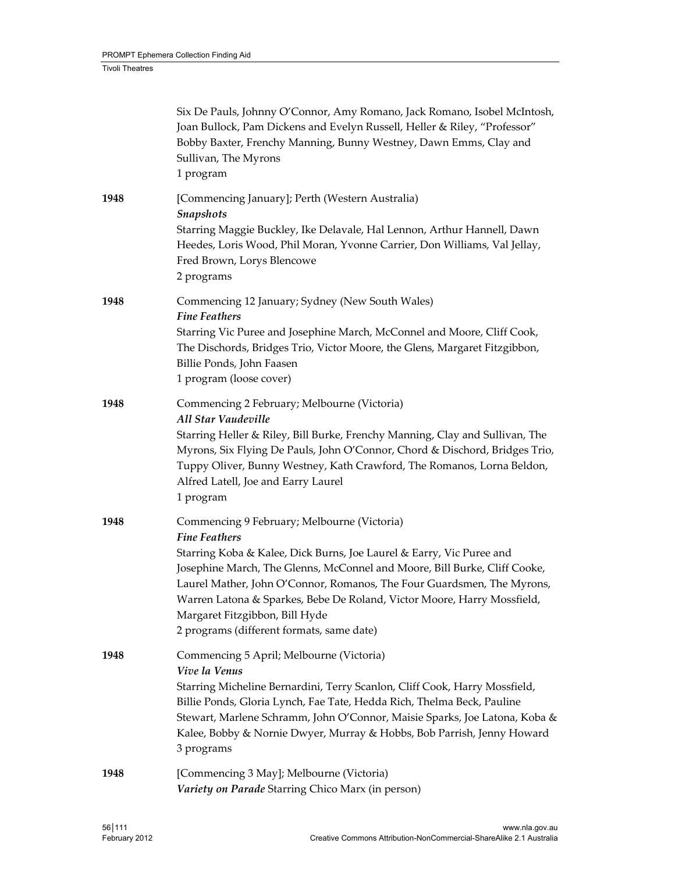|      | Six De Pauls, Johnny O'Connor, Amy Romano, Jack Romano, Isobel McIntosh,<br>Joan Bullock, Pam Dickens and Evelyn Russell, Heller & Riley, "Professor"<br>Bobby Baxter, Frenchy Manning, Bunny Westney, Dawn Emms, Clay and<br>Sullivan, The Myrons<br>1 program                                                                                                                                                                                              |
|------|--------------------------------------------------------------------------------------------------------------------------------------------------------------------------------------------------------------------------------------------------------------------------------------------------------------------------------------------------------------------------------------------------------------------------------------------------------------|
| 1948 | [Commencing January]; Perth (Western Australia)<br><b>Snapshots</b><br>Starring Maggie Buckley, Ike Delavale, Hal Lennon, Arthur Hannell, Dawn<br>Heedes, Loris Wood, Phil Moran, Yvonne Carrier, Don Williams, Val Jellay,<br>Fred Brown, Lorys Blencowe<br>2 programs                                                                                                                                                                                      |
| 1948 | Commencing 12 January; Sydney (New South Wales)<br><b>Fine Feathers</b><br>Starring Vic Puree and Josephine March, McConnel and Moore, Cliff Cook,<br>The Dischords, Bridges Trio, Victor Moore, the Glens, Margaret Fitzgibbon,<br>Billie Ponds, John Faasen<br>1 program (loose cover)                                                                                                                                                                     |
| 1948 | Commencing 2 February; Melbourne (Victoria)<br>All Star Vaudeville<br>Starring Heller & Riley, Bill Burke, Frenchy Manning, Clay and Sullivan, The<br>Myrons, Six Flying De Pauls, John O'Connor, Chord & Dischord, Bridges Trio,<br>Tuppy Oliver, Bunny Westney, Kath Crawford, The Romanos, Lorna Beldon,<br>Alfred Latell, Joe and Earry Laurel<br>1 program                                                                                              |
| 1948 | Commencing 9 February; Melbourne (Victoria)<br><b>Fine Feathers</b><br>Starring Koba & Kalee, Dick Burns, Joe Laurel & Earry, Vic Puree and<br>Josephine March, The Glenns, McConnel and Moore, Bill Burke, Cliff Cooke,<br>Laurel Mather, John O'Connor, Romanos, The Four Guardsmen, The Myrons,<br>Warren Latona & Sparkes, Bebe De Roland, Victor Moore, Harry Mossfield,<br>Margaret Fitzgibbon, Bill Hyde<br>2 programs (different formats, same date) |
| 1948 | Commencing 5 April; Melbourne (Victoria)<br>Vive la Venus<br>Starring Micheline Bernardini, Terry Scanlon, Cliff Cook, Harry Mossfield,<br>Billie Ponds, Gloria Lynch, Fae Tate, Hedda Rich, Thelma Beck, Pauline<br>Stewart, Marlene Schramm, John O'Connor, Maisie Sparks, Joe Latona, Koba &<br>Kalee, Bobby & Nornie Dwyer, Murray & Hobbs, Bob Parrish, Jenny Howard<br>3 programs                                                                      |
| 1948 | [Commencing 3 May]; Melbourne (Victoria)<br>Variety on Parade Starring Chico Marx (in person)                                                                                                                                                                                                                                                                                                                                                                |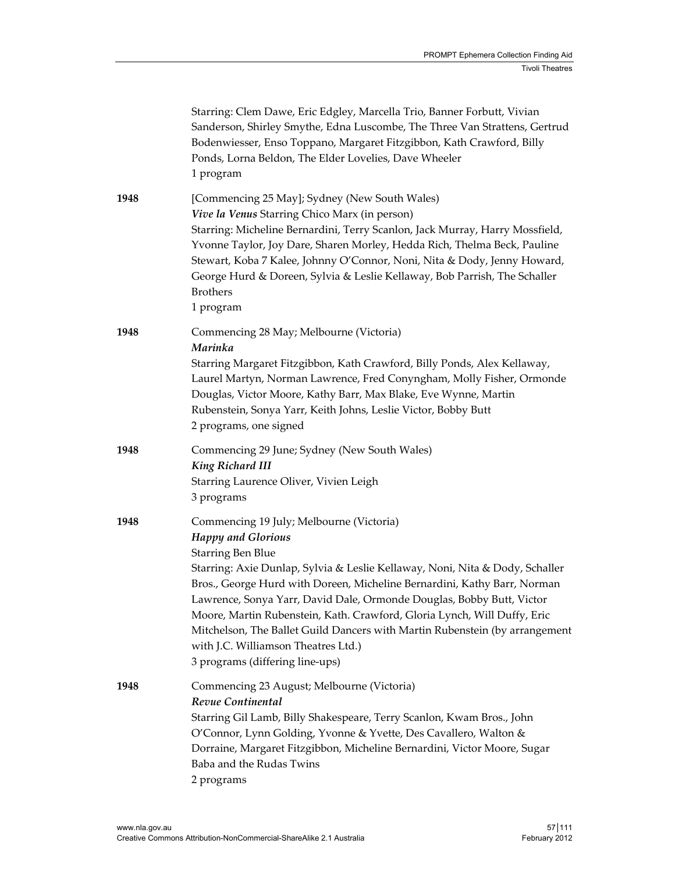|      | Starring: Clem Dawe, Eric Edgley, Marcella Trio, Banner Forbutt, Vivian<br>Sanderson, Shirley Smythe, Edna Luscombe, The Three Van Strattens, Gertrud<br>Bodenwiesser, Enso Toppano, Margaret Fitzgibbon, Kath Crawford, Billy<br>Ponds, Lorna Beldon, The Elder Lovelies, Dave Wheeler<br>1 program                                                                                                                                                                                                                                                                        |
|------|-----------------------------------------------------------------------------------------------------------------------------------------------------------------------------------------------------------------------------------------------------------------------------------------------------------------------------------------------------------------------------------------------------------------------------------------------------------------------------------------------------------------------------------------------------------------------------|
| 1948 | [Commencing 25 May]; Sydney (New South Wales)<br>Vive la Venus Starring Chico Marx (in person)<br>Starring: Micheline Bernardini, Terry Scanlon, Jack Murray, Harry Mossfield,<br>Yvonne Taylor, Joy Dare, Sharen Morley, Hedda Rich, Thelma Beck, Pauline<br>Stewart, Koba 7 Kalee, Johnny O'Connor, Noni, Nita & Dody, Jenny Howard,<br>George Hurd & Doreen, Sylvia & Leslie Kellaway, Bob Parrish, The Schaller<br><b>Brothers</b><br>1 program                                                                                                                         |
| 1948 | Commencing 28 May; Melbourne (Victoria)<br>Marinka<br>Starring Margaret Fitzgibbon, Kath Crawford, Billy Ponds, Alex Kellaway,<br>Laurel Martyn, Norman Lawrence, Fred Conyngham, Molly Fisher, Ormonde<br>Douglas, Victor Moore, Kathy Barr, Max Blake, Eve Wynne, Martin<br>Rubenstein, Sonya Yarr, Keith Johns, Leslie Victor, Bobby Butt<br>2 programs, one signed                                                                                                                                                                                                      |
| 1948 | Commencing 29 June; Sydney (New South Wales)<br><b>King Richard III</b><br>Starring Laurence Oliver, Vivien Leigh<br>3 programs                                                                                                                                                                                                                                                                                                                                                                                                                                             |
| 1948 | Commencing 19 July; Melbourne (Victoria)<br><b>Happy and Glorious</b><br><b>Starring Ben Blue</b><br>Starring: Axie Dunlap, Sylvia & Leslie Kellaway, Noni, Nita & Dody, Schaller<br>Bros., George Hurd with Doreen, Micheline Bernardini, Kathy Barr, Norman<br>Lawrence, Sonya Yarr, David Dale, Ormonde Douglas, Bobby Butt, Victor<br>Moore, Martin Rubenstein, Kath. Crawford, Gloria Lynch, Will Duffy, Eric<br>Mitchelson, The Ballet Guild Dancers with Martin Rubenstein (by arrangement<br>with J.C. Williamson Theatres Ltd.)<br>3 programs (differing line-ups) |
| 1948 | Commencing 23 August; Melbourne (Victoria)<br>Revue Continental<br>Starring Gil Lamb, Billy Shakespeare, Terry Scanlon, Kwam Bros., John<br>O'Connor, Lynn Golding, Yvonne & Yvette, Des Cavallero, Walton &<br>Dorraine, Margaret Fitzgibbon, Micheline Bernardini, Victor Moore, Sugar<br>Baba and the Rudas Twins<br>2 programs                                                                                                                                                                                                                                          |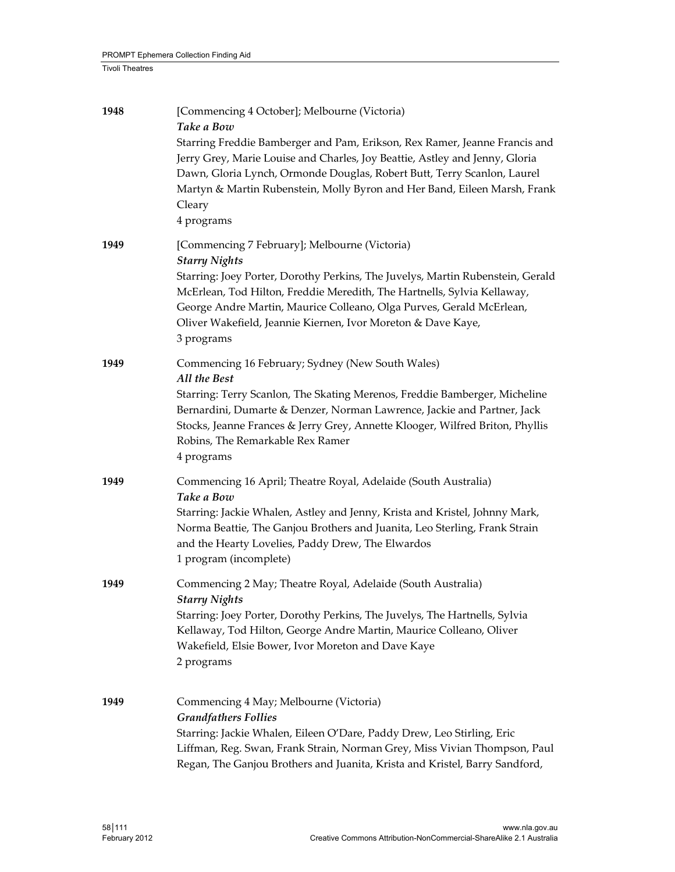| 1948 | [Commencing 4 October]; Melbourne (Victoria)<br>Take a Bow                                                                                                                                                                                                                                                                                                                               |
|------|------------------------------------------------------------------------------------------------------------------------------------------------------------------------------------------------------------------------------------------------------------------------------------------------------------------------------------------------------------------------------------------|
|      | Starring Freddie Bamberger and Pam, Erikson, Rex Ramer, Jeanne Francis and<br>Jerry Grey, Marie Louise and Charles, Joy Beattie, Astley and Jenny, Gloria<br>Dawn, Gloria Lynch, Ormonde Douglas, Robert Butt, Terry Scanlon, Laurel<br>Martyn & Martin Rubenstein, Molly Byron and Her Band, Eileen Marsh, Frank<br>Cleary<br>4 programs                                                |
| 1949 | [Commencing 7 February]; Melbourne (Victoria)<br><b>Starry Nights</b><br>Starring: Joey Porter, Dorothy Perkins, The Juvelys, Martin Rubenstein, Gerald<br>McErlean, Tod Hilton, Freddie Meredith, The Hartnells, Sylvia Kellaway,<br>George Andre Martin, Maurice Colleano, Olga Purves, Gerald McErlean,<br>Oliver Wakefield, Jeannie Kiernen, Ivor Moreton & Dave Kaye,<br>3 programs |
| 1949 | Commencing 16 February; Sydney (New South Wales)<br>All the Best<br>Starring: Terry Scanlon, The Skating Merenos, Freddie Bamberger, Micheline<br>Bernardini, Dumarte & Denzer, Norman Lawrence, Jackie and Partner, Jack<br>Stocks, Jeanne Frances & Jerry Grey, Annette Klooger, Wilfred Briton, Phyllis<br>Robins, The Remarkable Rex Ramer<br>4 programs                             |
| 1949 | Commencing 16 April; Theatre Royal, Adelaide (South Australia)<br>Take a Bow<br>Starring: Jackie Whalen, Astley and Jenny, Krista and Kristel, Johnny Mark,<br>Norma Beattie, The Ganjou Brothers and Juanita, Leo Sterling, Frank Strain<br>and the Hearty Lovelies, Paddy Drew, The Elwardos<br>1 program (incomplete)                                                                 |
| 1949 | Commencing 2 May; Theatre Royal, Adelaide (South Australia)<br>Starry Nights<br>Starring: Joey Porter, Dorothy Perkins, The Juvelys, The Hartnells, Sylvia<br>Kellaway, Tod Hilton, George Andre Martin, Maurice Colleano, Oliver<br>Wakefield, Elsie Bower, Ivor Moreton and Dave Kaye<br>2 programs                                                                                    |
| 1949 | Commencing 4 May; Melbourne (Victoria)<br><b>Grandfathers Follies</b><br>Starring: Jackie Whalen, Eileen O'Dare, Paddy Drew, Leo Stirling, Eric<br>Liffman, Reg. Swan, Frank Strain, Norman Grey, Miss Vivian Thompson, Paul<br>Regan, The Ganjou Brothers and Juanita, Krista and Kristel, Barry Sandford,                                                                              |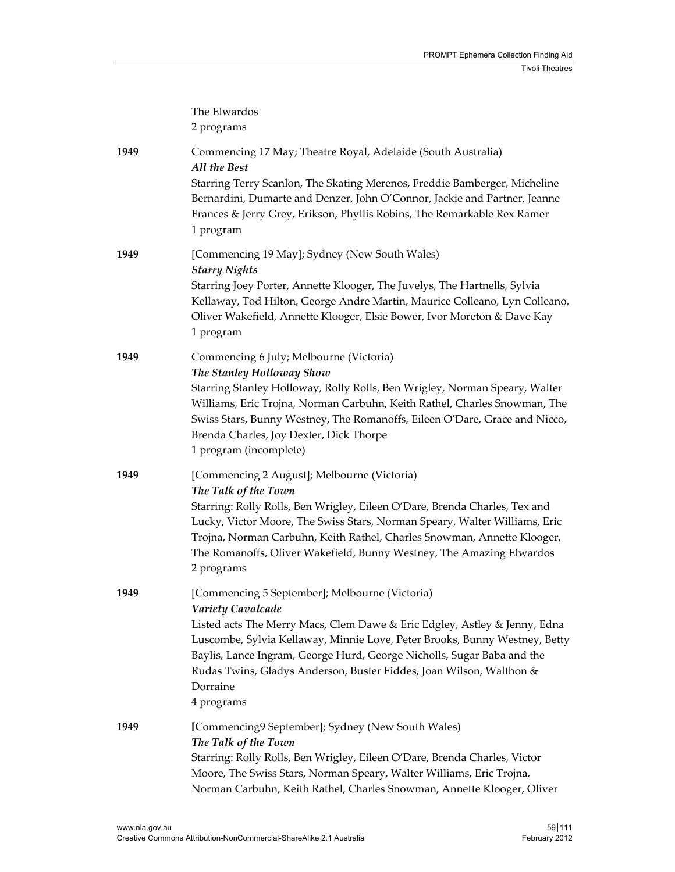|      | The Elwardos<br>2 programs                                                                                                                                                                                                                                                                                                                                                                                |
|------|-----------------------------------------------------------------------------------------------------------------------------------------------------------------------------------------------------------------------------------------------------------------------------------------------------------------------------------------------------------------------------------------------------------|
| 1949 | Commencing 17 May; Theatre Royal, Adelaide (South Australia)<br>All the Best<br>Starring Terry Scanlon, The Skating Merenos, Freddie Bamberger, Micheline<br>Bernardini, Dumarte and Denzer, John O'Connor, Jackie and Partner, Jeanne<br>Frances & Jerry Grey, Erikson, Phyllis Robins, The Remarkable Rex Ramer<br>1 program                                                                            |
| 1949 | [Commencing 19 May]; Sydney (New South Wales)<br><b>Starry Nights</b><br>Starring Joey Porter, Annette Klooger, The Juvelys, The Hartnells, Sylvia<br>Kellaway, Tod Hilton, George Andre Martin, Maurice Colleano, Lyn Colleano,<br>Oliver Wakefield, Annette Klooger, Elsie Bower, Ivor Moreton & Dave Kay<br>1 program                                                                                  |
| 1949 | Commencing 6 July; Melbourne (Victoria)<br>The Stanley Holloway Show<br>Starring Stanley Holloway, Rolly Rolls, Ben Wrigley, Norman Speary, Walter<br>Williams, Eric Trojna, Norman Carbuhn, Keith Rathel, Charles Snowman, The<br>Swiss Stars, Bunny Westney, The Romanoffs, Eileen O'Dare, Grace and Nicco,<br>Brenda Charles, Joy Dexter, Dick Thorpe<br>1 program (incomplete)                        |
| 1949 | [Commencing 2 August]; Melbourne (Victoria)<br>The Talk of the Town<br>Starring: Rolly Rolls, Ben Wrigley, Eileen O'Dare, Brenda Charles, Tex and<br>Lucky, Victor Moore, The Swiss Stars, Norman Speary, Walter Williams, Eric<br>Trojna, Norman Carbuhn, Keith Rathel, Charles Snowman, Annette Klooger,<br>The Romanoffs, Oliver Wakefield, Bunny Westney, The Amazing Elwardos<br>2 programs          |
| 1949 | [Commencing 5 September]; Melbourne (Victoria)<br>Variety Cavalcade<br>Listed acts The Merry Macs, Clem Dawe & Eric Edgley, Astley & Jenny, Edna<br>Luscombe, Sylvia Kellaway, Minnie Love, Peter Brooks, Bunny Westney, Betty<br>Baylis, Lance Ingram, George Hurd, George Nicholls, Sugar Baba and the<br>Rudas Twins, Gladys Anderson, Buster Fiddes, Joan Wilson, Walthon &<br>Dorraine<br>4 programs |
| 1949 | [Commencing9 September]; Sydney (New South Wales)<br>The Talk of the Town<br>Starring: Rolly Rolls, Ben Wrigley, Eileen O'Dare, Brenda Charles, Victor<br>Moore, The Swiss Stars, Norman Speary, Walter Williams, Eric Trojna,<br>Norman Carbuhn, Keith Rathel, Charles Snowman, Annette Klooger, Oliver                                                                                                  |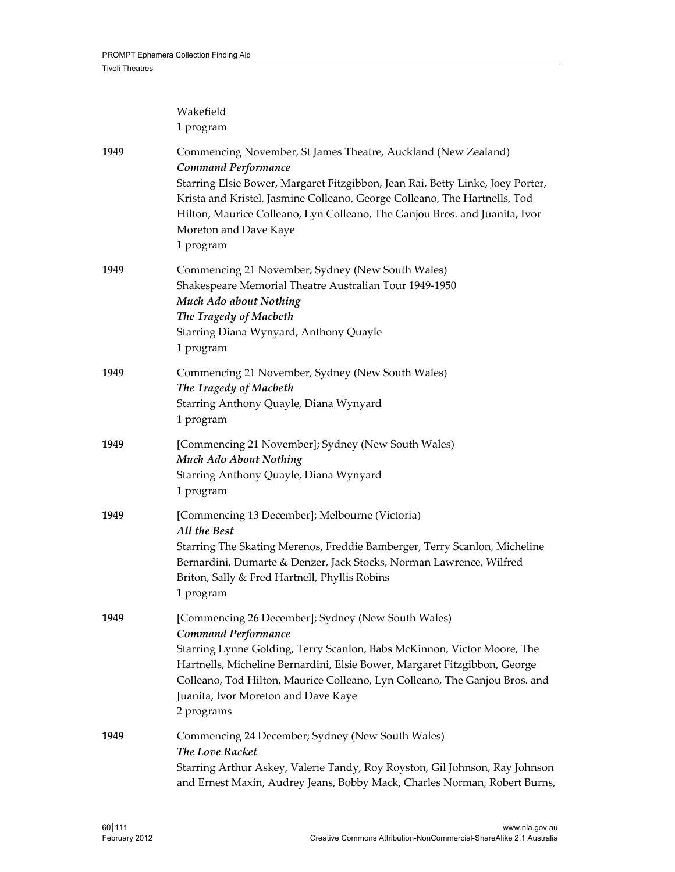|      | Wakefield<br>1 program                                                                                                                                                                                                                                                                                                                                                         |
|------|--------------------------------------------------------------------------------------------------------------------------------------------------------------------------------------------------------------------------------------------------------------------------------------------------------------------------------------------------------------------------------|
| 1949 | Commencing November, St James Theatre, Auckland (New Zealand)<br><b>Command Performance</b><br>Starring Elsie Bower, Margaret Fitzgibbon, Jean Rai, Betty Linke, Joey Porter,<br>Krista and Kristel, Jasmine Colleano, George Colleano, The Hartnells, Tod<br>Hilton, Maurice Colleano, Lyn Colleano, The Ganjou Bros. and Juanita, Ivor<br>Moreton and Dave Kaye<br>1 program |
| 1949 | Commencing 21 November; Sydney (New South Wales)<br>Shakespeare Memorial Theatre Australian Tour 1949-1950<br>Much Ado about Nothing<br>The Tragedy of Macbeth<br>Starring Diana Wynyard, Anthony Quayle<br>1 program                                                                                                                                                          |
| 1949 | Commencing 21 November, Sydney (New South Wales)<br>The Tragedy of Macbeth<br>Starring Anthony Quayle, Diana Wynyard<br>1 program                                                                                                                                                                                                                                              |
| 1949 | [Commencing 21 November]; Sydney (New South Wales)<br>Much Ado About Nothing<br>Starring Anthony Quayle, Diana Wynyard<br>1 program                                                                                                                                                                                                                                            |
| 1949 | [Commencing 13 December]; Melbourne (Victoria)<br><b>All the Best</b><br>Starring The Skating Merenos, Freddie Bamberger, Terry Scanlon, Micheline<br>Bernardini, Dumarte & Denzer, Jack Stocks, Norman Lawrence, Wilfred<br>Briton, Sally & Fred Hartnell, Phyllis Robins<br>1 program                                                                                        |
| 1949 | [Commencing 26 December]; Sydney (New South Wales)<br><b>Command Performance</b><br>Starring Lynne Golding, Terry Scanlon, Babs McKinnon, Victor Moore, The<br>Hartnells, Micheline Bernardini, Elsie Bower, Margaret Fitzgibbon, George<br>Colleano, Tod Hilton, Maurice Colleano, Lyn Colleano, The Ganjou Bros. and<br>Juanita, Ivor Moreton and Dave Kaye<br>2 programs    |
| 1949 | Commencing 24 December; Sydney (New South Wales)<br>The Love Racket<br>Starring Arthur Askey, Valerie Tandy, Roy Royston, Gil Johnson, Ray Johnson<br>and Ernest Maxin, Audrey Jeans, Bobby Mack, Charles Norman, Robert Burns,                                                                                                                                                |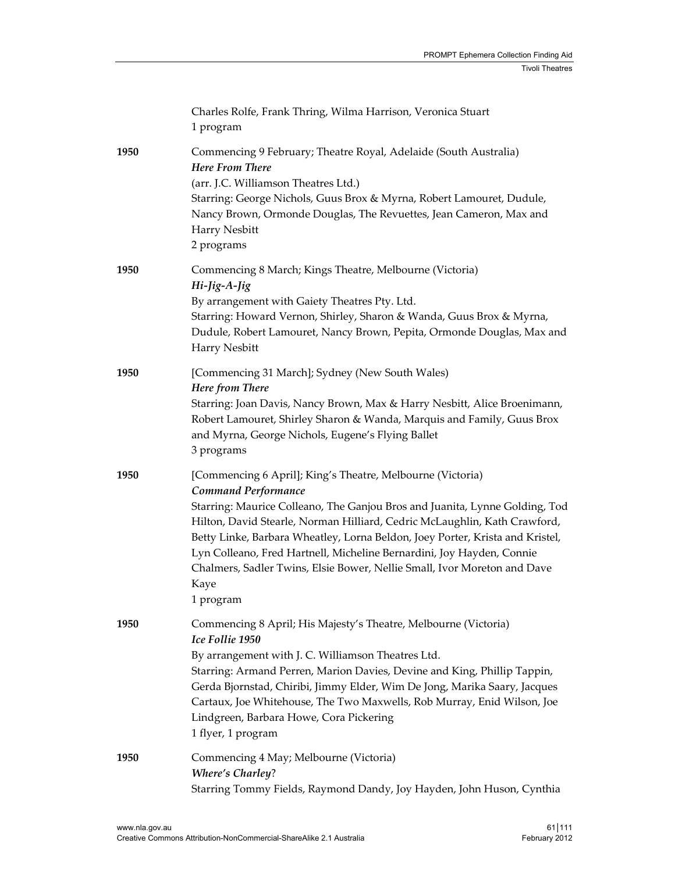|      | Charles Rolfe, Frank Thring, Wilma Harrison, Veronica Stuart<br>1 program                                                                                                                                                                                                                                                                                                                                                                                                                                       |
|------|-----------------------------------------------------------------------------------------------------------------------------------------------------------------------------------------------------------------------------------------------------------------------------------------------------------------------------------------------------------------------------------------------------------------------------------------------------------------------------------------------------------------|
| 1950 | Commencing 9 February; Theatre Royal, Adelaide (South Australia)<br><b>Here From There</b><br>(arr. J.C. Williamson Theatres Ltd.)<br>Starring: George Nichols, Guus Brox & Myrna, Robert Lamouret, Dudule,<br>Nancy Brown, Ormonde Douglas, The Revuettes, Jean Cameron, Max and<br>Harry Nesbitt<br>2 programs                                                                                                                                                                                                |
| 1950 | Commencing 8 March; Kings Theatre, Melbourne (Victoria)<br>Hi-Jig-A-Jig<br>By arrangement with Gaiety Theatres Pty. Ltd.<br>Starring: Howard Vernon, Shirley, Sharon & Wanda, Guus Brox & Myrna,<br>Dudule, Robert Lamouret, Nancy Brown, Pepita, Ormonde Douglas, Max and<br>Harry Nesbitt                                                                                                                                                                                                                     |
| 1950 | [Commencing 31 March]; Sydney (New South Wales)<br>Here from There<br>Starring: Joan Davis, Nancy Brown, Max & Harry Nesbitt, Alice Broenimann,<br>Robert Lamouret, Shirley Sharon & Wanda, Marquis and Family, Guus Brox<br>and Myrna, George Nichols, Eugene's Flying Ballet<br>3 programs                                                                                                                                                                                                                    |
| 1950 | [Commencing 6 April]; King's Theatre, Melbourne (Victoria)<br><b>Command Performance</b><br>Starring: Maurice Colleano, The Ganjou Bros and Juanita, Lynne Golding, Tod<br>Hilton, David Stearle, Norman Hilliard, Cedric McLaughlin, Kath Crawford,<br>Betty Linke, Barbara Wheatley, Lorna Beldon, Joey Porter, Krista and Kristel,<br>Lyn Colleano, Fred Hartnell, Micheline Bernardini, Joy Hayden, Connie<br>Chalmers, Sadler Twins, Elsie Bower, Nellie Small, Ivor Moreton and Dave<br>Kaye<br>1 program |
| 1950 | Commencing 8 April; His Majesty's Theatre, Melbourne (Victoria)<br>Ice Follie 1950<br>By arrangement with J. C. Williamson Theatres Ltd.<br>Starring: Armand Perren, Marion Davies, Devine and King, Phillip Tappin,<br>Gerda Bjornstad, Chiribi, Jimmy Elder, Wim De Jong, Marika Saary, Jacques<br>Cartaux, Joe Whitehouse, The Two Maxwells, Rob Murray, Enid Wilson, Joe<br>Lindgreen, Barbara Howe, Cora Pickering<br>1 flyer, 1 program                                                                   |
| 1950 | Commencing 4 May; Melbourne (Victoria)<br><b>Where's Charley?</b><br>Starring Tommy Fields, Raymond Dandy, Joy Hayden, John Huson, Cynthia                                                                                                                                                                                                                                                                                                                                                                      |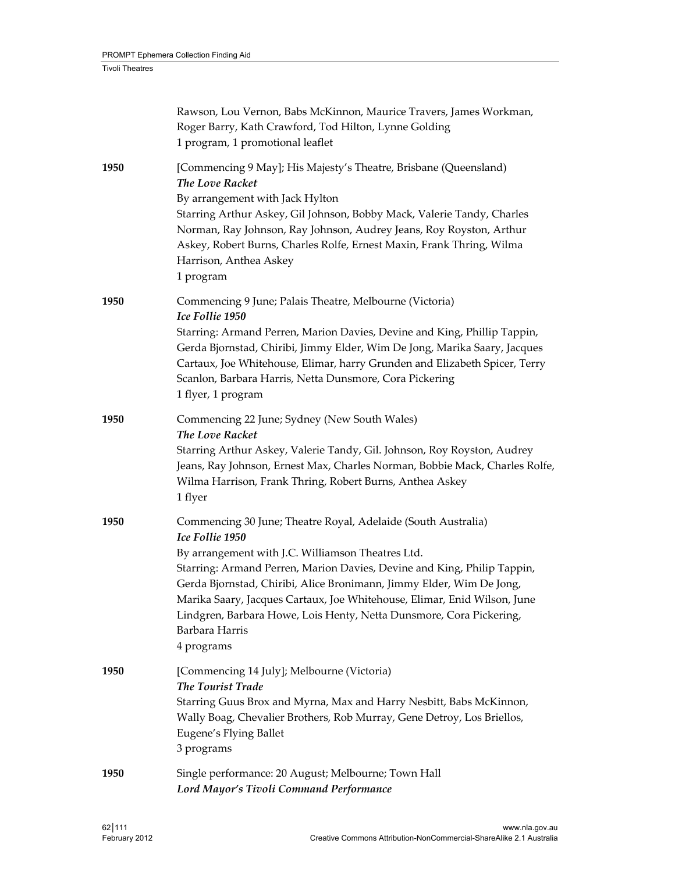|      | Rawson, Lou Vernon, Babs McKinnon, Maurice Travers, James Workman,<br>Roger Barry, Kath Crawford, Tod Hilton, Lynne Golding<br>1 program, 1 promotional leaflet                                                                                                                                                                                                                                                                                                             |
|------|-----------------------------------------------------------------------------------------------------------------------------------------------------------------------------------------------------------------------------------------------------------------------------------------------------------------------------------------------------------------------------------------------------------------------------------------------------------------------------|
| 1950 | [Commencing 9 May]; His Majesty's Theatre, Brisbane (Queensland)<br>The Love Racket<br>By arrangement with Jack Hylton<br>Starring Arthur Askey, Gil Johnson, Bobby Mack, Valerie Tandy, Charles<br>Norman, Ray Johnson, Ray Johnson, Audrey Jeans, Roy Royston, Arthur<br>Askey, Robert Burns, Charles Rolfe, Ernest Maxin, Frank Thring, Wilma<br>Harrison, Anthea Askey<br>1 program                                                                                     |
| 1950 | Commencing 9 June; Palais Theatre, Melbourne (Victoria)<br>Ice Follie 1950<br>Starring: Armand Perren, Marion Davies, Devine and King, Phillip Tappin,<br>Gerda Bjornstad, Chiribi, Jimmy Elder, Wim De Jong, Marika Saary, Jacques<br>Cartaux, Joe Whitehouse, Elimar, harry Grunden and Elizabeth Spicer, Terry<br>Scanlon, Barbara Harris, Netta Dunsmore, Cora Pickering<br>1 flyer, 1 program                                                                          |
| 1950 | Commencing 22 June; Sydney (New South Wales)<br>The Love Racket<br>Starring Arthur Askey, Valerie Tandy, Gil. Johnson, Roy Royston, Audrey<br>Jeans, Ray Johnson, Ernest Max, Charles Norman, Bobbie Mack, Charles Rolfe,<br>Wilma Harrison, Frank Thring, Robert Burns, Anthea Askey<br>1 flyer                                                                                                                                                                            |
| 1950 | Commencing 30 June; Theatre Royal, Adelaide (South Australia)<br>Ice Follie 1950<br>By arrangement with J.C. Williamson Theatres Ltd.<br>Starring: Armand Perren, Marion Davies, Devine and King, Philip Tappin,<br>Gerda Bjornstad, Chiribi, Alice Bronimann, Jimmy Elder, Wim De Jong,<br>Marika Saary, Jacques Cartaux, Joe Whitehouse, Elimar, Enid Wilson, June<br>Lindgren, Barbara Howe, Lois Henty, Netta Dunsmore, Cora Pickering,<br>Barbara Harris<br>4 programs |
| 1950 | [Commencing 14 July]; Melbourne (Victoria)<br>The Tourist Trade<br>Starring Guus Brox and Myrna, Max and Harry Nesbitt, Babs McKinnon,<br>Wally Boag, Chevalier Brothers, Rob Murray, Gene Detroy, Los Briellos,<br>Eugene's Flying Ballet<br>3 programs                                                                                                                                                                                                                    |
| 1950 | Single performance: 20 August; Melbourne; Town Hall<br>Lord Mayor's Tivoli Command Performance                                                                                                                                                                                                                                                                                                                                                                              |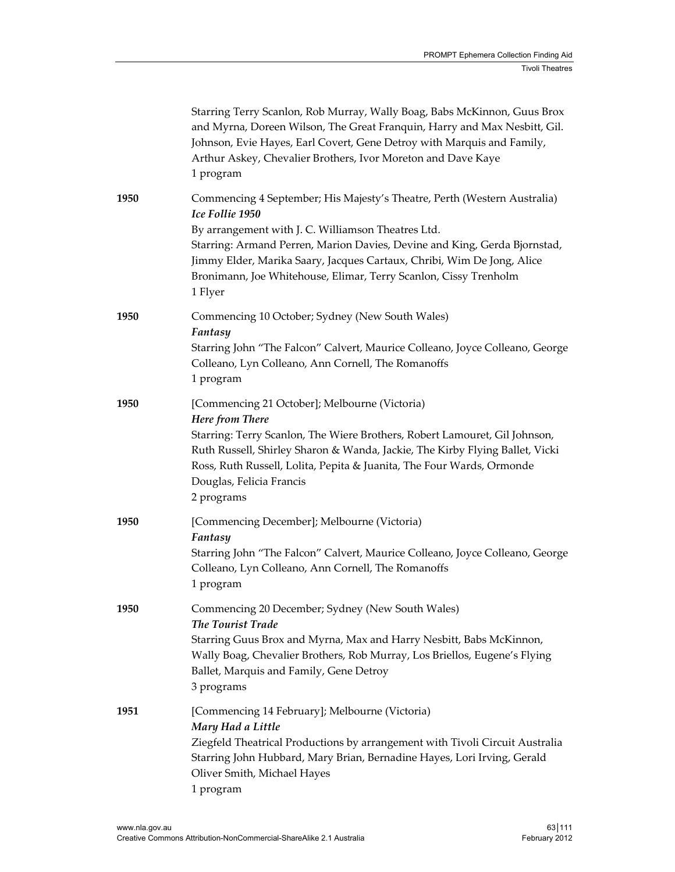|      | Starring Terry Scanlon, Rob Murray, Wally Boag, Babs McKinnon, Guus Brox<br>and Myrna, Doreen Wilson, The Great Franquin, Harry and Max Nesbitt, Gil.<br>Johnson, Evie Hayes, Earl Covert, Gene Detroy with Marquis and Family,<br>Arthur Askey, Chevalier Brothers, Ivor Moreton and Dave Kaye<br>1 program                                                                            |
|------|-----------------------------------------------------------------------------------------------------------------------------------------------------------------------------------------------------------------------------------------------------------------------------------------------------------------------------------------------------------------------------------------|
| 1950 | Commencing 4 September; His Majesty's Theatre, Perth (Western Australia)<br>Ice Follie 1950<br>By arrangement with J. C. Williamson Theatres Ltd.<br>Starring: Armand Perren, Marion Davies, Devine and King, Gerda Bjornstad,<br>Jimmy Elder, Marika Saary, Jacques Cartaux, Chribi, Wim De Jong, Alice<br>Bronimann, Joe Whitehouse, Elimar, Terry Scanlon, Cissy Trenholm<br>1 Flyer |
| 1950 | Commencing 10 October; Sydney (New South Wales)<br>Fantasy<br>Starring John "The Falcon" Calvert, Maurice Colleano, Joyce Colleano, George<br>Colleano, Lyn Colleano, Ann Cornell, The Romanoffs<br>1 program                                                                                                                                                                           |
| 1950 | [Commencing 21 October]; Melbourne (Victoria)<br>Here from There<br>Starring: Terry Scanlon, The Wiere Brothers, Robert Lamouret, Gil Johnson,<br>Ruth Russell, Shirley Sharon & Wanda, Jackie, The Kirby Flying Ballet, Vicki<br>Ross, Ruth Russell, Lolita, Pepita & Juanita, The Four Wards, Ormonde<br>Douglas, Felicia Francis<br>2 programs                                       |
| 1950 | [Commencing December]; Melbourne (Victoria)<br>Fantasy<br>Starring John "The Falcon" Calvert, Maurice Colleano, Joyce Colleano, George<br>Colleano, Lyn Colleano, Ann Cornell, The Romanoffs<br>1 program                                                                                                                                                                               |
| 1950 | Commencing 20 December; Sydney (New South Wales)<br>The Tourist Trade<br>Starring Guus Brox and Myrna, Max and Harry Nesbitt, Babs McKinnon,<br>Wally Boag, Chevalier Brothers, Rob Murray, Los Briellos, Eugene's Flying<br>Ballet, Marquis and Family, Gene Detroy<br>3 programs                                                                                                      |
| 1951 | [Commencing 14 February]; Melbourne (Victoria)<br>Mary Had a Little<br>Ziegfeld Theatrical Productions by arrangement with Tivoli Circuit Australia<br>Starring John Hubbard, Mary Brian, Bernadine Hayes, Lori Irving, Gerald<br>Oliver Smith, Michael Hayes<br>1 program                                                                                                              |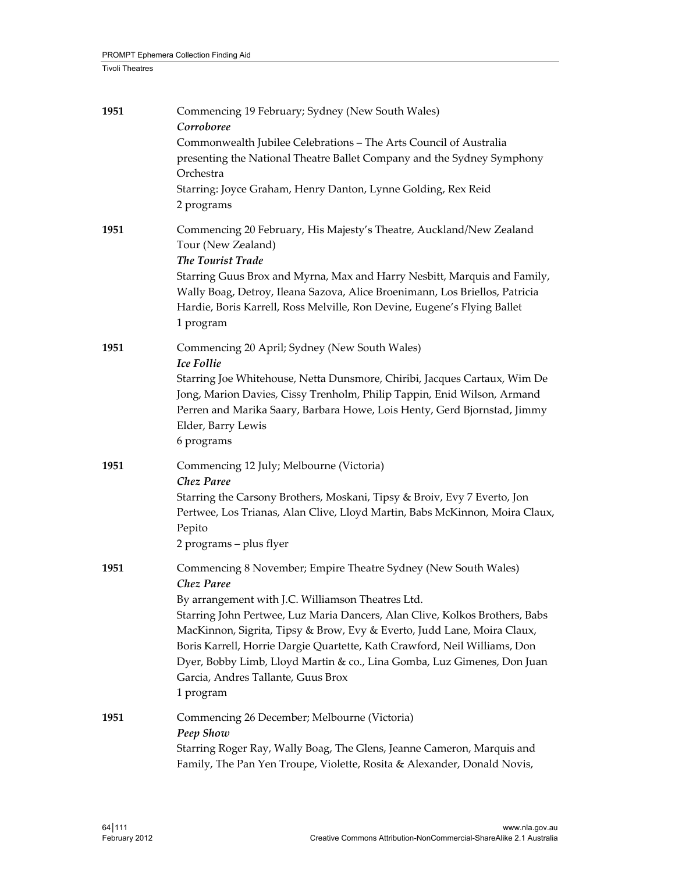| 1951 | Commencing 19 February; Sydney (New South Wales)<br>Corroboree<br>Commonwealth Jubilee Celebrations - The Arts Council of Australia<br>presenting the National Theatre Ballet Company and the Sydney Symphony<br>Orchestra<br>Starring: Joyce Graham, Henry Danton, Lynne Golding, Rex Reid<br>2 programs                                                                                                                                                                                                     |
|------|---------------------------------------------------------------------------------------------------------------------------------------------------------------------------------------------------------------------------------------------------------------------------------------------------------------------------------------------------------------------------------------------------------------------------------------------------------------------------------------------------------------|
| 1951 | Commencing 20 February, His Majesty's Theatre, Auckland/New Zealand<br>Tour (New Zealand)<br>The Tourist Trade<br>Starring Guus Brox and Myrna, Max and Harry Nesbitt, Marquis and Family,<br>Wally Boag, Detroy, Ileana Sazova, Alice Broenimann, Los Briellos, Patricia<br>Hardie, Boris Karrell, Ross Melville, Ron Devine, Eugene's Flying Ballet<br>1 program                                                                                                                                            |
| 1951 | Commencing 20 April; Sydney (New South Wales)<br><b>Ice Follie</b><br>Starring Joe Whitehouse, Netta Dunsmore, Chiribi, Jacques Cartaux, Wim De<br>Jong, Marion Davies, Cissy Trenholm, Philip Tappin, Enid Wilson, Armand<br>Perren and Marika Saary, Barbara Howe, Lois Henty, Gerd Bjornstad, Jimmy<br>Elder, Barry Lewis<br>6 programs                                                                                                                                                                    |
| 1951 | Commencing 12 July; Melbourne (Victoria)<br><b>Chez Paree</b><br>Starring the Carsony Brothers, Moskani, Tipsy & Broiv, Evy 7 Everto, Jon<br>Pertwee, Los Trianas, Alan Clive, Lloyd Martin, Babs McKinnon, Moira Claux,<br>Pepito<br>2 programs - plus flyer                                                                                                                                                                                                                                                 |
| 1951 | Commencing 8 November; Empire Theatre Sydney (New South Wales)<br><b>Chez Paree</b><br>By arrangement with J.C. Williamson Theatres Ltd.<br>Starring John Pertwee, Luz Maria Dancers, Alan Clive, Kolkos Brothers, Babs<br>MacKinnon, Sigrita, Tipsy & Brow, Evy & Everto, Judd Lane, Moira Claux,<br>Boris Karrell, Horrie Dargie Quartette, Kath Crawford, Neil Williams, Don<br>Dyer, Bobby Limb, Lloyd Martin & co., Lina Gomba, Luz Gimenes, Don Juan<br>Garcia, Andres Tallante, Guus Brox<br>1 program |
| 1951 | Commencing 26 December; Melbourne (Victoria)<br>Peep Show<br>Starring Roger Ray, Wally Boag, The Glens, Jeanne Cameron, Marquis and<br>Family, The Pan Yen Troupe, Violette, Rosita & Alexander, Donald Novis,                                                                                                                                                                                                                                                                                                |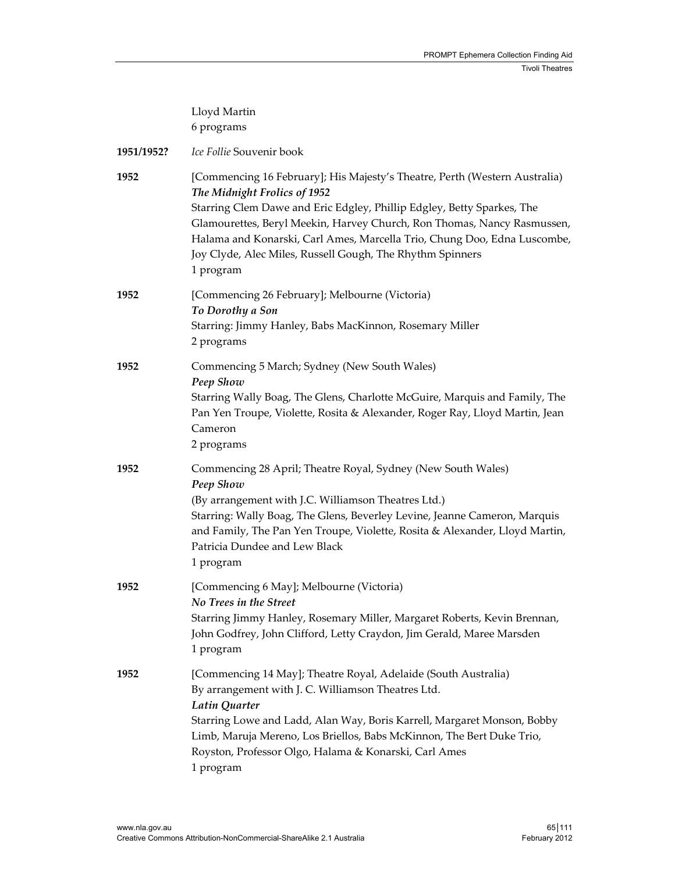|            | Lloyd Martin<br>6 programs                                                                                                                                                                                                                                                                                                                                                                                            |
|------------|-----------------------------------------------------------------------------------------------------------------------------------------------------------------------------------------------------------------------------------------------------------------------------------------------------------------------------------------------------------------------------------------------------------------------|
| 1951/1952? | Ice Follie Souvenir book                                                                                                                                                                                                                                                                                                                                                                                              |
| 1952       | [Commencing 16 February]; His Majesty's Theatre, Perth (Western Australia)<br>The Midnight Frolics of 1952<br>Starring Clem Dawe and Eric Edgley, Phillip Edgley, Betty Sparkes, The<br>Glamourettes, Beryl Meekin, Harvey Church, Ron Thomas, Nancy Rasmussen,<br>Halama and Konarski, Carl Ames, Marcella Trio, Chung Doo, Edna Luscombe,<br>Joy Clyde, Alec Miles, Russell Gough, The Rhythm Spinners<br>1 program |
| 1952       | [Commencing 26 February]; Melbourne (Victoria)<br>To Dorothy a Son<br>Starring: Jimmy Hanley, Babs MacKinnon, Rosemary Miller<br>2 programs                                                                                                                                                                                                                                                                           |
| 1952       | Commencing 5 March; Sydney (New South Wales)<br>Peep Show<br>Starring Wally Boag, The Glens, Charlotte McGuire, Marquis and Family, The<br>Pan Yen Troupe, Violette, Rosita & Alexander, Roger Ray, Lloyd Martin, Jean<br>Cameron<br>2 programs                                                                                                                                                                       |
| 1952       | Commencing 28 April; Theatre Royal, Sydney (New South Wales)<br>Peep Show<br>(By arrangement with J.C. Williamson Theatres Ltd.)<br>Starring: Wally Boag, The Glens, Beverley Levine, Jeanne Cameron, Marquis<br>and Family, The Pan Yen Troupe, Violette, Rosita & Alexander, Lloyd Martin,<br>Patricia Dundee and Lew Black<br>1 program                                                                            |
| 1952       | [Commencing 6 May]; Melbourne (Victoria)<br>No Trees in the Street<br>Starring Jimmy Hanley, Rosemary Miller, Margaret Roberts, Kevin Brennan,<br>John Godfrey, John Clifford, Letty Craydon, Jim Gerald, Maree Marsden<br>1 program                                                                                                                                                                                  |
| 1952       | [Commencing 14 May]; Theatre Royal, Adelaide (South Australia)<br>By arrangement with J. C. Williamson Theatres Ltd.<br>Latin Quarter<br>Starring Lowe and Ladd, Alan Way, Boris Karrell, Margaret Monson, Bobby<br>Limb, Maruja Mereno, Los Briellos, Babs McKinnon, The Bert Duke Trio,<br>Royston, Professor Olgo, Halama & Konarski, Carl Ames<br>1 program                                                       |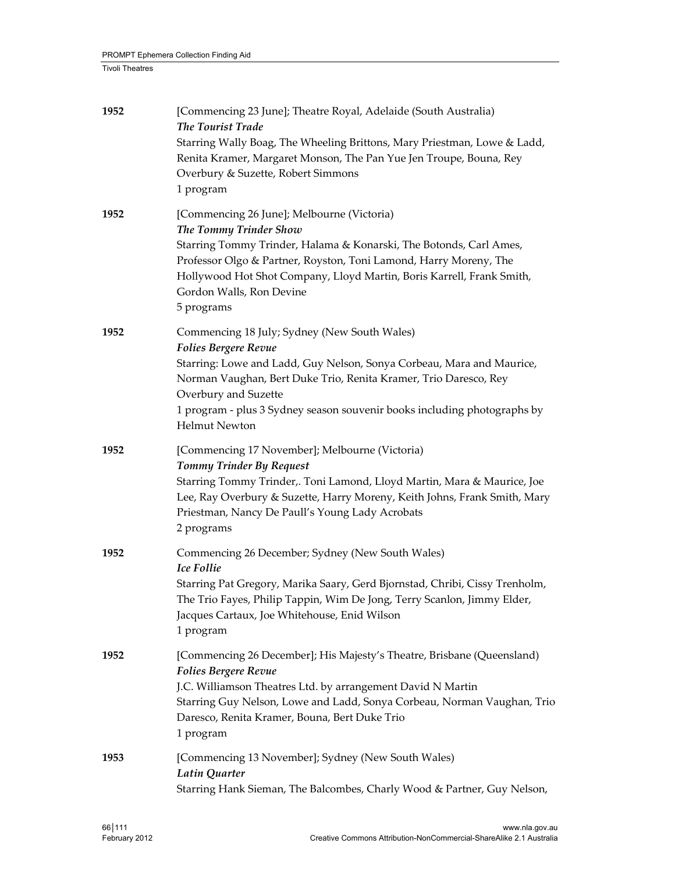| 1952 | [Commencing 23 June]; Theatre Royal, Adelaide (South Australia)<br>The Tourist Trade<br>Starring Wally Boag, The Wheeling Brittons, Mary Priestman, Lowe & Ladd,<br>Renita Kramer, Margaret Monson, The Pan Yue Jen Troupe, Bouna, Rey<br>Overbury & Suzette, Robert Simmons<br>1 program                                                            |
|------|------------------------------------------------------------------------------------------------------------------------------------------------------------------------------------------------------------------------------------------------------------------------------------------------------------------------------------------------------|
| 1952 | [Commencing 26 June]; Melbourne (Victoria)<br>The Tommy Trinder Show<br>Starring Tommy Trinder, Halama & Konarski, The Botonds, Carl Ames,<br>Professor Olgo & Partner, Royston, Toni Lamond, Harry Moreny, The<br>Hollywood Hot Shot Company, Lloyd Martin, Boris Karrell, Frank Smith,<br>Gordon Walls, Ron Devine<br>5 programs                   |
| 1952 | Commencing 18 July; Sydney (New South Wales)<br><b>Folies Bergere Revue</b><br>Starring: Lowe and Ladd, Guy Nelson, Sonya Corbeau, Mara and Maurice,<br>Norman Vaughan, Bert Duke Trio, Renita Kramer, Trio Daresco, Rey<br>Overbury and Suzette<br>1 program - plus 3 Sydney season souvenir books including photographs by<br><b>Helmut Newton</b> |
| 1952 | [Commencing 17 November]; Melbourne (Victoria)<br><b>Tommy Trinder By Request</b><br>Starring Tommy Trinder,. Toni Lamond, Lloyd Martin, Mara & Maurice, Joe<br>Lee, Ray Overbury & Suzette, Harry Moreny, Keith Johns, Frank Smith, Mary<br>Priestman, Nancy De Paull's Young Lady Acrobats<br>2 programs                                           |
| 1952 | Commencing 26 December; Sydney (New South Wales)<br><b>Ice Follie</b><br>Starring Pat Gregory, Marika Saary, Gerd Bjornstad, Chribi, Cissy Trenholm,<br>The Trio Fayes, Philip Tappin, Wim De Jong, Terry Scanlon, Jimmy Elder,<br>Jacques Cartaux, Joe Whitehouse, Enid Wilson<br>1 program                                                         |
| 1952 | [Commencing 26 December]; His Majesty's Theatre, Brisbane (Queensland)<br><b>Folies Bergere Revue</b><br>J.C. Williamson Theatres Ltd. by arrangement David N Martin<br>Starring Guy Nelson, Lowe and Ladd, Sonya Corbeau, Norman Vaughan, Trio<br>Daresco, Renita Kramer, Bouna, Bert Duke Trio<br>1 program                                        |
| 1953 | [Commencing 13 November]; Sydney (New South Wales)<br>Latin Quarter<br>Starring Hank Sieman, The Balcombes, Charly Wood & Partner, Guy Nelson,                                                                                                                                                                                                       |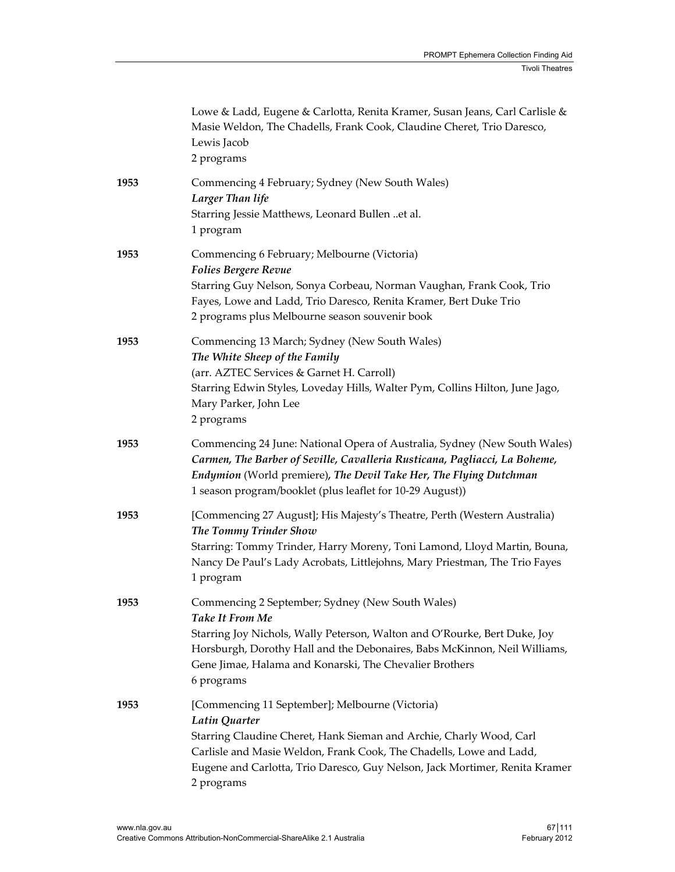|      | Lowe & Ladd, Eugene & Carlotta, Renita Kramer, Susan Jeans, Carl Carlisle &<br>Masie Weldon, The Chadells, Frank Cook, Claudine Cheret, Trio Daresco,<br>Lewis Jacob<br>2 programs                                                                                                                          |
|------|-------------------------------------------------------------------------------------------------------------------------------------------------------------------------------------------------------------------------------------------------------------------------------------------------------------|
| 1953 | Commencing 4 February; Sydney (New South Wales)<br>Larger Than life<br>Starring Jessie Matthews, Leonard Bullen et al.<br>1 program                                                                                                                                                                         |
| 1953 | Commencing 6 February; Melbourne (Victoria)<br><b>Folies Bergere Revue</b><br>Starring Guy Nelson, Sonya Corbeau, Norman Vaughan, Frank Cook, Trio<br>Fayes, Lowe and Ladd, Trio Daresco, Renita Kramer, Bert Duke Trio<br>2 programs plus Melbourne season souvenir book                                   |
| 1953 | Commencing 13 March; Sydney (New South Wales)<br>The White Sheep of the Family<br>(arr. AZTEC Services & Garnet H. Carroll)<br>Starring Edwin Styles, Loveday Hills, Walter Pym, Collins Hilton, June Jago,<br>Mary Parker, John Lee<br>2 programs                                                          |
| 1953 | Commencing 24 June: National Opera of Australia, Sydney (New South Wales)<br>Carmen, The Barber of Seville, Cavalleria Rusticana, Pagliacci, La Boheme,<br>Endymion (World premiere), The Devil Take Her, The Flying Dutchman<br>1 season program/booklet (plus leaflet for 10-29 August))                  |
| 1953 | [Commencing 27 August]; His Majesty's Theatre, Perth (Western Australia)<br>The Tommy Trinder Show<br>Starring: Tommy Trinder, Harry Moreny, Toni Lamond, Lloyd Martin, Bouna,<br>Nancy De Paul's Lady Acrobats, Littlejohns, Mary Priestman, The Trio Fayes<br>1 program                                   |
| 1953 | Commencing 2 September; Sydney (New South Wales)<br>Take It From Me<br>Starring Joy Nichols, Wally Peterson, Walton and O'Rourke, Bert Duke, Joy<br>Horsburgh, Dorothy Hall and the Debonaires, Babs McKinnon, Neil Williams,<br>Gene Jimae, Halama and Konarski, The Chevalier Brothers<br>6 programs      |
| 1953 | [Commencing 11 September]; Melbourne (Victoria)<br>Latin Quarter<br>Starring Claudine Cheret, Hank Sieman and Archie, Charly Wood, Carl<br>Carlisle and Masie Weldon, Frank Cook, The Chadells, Lowe and Ladd,<br>Eugene and Carlotta, Trio Daresco, Guy Nelson, Jack Mortimer, Renita Kramer<br>2 programs |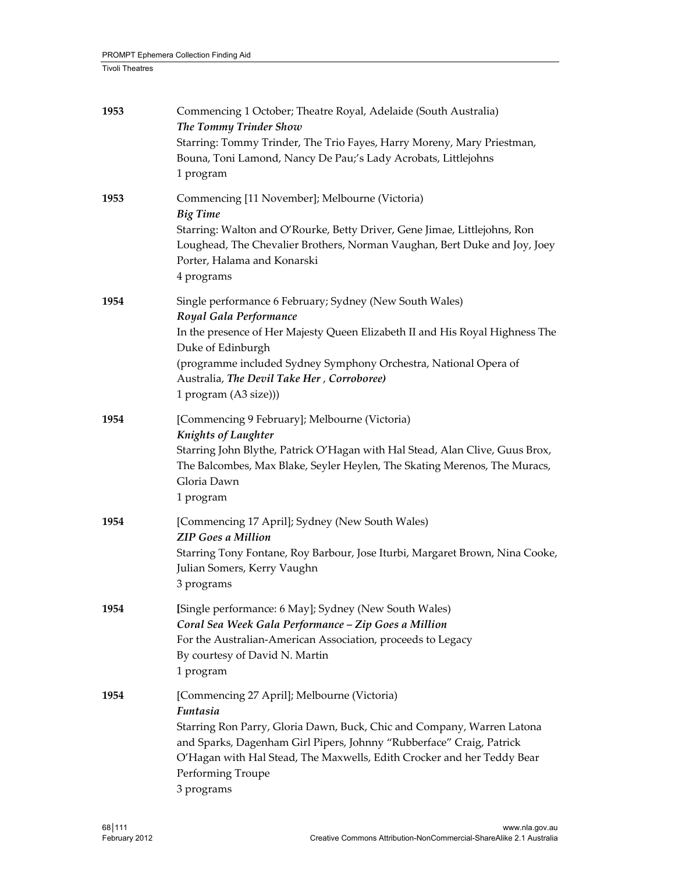| 1953 | Commencing 1 October; Theatre Royal, Adelaide (South Australia)<br>The Tommy Trinder Show<br>Starring: Tommy Trinder, The Trio Fayes, Harry Moreny, Mary Priestman,<br>Bouna, Toni Lamond, Nancy De Pau;'s Lady Acrobats, Littlejohns<br>1 program                                                                                |
|------|-----------------------------------------------------------------------------------------------------------------------------------------------------------------------------------------------------------------------------------------------------------------------------------------------------------------------------------|
| 1953 | Commencing [11 November]; Melbourne (Victoria)<br><b>Big Time</b><br>Starring: Walton and O'Rourke, Betty Driver, Gene Jimae, Littlejohns, Ron<br>Loughead, The Chevalier Brothers, Norman Vaughan, Bert Duke and Joy, Joey<br>Porter, Halama and Konarski<br>4 programs                                                          |
| 1954 | Single performance 6 February; Sydney (New South Wales)<br>Royal Gala Performance<br>In the presence of Her Majesty Queen Elizabeth II and His Royal Highness The<br>Duke of Edinburgh<br>(programme included Sydney Symphony Orchestra, National Opera of<br>Australia, The Devil Take Her, Corroboree)<br>1 program (A3 size))) |
| 1954 | [Commencing 9 February]; Melbourne (Victoria)<br>Knights of Laughter<br>Starring John Blythe, Patrick O'Hagan with Hal Stead, Alan Clive, Guus Brox,<br>The Balcombes, Max Blake, Seyler Heylen, The Skating Merenos, The Muracs,<br>Gloria Dawn<br>1 program                                                                     |
| 1954 | [Commencing 17 April]; Sydney (New South Wales)<br><b>ZIP</b> Goes a Million<br>Starring Tony Fontane, Roy Barbour, Jose Iturbi, Margaret Brown, Nina Cooke,<br>Julian Somers, Kerry Vaughn<br>3 programs                                                                                                                         |
| 1954 | [Single performance: 6 May]; Sydney (New South Wales)<br>Coral Sea Week Gala Performance - Zip Goes a Million<br>For the Australian-American Association, proceeds to Legacy<br>By courtesy of David N. Martin<br>1 program                                                                                                       |
| 1954 | [Commencing 27 April]; Melbourne (Victoria)<br><b>Funtasia</b><br>Starring Ron Parry, Gloria Dawn, Buck, Chic and Company, Warren Latona<br>and Sparks, Dagenham Girl Pipers, Johnny "Rubberface" Craig, Patrick<br>O'Hagan with Hal Stead, The Maxwells, Edith Crocker and her Teddy Bear<br>Performing Troupe<br>3 programs     |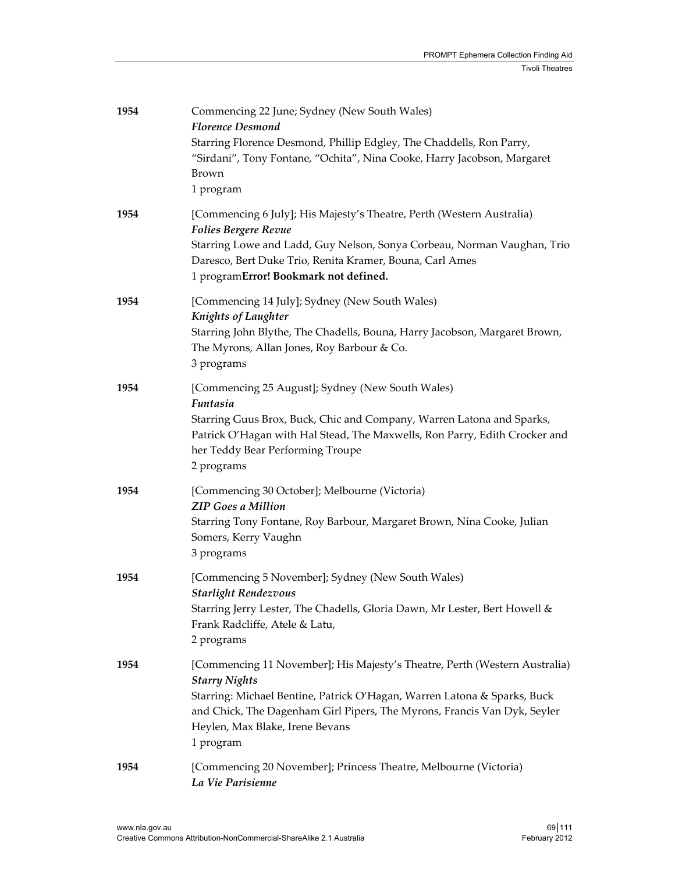| 1954 | Commencing 22 June; Sydney (New South Wales)<br><b>Florence Desmond</b><br>Starring Florence Desmond, Phillip Edgley, The Chaddells, Ron Parry,<br>"Sirdani", Tony Fontane, "Ochita", Nina Cooke, Harry Jacobson, Margaret<br>Brown<br>1 program                                                           |
|------|------------------------------------------------------------------------------------------------------------------------------------------------------------------------------------------------------------------------------------------------------------------------------------------------------------|
| 1954 | [Commencing 6 July]; His Majesty's Theatre, Perth (Western Australia)<br><b>Folies Bergere Revue</b><br>Starring Lowe and Ladd, Guy Nelson, Sonya Corbeau, Norman Vaughan, Trio<br>Daresco, Bert Duke Trio, Renita Kramer, Bouna, Carl Ames<br>1 programError! Bookmark not defined.                       |
| 1954 | [Commencing 14 July]; Sydney (New South Wales)<br>Knights of Laughter<br>Starring John Blythe, The Chadells, Bouna, Harry Jacobson, Margaret Brown,<br>The Myrons, Allan Jones, Roy Barbour & Co.<br>3 programs                                                                                            |
| 1954 | [Commencing 25 August]; Sydney (New South Wales)<br>Funtasia<br>Starring Guus Brox, Buck, Chic and Company, Warren Latona and Sparks,<br>Patrick O'Hagan with Hal Stead, The Maxwells, Ron Parry, Edith Crocker and<br>her Teddy Bear Performing Troupe<br>2 programs                                      |
| 1954 | [Commencing 30 October]; Melbourne (Victoria)<br><b>ZIP</b> Goes a Million<br>Starring Tony Fontane, Roy Barbour, Margaret Brown, Nina Cooke, Julian<br>Somers, Kerry Vaughn<br>3 programs                                                                                                                 |
| 1954 | [Commencing 5 November]; Sydney (New South Wales)<br><b>Starlight Rendezvous</b><br>Starring Jerry Lester, The Chadells, Gloria Dawn, Mr Lester, Bert Howell &<br>Frank Radcliffe, Atele & Latu,<br>2 programs                                                                                             |
| 1954 | [Commencing 11 November]; His Majesty's Theatre, Perth (Western Australia)<br><b>Starry Nights</b><br>Starring: Michael Bentine, Patrick O'Hagan, Warren Latona & Sparks, Buck<br>and Chick, The Dagenham Girl Pipers, The Myrons, Francis Van Dyk, Seyler<br>Heylen, Max Blake, Irene Bevans<br>1 program |
| 1954 | [Commencing 20 November]; Princess Theatre, Melbourne (Victoria)<br>La Vie Parisienne                                                                                                                                                                                                                      |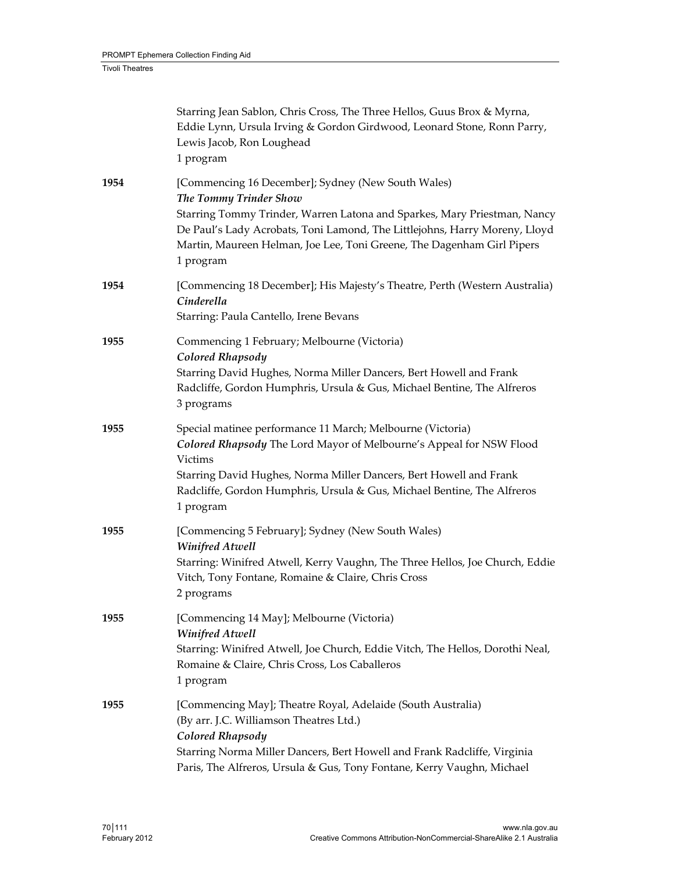|      | Starring Jean Sablon, Chris Cross, The Three Hellos, Guus Brox & Myrna,<br>Eddie Lynn, Ursula Irving & Gordon Girdwood, Leonard Stone, Ronn Parry,<br>Lewis Jacob, Ron Loughead<br>1 program                                                                                                                                  |
|------|-------------------------------------------------------------------------------------------------------------------------------------------------------------------------------------------------------------------------------------------------------------------------------------------------------------------------------|
| 1954 | [Commencing 16 December]; Sydney (New South Wales)<br>The Tommy Trinder Show<br>Starring Tommy Trinder, Warren Latona and Sparkes, Mary Priestman, Nancy<br>De Paul's Lady Acrobats, Toni Lamond, The Littlejohns, Harry Moreny, Lloyd<br>Martin, Maureen Helman, Joe Lee, Toni Greene, The Dagenham Girl Pipers<br>1 program |
| 1954 | [Commencing 18 December]; His Majesty's Theatre, Perth (Western Australia)<br>Cinderella<br>Starring: Paula Cantello, Irene Bevans                                                                                                                                                                                            |
| 1955 | Commencing 1 February; Melbourne (Victoria)<br>Colored Rhapsody<br>Starring David Hughes, Norma Miller Dancers, Bert Howell and Frank<br>Radcliffe, Gordon Humphris, Ursula & Gus, Michael Bentine, The Alfreros<br>3 programs                                                                                                |
| 1955 | Special matinee performance 11 March; Melbourne (Victoria)<br>Colored Rhapsody The Lord Mayor of Melbourne's Appeal for NSW Flood<br>Victims<br>Starring David Hughes, Norma Miller Dancers, Bert Howell and Frank<br>Radcliffe, Gordon Humphris, Ursula & Gus, Michael Bentine, The Alfreros<br>1 program                    |
| 1955 | [Commencing 5 February]; Sydney (New South Wales)<br><b>Winifred Atwell</b><br>Starring: Winifred Atwell, Kerry Vaughn, The Three Hellos, Joe Church, Eddie<br>Vitch, Tony Fontane, Romaine & Claire, Chris Cross<br>2 programs                                                                                               |
| 1955 | [Commencing 14 May]; Melbourne (Victoria)<br>Winifred Atwell<br>Starring: Winifred Atwell, Joe Church, Eddie Vitch, The Hellos, Dorothi Neal,<br>Romaine & Claire, Chris Cross, Los Caballeros<br>1 program                                                                                                                   |
| 1955 | [Commencing May]; Theatre Royal, Adelaide (South Australia)<br>(By arr. J.C. Williamson Theatres Ltd.)<br>Colored Rhapsody<br>Starring Norma Miller Dancers, Bert Howell and Frank Radcliffe, Virginia<br>Paris, The Alfreros, Ursula & Gus, Tony Fontane, Kerry Vaughn, Michael                                              |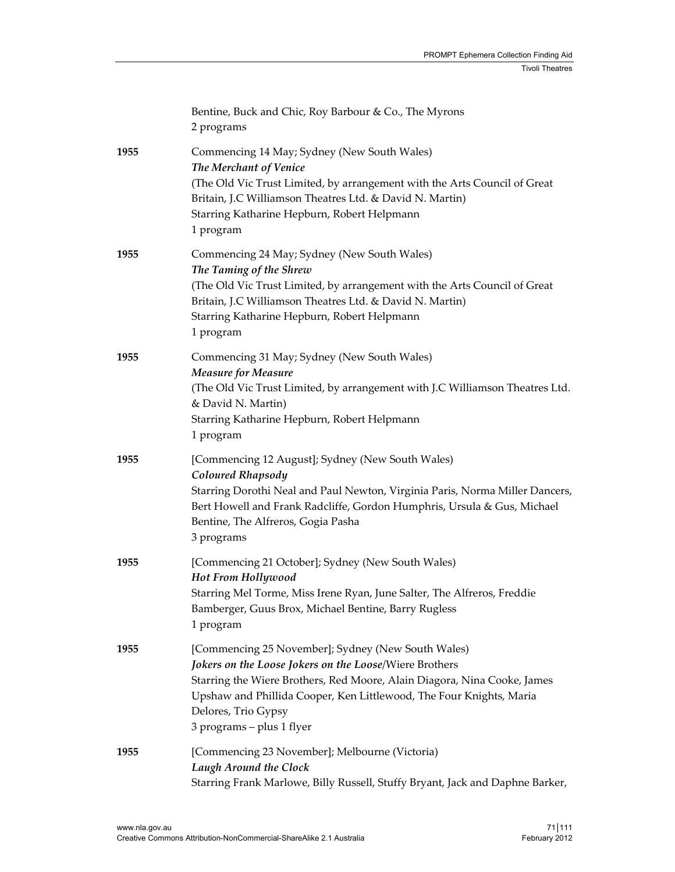|      | Bentine, Buck and Chic, Roy Barbour & Co., The Myrons<br>2 programs                                                                                                                                                                                                                                                 |
|------|---------------------------------------------------------------------------------------------------------------------------------------------------------------------------------------------------------------------------------------------------------------------------------------------------------------------|
| 1955 | Commencing 14 May; Sydney (New South Wales)<br>The Merchant of Venice<br>(The Old Vic Trust Limited, by arrangement with the Arts Council of Great<br>Britain, J.C Williamson Theatres Ltd. & David N. Martin)<br>Starring Katharine Hepburn, Robert Helpmann<br>1 program                                          |
| 1955 | Commencing 24 May; Sydney (New South Wales)<br>The Taming of the Shrew<br>(The Old Vic Trust Limited, by arrangement with the Arts Council of Great<br>Britain, J.C Williamson Theatres Ltd. & David N. Martin)<br>Starring Katharine Hepburn, Robert Helpmann<br>1 program                                         |
| 1955 | Commencing 31 May; Sydney (New South Wales)<br><b>Measure for Measure</b><br>(The Old Vic Trust Limited, by arrangement with J.C Williamson Theatres Ltd.<br>& David N. Martin)<br>Starring Katharine Hepburn, Robert Helpmann<br>1 program                                                                         |
| 1955 | [Commencing 12 August]; Sydney (New South Wales)<br><b>Coloured Rhapsody</b><br>Starring Dorothi Neal and Paul Newton, Virginia Paris, Norma Miller Dancers,<br>Bert Howell and Frank Radcliffe, Gordon Humphris, Ursula & Gus, Michael<br>Bentine, The Alfreros, Gogia Pasha<br>3 programs                         |
| 1955 | [Commencing 21 October]; Sydney (New South Wales)<br><b>Hot From Hollywood</b><br>Starring Mel Torme, Miss Irene Ryan, June Salter, The Alfreros, Freddie<br>Bamberger, Guus Brox, Michael Bentine, Barry Rugless<br>1 program                                                                                      |
| 1955 | [Commencing 25 November]; Sydney (New South Wales)<br>Jokers on the Loose Jokers on the Loose/Wiere Brothers<br>Starring the Wiere Brothers, Red Moore, Alain Diagora, Nina Cooke, James<br>Upshaw and Phillida Cooper, Ken Littlewood, The Four Knights, Maria<br>Delores, Trio Gypsy<br>3 programs - plus 1 flyer |
| 1955 | [Commencing 23 November]; Melbourne (Victoria)<br>Laugh Around the Clock<br>Starring Frank Marlowe, Billy Russell, Stuffy Bryant, Jack and Daphne Barker,                                                                                                                                                           |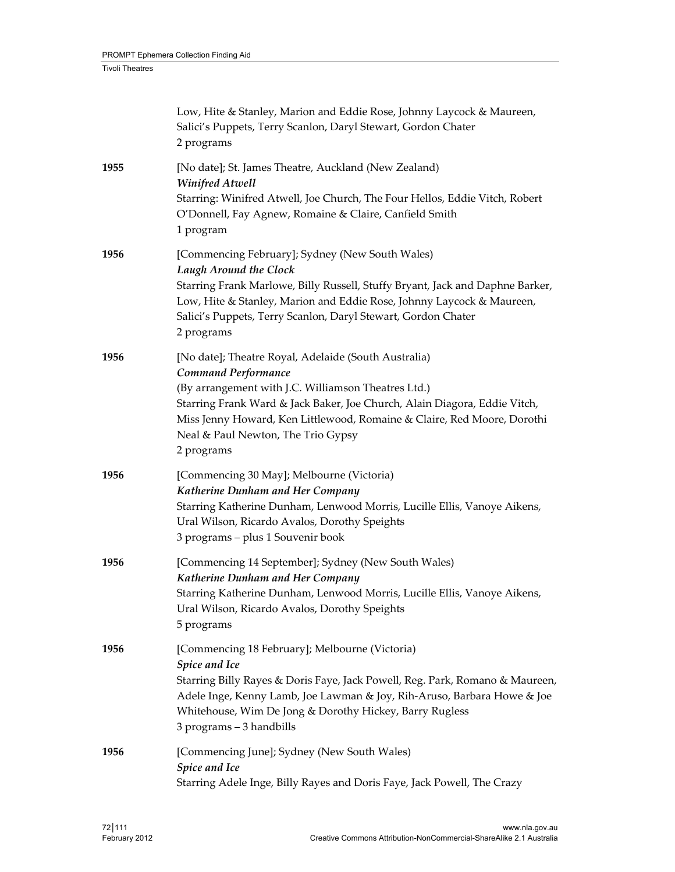|      | Low, Hite & Stanley, Marion and Eddie Rose, Johnny Laycock & Maureen,<br>Salici's Puppets, Terry Scanlon, Daryl Stewart, Gordon Chater<br>2 programs                                                                                                                                                                                                  |
|------|-------------------------------------------------------------------------------------------------------------------------------------------------------------------------------------------------------------------------------------------------------------------------------------------------------------------------------------------------------|
| 1955 | [No date]; St. James Theatre, Auckland (New Zealand)<br><b>Winifred Atwell</b><br>Starring: Winifred Atwell, Joe Church, The Four Hellos, Eddie Vitch, Robert<br>O'Donnell, Fay Agnew, Romaine & Claire, Canfield Smith<br>1 program                                                                                                                  |
| 1956 | [Commencing February]; Sydney (New South Wales)<br>Laugh Around the Clock<br>Starring Frank Marlowe, Billy Russell, Stuffy Bryant, Jack and Daphne Barker,<br>Low, Hite & Stanley, Marion and Eddie Rose, Johnny Laycock & Maureen,<br>Salici's Puppets, Terry Scanlon, Daryl Stewart, Gordon Chater<br>2 programs                                    |
| 1956 | [No date]; Theatre Royal, Adelaide (South Australia)<br><b>Command Performance</b><br>(By arrangement with J.C. Williamson Theatres Ltd.)<br>Starring Frank Ward & Jack Baker, Joe Church, Alain Diagora, Eddie Vitch,<br>Miss Jenny Howard, Ken Littlewood, Romaine & Claire, Red Moore, Dorothi<br>Neal & Paul Newton, The Trio Gypsy<br>2 programs |
| 1956 | [Commencing 30 May]; Melbourne (Victoria)<br>Katherine Dunham and Her Company<br>Starring Katherine Dunham, Lenwood Morris, Lucille Ellis, Vanoye Aikens,<br>Ural Wilson, Ricardo Avalos, Dorothy Speights<br>3 programs - plus 1 Souvenir book                                                                                                       |
| 1956 | [Commencing 14 September]; Sydney (New South Wales)<br>Katherine Dunham and Her Company<br>Starring Katherine Dunham, Lenwood Morris, Lucille Ellis, Vanoye Aikens,<br>Ural Wilson, Ricardo Avalos, Dorothy Speights<br>5 programs                                                                                                                    |
| 1956 | [Commencing 18 February]; Melbourne (Victoria)<br>Spice and Ice<br>Starring Billy Rayes & Doris Faye, Jack Powell, Reg. Park, Romano & Maureen,<br>Adele Inge, Kenny Lamb, Joe Lawman & Joy, Rih-Aruso, Barbara Howe & Joe<br>Whitehouse, Wim De Jong & Dorothy Hickey, Barry Rugless<br>3 programs - 3 handbills                                     |
| 1956 | [Commencing June]; Sydney (New South Wales)<br>Spice and Ice<br>Starring Adele Inge, Billy Rayes and Doris Faye, Jack Powell, The Crazy                                                                                                                                                                                                               |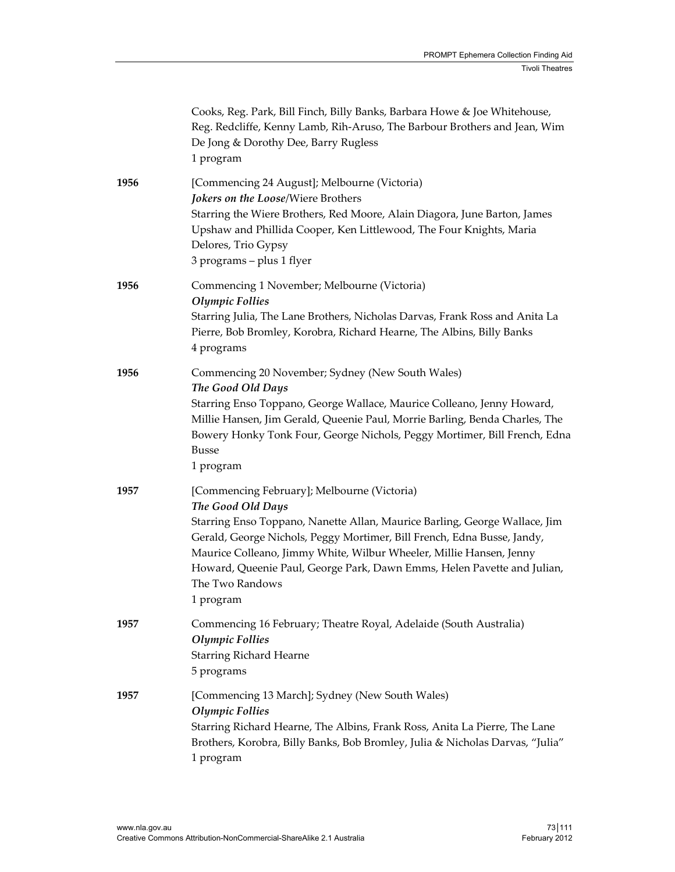|      | Cooks, Reg. Park, Bill Finch, Billy Banks, Barbara Howe & Joe Whitehouse,<br>Reg. Redcliffe, Kenny Lamb, Rih-Aruso, The Barbour Brothers and Jean, Wim<br>De Jong & Dorothy Dee, Barry Rugless<br>1 program                                                                                                                                                                                                 |
|------|-------------------------------------------------------------------------------------------------------------------------------------------------------------------------------------------------------------------------------------------------------------------------------------------------------------------------------------------------------------------------------------------------------------|
| 1956 | [Commencing 24 August]; Melbourne (Victoria)<br>Jokers on the Loose/Wiere Brothers<br>Starring the Wiere Brothers, Red Moore, Alain Diagora, June Barton, James<br>Upshaw and Phillida Cooper, Ken Littlewood, The Four Knights, Maria<br>Delores, Trio Gypsy<br>3 programs - plus 1 flyer                                                                                                                  |
| 1956 | Commencing 1 November; Melbourne (Victoria)<br><b>Olympic Follies</b><br>Starring Julia, The Lane Brothers, Nicholas Darvas, Frank Ross and Anita La<br>Pierre, Bob Bromley, Korobra, Richard Hearne, The Albins, Billy Banks<br>4 programs                                                                                                                                                                 |
| 1956 | Commencing 20 November; Sydney (New South Wales)<br>The Good Old Days<br>Starring Enso Toppano, George Wallace, Maurice Colleano, Jenny Howard,<br>Millie Hansen, Jim Gerald, Queenie Paul, Morrie Barling, Benda Charles, The<br>Bowery Honky Tonk Four, George Nichols, Peggy Mortimer, Bill French, Edna<br><b>Busse</b><br>1 program                                                                    |
| 1957 | [Commencing February]; Melbourne (Victoria)<br>The Good Old Days<br>Starring Enso Toppano, Nanette Allan, Maurice Barling, George Wallace, Jim<br>Gerald, George Nichols, Peggy Mortimer, Bill French, Edna Busse, Jandy,<br>Maurice Colleano, Jimmy White, Wilbur Wheeler, Millie Hansen, Jenny<br>Howard, Queenie Paul, George Park, Dawn Emms, Helen Pavette and Julian,<br>The Two Randows<br>1 program |
| 1957 | Commencing 16 February; Theatre Royal, Adelaide (South Australia)<br><b>Olympic Follies</b><br><b>Starring Richard Hearne</b><br>5 programs                                                                                                                                                                                                                                                                 |
| 1957 | [Commencing 13 March]; Sydney (New South Wales)<br><b>Olympic Follies</b><br>Starring Richard Hearne, The Albins, Frank Ross, Anita La Pierre, The Lane<br>Brothers, Korobra, Billy Banks, Bob Bromley, Julia & Nicholas Darvas, "Julia"<br>1 program                                                                                                                                                       |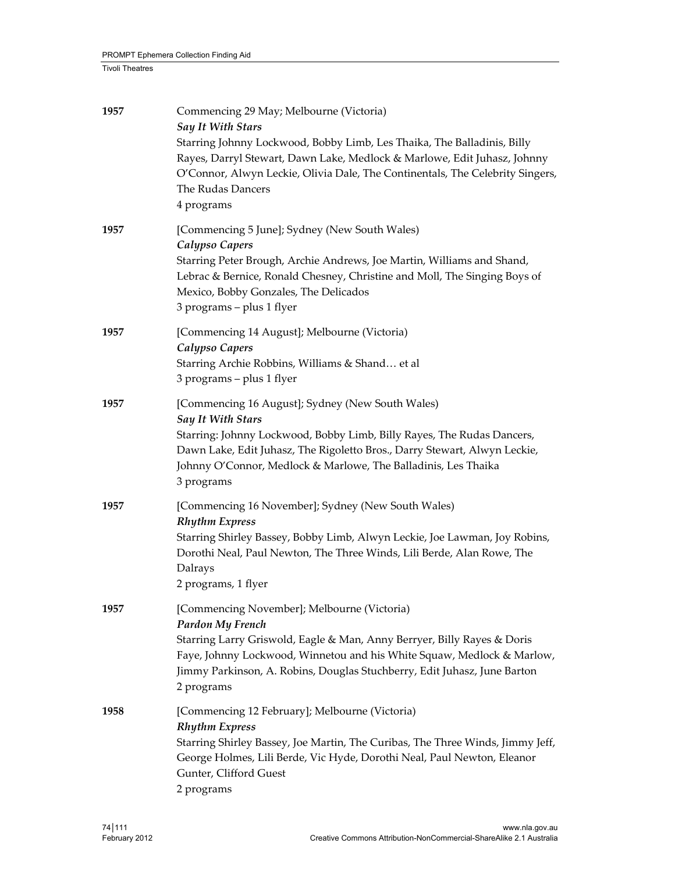| 1957 | Commencing 29 May; Melbourne (Victoria)<br>Say It With Stars<br>Starring Johnny Lockwood, Bobby Limb, Les Thaika, The Balladinis, Billy<br>Rayes, Darryl Stewart, Dawn Lake, Medlock & Marlowe, Edit Juhasz, Johnny<br>O'Connor, Alwyn Leckie, Olivia Dale, The Continentals, The Celebrity Singers,<br>The Rudas Dancers<br>4 programs |
|------|-----------------------------------------------------------------------------------------------------------------------------------------------------------------------------------------------------------------------------------------------------------------------------------------------------------------------------------------|
| 1957 | [Commencing 5 June]; Sydney (New South Wales)<br>Calypso Capers<br>Starring Peter Brough, Archie Andrews, Joe Martin, Williams and Shand,<br>Lebrac & Bernice, Ronald Chesney, Christine and Moll, The Singing Boys of<br>Mexico, Bobby Gonzales, The Delicados<br>3 programs - plus 1 flyer                                            |
| 1957 | [Commencing 14 August]; Melbourne (Victoria)<br>Calypso Capers<br>Starring Archie Robbins, Williams & Shand et al<br>3 programs - plus 1 flyer                                                                                                                                                                                          |
| 1957 | [Commencing 16 August]; Sydney (New South Wales)<br>Say It With Stars<br>Starring: Johnny Lockwood, Bobby Limb, Billy Rayes, The Rudas Dancers,<br>Dawn Lake, Edit Juhasz, The Rigoletto Bros., Darry Stewart, Alwyn Leckie,<br>Johnny O'Connor, Medlock & Marlowe, The Balladinis, Les Thaika<br>3 programs                            |
| 1957 | [Commencing 16 November]; Sydney (New South Wales)<br><b>Rhythm Express</b><br>Starring Shirley Bassey, Bobby Limb, Alwyn Leckie, Joe Lawman, Joy Robins,<br>Dorothi Neal, Paul Newton, The Three Winds, Lili Berde, Alan Rowe, The<br>Dalrays<br>2 programs, 1 flyer                                                                   |
| 1957 | [Commencing November]; Melbourne (Victoria)<br>Pardon My French<br>Starring Larry Griswold, Eagle & Man, Anny Berryer, Billy Rayes & Doris<br>Faye, Johnny Lockwood, Winnetou and his White Squaw, Medlock & Marlow,<br>Jimmy Parkinson, A. Robins, Douglas Stuchberry, Edit Juhasz, June Barton<br>2 programs                          |
| 1958 | [Commencing 12 February]; Melbourne (Victoria)<br><b>Rhythm Express</b><br>Starring Shirley Bassey, Joe Martin, The Curibas, The Three Winds, Jimmy Jeff,<br>George Holmes, Lili Berde, Vic Hyde, Dorothi Neal, Paul Newton, Eleanor<br>Gunter, Clifford Guest<br>2 programs                                                            |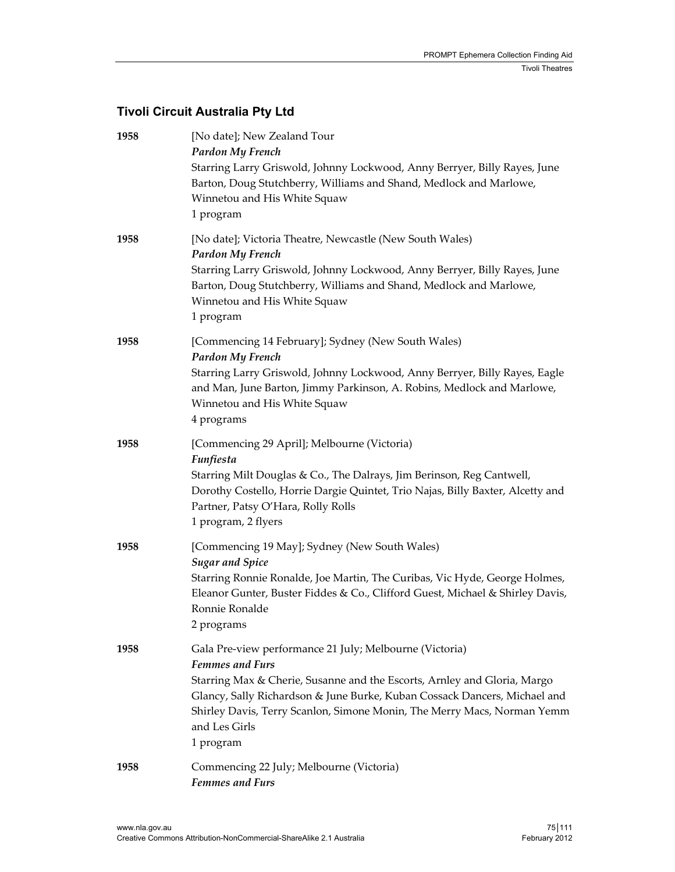# **Tivoli Circuit Australia Pty Ltd**

| 1958 | [No date]; New Zealand Tour<br>Pardon My French<br>Starring Larry Griswold, Johnny Lockwood, Anny Berryer, Billy Rayes, June<br>Barton, Doug Stutchberry, Williams and Shand, Medlock and Marlowe,<br>Winnetou and His White Squaw<br>1 program                                                                                                     |
|------|-----------------------------------------------------------------------------------------------------------------------------------------------------------------------------------------------------------------------------------------------------------------------------------------------------------------------------------------------------|
| 1958 | [No date]; Victoria Theatre, Newcastle (New South Wales)<br>Pardon My French<br>Starring Larry Griswold, Johnny Lockwood, Anny Berryer, Billy Rayes, June<br>Barton, Doug Stutchberry, Williams and Shand, Medlock and Marlowe,<br>Winnetou and His White Squaw<br>1 program                                                                        |
| 1958 | [Commencing 14 February]; Sydney (New South Wales)<br>Pardon My French<br>Starring Larry Griswold, Johnny Lockwood, Anny Berryer, Billy Rayes, Eagle<br>and Man, June Barton, Jimmy Parkinson, A. Robins, Medlock and Marlowe,<br>Winnetou and His White Squaw<br>4 programs                                                                        |
| 1958 | [Commencing 29 April]; Melbourne (Victoria)<br><b>Funfiesta</b><br>Starring Milt Douglas & Co., The Dalrays, Jim Berinson, Reg Cantwell,<br>Dorothy Costello, Horrie Dargie Quintet, Trio Najas, Billy Baxter, Alcetty and<br>Partner, Patsy O'Hara, Rolly Rolls<br>1 program, 2 flyers                                                             |
| 1958 | [Commencing 19 May]; Sydney (New South Wales)<br><b>Sugar and Spice</b><br>Starring Ronnie Ronalde, Joe Martin, The Curibas, Vic Hyde, George Holmes,<br>Eleanor Gunter, Buster Fiddes & Co., Clifford Guest, Michael & Shirley Davis,<br>Ronnie Ronalde<br>2 programs                                                                              |
| 1958 | Gala Pre-view performance 21 July; Melbourne (Victoria)<br><b>Femmes and Furs</b><br>Starring Max & Cherie, Susanne and the Escorts, Arnley and Gloria, Margo<br>Glancy, Sally Richardson & June Burke, Kuban Cossack Dancers, Michael and<br>Shirley Davis, Terry Scanlon, Simone Monin, The Merry Macs, Norman Yemm<br>and Les Girls<br>1 program |
| 1958 | Commencing 22 July; Melbourne (Victoria)<br><b>Femmes and Furs</b>                                                                                                                                                                                                                                                                                  |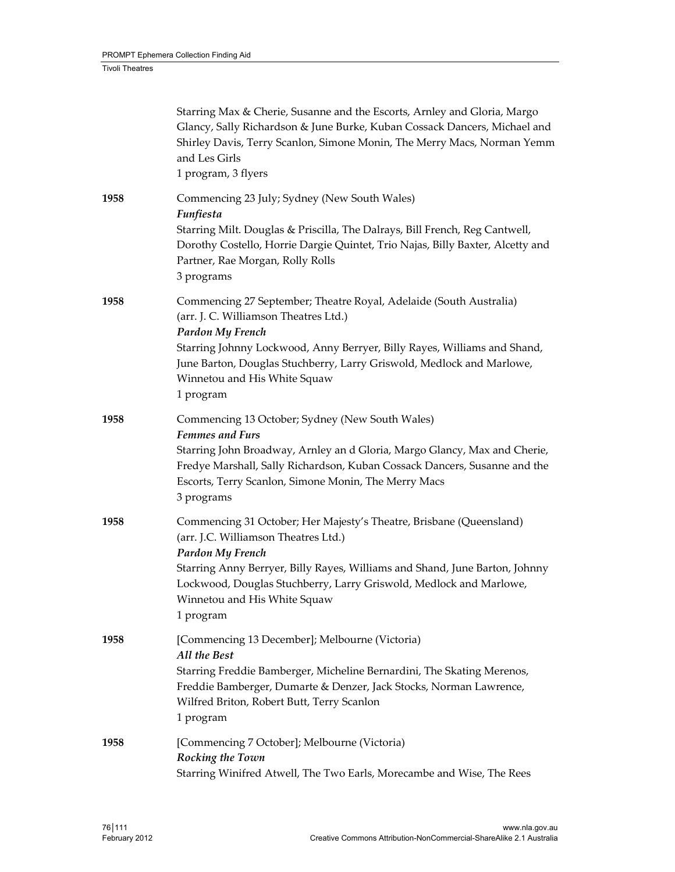|      | Starring Max & Cherie, Susanne and the Escorts, Arnley and Gloria, Margo<br>Glancy, Sally Richardson & June Burke, Kuban Cossack Dancers, Michael and<br>Shirley Davis, Terry Scanlon, Simone Monin, The Merry Macs, Norman Yemm<br>and Les Girls<br>1 program, 3 flyers                                                          |
|------|-----------------------------------------------------------------------------------------------------------------------------------------------------------------------------------------------------------------------------------------------------------------------------------------------------------------------------------|
| 1958 | Commencing 23 July; Sydney (New South Wales)<br><b>Funfiesta</b><br>Starring Milt. Douglas & Priscilla, The Dalrays, Bill French, Reg Cantwell,<br>Dorothy Costello, Horrie Dargie Quintet, Trio Najas, Billy Baxter, Alcetty and<br>Partner, Rae Morgan, Rolly Rolls<br>3 programs                                               |
| 1958 | Commencing 27 September; Theatre Royal, Adelaide (South Australia)<br>(arr. J. C. Williamson Theatres Ltd.)<br>Pardon My French<br>Starring Johnny Lockwood, Anny Berryer, Billy Rayes, Williams and Shand,<br>June Barton, Douglas Stuchberry, Larry Griswold, Medlock and Marlowe,<br>Winnetou and His White Squaw<br>1 program |
| 1958 | Commencing 13 October; Sydney (New South Wales)<br><b>Femmes and Furs</b><br>Starring John Broadway, Arnley an d Gloria, Margo Glancy, Max and Cherie,<br>Fredye Marshall, Sally Richardson, Kuban Cossack Dancers, Susanne and the<br>Escorts, Terry Scanlon, Simone Monin, The Merry Macs<br>3 programs                         |
| 1958 | Commencing 31 October; Her Majesty's Theatre, Brisbane (Queensland)<br>(arr. J.C. Williamson Theatres Ltd.)<br>Pardon My French<br>Starring Anny Berryer, Billy Rayes, Williams and Shand, June Barton, Johnny<br>Lockwood, Douglas Stuchberry, Larry Griswold, Medlock and Marlowe,<br>Winnetou and His White Squaw<br>1 program |
| 1958 | [Commencing 13 December]; Melbourne (Victoria)<br>All the Best<br>Starring Freddie Bamberger, Micheline Bernardini, The Skating Merenos,<br>Freddie Bamberger, Dumarte & Denzer, Jack Stocks, Norman Lawrence,<br>Wilfred Briton, Robert Butt, Terry Scanlon<br>1 program                                                         |
| 1958 | [Commencing 7 October]; Melbourne (Victoria)<br>Rocking the Town<br>Starring Winifred Atwell, The Two Earls, Morecambe and Wise, The Rees                                                                                                                                                                                         |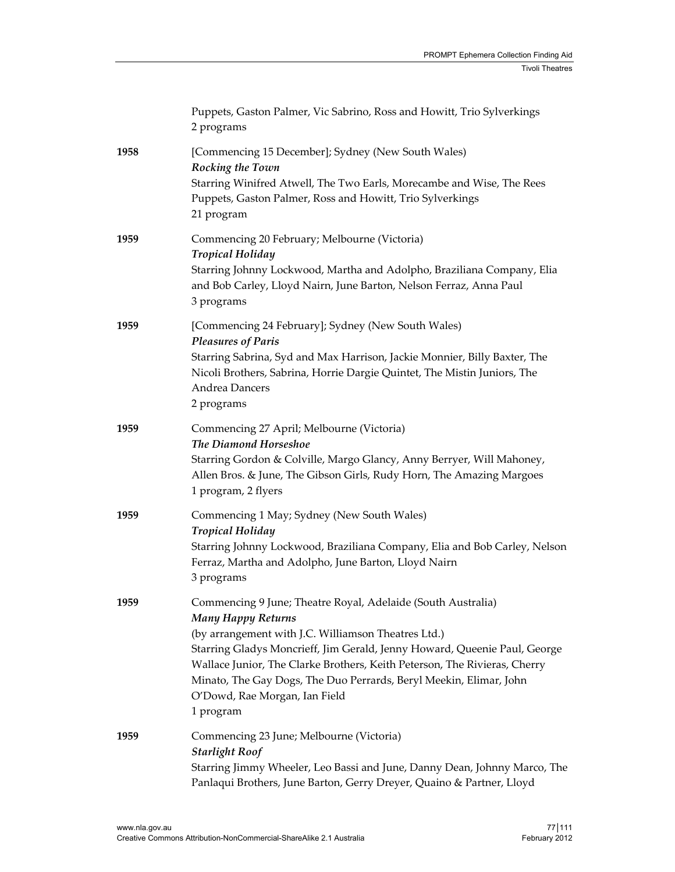|      | Puppets, Gaston Palmer, Vic Sabrino, Ross and Howitt, Trio Sylverkings<br>2 programs                                                                                                                                                                                                                                                                                                                                           |
|------|--------------------------------------------------------------------------------------------------------------------------------------------------------------------------------------------------------------------------------------------------------------------------------------------------------------------------------------------------------------------------------------------------------------------------------|
| 1958 | [Commencing 15 December]; Sydney (New South Wales)<br>Rocking the Town<br>Starring Winifred Atwell, The Two Earls, Morecambe and Wise, The Rees<br>Puppets, Gaston Palmer, Ross and Howitt, Trio Sylverkings<br>21 program                                                                                                                                                                                                     |
| 1959 | Commencing 20 February; Melbourne (Victoria)<br><b>Tropical Holiday</b><br>Starring Johnny Lockwood, Martha and Adolpho, Braziliana Company, Elia<br>and Bob Carley, Lloyd Nairn, June Barton, Nelson Ferraz, Anna Paul<br>3 programs                                                                                                                                                                                          |
| 1959 | [Commencing 24 February]; Sydney (New South Wales)<br><b>Pleasures of Paris</b><br>Starring Sabrina, Syd and Max Harrison, Jackie Monnier, Billy Baxter, The<br>Nicoli Brothers, Sabrina, Horrie Dargie Quintet, The Mistin Juniors, The<br>Andrea Dancers<br>2 programs                                                                                                                                                       |
| 1959 | Commencing 27 April; Melbourne (Victoria)<br>The Diamond Horseshoe<br>Starring Gordon & Colville, Margo Glancy, Anny Berryer, Will Mahoney,<br>Allen Bros. & June, The Gibson Girls, Rudy Horn, The Amazing Margoes<br>1 program, 2 flyers                                                                                                                                                                                     |
| 1959 | Commencing 1 May; Sydney (New South Wales)<br><b>Tropical Holiday</b><br>Starring Johnny Lockwood, Braziliana Company, Elia and Bob Carley, Nelson<br>Ferraz, Martha and Adolpho, June Barton, Lloyd Nairn<br>3 programs                                                                                                                                                                                                       |
| 1959 | Commencing 9 June; Theatre Royal, Adelaide (South Australia)<br><b>Many Happy Returns</b><br>(by arrangement with J.C. Williamson Theatres Ltd.)<br>Starring Gladys Moncrieff, Jim Gerald, Jenny Howard, Queenie Paul, George<br>Wallace Junior, The Clarke Brothers, Keith Peterson, The Rivieras, Cherry<br>Minato, The Gay Dogs, The Duo Perrards, Beryl Meekin, Elimar, John<br>O'Dowd, Rae Morgan, Ian Field<br>1 program |
| 1959 | Commencing 23 June; Melbourne (Victoria)<br><b>Starlight Roof</b><br>Starring Jimmy Wheeler, Leo Bassi and June, Danny Dean, Johnny Marco, The<br>Panlaqui Brothers, June Barton, Gerry Dreyer, Quaino & Partner, Lloyd                                                                                                                                                                                                        |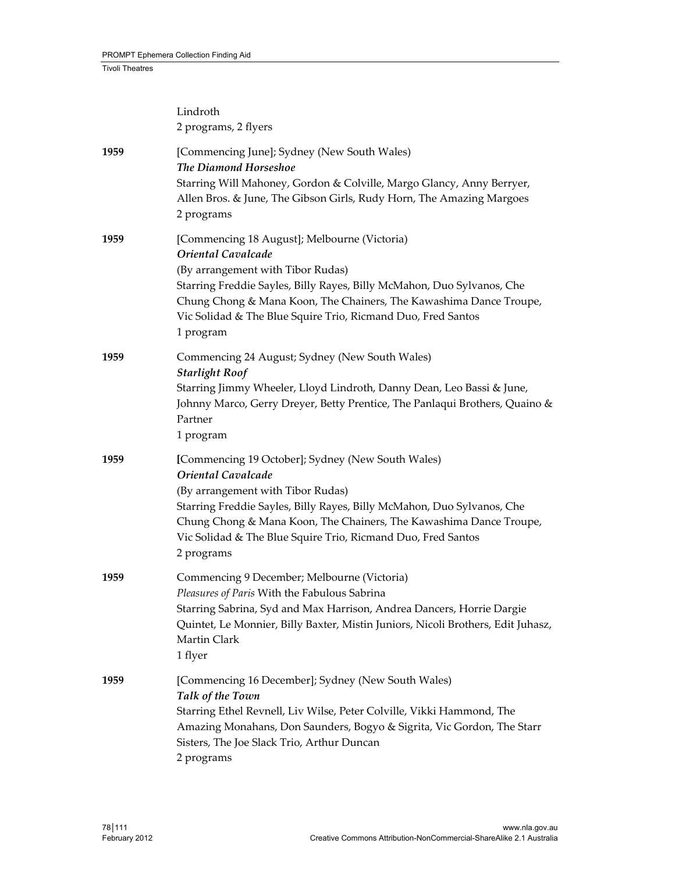|      | Lindroth<br>2 programs, 2 flyers                                                                                                                                                                                                                                                                                                           |
|------|--------------------------------------------------------------------------------------------------------------------------------------------------------------------------------------------------------------------------------------------------------------------------------------------------------------------------------------------|
| 1959 | [Commencing June]; Sydney (New South Wales)<br>The Diamond Horseshoe<br>Starring Will Mahoney, Gordon & Colville, Margo Glancy, Anny Berryer,<br>Allen Bros. & June, The Gibson Girls, Rudy Horn, The Amazing Margoes<br>2 programs                                                                                                        |
| 1959 | [Commencing 18 August]; Melbourne (Victoria)<br>Oriental Cavalcade<br>(By arrangement with Tibor Rudas)<br>Starring Freddie Sayles, Billy Rayes, Billy McMahon, Duo Sylvanos, Che<br>Chung Chong & Mana Koon, The Chainers, The Kawashima Dance Troupe,<br>Vic Solidad & The Blue Squire Trio, Ricmand Duo, Fred Santos<br>1 program       |
| 1959 | Commencing 24 August; Sydney (New South Wales)<br><b>Starlight Roof</b><br>Starring Jimmy Wheeler, Lloyd Lindroth, Danny Dean, Leo Bassi & June,<br>Johnny Marco, Gerry Dreyer, Betty Prentice, The Panlaqui Brothers, Quaino &<br>Partner<br>1 program                                                                                    |
| 1959 | [Commencing 19 October]; Sydney (New South Wales)<br>Oriental Cavalcade<br>(By arrangement with Tibor Rudas)<br>Starring Freddie Sayles, Billy Rayes, Billy McMahon, Duo Sylvanos, Che<br>Chung Chong & Mana Koon, The Chainers, The Kawashima Dance Troupe,<br>Vic Solidad & The Blue Squire Trio, Ricmand Duo, Fred Santos<br>2 programs |
| 1959 | Commencing 9 December; Melbourne (Victoria)<br><i>Pleasures of Paris With the Fabulous Sabrina</i><br>Starring Sabrina, Syd and Max Harrison, Andrea Dancers, Horrie Dargie<br>Quintet, Le Monnier, Billy Baxter, Mistin Juniors, Nicoli Brothers, Edit Juhasz,<br>Martin Clark<br>1 flyer                                                 |
| 1959 | [Commencing 16 December]; Sydney (New South Wales)<br>Talk of the Town<br>Starring Ethel Revnell, Liv Wilse, Peter Colville, Vikki Hammond, The<br>Amazing Monahans, Don Saunders, Bogyo & Sigrita, Vic Gordon, The Starr<br>Sisters, The Joe Slack Trio, Arthur Duncan<br>2 programs                                                      |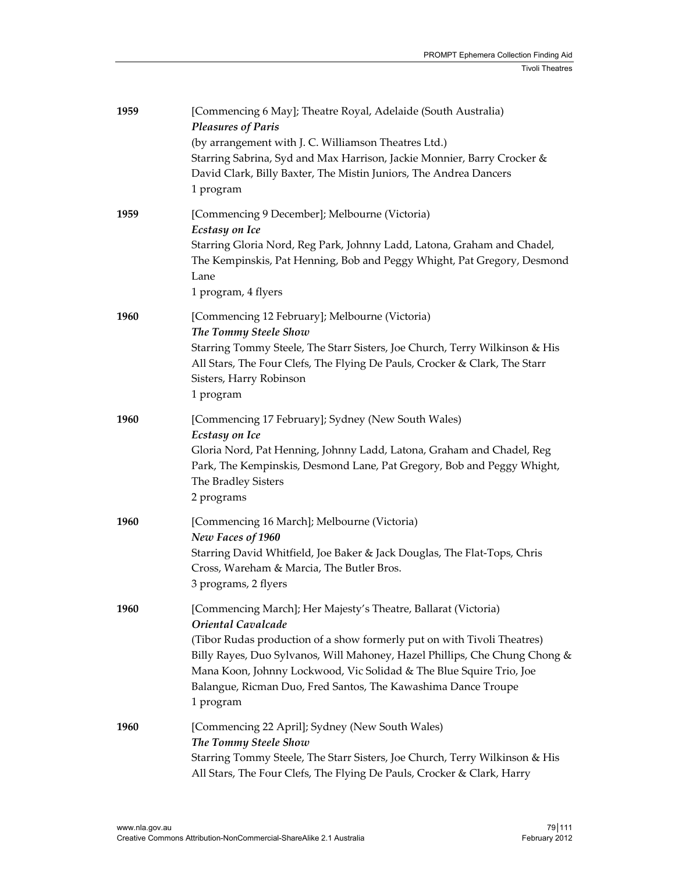| 1959 | [Commencing 6 May]; Theatre Royal, Adelaide (South Australia)<br><b>Pleasures of Paris</b><br>(by arrangement with J. C. Williamson Theatres Ltd.)<br>Starring Sabrina, Syd and Max Harrison, Jackie Monnier, Barry Crocker &<br>David Clark, Billy Baxter, The Mistin Juniors, The Andrea Dancers<br>1 program                                                                                    |
|------|----------------------------------------------------------------------------------------------------------------------------------------------------------------------------------------------------------------------------------------------------------------------------------------------------------------------------------------------------------------------------------------------------|
| 1959 | [Commencing 9 December]; Melbourne (Victoria)<br>Ecstasy on Ice<br>Starring Gloria Nord, Reg Park, Johnny Ladd, Latona, Graham and Chadel,<br>The Kempinskis, Pat Henning, Bob and Peggy Whight, Pat Gregory, Desmond<br>Lane<br>1 program, 4 flyers                                                                                                                                               |
| 1960 | [Commencing 12 February]; Melbourne (Victoria)<br>The Tommy Steele Show<br>Starring Tommy Steele, The Starr Sisters, Joe Church, Terry Wilkinson & His<br>All Stars, The Four Clefs, The Flying De Pauls, Crocker & Clark, The Starr<br>Sisters, Harry Robinson<br>1 program                                                                                                                       |
| 1960 | [Commencing 17 February]; Sydney (New South Wales)<br>Ecstasy on Ice<br>Gloria Nord, Pat Henning, Johnny Ladd, Latona, Graham and Chadel, Reg<br>Park, The Kempinskis, Desmond Lane, Pat Gregory, Bob and Peggy Whight,<br>The Bradley Sisters<br>2 programs                                                                                                                                       |
| 1960 | [Commencing 16 March]; Melbourne (Victoria)<br>New Faces of 1960<br>Starring David Whitfield, Joe Baker & Jack Douglas, The Flat-Tops, Chris<br>Cross, Wareham & Marcia, The Butler Bros.<br>3 programs, 2 flyers                                                                                                                                                                                  |
| 1960 | [Commencing March]; Her Majesty's Theatre, Ballarat (Victoria)<br>Oriental Cavalcade<br>(Tibor Rudas production of a show formerly put on with Tivoli Theatres)<br>Billy Rayes, Duo Sylvanos, Will Mahoney, Hazel Phillips, Che Chung Chong &<br>Mana Koon, Johnny Lockwood, Vic Solidad & The Blue Squire Trio, Joe<br>Balangue, Ricman Duo, Fred Santos, The Kawashima Dance Troupe<br>1 program |
| 1960 | [Commencing 22 April]; Sydney (New South Wales)<br>The Tommy Steele Show<br>Starring Tommy Steele, The Starr Sisters, Joe Church, Terry Wilkinson & His<br>All Stars, The Four Clefs, The Flying De Pauls, Crocker & Clark, Harry                                                                                                                                                                  |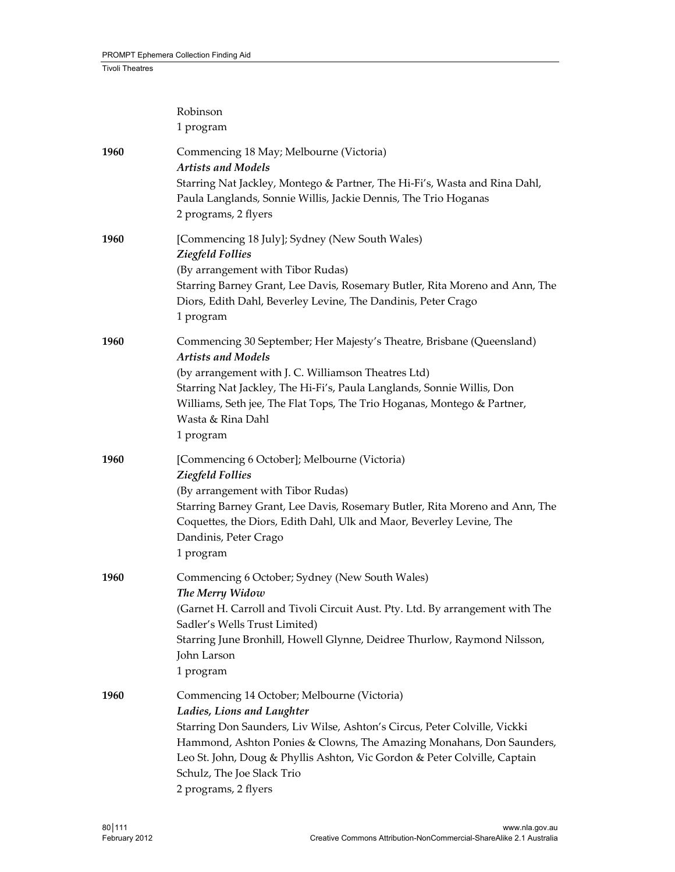| 1960 | Commencing 14 October; Melbourne (Victoria)<br>Ladies, Lions and Laughter<br>Starring Don Saunders, Liv Wilse, Ashton's Circus, Peter Colville, Vickki<br>Hammond, Ashton Ponies & Clowns, The Amazing Monahans, Don Saunders,<br>Leo St. John, Doug & Phyllis Ashton, Vic Gordon & Peter Colville, Captain<br>Schulz, The Joe Slack Trio<br>2 programs, 2 flyers |
|------|-------------------------------------------------------------------------------------------------------------------------------------------------------------------------------------------------------------------------------------------------------------------------------------------------------------------------------------------------------------------|
| 1960 | Commencing 6 October; Sydney (New South Wales)<br>The Merry Widow<br>(Garnet H. Carroll and Tivoli Circuit Aust. Pty. Ltd. By arrangement with The<br>Sadler's Wells Trust Limited)<br>Starring June Bronhill, Howell Glynne, Deidree Thurlow, Raymond Nilsson,<br>John Larson<br>1 program                                                                       |
| 1960 | [Commencing 6 October]; Melbourne (Victoria)<br><b>Ziegfeld Follies</b><br>(By arrangement with Tibor Rudas)<br>Starring Barney Grant, Lee Davis, Rosemary Butler, Rita Moreno and Ann, The<br>Coquettes, the Diors, Edith Dahl, Ulk and Maor, Beverley Levine, The<br>Dandinis, Peter Crago<br>1 program                                                         |
| 1960 | Commencing 30 September; Her Majesty's Theatre, Brisbane (Queensland)<br><b>Artists and Models</b><br>(by arrangement with J. C. Williamson Theatres Ltd)<br>Starring Nat Jackley, The Hi-Fi's, Paula Langlands, Sonnie Willis, Don<br>Williams, Seth jee, The Flat Tops, The Trio Hoganas, Montego & Partner,<br>Wasta & Rina Dahl<br>1 program                  |
| 1960 | [Commencing 18 July]; Sydney (New South Wales)<br><b>Ziegfeld Follies</b><br>(By arrangement with Tibor Rudas)<br>Starring Barney Grant, Lee Davis, Rosemary Butler, Rita Moreno and Ann, The<br>Diors, Edith Dahl, Beverley Levine, The Dandinis, Peter Crago<br>1 program                                                                                       |
| 1960 | Commencing 18 May; Melbourne (Victoria)<br><b>Artists and Models</b><br>Starring Nat Jackley, Montego & Partner, The Hi-Fi's, Wasta and Rina Dahl,<br>Paula Langlands, Sonnie Willis, Jackie Dennis, The Trio Hoganas<br>2 programs, 2 flyers                                                                                                                     |
|      | Robinson<br>1 program                                                                                                                                                                                                                                                                                                                                             |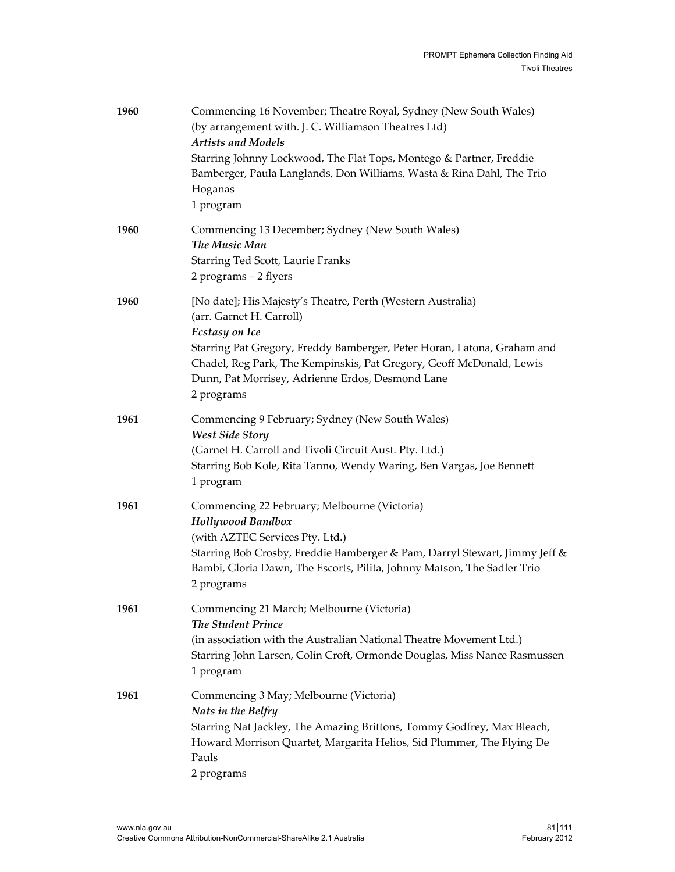| 1960 | Commencing 16 November; Theatre Royal, Sydney (New South Wales)<br>(by arrangement with. J. C. Williamson Theatres Ltd)<br><b>Artists and Models</b><br>Starring Johnny Lockwood, The Flat Tops, Montego & Partner, Freddie<br>Bamberger, Paula Langlands, Don Williams, Wasta & Rina Dahl, The Trio<br>Hoganas<br>1 program   |
|------|--------------------------------------------------------------------------------------------------------------------------------------------------------------------------------------------------------------------------------------------------------------------------------------------------------------------------------|
| 1960 | Commencing 13 December; Sydney (New South Wales)<br>The Music Man<br>Starring Ted Scott, Laurie Franks<br>2 programs - 2 flyers                                                                                                                                                                                                |
| 1960 | [No date]; His Majesty's Theatre, Perth (Western Australia)<br>(arr. Garnet H. Carroll)<br>Ecstasy on Ice<br>Starring Pat Gregory, Freddy Bamberger, Peter Horan, Latona, Graham and<br>Chadel, Reg Park, The Kempinskis, Pat Gregory, Geoff McDonald, Lewis<br>Dunn, Pat Morrisey, Adrienne Erdos, Desmond Lane<br>2 programs |
| 1961 | Commencing 9 February; Sydney (New South Wales)<br>West Side Story<br>(Garnet H. Carroll and Tivoli Circuit Aust. Pty. Ltd.)<br>Starring Bob Kole, Rita Tanno, Wendy Waring, Ben Vargas, Joe Bennett<br>1 program                                                                                                              |
| 1961 | Commencing 22 February; Melbourne (Victoria)<br><b>Hollywood Bandbox</b><br>(with AZTEC Services Pty. Ltd.)<br>Starring Bob Crosby, Freddie Bamberger & Pam, Darryl Stewart, Jimmy Jeff &<br>Bambi, Gloria Dawn, The Escorts, Pilita, Johnny Matson, The Sadler Trio<br>2 programs                                             |
| 1961 | Commencing 21 March; Melbourne (Victoria)<br>The Student Prince<br>(in association with the Australian National Theatre Movement Ltd.)<br>Starring John Larsen, Colin Croft, Ormonde Douglas, Miss Nance Rasmussen<br>1 program                                                                                                |
| 1961 | Commencing 3 May; Melbourne (Victoria)<br>Nats in the Belfry<br>Starring Nat Jackley, The Amazing Brittons, Tommy Godfrey, Max Bleach,<br>Howard Morrison Quartet, Margarita Helios, Sid Plummer, The Flying De<br>Pauls<br>2 programs                                                                                         |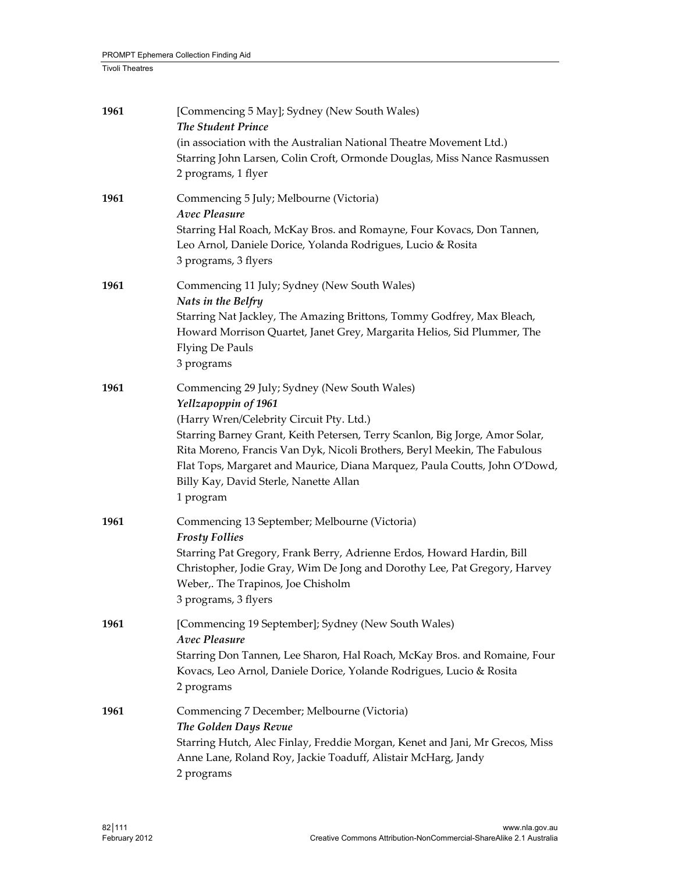| 1961 | [Commencing 5 May]; Sydney (New South Wales)<br><b>The Student Prince</b><br>(in association with the Australian National Theatre Movement Ltd.)<br>Starring John Larsen, Colin Croft, Ormonde Douglas, Miss Nance Rasmussen<br>2 programs, 1 flyer                                                                                                                                                                |
|------|--------------------------------------------------------------------------------------------------------------------------------------------------------------------------------------------------------------------------------------------------------------------------------------------------------------------------------------------------------------------------------------------------------------------|
| 1961 | Commencing 5 July; Melbourne (Victoria)<br><b>Avec Pleasure</b><br>Starring Hal Roach, McKay Bros. and Romayne, Four Kovacs, Don Tannen,<br>Leo Arnol, Daniele Dorice, Yolanda Rodrigues, Lucio & Rosita<br>3 programs, 3 flyers                                                                                                                                                                                   |
| 1961 | Commencing 11 July; Sydney (New South Wales)<br>Nats in the Belfry<br>Starring Nat Jackley, The Amazing Brittons, Tommy Godfrey, Max Bleach,<br>Howard Morrison Quartet, Janet Grey, Margarita Helios, Sid Plummer, The<br><b>Flying De Pauls</b><br>3 programs                                                                                                                                                    |
| 1961 | Commencing 29 July; Sydney (New South Wales)<br>Yellzapoppin of 1961<br>(Harry Wren/Celebrity Circuit Pty. Ltd.)<br>Starring Barney Grant, Keith Petersen, Terry Scanlon, Big Jorge, Amor Solar,<br>Rita Moreno, Francis Van Dyk, Nicoli Brothers, Beryl Meekin, The Fabulous<br>Flat Tops, Margaret and Maurice, Diana Marquez, Paula Coutts, John O'Dowd,<br>Billy Kay, David Sterle, Nanette Allan<br>1 program |
| 1961 | Commencing 13 September; Melbourne (Victoria)<br><b>Frosty Follies</b><br>Starring Pat Gregory, Frank Berry, Adrienne Erdos, Howard Hardin, Bill<br>Christopher, Jodie Gray, Wim De Jong and Dorothy Lee, Pat Gregory, Harvey<br>Weber,. The Trapinos, Joe Chisholm<br>3 programs, 3 flyers                                                                                                                        |
| 1961 | [Commencing 19 September]; Sydney (New South Wales)<br><b>Avec Pleasure</b><br>Starring Don Tannen, Lee Sharon, Hal Roach, McKay Bros. and Romaine, Four<br>Kovacs, Leo Arnol, Daniele Dorice, Yolande Rodrigues, Lucio & Rosita<br>2 programs                                                                                                                                                                     |
| 1961 | Commencing 7 December; Melbourne (Victoria)<br>The Golden Days Revue<br>Starring Hutch, Alec Finlay, Freddie Morgan, Kenet and Jani, Mr Grecos, Miss<br>Anne Lane, Roland Roy, Jackie Toaduff, Alistair McHarg, Jandy<br>2 programs                                                                                                                                                                                |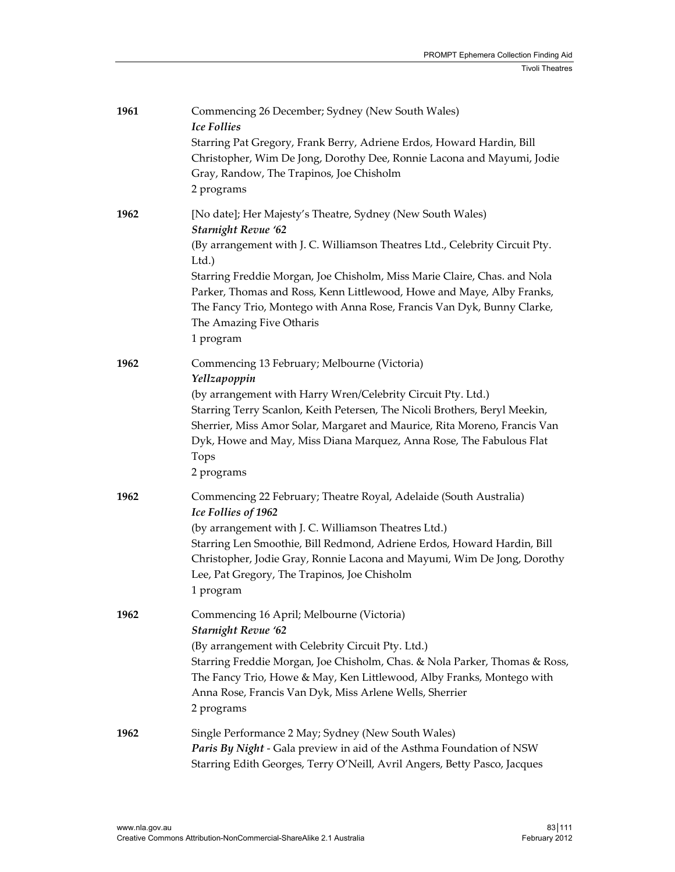| 1961 | Commencing 26 December; Sydney (New South Wales)<br><b>Ice Follies</b><br>Starring Pat Gregory, Frank Berry, Adriene Erdos, Howard Hardin, Bill<br>Christopher, Wim De Jong, Dorothy Dee, Ronnie Lacona and Mayumi, Jodie<br>Gray, Randow, The Trapinos, Joe Chisholm<br>2 programs                                                                                                                                                                      |
|------|----------------------------------------------------------------------------------------------------------------------------------------------------------------------------------------------------------------------------------------------------------------------------------------------------------------------------------------------------------------------------------------------------------------------------------------------------------|
| 1962 | [No date]; Her Majesty's Theatre, Sydney (New South Wales)<br><b>Starnight Revue '62</b><br>(By arrangement with J. C. Williamson Theatres Ltd., Celebrity Circuit Pty.<br>Ltd.)<br>Starring Freddie Morgan, Joe Chisholm, Miss Marie Claire, Chas. and Nola<br>Parker, Thomas and Ross, Kenn Littlewood, Howe and Maye, Alby Franks,<br>The Fancy Trio, Montego with Anna Rose, Francis Van Dyk, Bunny Clarke,<br>The Amazing Five Otharis<br>1 program |
| 1962 | Commencing 13 February; Melbourne (Victoria)<br>Yellzapoppin<br>(by arrangement with Harry Wren/Celebrity Circuit Pty. Ltd.)<br>Starring Terry Scanlon, Keith Petersen, The Nicoli Brothers, Beryl Meekin,<br>Sherrier, Miss Amor Solar, Margaret and Maurice, Rita Moreno, Francis Van<br>Dyk, Howe and May, Miss Diana Marquez, Anna Rose, The Fabulous Flat<br>Tops<br>2 programs                                                                     |
| 1962 | Commencing 22 February; Theatre Royal, Adelaide (South Australia)<br>Ice Follies of 1962<br>(by arrangement with J. C. Williamson Theatres Ltd.)<br>Starring Len Smoothie, Bill Redmond, Adriene Erdos, Howard Hardin, Bill<br>Christopher, Jodie Gray, Ronnie Lacona and Mayumi, Wim De Jong, Dorothy<br>Lee, Pat Gregory, The Trapinos, Joe Chisholm<br>1 program                                                                                      |
| 1962 | Commencing 16 April; Melbourne (Victoria)<br><b>Starnight Revue '62</b><br>(By arrangement with Celebrity Circuit Pty. Ltd.)<br>Starring Freddie Morgan, Joe Chisholm, Chas. & Nola Parker, Thomas & Ross,<br>The Fancy Trio, Howe & May, Ken Littlewood, Alby Franks, Montego with<br>Anna Rose, Francis Van Dyk, Miss Arlene Wells, Sherrier<br>2 programs                                                                                             |
| 1962 | Single Performance 2 May; Sydney (New South Wales)<br>Paris By Night - Gala preview in aid of the Asthma Foundation of NSW<br>Starring Edith Georges, Terry O'Neill, Avril Angers, Betty Pasco, Jacques                                                                                                                                                                                                                                                  |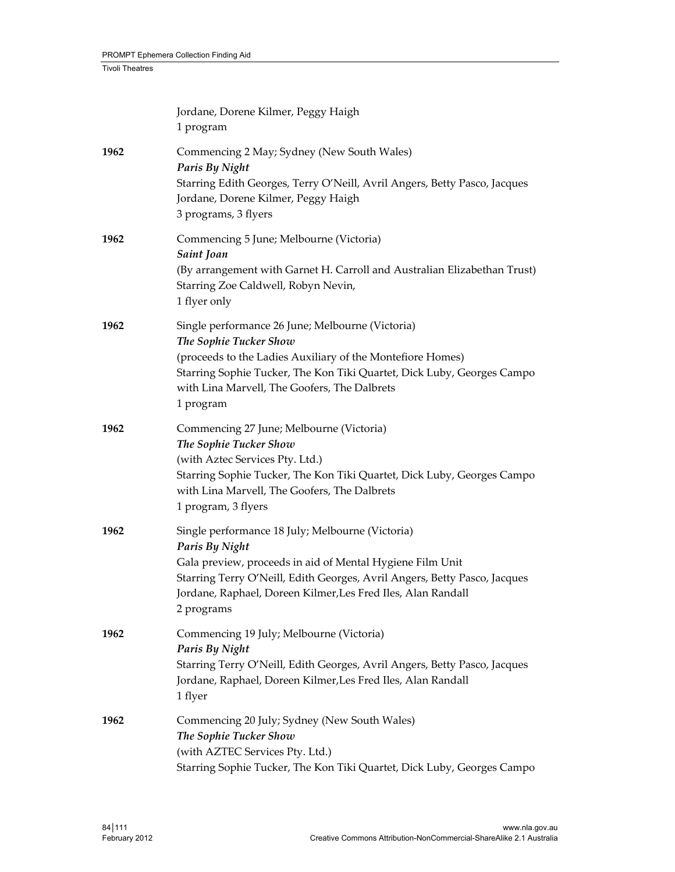|      | Jordane, Dorene Kilmer, Peggy Haigh<br>1 program                                                                                                                                                                                                                                           |
|------|--------------------------------------------------------------------------------------------------------------------------------------------------------------------------------------------------------------------------------------------------------------------------------------------|
| 1962 | Commencing 2 May; Sydney (New South Wales)<br>Paris By Night<br>Starring Edith Georges, Terry O'Neill, Avril Angers, Betty Pasco, Jacques<br>Jordane, Dorene Kilmer, Peggy Haigh<br>3 programs, 3 flyers                                                                                   |
| 1962 | Commencing 5 June; Melbourne (Victoria)<br>Saint Joan<br>(By arrangement with Garnet H. Carroll and Australian Elizabethan Trust)<br>Starring Zoe Caldwell, Robyn Nevin,<br>1 flyer only                                                                                                   |
| 1962 | Single performance 26 June; Melbourne (Victoria)<br>The Sophie Tucker Show<br>(proceeds to the Ladies Auxiliary of the Montefiore Homes)<br>Starring Sophie Tucker, The Kon Tiki Quartet, Dick Luby, Georges Campo<br>with Lina Marvell, The Goofers, The Dalbrets<br>1 program            |
| 1962 | Commencing 27 June; Melbourne (Victoria)<br>The Sophie Tucker Show<br>(with Aztec Services Pty. Ltd.)<br>Starring Sophie Tucker, The Kon Tiki Quartet, Dick Luby, Georges Campo<br>with Lina Marvell, The Goofers, The Dalbrets<br>1 program, 3 flyers                                     |
| 1962 | Single performance 18 July; Melbourne (Victoria)<br>Paris By Night<br>Gala preview, proceeds in aid of Mental Hygiene Film Unit<br>Starring Terry O'Neill, Edith Georges, Avril Angers, Betty Pasco, Jacques<br>Jordane, Raphael, Doreen Kilmer, Les Fred Iles, Alan Randall<br>2 programs |
| 1962 | Commencing 19 July; Melbourne (Victoria)<br>Paris By Night<br>Starring Terry O'Neill, Edith Georges, Avril Angers, Betty Pasco, Jacques<br>Jordane, Raphael, Doreen Kilmer, Les Fred Iles, Alan Randall<br>1 flyer                                                                         |
| 1962 | Commencing 20 July; Sydney (New South Wales)<br>The Sophie Tucker Show<br>(with AZTEC Services Pty. Ltd.)<br>Starring Sophie Tucker, The Kon Tiki Quartet, Dick Luby, Georges Campo                                                                                                        |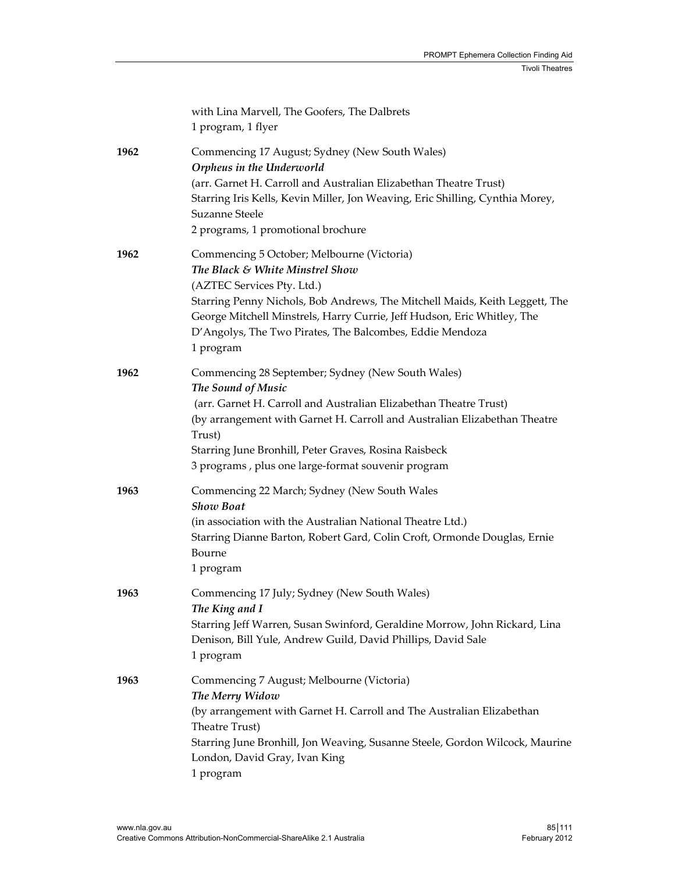|      | with Lina Marvell, The Goofers, The Dalbrets<br>1 program, 1 flyer                                                                                                                                                                                                                                                                                 |
|------|----------------------------------------------------------------------------------------------------------------------------------------------------------------------------------------------------------------------------------------------------------------------------------------------------------------------------------------------------|
| 1962 | Commencing 17 August; Sydney (New South Wales)<br>Orpheus in the Underworld<br>(arr. Garnet H. Carroll and Australian Elizabethan Theatre Trust)<br>Starring Iris Kells, Kevin Miller, Jon Weaving, Eric Shilling, Cynthia Morey,<br>Suzanne Steele<br>2 programs, 1 promotional brochure                                                          |
| 1962 | Commencing 5 October; Melbourne (Victoria)<br>The Black & White Minstrel Show<br>(AZTEC Services Pty. Ltd.)<br>Starring Penny Nichols, Bob Andrews, The Mitchell Maids, Keith Leggett, The<br>George Mitchell Minstrels, Harry Currie, Jeff Hudson, Eric Whitley, The<br>D'Angolys, The Two Pirates, The Balcombes, Eddie Mendoza<br>1 program     |
| 1962 | Commencing 28 September; Sydney (New South Wales)<br>The Sound of Music<br>(arr. Garnet H. Carroll and Australian Elizabethan Theatre Trust)<br>(by arrangement with Garnet H. Carroll and Australian Elizabethan Theatre<br>Trust)<br>Starring June Bronhill, Peter Graves, Rosina Raisbeck<br>3 programs, plus one large-format souvenir program |
| 1963 | Commencing 22 March; Sydney (New South Wales<br><b>Show Boat</b><br>(in association with the Australian National Theatre Ltd.)<br>Starring Dianne Barton, Robert Gard, Colin Croft, Ormonde Douglas, Ernie<br>Bourne<br>1 program                                                                                                                  |
| 1963 | Commencing 17 July; Sydney (New South Wales)<br>The King and I<br>Starring Jeff Warren, Susan Swinford, Geraldine Morrow, John Rickard, Lina<br>Denison, Bill Yule, Andrew Guild, David Phillips, David Sale<br>1 program                                                                                                                          |
| 1963 | Commencing 7 August; Melbourne (Victoria)<br>The Merry Widow<br>(by arrangement with Garnet H. Carroll and The Australian Elizabethan<br>Theatre Trust)<br>Starring June Bronhill, Jon Weaving, Susanne Steele, Gordon Wilcock, Maurine<br>London, David Gray, Ivan King<br>1 program                                                              |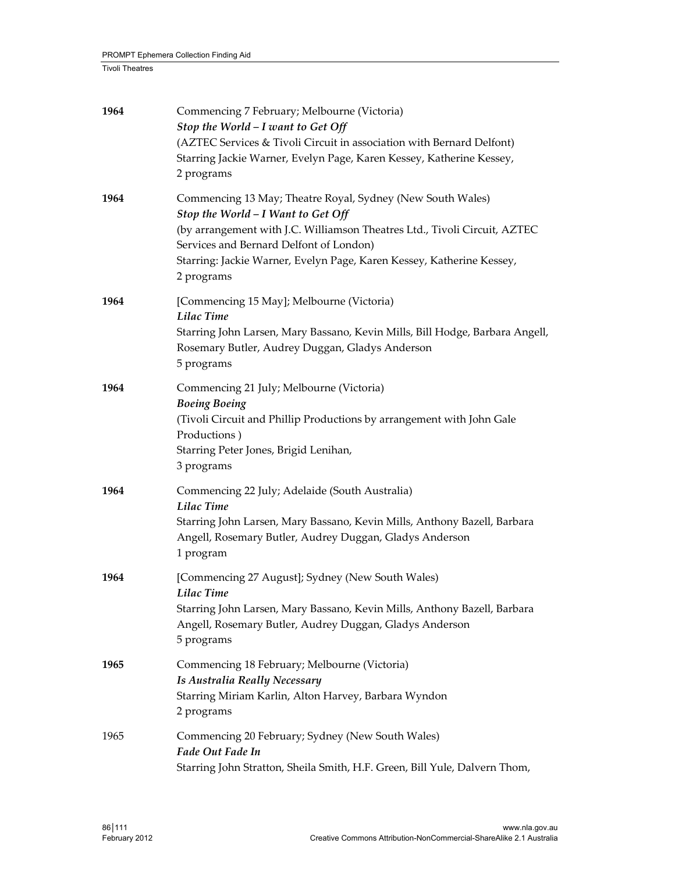| 1964 | Commencing 7 February; Melbourne (Victoria)<br>Stop the World - I want to Get Off<br>(AZTEC Services & Tivoli Circuit in association with Bernard Delfont)<br>Starring Jackie Warner, Evelyn Page, Karen Kessey, Katherine Kessey,<br>2 programs                                                                |
|------|-----------------------------------------------------------------------------------------------------------------------------------------------------------------------------------------------------------------------------------------------------------------------------------------------------------------|
| 1964 | Commencing 13 May; Theatre Royal, Sydney (New South Wales)<br>Stop the World - I Want to Get Off<br>(by arrangement with J.C. Williamson Theatres Ltd., Tivoli Circuit, AZTEC<br>Services and Bernard Delfont of London)<br>Starring: Jackie Warner, Evelyn Page, Karen Kessey, Katherine Kessey,<br>2 programs |
| 1964 | [Commencing 15 May]; Melbourne (Victoria)<br>Lilac Time<br>Starring John Larsen, Mary Bassano, Kevin Mills, Bill Hodge, Barbara Angell,<br>Rosemary Butler, Audrey Duggan, Gladys Anderson<br>5 programs                                                                                                        |
| 1964 | Commencing 21 July; Melbourne (Victoria)<br><b>Boeing Boeing</b><br>(Tivoli Circuit and Phillip Productions by arrangement with John Gale<br>Productions)<br>Starring Peter Jones, Brigid Lenihan,<br>3 programs                                                                                                |
| 1964 | Commencing 22 July; Adelaide (South Australia)<br>Lilac Time<br>Starring John Larsen, Mary Bassano, Kevin Mills, Anthony Bazell, Barbara<br>Angell, Rosemary Butler, Audrey Duggan, Gladys Anderson<br>1 program                                                                                                |
| 1964 | [Commencing 27 August]; Sydney (New South Wales)<br>Lilac Time<br>Starring John Larsen, Mary Bassano, Kevin Mills, Anthony Bazell, Barbara<br>Angell, Rosemary Butler, Audrey Duggan, Gladys Anderson<br>5 programs                                                                                             |
| 1965 | Commencing 18 February; Melbourne (Victoria)<br><b>Is Australia Really Necessary</b><br>Starring Miriam Karlin, Alton Harvey, Barbara Wyndon<br>2 programs                                                                                                                                                      |
| 1965 | Commencing 20 February; Sydney (New South Wales)<br>Fade Out Fade In<br>Starring John Stratton, Sheila Smith, H.F. Green, Bill Yule, Dalvern Thom,                                                                                                                                                              |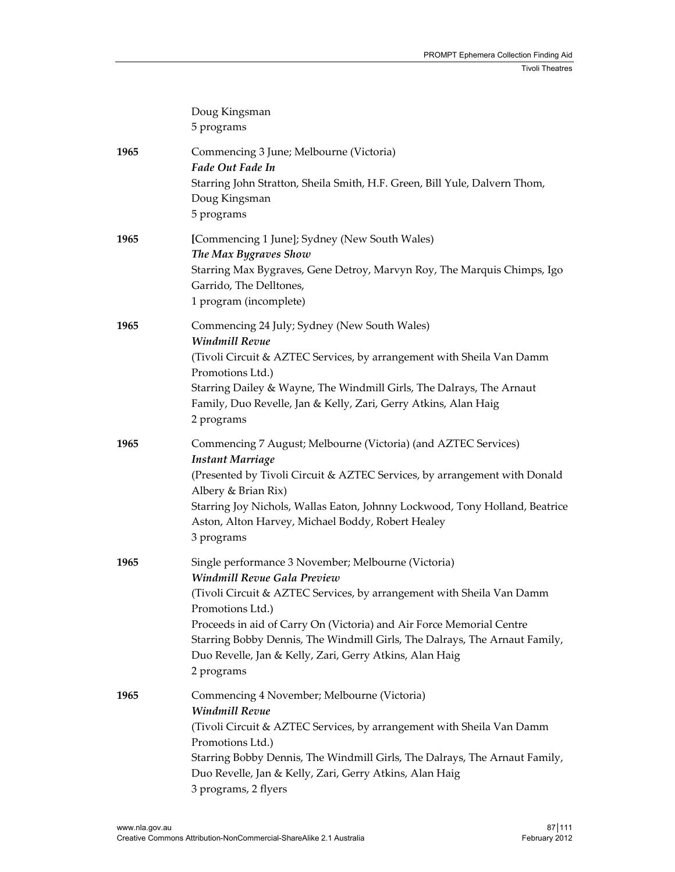|      | Doug Kingsman<br>5 programs                                                                                                                                                                                                                                                                                                                                                                                    |
|------|----------------------------------------------------------------------------------------------------------------------------------------------------------------------------------------------------------------------------------------------------------------------------------------------------------------------------------------------------------------------------------------------------------------|
| 1965 | Commencing 3 June; Melbourne (Victoria)<br>Fade Out Fade In<br>Starring John Stratton, Sheila Smith, H.F. Green, Bill Yule, Dalvern Thom,<br>Doug Kingsman<br>5 programs                                                                                                                                                                                                                                       |
| 1965 | [Commencing 1 June]; Sydney (New South Wales)<br>The Max Bygraves Show<br>Starring Max Bygraves, Gene Detroy, Marvyn Roy, The Marquis Chimps, Igo<br>Garrido, The Delltones,<br>1 program (incomplete)                                                                                                                                                                                                         |
| 1965 | Commencing 24 July; Sydney (New South Wales)<br><b>Windmill Revue</b><br>(Tivoli Circuit & AZTEC Services, by arrangement with Sheila Van Damm<br>Promotions Ltd.)<br>Starring Dailey & Wayne, The Windmill Girls, The Dalrays, The Arnaut<br>Family, Duo Revelle, Jan & Kelly, Zari, Gerry Atkins, Alan Haig<br>2 programs                                                                                    |
| 1965 | Commencing 7 August; Melbourne (Victoria) (and AZTEC Services)<br><b>Instant Marriage</b><br>(Presented by Tivoli Circuit & AZTEC Services, by arrangement with Donald<br>Albery & Brian Rix)<br>Starring Joy Nichols, Wallas Eaton, Johnny Lockwood, Tony Holland, Beatrice<br>Aston, Alton Harvey, Michael Boddy, Robert Healey<br>3 programs                                                                |
| 1965 | Single performance 3 November; Melbourne (Victoria)<br>Windmill Revue Gala Preview<br>(Tivoli Circuit & AZTEC Services, by arrangement with Sheila Van Damm<br>Promotions Ltd.)<br>Proceeds in aid of Carry On (Victoria) and Air Force Memorial Centre<br>Starring Bobby Dennis, The Windmill Girls, The Dalrays, The Arnaut Family,<br>Duo Revelle, Jan & Kelly, Zari, Gerry Atkins, Alan Haig<br>2 programs |
| 1965 | Commencing 4 November; Melbourne (Victoria)<br>Windmill Revue<br>(Tivoli Circuit & AZTEC Services, by arrangement with Sheila Van Damm<br>Promotions Ltd.)<br>Starring Bobby Dennis, The Windmill Girls, The Dalrays, The Arnaut Family,<br>Duo Revelle, Jan & Kelly, Zari, Gerry Atkins, Alan Haig<br>3 programs, 2 flyers                                                                                    |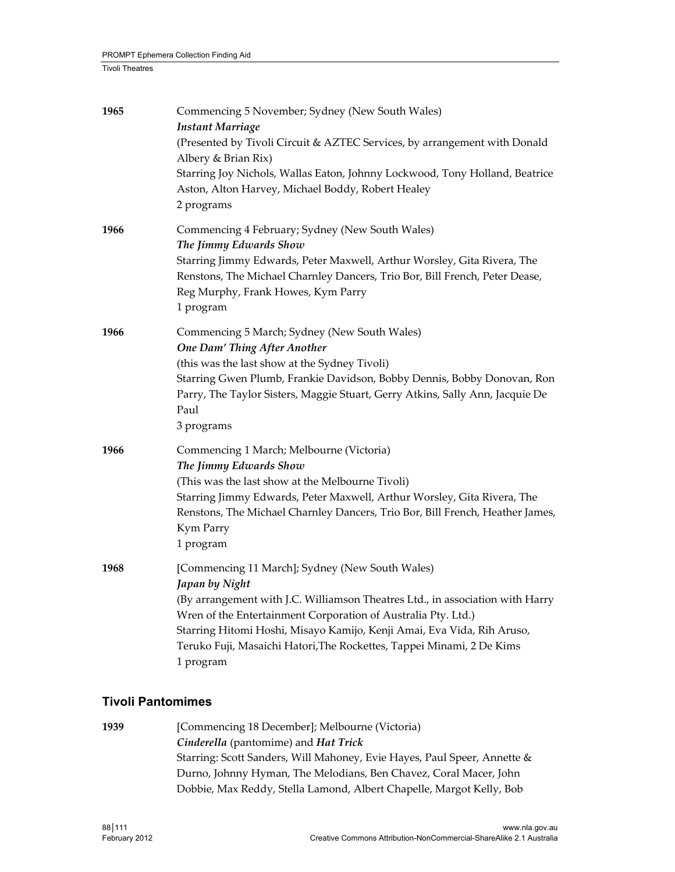| 1965 | Commencing 5 November; Sydney (New South Wales)<br><b>Instant Marriage</b><br>(Presented by Tivoli Circuit & AZTEC Services, by arrangement with Donald<br>Albery & Brian Rix)<br>Starring Joy Nichols, Wallas Eaton, Johnny Lockwood, Tony Holland, Beatrice<br>Aston, Alton Harvey, Michael Boddy, Robert Healey<br>2 programs                                                    |
|------|-------------------------------------------------------------------------------------------------------------------------------------------------------------------------------------------------------------------------------------------------------------------------------------------------------------------------------------------------------------------------------------|
| 1966 | Commencing 4 February; Sydney (New South Wales)<br>The Jimmy Edwards Show<br>Starring Jimmy Edwards, Peter Maxwell, Arthur Worsley, Gita Rivera, The<br>Renstons, The Michael Charnley Dancers, Trio Bor, Bill French, Peter Dease,<br>Reg Murphy, Frank Howes, Kym Parry<br>1 program                                                                                              |
| 1966 | Commencing 5 March; Sydney (New South Wales)<br><b>One Dam' Thing After Another</b><br>(this was the last show at the Sydney Tivoli)<br>Starring Gwen Plumb, Frankie Davidson, Bobby Dennis, Bobby Donovan, Ron<br>Parry, The Taylor Sisters, Maggie Stuart, Gerry Atkins, Sally Ann, Jacquie De<br>Paul<br>3 programs                                                              |
| 1966 | Commencing 1 March; Melbourne (Victoria)<br>The Jimmy Edwards Show<br>(This was the last show at the Melbourne Tivoli)<br>Starring Jimmy Edwards, Peter Maxwell, Arthur Worsley, Gita Rivera, The<br>Renstons, The Michael Charnley Dancers, Trio Bor, Bill French, Heather James,<br>Kym Parry<br>1 program                                                                        |
| 1968 | [Commencing 11 March]; Sydney (New South Wales)<br>Japan by Night<br>(By arrangement with J.C. Williamson Theatres Ltd., in association with Harry<br>Wren of the Entertainment Corporation of Australia Pty. Ltd.)<br>Starring Hitomi Hoshi, Misayo Kamijo, Kenji Amai, Eva Vida, Rih Aruso,<br>Teruko Fuji, Masaichi Hatori, The Rockettes, Tappei Minami, 2 De Kims<br>1 program |

# **Tivoli Pantomimes**

| 1939 | [Commencing 18 December]; Melbourne (Victoria)                           |
|------|--------------------------------------------------------------------------|
|      | Cinderella (pantomime) and Hat Trick                                     |
|      | Starring: Scott Sanders, Will Mahoney, Evie Hayes, Paul Speer, Annette & |
|      | Durno, Johnny Hyman, The Melodians, Ben Chavez, Coral Macer, John        |
|      | Dobbie, Max Reddy, Stella Lamond, Albert Chapelle, Margot Kelly, Bob     |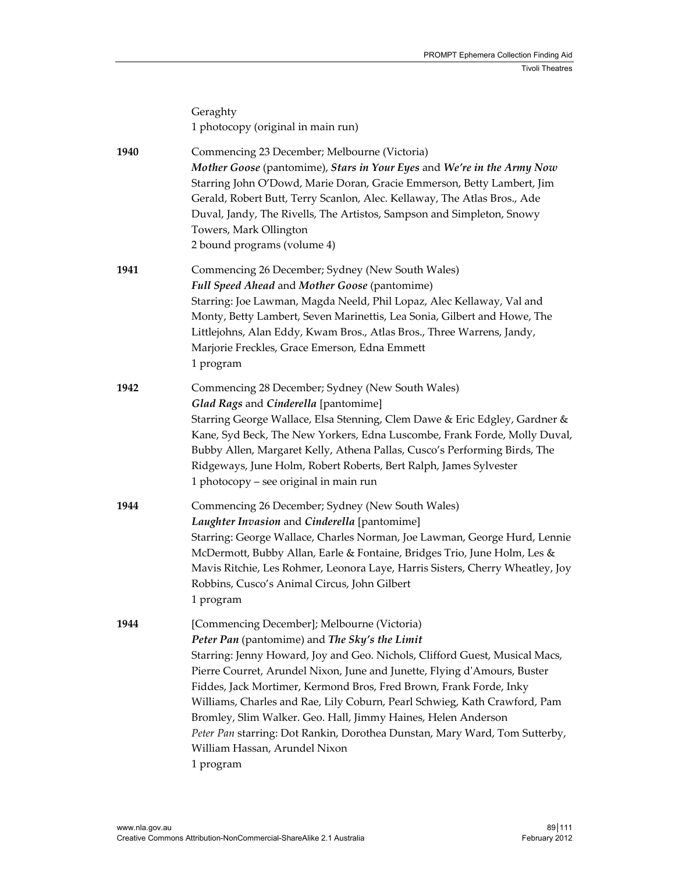|      | Geraghty<br>1 photocopy (original in main run)                                                                                                                                                                                                                                                                                                                                                                                                                                                                                                                                                          |
|------|---------------------------------------------------------------------------------------------------------------------------------------------------------------------------------------------------------------------------------------------------------------------------------------------------------------------------------------------------------------------------------------------------------------------------------------------------------------------------------------------------------------------------------------------------------------------------------------------------------|
| 1940 | Commencing 23 December; Melbourne (Victoria)<br>Mother Goose (pantomime), Stars in Your Eyes and We're in the Army Now<br>Starring John O'Dowd, Marie Doran, Gracie Emmerson, Betty Lambert, Jim<br>Gerald, Robert Butt, Terry Scanlon, Alec. Kellaway, The Atlas Bros., Ade<br>Duval, Jandy, The Rivells, The Artistos, Sampson and Simpleton, Snowy<br>Towers, Mark Ollington<br>2 bound programs (volume 4)                                                                                                                                                                                          |
| 1941 | Commencing 26 December; Sydney (New South Wales)<br>Full Speed Ahead and Mother Goose (pantomime)<br>Starring: Joe Lawman, Magda Neeld, Phil Lopaz, Alec Kellaway, Val and<br>Monty, Betty Lambert, Seven Marinettis, Lea Sonia, Gilbert and Howe, The<br>Littlejohns, Alan Eddy, Kwam Bros., Atlas Bros., Three Warrens, Jandy,<br>Marjorie Freckles, Grace Emerson, Edna Emmett<br>1 program                                                                                                                                                                                                          |
| 1942 | Commencing 28 December; Sydney (New South Wales)<br>Glad Rags and Cinderella [pantomime]<br>Starring George Wallace, Elsa Stenning, Clem Dawe & Eric Edgley, Gardner &<br>Kane, Syd Beck, The New Yorkers, Edna Luscombe, Frank Forde, Molly Duval,<br>Bubby Allen, Margaret Kelly, Athena Pallas, Cusco's Performing Birds, The<br>Ridgeways, June Holm, Robert Roberts, Bert Ralph, James Sylvester<br>1 photocopy – see original in main run                                                                                                                                                         |
| 1944 | Commencing 26 December; Sydney (New South Wales)<br>Laughter Invasion and Cinderella [pantomime]<br>Starring: George Wallace, Charles Norman, Joe Lawman, George Hurd, Lennie<br>McDermott, Bubby Allan, Earle & Fontaine, Bridges Trio, June Holm, Les &<br>Mavis Ritchie, Les Rohmer, Leonora Laye, Harris Sisters, Cherry Wheatley, Joy<br>Robbins, Cusco's Animal Circus, John Gilbert<br>1 program                                                                                                                                                                                                 |
| 1944 | [Commencing December]; Melbourne (Victoria)<br>Peter Pan (pantomime) and The Sky's the Limit<br>Starring: Jenny Howard, Joy and Geo. Nichols, Clifford Guest, Musical Macs,<br>Pierre Courret, Arundel Nixon, June and Junette, Flying d'Amours, Buster<br>Fiddes, Jack Mortimer, Kermond Bros, Fred Brown, Frank Forde, Inky<br>Williams, Charles and Rae, Lily Coburn, Pearl Schwieg, Kath Crawford, Pam<br>Bromley, Slim Walker. Geo. Hall, Jimmy Haines, Helen Anderson<br>Peter Pan starring: Dot Rankin, Dorothea Dunstan, Mary Ward, Tom Sutterby,<br>William Hassan, Arundel Nixon<br>1 program |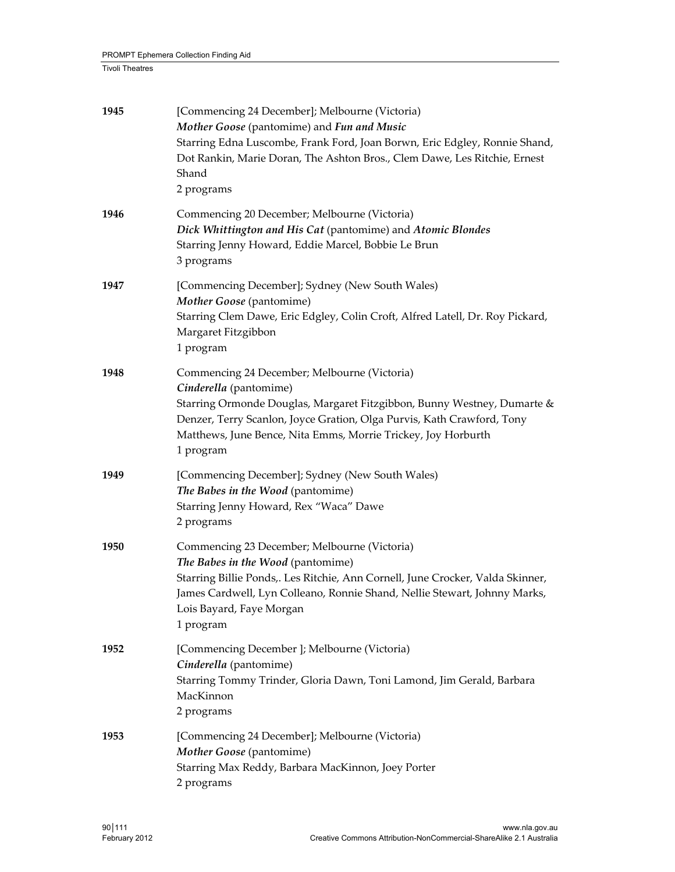| 1945 | [Commencing 24 December]; Melbourne (Victoria)<br>Mother Goose (pantomime) and Fun and Music<br>Starring Edna Luscombe, Frank Ford, Joan Borwn, Eric Edgley, Ronnie Shand,<br>Dot Rankin, Marie Doran, The Ashton Bros., Clem Dawe, Les Ritchie, Ernest<br>Shand<br>2 programs                            |
|------|-----------------------------------------------------------------------------------------------------------------------------------------------------------------------------------------------------------------------------------------------------------------------------------------------------------|
| 1946 | Commencing 20 December; Melbourne (Victoria)<br>Dick Whittington and His Cat (pantomime) and Atomic Blondes<br>Starring Jenny Howard, Eddie Marcel, Bobbie Le Brun<br>3 programs                                                                                                                          |
| 1947 | [Commencing December]; Sydney (New South Wales)<br>Mother Goose (pantomime)<br>Starring Clem Dawe, Eric Edgley, Colin Croft, Alfred Latell, Dr. Roy Pickard,<br>Margaret Fitzgibbon<br>1 program                                                                                                          |
| 1948 | Commencing 24 December; Melbourne (Victoria)<br>Cinderella (pantomime)<br>Starring Ormonde Douglas, Margaret Fitzgibbon, Bunny Westney, Dumarte &<br>Denzer, Terry Scanlon, Joyce Gration, Olga Purvis, Kath Crawford, Tony<br>Matthews, June Bence, Nita Emms, Morrie Trickey, Joy Horburth<br>1 program |
| 1949 | [Commencing December]; Sydney (New South Wales)<br>The Babes in the Wood (pantomime)<br>Starring Jenny Howard, Rex "Waca" Dawe<br>2 programs                                                                                                                                                              |
| 1950 | Commencing 23 December; Melbourne (Victoria)<br>The Babes in the Wood (pantomime)<br>Starring Billie Ponds,. Les Ritchie, Ann Cornell, June Crocker, Valda Skinner,<br>James Cardwell, Lyn Colleano, Ronnie Shand, Nellie Stewart, Johnny Marks,<br>Lois Bayard, Faye Morgan<br>1 program                 |
| 1952 | [Commencing December]; Melbourne (Victoria)<br>Cinderella (pantomime)<br>Starring Tommy Trinder, Gloria Dawn, Toni Lamond, Jim Gerald, Barbara<br>MacKinnon<br>2 programs                                                                                                                                 |
| 1953 | [Commencing 24 December]; Melbourne (Victoria)<br>Mother Goose (pantomime)<br>Starring Max Reddy, Barbara MacKinnon, Joey Porter<br>2 programs                                                                                                                                                            |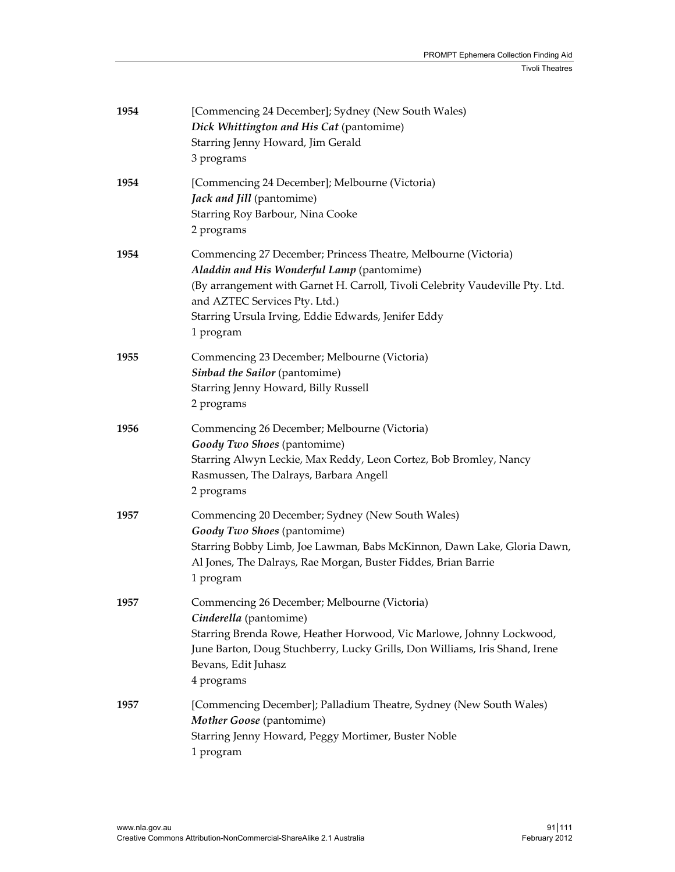| 1954 | [Commencing 24 December]; Sydney (New South Wales)<br>Dick Whittington and His Cat (pantomime)<br>Starring Jenny Howard, Jim Gerald<br>3 programs                                                                                                                                                  |
|------|----------------------------------------------------------------------------------------------------------------------------------------------------------------------------------------------------------------------------------------------------------------------------------------------------|
| 1954 | [Commencing 24 December]; Melbourne (Victoria)<br>Jack and Jill (pantomime)<br>Starring Roy Barbour, Nina Cooke<br>2 programs                                                                                                                                                                      |
| 1954 | Commencing 27 December; Princess Theatre, Melbourne (Victoria)<br>Aladdin and His Wonderful Lamp (pantomime)<br>(By arrangement with Garnet H. Carroll, Tivoli Celebrity Vaudeville Pty. Ltd.<br>and AZTEC Services Pty. Ltd.)<br>Starring Ursula Irving, Eddie Edwards, Jenifer Eddy<br>1 program |
| 1955 | Commencing 23 December; Melbourne (Victoria)<br>Sinbad the Sailor (pantomime)<br>Starring Jenny Howard, Billy Russell<br>2 programs                                                                                                                                                                |
| 1956 | Commencing 26 December; Melbourne (Victoria)<br>Goody Two Shoes (pantomime)<br>Starring Alwyn Leckie, Max Reddy, Leon Cortez, Bob Bromley, Nancy<br>Rasmussen, The Dalrays, Barbara Angell<br>2 programs                                                                                           |
| 1957 | Commencing 20 December; Sydney (New South Wales)<br>Goody Two Shoes (pantomime)<br>Starring Bobby Limb, Joe Lawman, Babs McKinnon, Dawn Lake, Gloria Dawn,<br>Al Jones, The Dalrays, Rae Morgan, Buster Fiddes, Brian Barrie<br>1 program                                                          |
| 1957 | Commencing 26 December; Melbourne (Victoria)<br>Cinderella (pantomime)<br>Starring Brenda Rowe, Heather Horwood, Vic Marlowe, Johnny Lockwood,<br>June Barton, Doug Stuchberry, Lucky Grills, Don Williams, Iris Shand, Irene<br>Bevans, Edit Juhasz<br>4 programs                                 |
| 1957 | [Commencing December]; Palladium Theatre, Sydney (New South Wales)<br>Mother Goose (pantomime)<br>Starring Jenny Howard, Peggy Mortimer, Buster Noble<br>1 program                                                                                                                                 |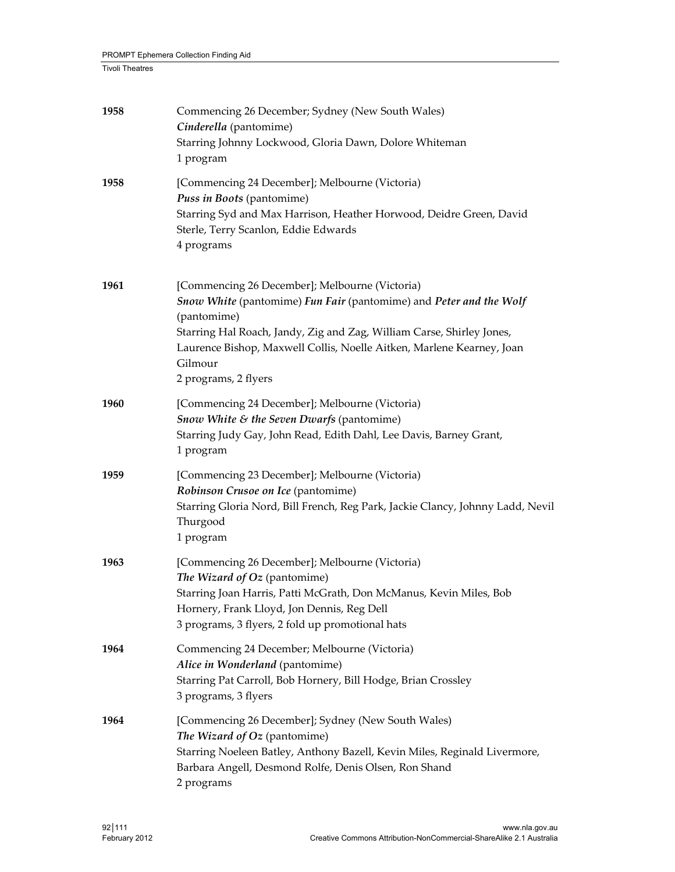| 1958 | Commencing 26 December; Sydney (New South Wales)<br>Cinderella (pantomime)<br>Starring Johnny Lockwood, Gloria Dawn, Dolore Whiteman<br>1 program                                                                                                                                                                        |
|------|--------------------------------------------------------------------------------------------------------------------------------------------------------------------------------------------------------------------------------------------------------------------------------------------------------------------------|
| 1958 | [Commencing 24 December]; Melbourne (Victoria)<br>Puss in Boots (pantomime)<br>Starring Syd and Max Harrison, Heather Horwood, Deidre Green, David<br>Sterle, Terry Scanlon, Eddie Edwards<br>4 programs                                                                                                                 |
| 1961 | [Commencing 26 December]; Melbourne (Victoria)<br>Snow White (pantomime) Fun Fair (pantomime) and Peter and the Wolf<br>(pantomime)<br>Starring Hal Roach, Jandy, Zig and Zag, William Carse, Shirley Jones,<br>Laurence Bishop, Maxwell Collis, Noelle Aitken, Marlene Kearney, Joan<br>Gilmour<br>2 programs, 2 flyers |
| 1960 | [Commencing 24 December]; Melbourne (Victoria)<br>Snow White & the Seven Dwarfs (pantomime)<br>Starring Judy Gay, John Read, Edith Dahl, Lee Davis, Barney Grant,<br>1 program                                                                                                                                           |
| 1959 | [Commencing 23 December]; Melbourne (Victoria)<br>Robinson Crusoe on Ice (pantomime)<br>Starring Gloria Nord, Bill French, Reg Park, Jackie Clancy, Johnny Ladd, Nevil<br>Thurgood<br>1 program                                                                                                                          |
| 1963 | [Commencing 26 December]; Melbourne (Victoria)<br>The Wizard of Oz (pantomime)<br>Starring Joan Harris, Patti McGrath, Don McManus, Kevin Miles, Bob<br>Hornery, Frank Lloyd, Jon Dennis, Reg Dell<br>3 programs, 3 flyers, 2 fold up promotional hats                                                                   |
| 1964 | Commencing 24 December; Melbourne (Victoria)<br>Alice in Wonderland (pantomime)<br>Starring Pat Carroll, Bob Hornery, Bill Hodge, Brian Crossley<br>3 programs, 3 flyers                                                                                                                                                 |
| 1964 | [Commencing 26 December]; Sydney (New South Wales)<br>The Wizard of Oz (pantomime)<br>Starring Noeleen Batley, Anthony Bazell, Kevin Miles, Reginald Livermore,<br>Barbara Angell, Desmond Rolfe, Denis Olsen, Ron Shand<br>2 programs                                                                                   |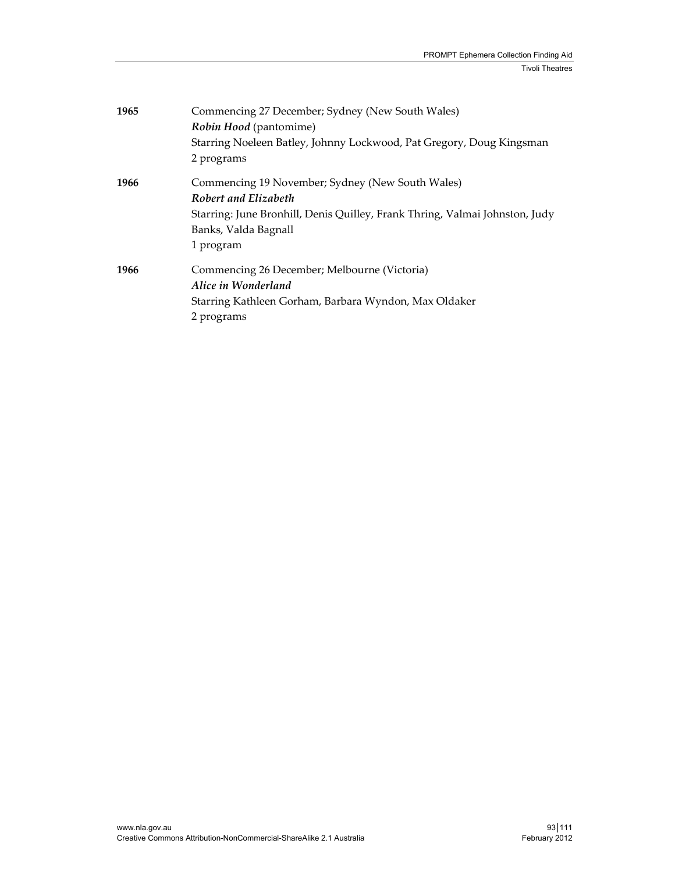| 1965 | Commencing 27 December; Sydney (New South Wales)                            |
|------|-----------------------------------------------------------------------------|
|      | Robin Hood (pantomime)                                                      |
|      | Starring Noeleen Batley, Johnny Lockwood, Pat Gregory, Doug Kingsman        |
|      | 2 programs                                                                  |
| 1966 | Commencing 19 November; Sydney (New South Wales)                            |
|      | Robert and Elizabeth                                                        |
|      | Starring: June Bronhill, Denis Quilley, Frank Thring, Valmai Johnston, Judy |
|      | Banks, Valda Bagnall                                                        |
|      | 1 program                                                                   |
| 1966 | Commencing 26 December; Melbourne (Victoria)                                |
|      | Alice in Wonderland                                                         |
|      | Starring Kathleen Gorham, Barbara Wyndon, Max Oldaker                       |
|      | 2 programs                                                                  |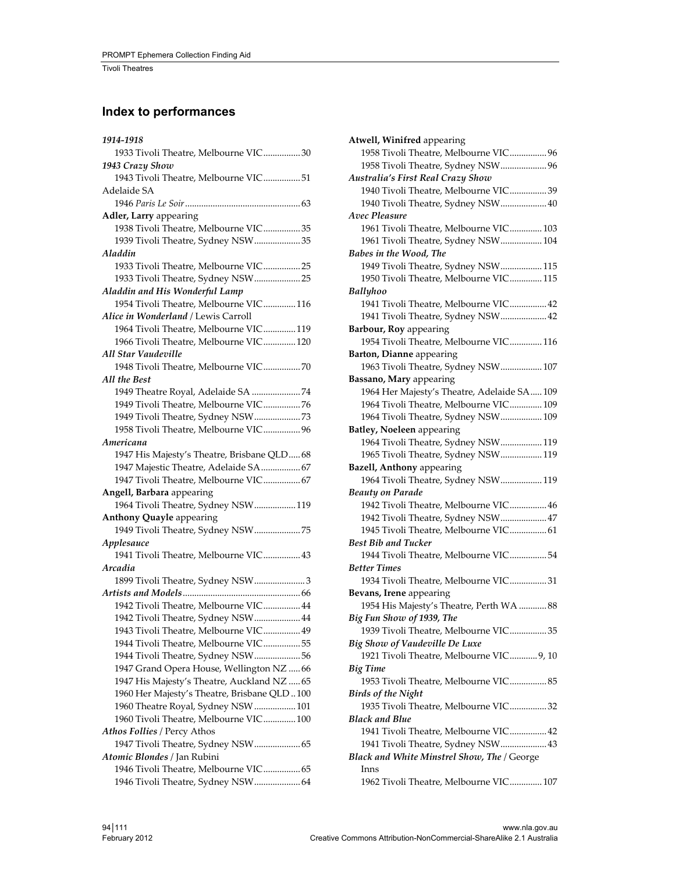# **Index to performances**

| 1933 Tivoli Theatre, Melbourne VIC30                                        |
|-----------------------------------------------------------------------------|
| 1943 Crazy Show                                                             |
| 1943 Tivoli Theatre, Melbourne VIC 51                                       |
| Adelaide SA                                                                 |
|                                                                             |
| Adler, Larry appearing                                                      |
| 1938 Tivoli Theatre, Melbourne VIC 35                                       |
| 1939 Tivoli Theatre, Sydney NSW 35                                          |
| Aladdin                                                                     |
| 1933 Tivoli Theatre, Melbourne VIC 25                                       |
| 1933 Tivoli Theatre, Sydney NSW 25                                          |
| Aladdin and His Wonderful Lamp                                              |
| 1954 Tivoli Theatre, Melbourne VIC 116                                      |
| Alice in Wonderland / Lewis Carroll                                         |
| 1964 Tivoli Theatre, Melbourne VIC 119                                      |
| 1966 Tivoli Theatre, Melbourne VIC 120                                      |
| All Star Vaudeville                                                         |
| 1948 Tivoli Theatre, Melbourne VIC 70                                       |
| <b>All the Best</b>                                                         |
| 1949 Theatre Royal, Adelaide SA 74                                          |
| 1949 Tivoli Theatre, Melbourne VIC 76                                       |
| 1949 Tivoli Theatre, Sydney NSW  73                                         |
| 1958 Tivoli Theatre, Melbourne VIC 96                                       |
| Americana                                                                   |
| 1947 His Majesty's Theatre, Brisbane QLD 68                                 |
| 1947 Majestic Theatre, Adelaide SA  67                                      |
| 1947 Tivoli Theatre, Melbourne VIC 67                                       |
| Angell, Barbara appearing                                                   |
| 1964 Tivoli Theatre, Sydney NSW 119                                         |
| <b>Anthony Quayle appearing</b>                                             |
| 1949 Tivoli Theatre, Sydney NSW 75                                          |
|                                                                             |
|                                                                             |
| Applesauce                                                                  |
| 1941 Tivoli Theatre, Melbourne VIC 43                                       |
| Arcadia                                                                     |
| 1899 Tivoli Theatre, Sydney NSW3                                            |
|                                                                             |
| 1942 Tivoli Theatre, Melbourne VIC 44                                       |
| 1942 Tivoli Theatre, Sydney NSW 44                                          |
| 1943 Tivoli Theatre, Melbourne VIC 49                                       |
| 1944 Tivoli Theatre, Melbourne VIC 55                                       |
| 1944 Tivoli Theatre, Sydney NSW56                                           |
| 1947 Grand Opera House, Wellington NZ  66                                   |
| 1947 His Majesty's Theatre, Auckland NZ  65                                 |
| 1960 Her Majesty's Theatre, Brisbane QLD100                                 |
| 1960 Theatre Royal, Sydney NSW  101                                         |
| 1960 Tivoli Theatre, Melbourne VIC 100                                      |
| Athos Follies / Percy Athos                                                 |
| 1947 Tivoli Theatre, Sydney NSW 65                                          |
| Atomic Blondes / Jan Rubini                                                 |
| 1946 Tivoli Theatre, Melbourne VIC 65<br>1946 Tivoli Theatre, Sydney NSW 64 |

| Atwell, Winifred appearing                  |
|---------------------------------------------|
| 1958 Tivoli Theatre, Melbourne VIC 96       |
| 1958 Tivoli Theatre, Sydney NSW 96          |
| Australia's First Real Crazy Show           |
| 1940 Tivoli Theatre, Melbourne VIC39        |
| 1940 Tivoli Theatre, Sydney NSW 40          |
| Avec Pleasure                               |
| 1961 Tivoli Theatre, Melbourne VIC 103      |
| 1961 Tivoli Theatre, Sydney NSW 104         |
| <b>Babes in the Wood, The</b>               |
| 1949 Tivoli Theatre, Sydney NSW 115         |
| 1950 Tivoli Theatre, Melbourne VIC 115      |
| Ballyhoo                                    |
| 1941 Tivoli Theatre, Melbourne VIC 42       |
| 1941 Tivoli Theatre, Sydney NSW 42          |
| Barbour, Roy appearing                      |
| 1954 Tivoli Theatre, Melbourne VIC 116      |
| Barton, Dianne appearing                    |
| 1963 Tivoli Theatre, Sydney NSW 107         |
| Bassano, Mary appearing                     |
| 1964 Her Majesty's Theatre, Adelaide SA 109 |
| 1964 Tivoli Theatre, Melbourne VIC 109      |
| 1964 Tivoli Theatre, Sydney NSW 109         |
| Batley, Noeleen appearing                   |
| 1964 Tivoli Theatre, Sydney NSW 119         |
| 1965 Tivoli Theatre, Sydney NSW 119         |
| Bazell, Anthony appearing                   |
| 1964 Tivoli Theatre, Sydney NSW 119         |
| <b>Beauty on Parade</b>                     |
| 1942 Tivoli Theatre, Melbourne VIC 46       |
| 1942 Tivoli Theatre, Sydney NSW 47          |
| 1945 Tivoli Theatre, Melbourne VIC 61       |
| <b>Best Bib and Tucker</b>                  |
| 1944 Tivoli Theatre, Melbourne VIC 54       |
| <b>Better Times</b>                         |
| 1934 Tivoli Theatre, Melbourne VIC31        |
| Bevans, Irene appearing                     |
| 1954 His Majesty's Theatre, Perth WA  88    |
| Big Fun Show of 1939, The                   |
| 1939 Tivoli Theatre, Melbourne VIC35        |
| Big Show of Vaudeville De Luxe              |
| 1921 Tivoli Theatre, Melbourne VIC 9, 10    |
| <b>Big Time</b>                             |
| 1953 Tivoli Theatre, Melbourne VIC 85       |
| Birds of the Night                          |
| 1935 Tivoli Theatre, Melbourne VIC 32       |
|                                             |
| Black and Blue                              |
| 1941 Tivoli Theatre, Melbourne VIC 42       |
| 1941 Tivoli Theatre, Sydney NSW 43          |
| Black and White Minstrel Show, The / George |
| Inns                                        |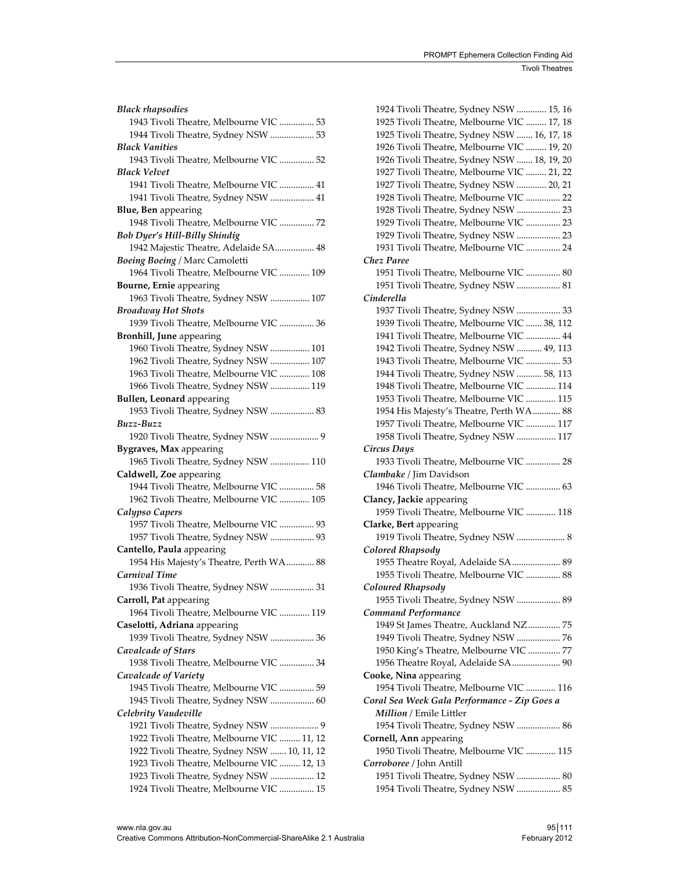| <b>Black rhapsodies</b>                     |
|---------------------------------------------|
| 1943 Tivoli Theatre, Melbourne VIC  53      |
| 1944 Tivoli Theatre, Sydney NSW  53         |
| <b>Black Vanities</b>                       |
| 1943 Tivoli Theatre, Melbourne VIC  52      |
| <b>Black Velvet</b>                         |
| 1941 Tivoli Theatre, Melbourne VIC  41      |
| 1941 Tivoli Theatre, Sydney NSW  41         |
| Blue, Ben appearing                         |
|                                             |
| 1948 Tivoli Theatre, Melbourne VIC  72      |
| Bob Dyer's Hill-Billy Shindig               |
| 1942 Majestic Theatre, Adelaide SA 48       |
| Boeing Boeing / Marc Camoletti              |
| 1964 Tivoli Theatre, Melbourne VIC  109     |
| Bourne, Ernie appearing                     |
| 1963 Tivoli Theatre, Sydney NSW  107        |
| <b>Broadway Hot Shots</b>                   |
| 1939 Tivoli Theatre, Melbourne VIC  36      |
| <b>Bronhill, June appearing</b>             |
| 1960 Tivoli Theatre, Sydney NSW  101        |
| 1962 Tivoli Theatre, Sydney NSW  107        |
| 1963 Tivoli Theatre, Melbourne VIC  108     |
| 1966 Tivoli Theatre, Sydney NSW  119        |
| <b>Bullen, Leonard appearing</b>            |
| 1953 Tivoli Theatre, Sydney NSW  83         |
| Buzz-Buzz                                   |
| 1920 Tivoli Theatre, Sydney NSW  9          |
| Bygraves, Max appearing                     |
| 1965 Tivoli Theatre, Sydney NSW  110        |
|                                             |
| Caldwell, Zoe appearing                     |
| 1944 Tivoli Theatre, Melbourne VIC  58      |
| 1962 Tivoli Theatre, Melbourne VIC  105     |
| Calypso Capers                              |
| 1957 Tivoli Theatre, Melbourne VIC  93      |
| 1957 Tivoli Theatre, Sydney NSW  93         |
| Cantello, Paula appearing                   |
| 1954 His Majesty's Theatre, Perth WA 88     |
| Carnival Time                               |
| 1936 Tivoli Theatre, Sydney NSW  31         |
| Carroll, Pat appearing                      |
| 1964 Tivoli Theatre, Melbourne VIC  119     |
| Caselotti, Adriana appearing                |
| 1939 Tivoli Theatre, Sydney NSW  36         |
| Cavalcade of Stars                          |
| 1938 Tivoli Theatre, Melbourne VIC  34      |
| Cavalcade of Variety                        |
| 1945 Tivoli Theatre, Melbourne VIC  59      |
| 1945 Tivoli Theatre, Sydney NSW  60         |
| Celebrity Vaudeville                        |
| 1921 Tivoli Theatre, Sydney NSW  9          |
| 1922 Tivoli Theatre, Melbourne VIC  11, 12  |
| 1922 Tivoli Theatre, Sydney NSW  10, 11, 12 |
| 1923 Tivoli Theatre, Melbourne VIC  12, 13  |
| 1923 Tivoli Theatre, Sydney NSW  12         |
| 1924 Tivoli Theatre, Melbourne VIC  15      |
|                                             |

| 1924 Tivoli Theatre, Sydney NSW  15, 16                                    |
|----------------------------------------------------------------------------|
| 1925 Tivoli Theatre, Melbourne VIC  17, 18                                 |
| 1925 Tivoli Theatre, Sydney NSW  16, 17, 18                                |
| 1926 Tivoli Theatre, Melbourne VIC  19, 20                                 |
| 1926 Tivoli Theatre, Sydney NSW  18, 19, 20                                |
| 1927 Tivoli Theatre, Melbourne VIC  21, 22                                 |
| 1927 Tivoli Theatre, Sydney NSW  20, 21                                    |
| 1928 Tivoli Theatre, Melbourne VIC  22                                     |
| 1928 Tivoli Theatre, Sydney NSW  23                                        |
| 1929 Tivoli Theatre, Melbourne VIC  23                                     |
| 1929 Tivoli Theatre, Sydney NSW  23                                        |
| 1931 Tivoli Theatre, Melbourne VIC  24                                     |
| Chez Paree                                                                 |
| 1951 Tivoli Theatre, Melbourne VIC  80                                     |
| 1951 Tivoli Theatre, Sydney NSW  81                                        |
| Cinderella                                                                 |
|                                                                            |
| 1937 Tivoli Theatre, Sydney NSW  33                                        |
| 1939 Tivoli Theatre, Melbourne VIC  38, 112                                |
| 1941 Tivoli Theatre, Melbourne VIC  44                                     |
| 1942 Tivoli Theatre, Sydney NSW  49, 113                                   |
| 1943 Tivoli Theatre, Melbourne VIC  53                                     |
| 1944 Tivoli Theatre, Sydney NSW  58, 113                                   |
| 1948 Tivoli Theatre, Melbourne VIC  114                                    |
| 1953 Tivoli Theatre, Melbourne VIC  115                                    |
| 1954 His Majesty's Theatre, Perth WA 88                                    |
| 1957 Tivoli Theatre, Melbourne VIC  117                                    |
| 1958 Tivoli Theatre, Sydney NSW  117                                       |
|                                                                            |
|                                                                            |
| Circus Days                                                                |
| 1933 Tivoli Theatre, Melbourne VIC  28                                     |
| Clambake / Jim Davidson                                                    |
| 1946 Tivoli Theatre, Melbourne VIC  63                                     |
| Clancy, Jackie appearing                                                   |
| 1959 Tivoli Theatre, Melbourne VIC  118                                    |
| Clarke, Bert appearing                                                     |
| 1919 Tivoli Theatre, Sydney NSW  8                                         |
| Colored Rhapsody                                                           |
| 1955 Theatre Royal, Adelaide SA 89                                         |
| 1955 Tivoli Theatre, Melbourne VIC  88                                     |
| Coloured Rhapsody                                                          |
| 1955 Tivoli Theatre, Sydney NSW  89                                        |
| Command Performance                                                        |
| 1949 St James Theatre, Auckland NZ  75                                     |
| 1949 Tivoli Theatre, Sydney NSW  76                                        |
| 1950 King's Theatre, Melbourne VIC  77                                     |
| 1956 Theatre Royal, Adelaide SA 90                                         |
| Cooke, Nina appearing                                                      |
| 1954 Tivoli Theatre, Melbourne VIC  116                                    |
| Coral Sea Week Gala Performance - Zip Goes a                               |
| Million / Emile Littler                                                    |
| 1954 Tivoli Theatre, Sydney NSW  86                                        |
|                                                                            |
| Cornell, Ann appearing                                                     |
| 1950 Tivoli Theatre, Melbourne VIC  115                                    |
| Corroboree / John Antill                                                   |
| 1951 Tivoli Theatre, Sydney NSW  80<br>1954 Tivoli Theatre, Sydney NSW  85 |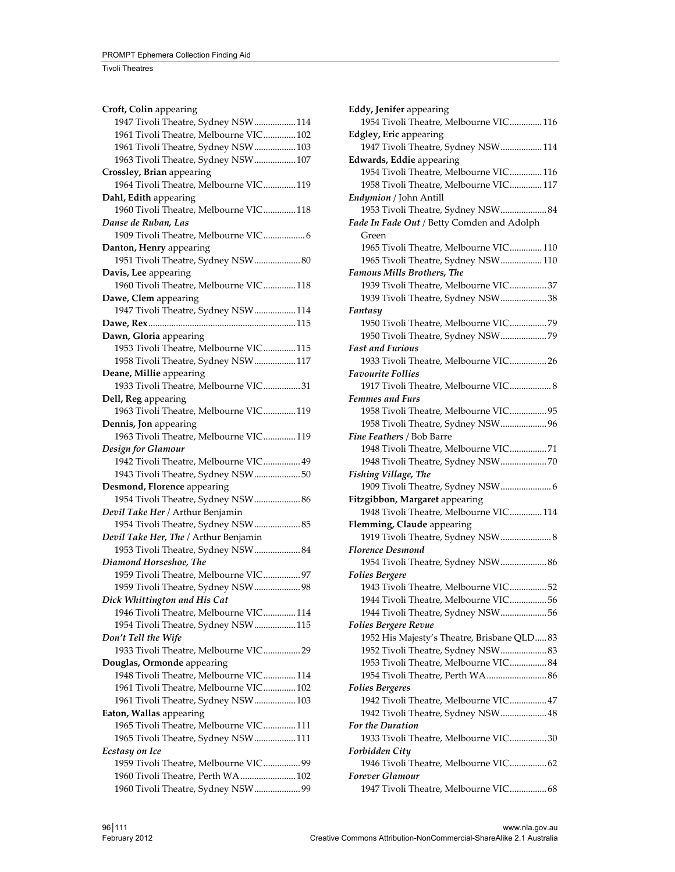| Croft, Colin appearing                                                  |
|-------------------------------------------------------------------------|
| 1947 Tivoli Theatre, Sydney NSW 114                                     |
| 1961 Tivoli Theatre, Melbourne VIC 102                                  |
| 1961 Tivoli Theatre, Sydney NSW 103                                     |
| 1963 Tivoli Theatre, Sydney NSW 107                                     |
| Crossley, Brian appearing                                               |
| 1964 Tivoli Theatre, Melbourne VIC 119                                  |
| Dahl, Edith appearing                                                   |
| 1960 Tivoli Theatre, Melbourne VIC 118                                  |
| Danse de Ruban, Las                                                     |
| 1909 Tivoli Theatre, Melbourne VIC 6                                    |
| Danton, Henry appearing                                                 |
| 1951 Tivoli Theatre, Sydney NSW 80                                      |
| Davis, Lee appearing                                                    |
| 1960 Tivoli Theatre, Melbourne VIC 118                                  |
| Dawe, Clem appearing                                                    |
| 1947 Tivoli Theatre, Sydney NSW 114                                     |
|                                                                         |
| Dawn, Gloria appearing                                                  |
| 1953 Tivoli Theatre, Melbourne VIC 115                                  |
| 1958 Tivoli Theatre, Sydney NSW 117                                     |
| Deane, Millie appearing                                                 |
| 1933 Tivoli Theatre, Melbourne VIC 31                                   |
| Dell, Reg appearing                                                     |
| 1963 Tivoli Theatre, Melbourne VIC 119                                  |
| Dennis, Jon appearing                                                   |
| 1963 Tivoli Theatre, Melbourne VIC 119                                  |
| Design for Glamour                                                      |
| 1942 Tivoli Theatre, Melbourne VIC 49                                   |
|                                                                         |
|                                                                         |
| 1943 Tivoli Theatre, Sydney NSW 50                                      |
| Desmond, Florence appearing                                             |
| 1954 Tivoli Theatre, Sydney NSW 86                                      |
| Devil Take Her / Arthur Benjamin                                        |
| 1954 Tivoli Theatre, Sydney NSW 85                                      |
| Devil Take Her, The / Arthur Benjamin                                   |
| 1953 Tivoli Theatre, Sydney NSW 84                                      |
| Diamond Horseshoe, The                                                  |
| 1959 Tivoli Theatre, Melbourne VIC 97                                   |
| 1959 Tivoli Theatre, Sydney NSW 98                                      |
| Dick Whittington and His Cat                                            |
| 1946 Tivoli Theatre, Melbourne VIC 114                                  |
| 1954 Tivoli Theatre, Sydney NSW 115                                     |
| Don't Tell the Wife                                                     |
| 1933 Tivoli Theatre, Melbourne VIC 29                                   |
| Douglas, Ormonde appearing                                              |
| 1948 Tivoli Theatre, Melbourne VIC 114                                  |
| 1961 Tivoli Theatre, Melbourne VIC 102                                  |
| 1961 Tivoli Theatre, Sydney NSW 103                                     |
| Eaton, Wallas appearing                                                 |
| 1965 Tivoli Theatre, Melbourne VIC 111                                  |
| 1965 Tivoli Theatre, Sydney NSW 111                                     |
| Ecstasy on Ice                                                          |
| 1959 Tivoli Theatre, Melbourne VIC 99                                   |
| 1960 Tivoli Theatre, Perth WA 102<br>1960 Tivoli Theatre, Sydney NSW 99 |

| <b>Eddy, Jenifer</b> appearing<br>1954 Tivoli Theatre, Melbourne VIC 116 |
|--------------------------------------------------------------------------|
| <b>Edgley, Eric appearing</b>                                            |
| 1947 Tivoli Theatre, Sydney NSW 114                                      |
| Edwards, Eddie appearing                                                 |
| 1954 Tivoli Theatre, Melbourne VIC 116                                   |
| 1958 Tivoli Theatre, Melbourne VIC 117                                   |
| Endymion / John Antill                                                   |
| 1953 Tivoli Theatre, Sydney NSW 84                                       |
| Fade In Fade Out / Betty Comden and Adolph                               |
| Green                                                                    |
| 1965 Tivoli Theatre, Melbourne VIC 110                                   |
| 1965 Tivoli Theatre, Sydney NSW 110                                      |
| <b>Famous Mills Brothers, The</b>                                        |
| 1939 Tivoli Theatre, Melbourne VIC 37                                    |
|                                                                          |
| 1939 Tivoli Theatre, Sydney NSW 38                                       |
| Fantasy                                                                  |
| 1950 Tivoli Theatre, Melbourne VIC 79                                    |
| 1950 Tivoli Theatre, Sydney NSW 79                                       |
| <b>Fast and Furious</b>                                                  |
| 1933 Tivoli Theatre, Melbourne VIC 26                                    |
| <b>Favourite Follies</b>                                                 |
| 1917 Tivoli Theatre, Melbourne VIC 8                                     |
| <b>Femmes and Furs</b>                                                   |
| 1958 Tivoli Theatre, Melbourne VIC 95                                    |
| 1958 Tivoli Theatre, Sydney NSW 96                                       |
| Fine Feathers / Bob Barre                                                |
| 1948 Tivoli Theatre, Melbourne VIC71                                     |
|                                                                          |
| Fishing Village, The                                                     |
| 1909 Tivoli Theatre, Sydney NSW 6                                        |
| Fitzgibbon, Margaret appearing                                           |
| 1948 Tivoli Theatre, Melbourne VIC 114                                   |
| Flemming, Claude appearing                                               |
| 1919 Tivoli Theatre, Sydney NSW 8                                        |
| <b>Florence Desmond</b>                                                  |
| 1954 Tivoli Theatre, Sydney NSW 86                                       |
| <b>Folies Bergere</b>                                                    |
| 1943 Tivoli Theatre, Melbourne VIC52                                     |
| 1944 Tivoli Theatre, Melbourne VIC56                                     |
| 1944 Tivoli Theatre, Sydney NSW56                                        |
| <b>Folies Bergere Revue</b>                                              |
| 1952 His Majesty's Theatre, Brisbane QLD 83                              |
| 1952 Tivoli Theatre, Sydney NSW 83                                       |
| 1953 Tivoli Theatre, Melbourne VIC 84                                    |
| 1954 Tivoli Theatre, Perth WA 86                                         |
| <b>Folies Bergeres</b>                                                   |
| 1942 Tivoli Theatre, Melbourne VIC 47                                    |
| 1942 Tivoli Theatre, Sydney NSW 48                                       |
| <b>For the Duration</b>                                                  |
| 1933 Tivoli Theatre, Melbourne VIC30                                     |
| Forbidden City                                                           |
| 1946 Tivoli Theatre, Melbourne VIC 62                                    |
| Forever Glamour                                                          |
| 1947 Tivoli Theatre, Melbourne VIC 68                                    |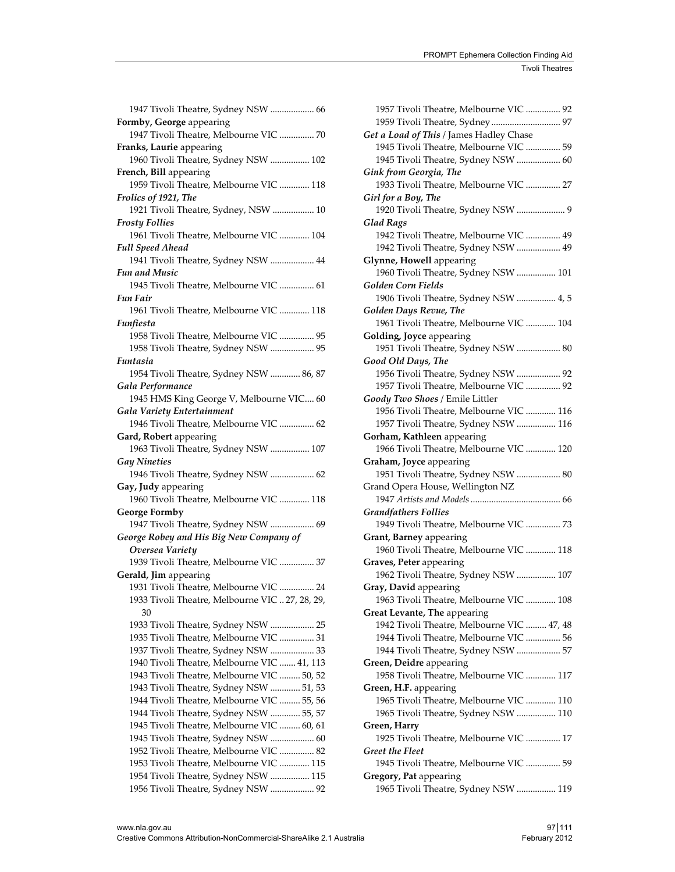| 1947 Tivoli Theatre, Sydney NSW  66             |
|-------------------------------------------------|
| Formby, George appearing                        |
| 1947 Tivoli Theatre, Melbourne VIC  70          |
| Franks, Laurie appearing                        |
| 1960 Tivoli Theatre, Sydney NSW  102            |
| French, Bill appearing                          |
| 1959 Tivoli Theatre, Melbourne VIC  118         |
| Frolics of 1921, The                            |
| 1921 Tivoli Theatre, Sydney, NSW  10            |
| <b>Frosty Follies</b>                           |
| 1961 Tivoli Theatre, Melbourne VIC  104         |
| <b>Full Speed Ahead</b>                         |
| 1941 Tivoli Theatre, Sydney NSW  44             |
| <b>Fun and Music</b>                            |
| 1945 Tivoli Theatre, Melbourne VIC  61          |
| Fun Fair                                        |
| 1961 Tivoli Theatre, Melbourne VIC  118         |
| Funfiesta                                       |
| 1958 Tivoli Theatre, Melbourne VIC  95          |
|                                                 |
| 1958 Tivoli Theatre, Sydney NSW  95             |
| Funtasia                                        |
| 1954 Tivoli Theatre, Sydney NSW  86, 87         |
| Gala Performance                                |
| 1945 HMS King George V, Melbourne VIC 60        |
| Gala Variety Entertainment                      |
| 1946 Tivoli Theatre, Melbourne VIC  62          |
| Gard, Robert appearing                          |
| 1963 Tivoli Theatre, Sydney NSW  107            |
| <b>Gay Nineties</b>                             |
| 1946 Tivoli Theatre, Sydney NSW  62             |
| Gay, Judy appearing                             |
| 1960 Tivoli Theatre, Melbourne VIC  118         |
| <b>George Formby</b>                            |
| 1947 Tivoli Theatre, Sydney NSW  69             |
| George Robey and His Big New Company of         |
| Oversea Variety                                 |
| 1939 Tivoli Theatre, Melbourne VIC  37          |
| Gerald, Jim appearing                           |
| 1931 Tivoli Theatre, Melbourne VIC  24          |
| 1933 Tivoli Theatre, Melbourne VIC  27, 28, 29, |
| 30                                              |
| 1933 Tivoli Theatre, Sydney NSW  25             |
| 1935 Tivoli Theatre, Melbourne VIC  31          |
| 1937 Tivoli Theatre, Sydney NSW  33             |
| 1940 Tivoli Theatre, Melbourne VIC  41, 113     |
| 1943 Tivoli Theatre, Melbourne VIC  50, 52      |
| 1943 Tivoli Theatre, Sydney NSW  51, 53         |
| 1944 Tivoli Theatre, Melbourne VIC  55, 56      |
| 1944 Tivoli Theatre, Sydney NSW  55, 57         |
| 1945 Tivoli Theatre, Melbourne VIC  60, 61      |
| 1945 Tivoli Theatre, Sydney NSW  60             |
| 1952 Tivoli Theatre, Melbourne VIC  82          |
| 1953 Tivoli Theatre, Melbourne VIC  115         |
|                                                 |
| 1954 Tivoli Theatre, Sydney NSW  115            |

| 1957 Tivoli Theatre, Melbourne VIC  92                            |
|-------------------------------------------------------------------|
| 1959 Tivoli Theatre, Sydney 97                                    |
| Get a Load of This / James Hadley Chase                           |
| 1945 Tivoli Theatre, Melbourne VIC  59                            |
| 1945 Tivoli Theatre, Sydney NSW  60                               |
| Gink from Georgia, The                                            |
| 1933 Tivoli Theatre, Melbourne VIC  27                            |
| Girl for a Boy, The                                               |
| 1920 Tivoli Theatre, Sydney NSW  9                                |
| <b>Glad Rags</b>                                                  |
| 1942 Tivoli Theatre, Melbourne VIC  49                            |
| 1942 Tivoli Theatre, Sydney NSW  49                               |
| Glynne, Howell appearing                                          |
| 1960 Tivoli Theatre, Sydney NSW  101                              |
| <b>Golden Corn Fields</b>                                         |
|                                                                   |
| 1906 Tivoli Theatre, Sydney NSW  4, 5                             |
| Golden Days Revue, The<br>1961 Tivoli Theatre, Melbourne VIC  104 |
|                                                                   |
| Golding, Joyce appearing                                          |
| 1951 Tivoli Theatre, Sydney NSW  80                               |
| Good Old Days, The                                                |
| 1956 Tivoli Theatre, Sydney NSW  92                               |
| 1957 Tivoli Theatre, Melbourne VIC  92                            |
| Goody Two Shoes / Emile Littler                                   |
| 1956 Tivoli Theatre, Melbourne VIC  116                           |
| 1957 Tivoli Theatre, Sydney NSW  116                              |
| Gorham, Kathleen appearing                                        |
| 1966 Tivoli Theatre, Melbourne VIC  120                           |
| Graham, Joyce appearing                                           |
| 1951 Tivoli Theatre, Sydney NSW  80                               |
| Grand Opera House, Wellington NZ                                  |
|                                                                   |
| <b>Grandfathers Follies</b>                                       |
| 1949 Tivoli Theatre, Melbourne VIC  73                            |
| Grant, Barney appearing                                           |
| 1960 Tivoli Theatre, Melbourne VIC  118                           |
| Graves, Peter appearing                                           |
| 1962 Tivoli Theatre, Sydney NSW  107                              |
| Gray, David appearing                                             |
| 1963 Tivoli Theatre, Melbourne VIC  108                           |
| Great Levante, The appearing                                      |
| 1942 Tivoli Theatre, Melbourne VIC  47, 48                        |
| 1944 Tivoli Theatre, Melbourne VIC  56                            |
| 1944 Tivoli Theatre, Sydney NSW  57                               |
| Green, Deidre appearing                                           |
| 1958 Tivoli Theatre, Melbourne VIC  117                           |
| Green, H.F. appearing                                             |
| 1965 Tivoli Theatre, Melbourne VIC  110                           |
| 1965 Tivoli Theatre, Sydney NSW  110                              |
| Green, Harry                                                      |
| 1925 Tivoli Theatre, Melbourne VIC  17                            |
| Greet the Fleet                                                   |
| 1945 Tivoli Theatre, Melbourne VIC  59                            |
| Gregory, Pat appearing                                            |
| 1965 Tivoli Theatre, Sydney NSW  119                              |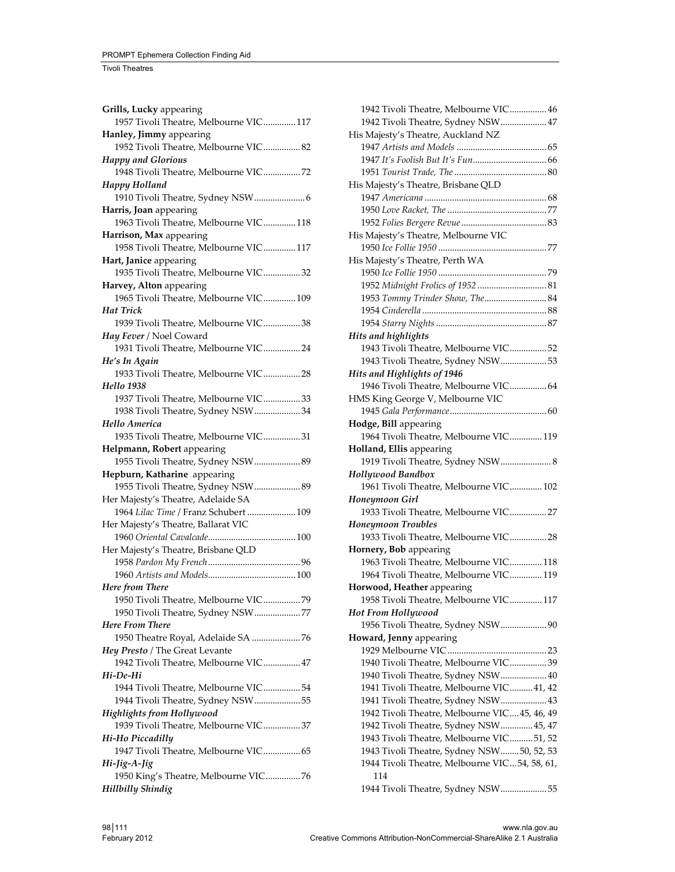| Grills, Lucky appearing<br>1957 Tivoli Theatre, Melbourne VIC 117 |
|-------------------------------------------------------------------|
|                                                                   |
| Hanley, Jimmy appearing<br>1952 Tivoli Theatre, Melbourne VIC 82  |
| <b>Happy and Glorious</b>                                         |
| 1948 Tivoli Theatre, Melbourne VIC72                              |
| <b>Happy Holland</b>                                              |
| 1910 Tivoli Theatre, Sydney NSW 6                                 |
| Harris, Joan appearing                                            |
| 1963 Tivoli Theatre, Melbourne VIC 118                            |
| Harrison, Max appearing                                           |
| 1958 Tivoli Theatre, Melbourne VIC 117                            |
| Hart, Janice appearing                                            |
| 1935 Tivoli Theatre, Melbourne VIC 32                             |
| Harvey, Alton appearing                                           |
| 1965 Tivoli Theatre, Melbourne VIC 109                            |
| Hat Trick                                                         |
| 1939 Tivoli Theatre, Melbourne VIC38                              |
|                                                                   |
| Hay Fever / Noel Coward                                           |
| 1931 Tivoli Theatre, Melbourne VIC 24                             |
| He's In Again                                                     |
| 1933 Tivoli Theatre, Melbourne VIC 28                             |
| <b>Hello</b> 1938                                                 |
| 1937 Tivoli Theatre, Melbourne VIC 33                             |
| 1938 Tivoli Theatre, Sydney NSW 34                                |
| Hello America                                                     |
| 1935 Tivoli Theatre, Melbourne VIC31                              |
| Helpmann, Robert appearing                                        |
| 1955 Tivoli Theatre, Sydney NSW 89                                |
| Hepburn, Katharine appearing                                      |
| 1955 Tivoli Theatre, Sydney NSW 89                                |
| Her Majesty's Theatre, Adelaide SA                                |
| 1964 Lilac Time / Franz Schubert  109                             |
| Her Majesty's Theatre, Ballarat VIC                               |
|                                                                   |
| Her Majesty's Theatre, Brisbane QLD                               |
|                                                                   |
|                                                                   |
| Here from There                                                   |
| 1950 Tivoli Theatre, Melbourne VIC79                              |
| 1950 Tivoli Theatre, Sydney NSW77                                 |
| <b>Here From There</b>                                            |
| 1950 Theatre Royal, Adelaide SA  76                               |
| Hey Presto / The Great Levante                                    |
| 1942 Tivoli Theatre, Melbourne VIC 47                             |
| Hi-De-Hi                                                          |
| 1944 Tivoli Theatre, Melbourne VIC54                              |
| 1944 Tivoli Theatre, Sydney NSW 55                                |
| <b>Highlights from Hollywood</b>                                  |
| 1939 Tivoli Theatre, Melbourne VIC37                              |
| Hi-Ho Piccadilly                                                  |
| 1947 Tivoli Theatre, Melbourne VIC 65                             |
| Hi-Jig-A-Jig                                                      |
| 1950 King's Theatre, Melbourne VIC76                              |
| <b>Hillbilly Shindig</b>                                          |
|                                                                   |

| 1942 Tivoli Theatre, Melbourne VIC 46         |
|-----------------------------------------------|
| 1942 Tivoli Theatre, Sydney NSW 47            |
| His Majesty's Theatre, Auckland NZ            |
|                                               |
|                                               |
|                                               |
| His Majesty's Theatre, Brisbane QLD           |
|                                               |
|                                               |
|                                               |
| His Majesty's Theatre, Melbourne VIC          |
|                                               |
| His Majesty's Theatre, Perth WA               |
|                                               |
| 1952 Midnight Frolics of 1952  81             |
| 1953 Tommy Trinder Show, The 84               |
|                                               |
|                                               |
| Hits and highlights                           |
| 1943 Tivoli Theatre, Melbourne VIC52          |
| 1943 Tivoli Theatre, Sydney NSW 53            |
| Hits and Highlights of 1946                   |
| 1946 Tivoli Theatre, Melbourne VIC 64         |
| HMS King George V, Melbourne VIC              |
|                                               |
| Hodge, Bill appearing                         |
| 1964 Tivoli Theatre, Melbourne VIC 119        |
| Holland, Ellis appearing                      |
| 1919 Tivoli Theatre, Sydney NSW 8             |
| <b>Hollywood Bandbox</b>                      |
| 1961 Tivoli Theatre, Melbourne VIC 102        |
| Honeymoon Girl                                |
| 1933 Tivoli Theatre, Melbourne VIC 27         |
| <b>Honeymoon Troubles</b>                     |
| 1933 Tivoli Theatre, Melbourne VIC 28         |
| Hornery, Bob appearing                        |
| 1963 Tivoli Theatre, Melbourne VIC 118        |
| 1964 Tivoli Theatre, Melbourne VIC 119        |
| Horwood, Heather appearing                    |
| 1958 Tivoli Theatre, Melbourne VIC 117        |
| Hot From Hollywood                            |
| 1956 Tivoli Theatre, Sydney NSW 90            |
| Howard, Jenny appearing                       |
|                                               |
| 1940 Tivoli Theatre, Melbourne VIC39          |
| 1940 Tivoli Theatre, Sydney NSW 40            |
| 1941 Tivoli Theatre, Melbourne VIC 41, 42     |
| 1941 Tivoli Theatre, Sydney NSW 43            |
| 1942 Tivoli Theatre, Melbourne VIC 45, 46, 49 |
| 1942 Tivoli Theatre, Sydney NSW  45, 47       |
| 1943 Tivoli Theatre, Melbourne VIC51, 52      |
| 1943 Tivoli Theatre, Sydney NSW 50, 52, 53    |
| 1944 Tivoli Theatre, Melbourne VIC54, 58, 61, |
| 114                                           |
| 1944 Tivoli Theatre, Sydney NSW 55            |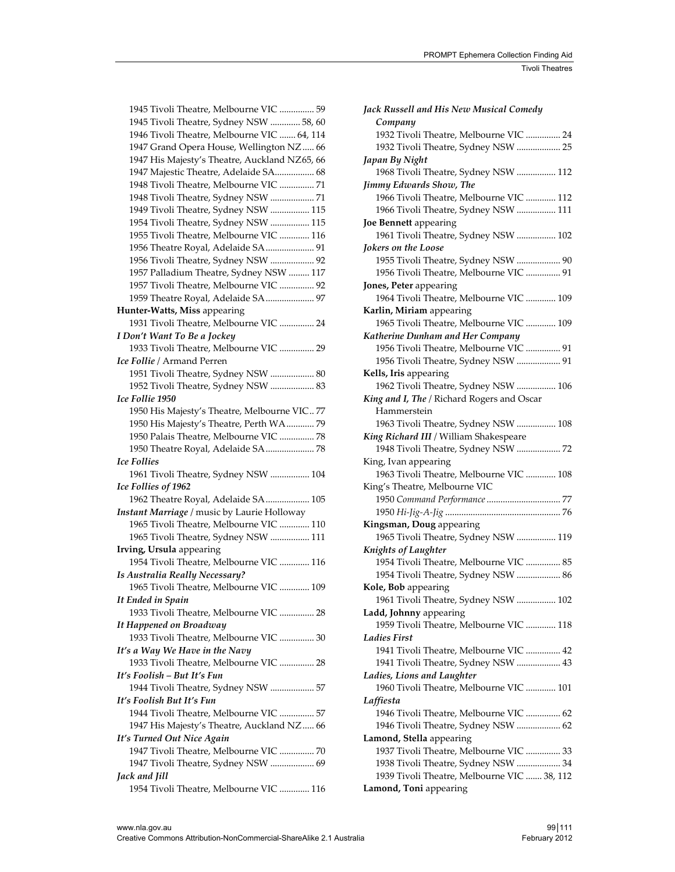| 1945 Tivoli Theatre, Melbourne VIC  59        |
|-----------------------------------------------|
| 1945 Tivoli Theatre, Sydney NSW  58, 60       |
| 1946 Tivoli Theatre, Melbourne VIC  64, 114   |
| 1947 Grand Opera House, Wellington NZ 66      |
| 1947 His Majesty's Theatre, Auckland NZ65, 66 |
| 1947 Majestic Theatre, Adelaide SA 68         |
| 1948 Tivoli Theatre, Melbourne VIC  71        |
| 1948 Tivoli Theatre, Sydney NSW  71           |
| 1949 Tivoli Theatre, Sydney NSW  115          |
| 1954 Tivoli Theatre, Sydney NSW  115          |
| 1955 Tivoli Theatre, Melbourne VIC  116       |
| 1956 Theatre Royal, Adelaide SA  91           |
| 1956 Tivoli Theatre, Sydney NSW  92           |
| 1957 Palladium Theatre, Sydney NSW  117       |
| 1957 Tivoli Theatre, Melbourne VIC  92        |
| 1959 Theatre Royal, Adelaide SA  97           |
| Hunter-Watts, Miss appearing                  |
| 1931 Tivoli Theatre, Melbourne VIC  24        |
| I Don't Want To Be a Jockey                   |
| 1933 Tivoli Theatre, Melbourne VIC  29        |
| <i>Ice Follie / Armand Perren</i>             |
| 1951 Tivoli Theatre, Sydney NSW  80           |
| 1952 Tivoli Theatre, Sydney NSW  83           |
| <b>Ice Follie 1950</b>                        |
| 1950 His Majesty's Theatre, Melbourne VIC 77  |
| 1950 His Majesty's Theatre, Perth WA 79       |
| 1950 Palais Theatre, Melbourne VIC  78        |
|                                               |
| 1950 Theatre Royal, Adelaide SA  78           |
| <b>Ice Follies</b>                            |
| 1961 Tivoli Theatre, Sydney NSW  104          |
| Ice Follies of 1962                           |
| 1962 Theatre Royal, Adelaide SA  105          |
| Instant Marriage / music by Laurie Holloway   |
| 1965 Tivoli Theatre, Melbourne VIC  110       |
| 1965 Tivoli Theatre, Sydney NSW  111          |
| Irving, Ursula appearing                      |
| 1954 Tivoli Theatre, Melbourne VIC  116       |
| Is Australia Really Necessary?                |
| 1965 Tivoli Theatre, Melbourne VIC  109       |
| It Ended in Spain                             |
| 1933 Tivoli Theatre, Melbourne VIC  28        |
| It Happened on Broadway                       |
| 1933 Tivoli Theatre, Melbourne VIC  30        |
| It's a Way We Have in the Navy                |
| 1933 Tivoli Theatre, Melbourne VIC  28        |
| It's Foolish - But It's Fun                   |
| 1944 Tivoli Theatre, Sydney NSW  57           |
| It's Foolish But It's Fun                     |
| 1944 Tivoli Theatre, Melbourne VIC  57        |
| 1947 His Majesty's Theatre, Auckland NZ 66    |
| It's Turned Out Nice Again                    |
| 1947 Tivoli Theatre, Melbourne VIC  70        |
| 1947 Tivoli Theatre, Sydney NSW  69           |
| Jack and Jill                                 |
| 1954 Tivoli Theatre, Melbourne VIC  116       |
|                                               |

| Jack Russell and His New Musical Comedy                                            |
|------------------------------------------------------------------------------------|
| Company                                                                            |
| 1932 Tivoli Theatre, Melbourne VIC  24<br>1932 Tivoli Theatre, Sydney NSW  25      |
| Japan By Night                                                                     |
| 1968 Tivoli Theatre, Sydney NSW  112                                               |
| Jimmy Edwards Show, The                                                            |
| 1966 Tivoli Theatre, Melbourne VIC  112                                            |
| 1966 Tivoli Theatre, Sydney NSW  111                                               |
| Joe Bennett appearing                                                              |
| 1961 Tivoli Theatre, Sydney NSW  102                                               |
| Jokers on the Loose                                                                |
| 1955 Tivoli Theatre, Sydney NSW  90                                                |
| 1956 Tivoli Theatre, Melbourne VIC  91                                             |
| Jones, Peter appearing                                                             |
| 1964 Tivoli Theatre, Melbourne VIC  109                                            |
| Karlin, Miriam appearing                                                           |
| 1965 Tivoli Theatre, Melbourne VIC  109                                            |
| Katherine Dunham and Her Company                                                   |
| 1956 Tivoli Theatre, Melbourne VIC  91                                             |
| 1956 Tivoli Theatre, Sydney NSW  91                                                |
| Kells, Iris appearing                                                              |
| 1962 Tivoli Theatre, Sydney NSW  106                                               |
| King and I, The / Richard Rogers and Oscar                                         |
| Hammerstein                                                                        |
| 1963 Tivoli Theatre, Sydney NSW  108                                               |
| King Richard III / William Shakespeare<br>1948 Tivoli Theatre, Sydney NSW  72      |
| King, Ivan appearing                                                               |
| 1963 Tivoli Theatre, Melbourne VIC  108                                            |
| King's Theatre, Melbourne VIC                                                      |
| 1950 Command Performance  77                                                       |
|                                                                                    |
| Kingsman, Doug appearing                                                           |
| 1965 Tivoli Theatre, Sydney NSW  119                                               |
| Knights of Laughter                                                                |
| 1954 Tivoli Theatre, Melbourne VIC  85                                             |
| 1954 Tivoli Theatre, Sydney NSW  86                                                |
| Kole, Bob appearing                                                                |
| 1961 Tivoli Theatre, Sydney NSW  102                                               |
| Ladd, Johnny appearing                                                             |
| 1959 Tivoli Theatre, Melbourne VIC  118                                            |
| Ladies First                                                                       |
| 1941 Tivoli Theatre, Melbourne VIC  42                                             |
| 1941 Tivoli Theatre, Sydney NSW  43                                                |
| Ladies, Lions and Laughter                                                         |
| 1960 Tivoli Theatre, Melbourne VIC  101                                            |
| Laffiesta                                                                          |
| 1946 Tivoli Theatre, Melbourne VIC  62                                             |
| 1946 Tivoli Theatre, Sydney NSW  62                                                |
| Lamond, Stella appearing                                                           |
| 1937 Tivoli Theatre, Melbourne VIC  33                                             |
| 1938 Tivoli Theatre, Sydney NSW  34<br>1939 Tivoli Theatre, Melbourne VIC  38, 112 |
|                                                                                    |
| Lamond, Toni appearing                                                             |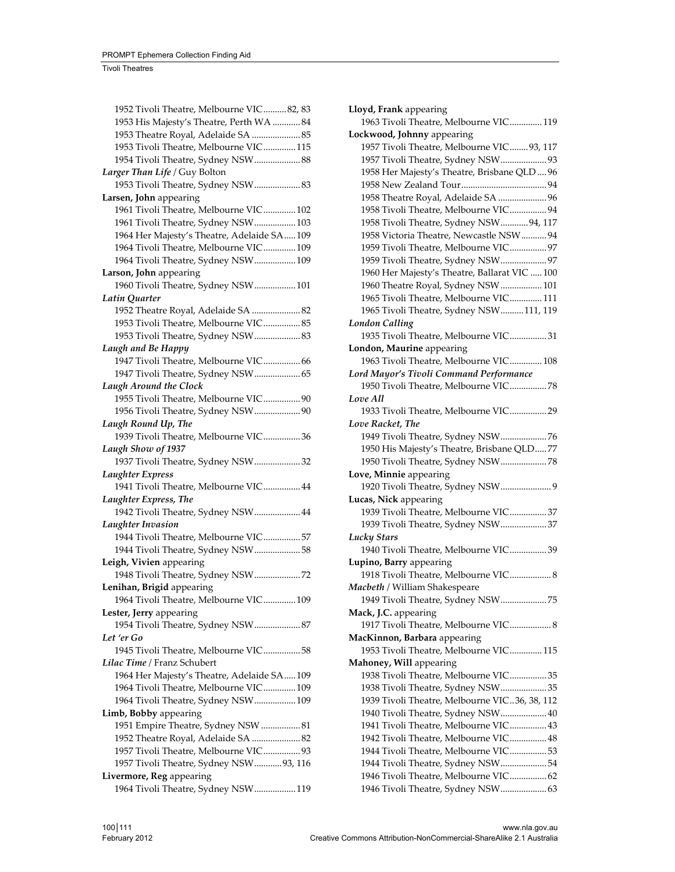| 1952 Tivoli Theatre, Melbourne VIC82, 83    |
|---------------------------------------------|
| 1953 His Majesty's Theatre, Perth WA  84    |
| 1953 Theatre Royal, Adelaide SA  85         |
| 1953 Tivoli Theatre, Melbourne VIC 115      |
| 1954 Tivoli Theatre, Sydney NSW 88          |
| Larger Than Life / Guy Bolton               |
| 1953 Tivoli Theatre, Sydney NSW 83          |
| Larsen, John appearing                      |
| 1961 Tivoli Theatre, Melbourne VIC 102      |
| 1961 Tivoli Theatre, Sydney NSW 103         |
| 1964 Her Majesty's Theatre, Adelaide SA 109 |
| 1964 Tivoli Theatre, Melbourne VIC 109      |
| 1964 Tivoli Theatre, Sydney NSW 109         |
| Larson, John appearing                      |
| 1960 Tivoli Theatre, Sydney NSW 101         |
| Latin Quarter                               |
| 1952 Theatre Royal, Adelaide SA  82         |
| 1953 Tivoli Theatre, Melbourne VIC 85       |
| 1953 Tivoli Theatre, Sydney NSW 83          |
| Laugh and Be Happy                          |
| 1947 Tivoli Theatre, Melbourne VIC 66       |
| 1947 Tivoli Theatre, Sydney NSW 65          |
|                                             |
| <b>Laugh Around the Clock</b>               |
| 1955 Tivoli Theatre, Melbourne VIC 90       |
| 1956 Tivoli Theatre, Sydney NSW 90          |
| Laugh Round Up, The                         |
| 1939 Tivoli Theatre, Melbourne VIC36        |
| Laugh Show of 1937                          |
| 1937 Tivoli Theatre, Sydney NSW32           |
| Laughter Express                            |
| 1941 Tivoli Theatre, Melbourne VIC 44       |
| Laughter Express, The                       |
| 1942 Tivoli Theatre, Sydney NSW 44          |
| <b>Laughter Invasion</b>                    |
| 1944 Tivoli Theatre, Melbourne VIC 57       |
| 1944 Tivoli Theatre, Sydney NSW 58          |
| Leigh, Vivien appearing                     |
| 1948 Tivoli Theatre, Sydney NSW72           |
| Lenihan, Brigid appearing                   |
| 1964 Tivoli Theatre, Melbourne VIC 109      |
| Lester, Jerry appearing                     |
| 1954 Tivoli Theatre, Sydney NSW  87         |
| Let 'er Go                                  |
| 1945 Tivoli Theatre, Melbourne VIC 58       |
| Lilac Time / Franz Schubert                 |
| 1964 Her Majesty's Theatre, Adelaide SA 109 |
| 1964 Tivoli Theatre, Melbourne VIC 109      |
| 1964 Tivoli Theatre, Sydney NSW 109         |
| Limb, Bobby appearing                       |
| 1951 Empire Theatre, Sydney NSW  81         |
| 1952 Theatre Royal, Adelaide SA  82         |
| 1957 Tivoli Theatre, Melbourne VIC  93      |
| 1957 Tivoli Theatre, Sydney NSW  93, 116    |
|                                             |
| Livermore, Reg appearing                    |

| Lloyd, Frank appearing                        |
|-----------------------------------------------|
| 1963 Tivoli Theatre, Melbourne VIC 119        |
| Lockwood, Johnny appearing                    |
| 1957 Tivoli Theatre, Melbourne VIC 93, 117    |
| 1957 Tivoli Theatre, Sydney NSW 93            |
| 1958 Her Majesty's Theatre, Brisbane QLD 96   |
|                                               |
| 1958 Theatre Royal, Adelaide SA  96           |
| 1958 Tivoli Theatre, Melbourne VIC 94         |
| 1958 Tivoli Theatre, Sydney NSW 94, 117       |
| 1958 Victoria Theatre, Newcastle NSW 94       |
| 1959 Tivoli Theatre, Melbourne VIC 97         |
| 1959 Tivoli Theatre, Sydney NSW 97            |
| 1960 Her Majesty's Theatre, Ballarat VIC  100 |
| 1960 Theatre Royal, Sydney NSW  101           |
| 1965 Tivoli Theatre, Melbourne VIC 111        |
| 1965 Tivoli Theatre, Sydney NSW  111, 119     |
| <b>London Calling</b>                         |
| 1935 Tivoli Theatre, Melbourne VIC31          |
| London, Maurine appearing                     |
| 1963 Tivoli Theatre, Melbourne VIC 108        |
| Lord Mayor's Tivoli Command Performance       |
| 1950 Tivoli Theatre, Melbourne VIC 78         |
| Love All                                      |
| 1933 Tivoli Theatre, Melbourne VIC 29         |
|                                               |
| Love Racket, The                              |
| 1949 Tivoli Theatre, Sydney NSW 76            |
| 1950 His Majesty's Theatre, Brisbane QLD77    |
|                                               |
| Love, Minnie appearing                        |
| 1920 Tivoli Theatre, Sydney NSW 9             |
| Lucas, Nick appearing                         |
| 1939 Tivoli Theatre, Melbourne VIC 37         |
| 1939 Tivoli Theatre, Sydney NSW37             |
| Lucky Stars                                   |
| 1940 Tivoli Theatre, Melbourne VIC39          |
| Lupino, Barry appearing                       |
| 1918 Tivoli Theatre, Melbourne VIC 8          |
| Macbeth / William Shakespeare                 |
| 1949 Tivoli Theatre, Sydney NSW75             |
| Mack, J.C. appearing                          |
| 1917 Tivoli Theatre, Melbourne VIC 8          |
| MacKinnon, Barbara appearing                  |
| 1953 Tivoli Theatre, Melbourne VIC 115        |
| Mahoney, Will appearing                       |
| 1938 Tivoli Theatre, Melbourne VIC35          |
| 1938 Tivoli Theatre, Sydney NSW35             |
| 1939 Tivoli Theatre, Melbourne VIC36, 38, 112 |
| 1940 Tivoli Theatre, Sydney NSW 40            |
| 1941 Tivoli Theatre, Melbourne VIC 43         |
| 1942 Tivoli Theatre, Melbourne VIC 48         |
| 1944 Tivoli Theatre, Melbourne VIC 53         |
| 1944 Tivoli Theatre, Sydney NSW 54            |
| 1946 Tivoli Theatre, Melbourne VIC 62         |
| 1946 Tivoli Theatre, Sydney NSW 63            |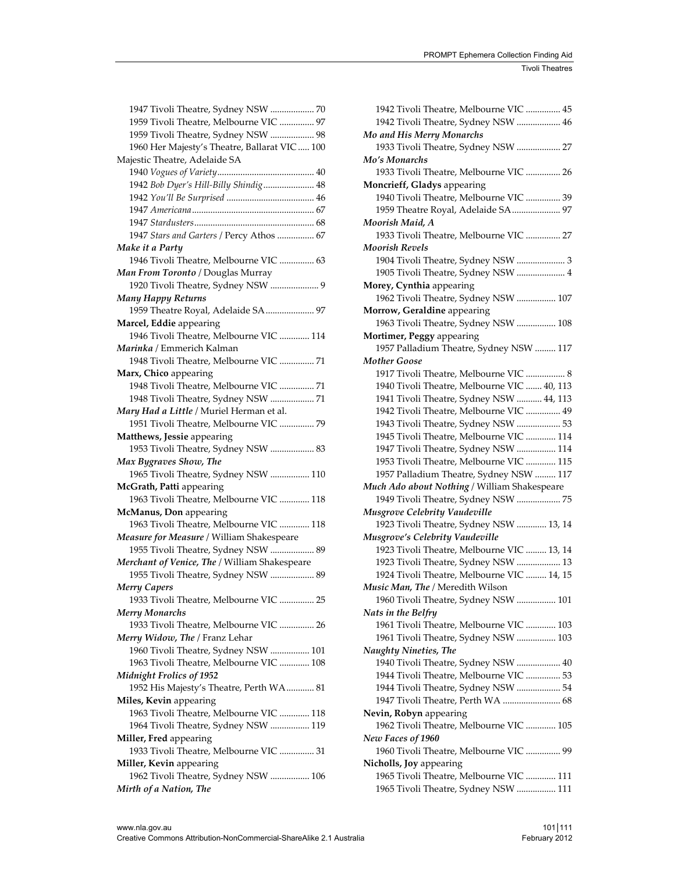| 1947 Tivoli Theatre, Sydney NSW  70           |
|-----------------------------------------------|
| 1959 Tivoli Theatre, Melbourne VIC  97        |
| 1959 Tivoli Theatre, Sydney NSW  98           |
| 1960 Her Majesty's Theatre, Ballarat VIC  100 |
| Majestic Theatre, Adelaide SA                 |
|                                               |
| 1942 Bob Dyer's Hill-Billy Shindig 48         |
|                                               |
|                                               |
|                                               |
| 1947 Stars and Garters / Percy Athos  67      |
| Make it a Party                               |
| 1946 Tivoli Theatre, Melbourne VIC  63        |
| Man From Toronto / Douglas Murray             |
| 1920 Tivoli Theatre, Sydney NSW  9            |
| <b>Many Happy Returns</b>                     |
| 1959 Theatre Royal, Adelaide SA  97           |
|                                               |
| Marcel, Eddie appearing                       |
| 1946 Tivoli Theatre, Melbourne VIC  114       |
| Marinka / Emmerich Kalman                     |
| 1948 Tivoli Theatre, Melbourne VIC  71        |
| Marx, Chico appearing                         |
| 1948 Tivoli Theatre, Melbourne VIC  71        |
| 1948 Tivoli Theatre, Sydney NSW  71           |
| Mary Had a Little / Muriel Herman et al.      |
| 1951 Tivoli Theatre, Melbourne VIC  79        |
| Matthews, Jessie appearing                    |
| 1953 Tivoli Theatre, Sydney NSW  83           |
| Max Bygraves Show, The                        |
| 1965 Tivoli Theatre, Sydney NSW  110          |
| McGrath, Patti appearing                      |
| 1963 Tivoli Theatre, Melbourne VIC  118       |
|                                               |
| McManus, Don appearing                        |
| 1963 Tivoli Theatre, Melbourne VIC  118       |
| Measure for Measure / William Shakespeare     |
| 1955 Tivoli Theatre, Sydney NSW  89           |
| Merchant of Venice, The / William Shakespeare |
| 1955 Tivoli Theatre, Sydney NSW  89           |
| <b>Merry Capers</b>                           |
| 1933 Tivoli Theatre, Melbourne VIC  25        |
| Merry Monarchs                                |
| 1933 Tivoli Theatre, Melbourne VIC  26        |
| Merry Widow, The / Franz Lehar                |
| 1960 Tivoli Theatre, Sydney NSW  101          |
| 1963 Tivoli Theatre, Melbourne VIC  108       |
| <b>Midnight Frolics of 1952</b>               |
|                                               |
| 1952 His Majesty's Theatre, Perth WA 81       |
| Miles, Kevin appearing                        |
| 1963 Tivoli Theatre, Melbourne VIC  118       |
| 1964 Tivoli Theatre, Sydney NSW  119          |
| Miller, Fred appearing                        |
| 1933 Tivoli Theatre, Melbourne VIC  31        |
| Miller, Kevin appearing                       |
| 1962 Tivoli Theatre, Sydney NSW  106          |
| Mirth of a Nation, The                        |
|                                               |

| 1942 Tivoli Theatre, Melbourne VIC  45                                          |
|---------------------------------------------------------------------------------|
|                                                                                 |
| 1942 Tivoli Theatre, Sydney NSW  46                                             |
| Mo and His Merry Monarchs                                                       |
| 1933 Tivoli Theatre, Sydney NSW  27                                             |
| Mo's Monarchs                                                                   |
| 1933 Tivoli Theatre, Melbourne VIC  26                                          |
|                                                                                 |
| Moncrieff, Gladys appearing                                                     |
| 1940 Tivoli Theatre, Melbourne VIC  39                                          |
| 1959 Theatre Royal, Adelaide SA 97                                              |
| Moorish Maid, A                                                                 |
| 1933 Tivoli Theatre, Melbourne VIC  27                                          |
| Moorish Revels                                                                  |
| 1904 Tivoli Theatre, Sydney NSW  3                                              |
| 1905 Tivoli Theatre, Sydney NSW  4                                              |
| Morey, Cynthia appearing                                                        |
| 1962 Tivoli Theatre, Sydney NSW  107                                            |
|                                                                                 |
| Morrow, Geraldine appearing                                                     |
| 1963 Tivoli Theatre, Sydney NSW  108                                            |
| Mortimer, Peggy appearing                                                       |
| 1957 Palladium Theatre, Sydney NSW  117                                         |
| Mother Goose                                                                    |
| 1917 Tivoli Theatre, Melbourne VIC  8                                           |
| 1940 Tivoli Theatre, Melbourne VIC  40, 113                                     |
| 1941 Tivoli Theatre, Sydney NSW  44, 113                                        |
| 1942 Tivoli Theatre, Melbourne VIC  49                                          |
|                                                                                 |
| 1943 Tivoli Theatre, Sydney NSW  53                                             |
| 1945 Tivoli Theatre, Melbourne VIC  114                                         |
| 1947 Tivoli Theatre, Sydney NSW  114                                            |
| 1953 Tivoli Theatre, Melbourne VIC  115                                         |
|                                                                                 |
| 1957 Palladium Theatre, Sydney NSW  117                                         |
|                                                                                 |
| Much Ado about Nothing / William Shakespeare                                    |
| 1949 Tivoli Theatre, Sydney NSW  75                                             |
| Musgrove Celebrity Vaudeville                                                   |
| 1923 Tivoli Theatre, Sydney NSW  13, 14                                         |
| Musgrove's Celebrity Vaudeville                                                 |
| 1923 Tivoli Theatre, Melbourne VIC  13, 14                                      |
| 1923 Tivoli Theatre, Sydney NSW  13                                             |
| 1924 Tivoli Theatre, Melbourne VIC  14, 15                                      |
| Music Man, The / Meredith Wilson                                                |
| 1960 Tivoli Theatre, Sydney NSW  101                                            |
|                                                                                 |
| Nats in the Belfry                                                              |
| 1961 Tivoli Theatre, Melbourne VIC  103                                         |
| 1961 Tivoli Theatre, Sydney NSW  103                                            |
| <b>Naughty Nineties, The</b>                                                    |
| 1940 Tivoli Theatre, Sydney NSW  40                                             |
| 1944 Tivoli Theatre, Melbourne VIC  53                                          |
| 1944 Tivoli Theatre, Sydney NSW  54                                             |
| 1947 Tivoli Theatre, Perth WA  68                                               |
| Nevin, Robyn appearing                                                          |
| 1962 Tivoli Theatre, Melbourne VIC  105                                         |
|                                                                                 |
| New Faces of 1960                                                               |
| 1960 Tivoli Theatre, Melbourne VIC  99                                          |
| Nicholls, Joy appearing                                                         |
| 1965 Tivoli Theatre, Melbourne VIC  111<br>1965 Tivoli Theatre, Sydney NSW  111 |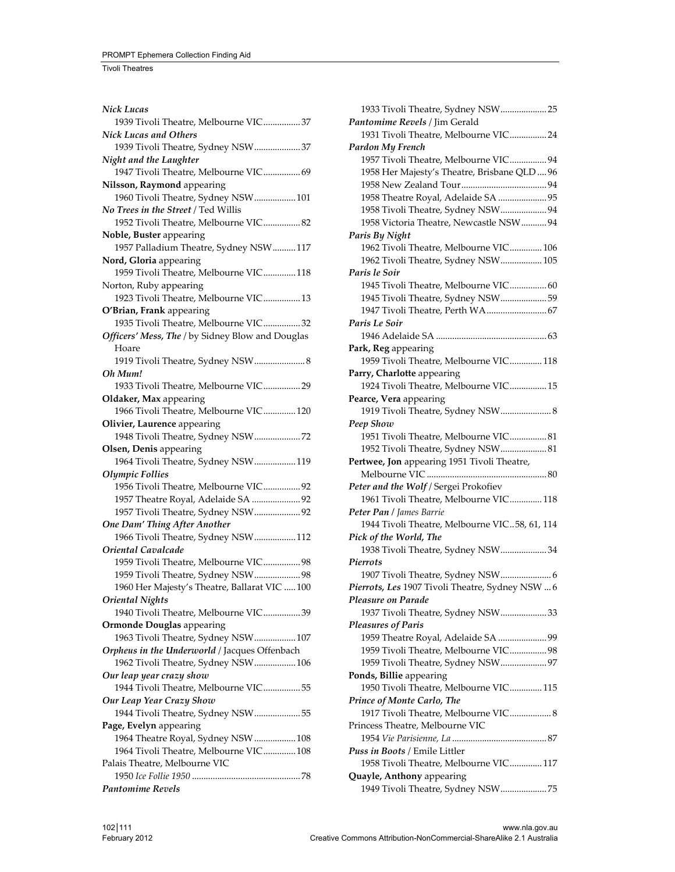| Nick Lucas                                                    |
|---------------------------------------------------------------|
| 1939 Tivoli Theatre, Melbourne VIC 37                         |
| Nick Lucas and Others                                         |
| 1939 Tivoli Theatre, Sydney NSW 37                            |
| Night and the Laughter                                        |
| 1947 Tivoli Theatre, Melbourne VIC 69                         |
| Nilsson, Raymond appearing                                    |
| 1960 Tivoli Theatre, Sydney NSW 101                           |
| No Trees in the Street / Ted Willis                           |
| 1952 Tivoli Theatre, Melbourne VIC 82                         |
| Noble, Buster appearing                                       |
| 1957 Palladium Theatre, Sydney NSW  117                       |
| Nord, Gloria appearing                                        |
| 1959 Tivoli Theatre, Melbourne VIC 118                        |
| Norton, Ruby appearing                                        |
|                                                               |
| 1923 Tivoli Theatre, Melbourne VIC 13                         |
| O'Brian, Frank appearing                                      |
| 1935 Tivoli Theatre, Melbourne VIC32                          |
| Officers' Mess, The / by Sidney Blow and Douglas              |
| Hoare                                                         |
|                                                               |
| Oh Mum!                                                       |
| 1933 Tivoli Theatre, Melbourne VIC 29                         |
| Oldaker, Max appearing                                        |
| 1966 Tivoli Theatre, Melbourne VIC 120                        |
| Olivier, Laurence appearing                                   |
|                                                               |
|                                                               |
| Olsen, Denis appearing                                        |
|                                                               |
| 1964 Tivoli Theatre, Sydney NSW 119<br><b>Olympic Follies</b> |
| 1956 Tivoli Theatre, Melbourne VIC 92                         |
|                                                               |
| 1957 Theatre Royal, Adelaide SA  92                           |
| 1957 Tivoli Theatre, Sydney NSW 92                            |
| One Dam' Thing After Another                                  |
| 1966 Tivoli Theatre, Sydney NSW 112<br>Oriental Cavalcade     |
|                                                               |
| 1959 Tivoli Theatre, Melbourne VIC 98                         |
| 1959 Tivoli Theatre, Sydney NSW 98                            |
| 1960 Her Majesty's Theatre, Ballarat VIC  100                 |
| <b>Oriental Nights</b>                                        |
| 1940 Tivoli Theatre, Melbourne VIC39                          |
| <b>Ormonde Douglas appearing</b>                              |
| 1963 Tivoli Theatre, Sydney NSW 107                           |
| Orpheus in the Underworld / Jacques Offenbach                 |
| 1962 Tivoli Theatre, Sydney NSW 106                           |
| Our leap year crazy show                                      |
| 1944 Tivoli Theatre, Melbourne VIC55                          |
| Our Leap Year Crazy Show                                      |
| 1944 Tivoli Theatre, Sydney NSW  55                           |
| Page, Evelyn appearing                                        |
| 1964 Theatre Royal, Sydney NSW  108                           |
| 1964 Tivoli Theatre, Melbourne VIC 108                        |
| Palais Theatre, Melbourne VIC                                 |
| <b>Pantomime Revels</b>                                       |

| 1933 Tivoli Theatre, Sydney NSW 25                            |  |  |  |  |
|---------------------------------------------------------------|--|--|--|--|
| Pantomime Revels / Jim Gerald                                 |  |  |  |  |
| 1931 Tivoli Theatre, Melbourne VIC 24                         |  |  |  |  |
| Pardon My French                                              |  |  |  |  |
| 1957 Tivoli Theatre, Melbourne VIC 94                         |  |  |  |  |
| 1958 Her Majesty's Theatre, Brisbane QLD  96                  |  |  |  |  |
|                                                               |  |  |  |  |
| 1958 Theatre Royal, Adelaide SA  95                           |  |  |  |  |
| 1958 Tivoli Theatre, Sydney NSW 94                            |  |  |  |  |
| 1958 Victoria Theatre, Newcastle NSW  94                      |  |  |  |  |
| Paris By Night                                                |  |  |  |  |
| 1962 Tivoli Theatre, Melbourne VIC 106                        |  |  |  |  |
| 1962 Tivoli Theatre, Sydney NSW 105                           |  |  |  |  |
| Paris le Soir                                                 |  |  |  |  |
| 1945 Tivoli Theatre, Melbourne VIC 60                         |  |  |  |  |
| 1945 Tivoli Theatre, Sydney NSW 59                            |  |  |  |  |
| 1947 Tivoli Theatre, Perth WA 67                              |  |  |  |  |
| Paris Le Soir                                                 |  |  |  |  |
|                                                               |  |  |  |  |
|                                                               |  |  |  |  |
| Park, Reg appearing<br>1959 Tivoli Theatre, Melbourne VIC 118 |  |  |  |  |
|                                                               |  |  |  |  |
| Parry, Charlotte appearing                                    |  |  |  |  |
| 1924 Tivoli Theatre, Melbourne VIC 15                         |  |  |  |  |
| Pearce, Vera appearing                                        |  |  |  |  |
|                                                               |  |  |  |  |
| Peep Show                                                     |  |  |  |  |
| 1951 Tivoli Theatre, Melbourne VIC 81                         |  |  |  |  |
| 1952 Tivoli Theatre, Sydney NSW 81                            |  |  |  |  |
| Pertwee, Jon appearing 1951 Tivoli Theatre,                   |  |  |  |  |
|                                                               |  |  |  |  |
| Peter and the Wolf / Sergei Prokofiev                         |  |  |  |  |
| 1961 Tivoli Theatre, Melbourne VIC 118                        |  |  |  |  |
| Peter Pan / James Barrie                                      |  |  |  |  |
| 1944 Tivoli Theatre, Melbourne VIC58, 61, 114                 |  |  |  |  |
| Pick of the World, The                                        |  |  |  |  |
| 1938 Tivoli Theatre, Sydney NSW34                             |  |  |  |  |
| Pierrots                                                      |  |  |  |  |
| 1907 Tivoli Theatre, Sydney NSW 6                             |  |  |  |  |
| Pierrots, Les 1907 Tivoli Theatre, Sydney NSW  6              |  |  |  |  |
| Pleasure on Parade                                            |  |  |  |  |
| 1937 Tivoli Theatre, Sydney NSW 33                            |  |  |  |  |
| <b>Pleasures of Paris</b>                                     |  |  |  |  |
| 1959 Theatre Royal, Adelaide SA  99                           |  |  |  |  |
| 1959 Tivoli Theatre, Melbourne VIC 98                         |  |  |  |  |
| 1959 Tivoli Theatre, Sydney NSW 97                            |  |  |  |  |
| Ponds, Billie appearing                                       |  |  |  |  |
| 1950 Tivoli Theatre, Melbourne VIC 115                        |  |  |  |  |
| Prince of Monte Carlo, The                                    |  |  |  |  |
| 1917 Tivoli Theatre, Melbourne VIC 8                          |  |  |  |  |
| Princess Theatre, Melbourne VIC                               |  |  |  |  |
|                                                               |  |  |  |  |
| Puss in Boots / Emile Littler                                 |  |  |  |  |
| 1958 Tivoli Theatre, Melbourne VIC 117                        |  |  |  |  |
| Quayle, Anthony appearing                                     |  |  |  |  |
| 1949 Tivoli Theatre, Sydney NSW75                             |  |  |  |  |
|                                                               |  |  |  |  |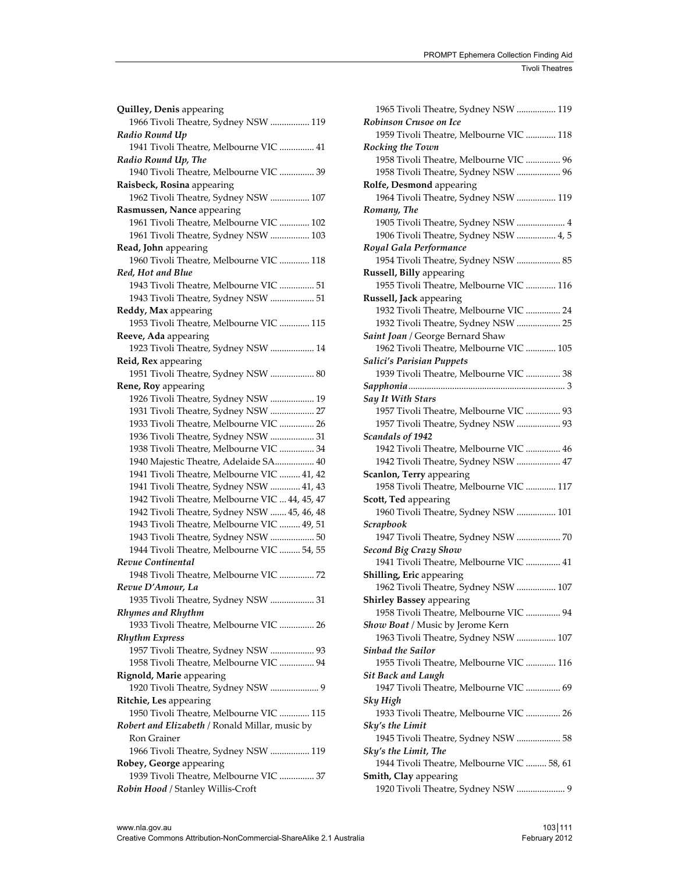| Quilley, Denis appearing                       |
|------------------------------------------------|
| 1966 Tivoli Theatre, Sydney NSW  119           |
|                                                |
| Radio Round Up                                 |
| 1941 Tivoli Theatre, Melbourne VIC  41         |
| Radio Round Up, The                            |
| 1940 Tivoli Theatre, Melbourne VIC  39         |
| Raisbeck, Rosina appearing                     |
| 1962 Tivoli Theatre, Sydney NSW  107           |
| Rasmussen, Nance appearing                     |
| 1961 Tivoli Theatre, Melbourne VIC  102        |
|                                                |
| 1961 Tivoli Theatre, Sydney NSW  103           |
| Read, John appearing                           |
| 1960 Tivoli Theatre, Melbourne VIC  118        |
| Red, Hot and Blue                              |
| 1943 Tivoli Theatre, Melbourne VIC  51         |
| 1943 Tivoli Theatre, Sydney NSW  51            |
| Reddy, Max appearing                           |
| 1953 Tivoli Theatre, Melbourne VIC  115        |
| Reeve, Ada appearing                           |
| 1923 Tivoli Theatre, Sydney NSW  14            |
|                                                |
| Reid, Rex appearing                            |
| 1951 Tivoli Theatre, Sydney NSW  80            |
| Rene, Roy appearing                            |
| 1926 Tivoli Theatre, Sydney NSW  19            |
| 1931 Tivoli Theatre, Sydney NSW  27            |
| 1933 Tivoli Theatre, Melbourne VIC  26         |
| 1936 Tivoli Theatre, Sydney NSW  31            |
| 1938 Tivoli Theatre, Melbourne VIC  34         |
| 1940 Majestic Theatre, Adelaide SA 40          |
| 1941 Tivoli Theatre, Melbourne VIC  41, 42     |
| 1941 Tivoli Theatre, Sydney NSW  41, 43        |
| 1942 Tivoli Theatre, Melbourne VIC  44, 45, 47 |
| 1942 Tivoli Theatre, Sydney NSW  45, 46, 48    |
| 1943 Tivoli Theatre, Melbourne VIC  49, 51     |
|                                                |
| 1943 Tivoli Theatre, Sydney NSW  50            |
| 1944 Tivoli Theatre, Melbourne VIC  54, 55     |
| Revue Continental                              |
| 1948 Tivoli Theatre, Melbourne VIC  72         |
| Revue D'Amour, La                              |
| 1935 Tivoli Theatre, Sydney NSW  31            |
| Rhymes and Rhythm                              |
| 1933 Tivoli Theatre, Melbourne VIC  26         |
| <b>Rhythm Express</b>                          |
| 1957 Tivoli Theatre, Sydney NSW  93            |
|                                                |
| 1958 Tivoli Theatre, Melbourne VIC  94         |
| Rignold, Marie appearing                       |
| 1920 Tivoli Theatre, Sydney NSW  9             |
| Ritchie, Les appearing                         |
| 1950 Tivoli Theatre, Melbourne VIC  115        |
| Robert and Elizabeth / Ronald Millar, music by |
| Ron Grainer                                    |
| 1966 Tivoli Theatre, Sydney NSW  119           |
| Robey, George appearing                        |
| 1939 Tivoli Theatre, Melbourne VIC  37         |
| Robin Hood / Stanley Willis-Croft              |

| 1965 Tivoli Theatre, Sydney NSW  119                        |
|-------------------------------------------------------------|
| Robinson Crusoe on Ice                                      |
| 1959 Tivoli Theatre, Melbourne VIC  118                     |
| Rocking the Town                                            |
| 1958 Tivoli Theatre, Melbourne VIC  96                      |
| 1958 Tivoli Theatre, Sydney NSW  96                         |
| Rolfe, Desmond appearing                                    |
| 1964 Tivoli Theatre, Sydney NSW  119                        |
| Romany, The                                                 |
| 1905 Tivoli Theatre, Sydney NSW  4                          |
| 1906 Tivoli Theatre, Sydney NSW  4, 5                       |
| Royal Gala Performance                                      |
| 1954 Tivoli Theatre, Sydney NSW  85                         |
| Russell, Billy appearing                                    |
| 1955 Tivoli Theatre, Melbourne VIC  116                     |
| Russell, Jack appearing                                     |
| 1932 Tivoli Theatre, Melbourne VIC  24                      |
| 1932 Tivoli Theatre, Sydney NSW  25                         |
| Saint Joan / George Bernard Shaw                            |
| 1962 Tivoli Theatre, Melbourne VIC  105                     |
|                                                             |
| <b>Salici's Parisian Puppets</b>                            |
| 1939 Tivoli Theatre, Melbourne VIC  38                      |
|                                                             |
| <b>Say It With Stars</b>                                    |
| 1957 Tivoli Theatre, Melbourne VIC  93                      |
| 1957 Tivoli Theatre, Sydney NSW  93                         |
| Scandals of 1942                                            |
| 1942 Tivoli Theatre, Melbourne VIC  46                      |
| 1942 Tivoli Theatre, Sydney NSW  47                         |
| Scanlon, Terry appearing                                    |
| 1958 Tivoli Theatre, Melbourne VIC  117                     |
| Scott, Ted appearing                                        |
|                                                             |
| 1960 Tivoli Theatre, Sydney NSW  101                        |
| Scrapbook                                                   |
| 1947 Tivoli Theatre, Sydney NSW  70                         |
| <b>Second Big Crazy Show</b>                                |
| 1941 Tivoli Theatre, Melbourne VIC  41                      |
| Shilling, Eric appearing                                    |
| 1962 Tivoli Theatre, Sydney NSW  107                        |
|                                                             |
| Shirley Bassey appearing                                    |
| 1958 Tivoli Theatre, Melbourne VIC  94                      |
| Show Boat / Music by Jerome Kern                            |
| 1963 Tivoli Theatre, Sydney NSW  107<br>Sinbad the Sailor   |
|                                                             |
| 1955 Tivoli Theatre, Melbourne VIC  116                     |
| <b>Sit Back and Laugh</b>                                   |
| 1947 Tivoli Theatre, Melbourne VIC  69                      |
| Sky High                                                    |
| 1933 Tivoli Theatre, Melbourne VIC  26                      |
| Sky's the Limit                                             |
| 1945 Tivoli Theatre, Sydney NSW  58                         |
| Sky's the Limit, The                                        |
| 1944 Tivoli Theatre, Melbourne VIC  58, 61                  |
| Smith, Clay appearing<br>1920 Tivoli Theatre, Sydney NSW  9 |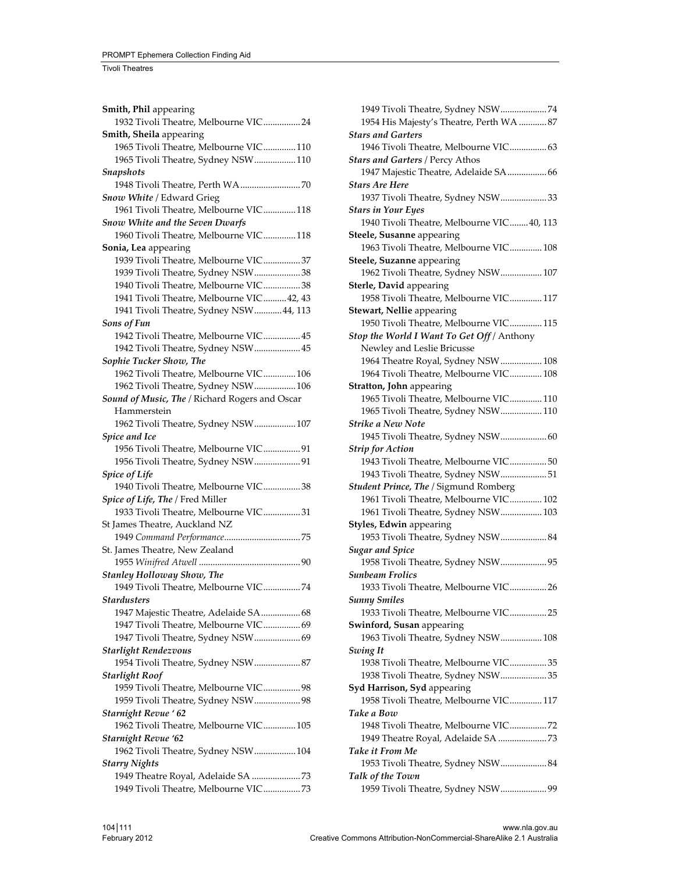| Smith, Phil appearing                                  |
|--------------------------------------------------------|
| 1932 Tivoli Theatre, Melbourne VIC 24                  |
| Smith, Sheila appearing                                |
| 1965 Tivoli Theatre, Melbourne VIC 110                 |
| 1965 Tivoli Theatre, Sydney NSW 110                    |
| Snapshots                                              |
|                                                        |
| Snow White / Edward Grieg                              |
| 1961 Tivoli Theatre, Melbourne VIC 118                 |
| Snow White and the Seven Dwarfs                        |
| 1960 Tivoli Theatre, Melbourne VIC 118                 |
| Sonia, Lea appearing                                   |
| 1939 Tivoli Theatre, Melbourne VIC 37                  |
| 1939 Tivoli Theatre, Sydney NSW 38                     |
| 1940 Tivoli Theatre, Melbourne VIC38                   |
| 1941 Tivoli Theatre, Melbourne VIC 42, 43              |
| 1941 Tivoli Theatre, Sydney NSW  44, 113               |
| <b>Sons of Fun</b>                                     |
| 1942 Tivoli Theatre, Melbourne VIC 45                  |
| 1942 Tivoli Theatre, Sydney NSW 45                     |
| Sophie Tucker Show, The                                |
| 1962 Tivoli Theatre, Melbourne VIC 106                 |
| 1962 Tivoli Theatre, Sydney NSW 106                    |
| Sound of Music, The / Richard Rogers and Oscar         |
| Hammerstein                                            |
| 1962 Tivoli Theatre, Sydney NSW 107                    |
|                                                        |
| Spice and Ice<br>1956 Tivoli Theatre, Melbourne VIC 91 |
|                                                        |
| 1956 Tivoli Theatre, Sydney NSW 91                     |
| <b>Spice of Life</b>                                   |
| 1940 Tivoli Theatre, Melbourne VIC38                   |
| Spice of Life, The / Fred Miller                       |
| 1933 Tivoli Theatre, Melbourne VIC 31                  |
| St James Theatre, Auckland NZ                          |
|                                                        |
| St. James Theatre, New Zealand                         |
|                                                        |
| <b>Stanley Holloway Show, The</b>                      |
| 1949 Tivoli Theatre, Melbourne VIC 74                  |
| Stardusters                                            |
| 1947 Majestic Theatre, Adelaide SA 68                  |
| 1947 Tivoli Theatre, Melbourne VIC 69                  |
| 1947 Tivoli Theatre, Sydney NSW 69                     |
| <b>Starlight Rendezvous</b>                            |
|                                                        |
| 1954 Tivoli Theatre, Sydney NSW 87                     |
| <b>Starlight Roof</b>                                  |
| 1959 Tivoli Theatre, Melbourne VIC 98                  |
| 1959 Tivoli Theatre, Sydney NSW 98                     |
| <b>Starnight Revue ' 62</b>                            |
| 1962 Tivoli Theatre, Melbourne VIC 105                 |
| <b>Starnight Revue '62</b>                             |
| 1962 Tivoli Theatre, Sydney NSW 104                    |
| Starry Nights                                          |
|                                                        |
| 1949 Tivoli Theatre, Melbourne VIC 73                  |

| 1949 Tivoli Theatre, Sydney NSW74                      |
|--------------------------------------------------------|
| 1954 His Majesty's Theatre, Perth WA  87               |
| <b>Stars and Garters</b>                               |
| 1946 Tivoli Theatre, Melbourne VIC 63                  |
| Stars and Garters / Percy Athos                        |
| 1947 Majestic Theatre, Adelaide SA 66                  |
| <b>Stars Are Here</b>                                  |
| 1937 Tivoli Theatre, Sydney NSW33                      |
|                                                        |
| <b>Stars in Your Eyes</b>                              |
| 1940 Tivoli Theatre, Melbourne VIC 40, 113             |
| Steele, Susanne appearing                              |
| 1963 Tivoli Theatre, Melbourne VIC 108                 |
| Steele, Suzanne appearing                              |
| 1962 Tivoli Theatre, Sydney NSW 107                    |
| Sterle, David appearing                                |
| 1958 Tivoli Theatre, Melbourne VIC 117                 |
| Stewart, Nellie appearing                              |
| 1950 Tivoli Theatre, Melbourne VIC 115                 |
| Stop the World I Want To Get Off / Anthony             |
| Newley and Leslie Bricusse                             |
| 1964 Theatre Royal, Sydney NSW  108                    |
| 1964 Tivoli Theatre, Melbourne VIC 108                 |
| Stratton, John appearing                               |
| 1965 Tivoli Theatre, Melbourne VIC 110                 |
| 1965 Tivoli Theatre, Sydney NSW 110                    |
| Strike a New Note                                      |
| 1945 Tivoli Theatre, Sydney NSW 60                     |
| <b>Strip for Action</b>                                |
| 1943 Tivoli Theatre, Melbourne VIC 50                  |
| 1943 Tivoli Theatre, Sydney NSW51                      |
| Student Prince, The / Sigmund Romberg                  |
| 1961 Tivoli Theatre, Melbourne VIC 102                 |
| 1961 Tivoli Theatre, Sydney NSW 103                    |
| Styles, Edwin appearing                                |
| 1953 Tivoli Theatre, Sydney NSW 84                     |
| <b>Sugar and Spice</b>                                 |
| 1958 Tivoli Theatre, Sydney NSW 95                     |
| <b>Sunbeam Frolics</b>                                 |
| 1933 Tivoli Theatre, Melbourne VIC 26                  |
| <b>Sunny Smiles</b>                                    |
| 1933 Tivoli Theatre, Melbourne VIC 25                  |
| Swinford, Susan appearing                              |
| 1963 Tivoli Theatre, Sydney NSW 108                    |
|                                                        |
| Swing It                                               |
| 1938 Tivoli Theatre, Melbourne VIC 35                  |
| 1938 Tivoli Theatre, Sydney NSW 35                     |
| Syd Harrison, Syd appearing                            |
| 1958 Tivoli Theatre, Melbourne VIC 117                 |
| Take a Bow                                             |
| 1948 Tivoli Theatre, Melbourne VIC 72                  |
| 1949 Theatre Royal, Adelaide SA 73                     |
| Take it From Me                                        |
|                                                        |
| 1953 Tivoli Theatre, Sydney NSW 84                     |
| Talk of the Town<br>1959 Tivoli Theatre, Sydney NSW 99 |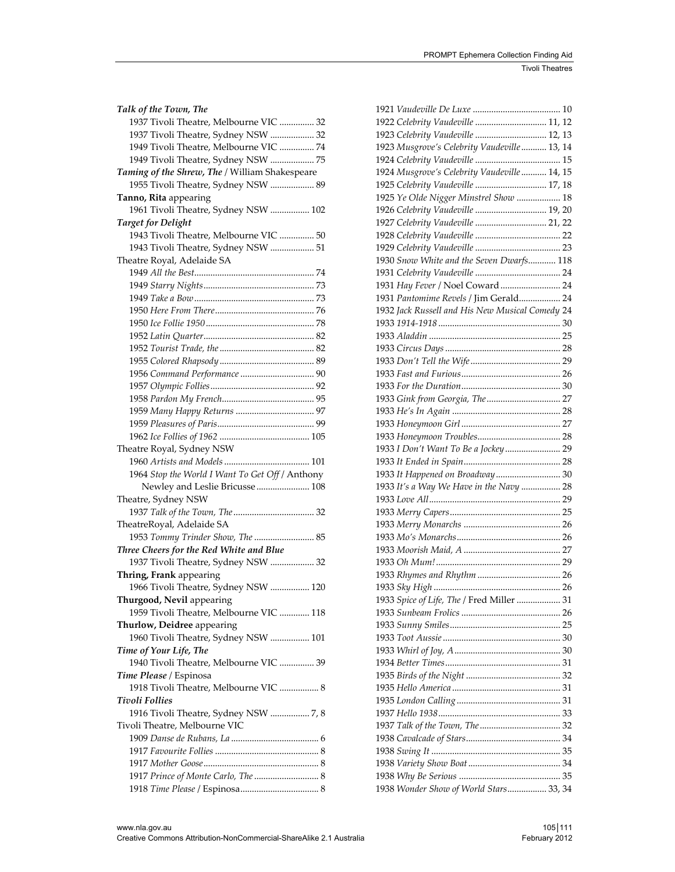| Talk of the Town, The                                                  |
|------------------------------------------------------------------------|
| 1937 Tivoli Theatre, Melbourne VIC  32                                 |
| 1937 Tivoli Theatre, Sydney NSW  32                                    |
| 1949 Tivoli Theatre, Melbourne VIC  74                                 |
| 1949 Tivoli Theatre, Sydney NSW  75                                    |
| Taming of the Shrew, The / William Shakespeare                         |
| 1955 Tivoli Theatre, Sydney NSW  89                                    |
| Tanno, Rita appearing                                                  |
| 1961 Tivoli Theatre, Sydney NSW  102                                   |
| <b>Target for Delight</b>                                              |
| 1943 Tivoli Theatre, Melbourne VIC  50                                 |
| 1943 Tivoli Theatre, Sydney NSW  51                                    |
| Theatre Royal, Adelaide SA                                             |
|                                                                        |
|                                                                        |
|                                                                        |
|                                                                        |
|                                                                        |
|                                                                        |
|                                                                        |
|                                                                        |
|                                                                        |
|                                                                        |
|                                                                        |
|                                                                        |
|                                                                        |
|                                                                        |
|                                                                        |
|                                                                        |
| Theatre Royal, Sydney NSW                                              |
|                                                                        |
| 1964 Stop the World I Want To Get Off / Anthony                        |
| Newley and Leslie Bricusse  108                                        |
| Theatre, Sydney NSW                                                    |
|                                                                        |
| TheatreRoyal, Adelaide SA                                              |
| 1953 Tommy Trinder Show, The  85                                       |
| Three Cheers for the Red White and Blue                                |
| 1937 Tivoli Theatre, Sydney NSW  32                                    |
| Thring, Frank appearing                                                |
| 1966 Tivoli Theatre, Sydney NSW  120                                   |
| Thurgood, Nevil appearing                                              |
| 1959 Tivoli Theatre, Melbourne VIC  118                                |
| Thurlow, Deidree appearing                                             |
| 1960 Tivoli Theatre, Sydney NSW  101                                   |
| Time of Your Life, The                                                 |
| 1940 Tivoli Theatre, Melbourne VIC  39                                 |
| Time Please / Espinosa                                                 |
| 1918 Tivoli Theatre, Melbourne VIC  8                                  |
| Tivoli Follies                                                         |
|                                                                        |
| 1916 Tivoli Theatre, Sydney NSW  7, 8<br>Tivoli Theatre, Melbourne VIC |
|                                                                        |
|                                                                        |
|                                                                        |
| 1917 Prince of Monte Carlo, The  8                                     |

| 1922 Celebrity Vaudeville  11, 12               |  |
|-------------------------------------------------|--|
| 1923 Celebrity Vaudeville  12, 13               |  |
| 1923 Musgrove's Celebrity Vaudeville  13, 14    |  |
|                                                 |  |
| 1924 Musgrove's Celebrity Vaudeville  14, 15    |  |
| 1925 Celebrity Vaudeville  17, 18               |  |
| 1925 Ye Olde Nigger Minstrel Show  18           |  |
| 1926 Celebrity Vaudeville  19, 20               |  |
| 1927 Celebrity Vaudeville  21, 22               |  |
|                                                 |  |
|                                                 |  |
| 1930 Snow White and the Seven Dwarfs 118        |  |
|                                                 |  |
| 1931 Hay Fever / Noel Coward  24                |  |
| 1931 Pantomime Revels / Jim Gerald 24           |  |
| 1932 Jack Russell and His New Musical Comedy 24 |  |
|                                                 |  |
|                                                 |  |
|                                                 |  |
|                                                 |  |
|                                                 |  |
|                                                 |  |
|                                                 |  |
| 1933 Gink from Georgia, The  27                 |  |
|                                                 |  |
|                                                 |  |
|                                                 |  |
| 1933 I Don't Want To Be a Jockey  29            |  |
|                                                 |  |
| 1933 It Happened on Broadway 30                 |  |
| 1933 It's a Way We Have in the Navy  28         |  |
|                                                 |  |
|                                                 |  |
|                                                 |  |
|                                                 |  |
|                                                 |  |
|                                                 |  |
|                                                 |  |
|                                                 |  |
| 1933 Spice of Life, The / Fred Miller  31       |  |
|                                                 |  |
|                                                 |  |
|                                                 |  |
|                                                 |  |
|                                                 |  |
|                                                 |  |
|                                                 |  |
|                                                 |  |
|                                                 |  |
|                                                 |  |
|                                                 |  |
|                                                 |  |
|                                                 |  |
|                                                 |  |
| 1938 Wonder Show of World Stars 33, 34          |  |
|                                                 |  |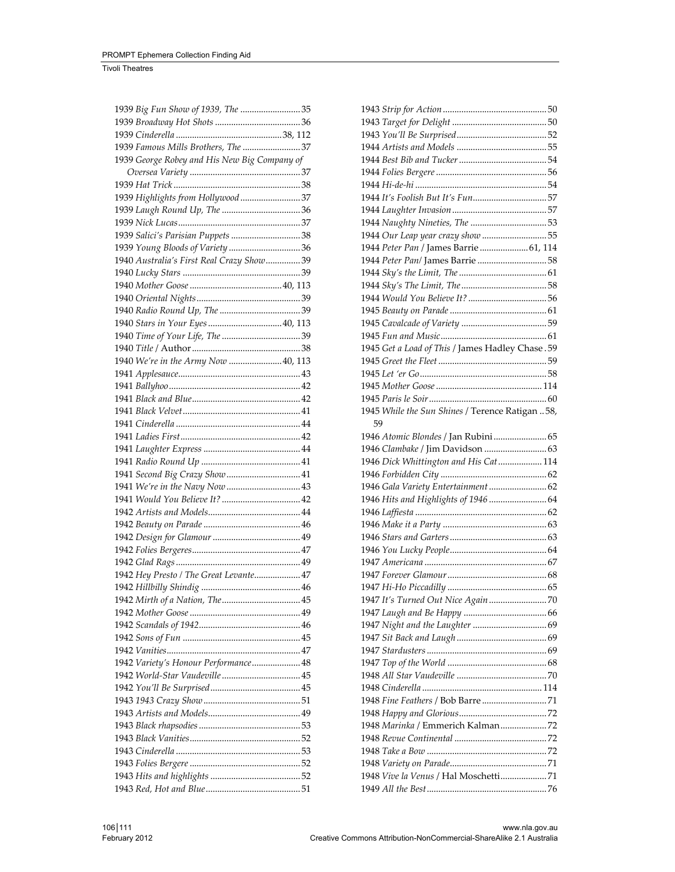| 1939 Big Fun Show of 1939, The 35            |  |
|----------------------------------------------|--|
|                                              |  |
|                                              |  |
| 1939 Famous Mills Brothers, The 37           |  |
| 1939 George Robey and His New Big Company of |  |
|                                              |  |
|                                              |  |
| 1939 Highlights from Hollywood  37           |  |
|                                              |  |
|                                              |  |
| 1939 Salici's Parisian Puppets 38            |  |
| 1939 Young Bloods of Variety  36             |  |
| 1940 Australia's First Real Crazy Show39     |  |
|                                              |  |
|                                              |  |
|                                              |  |
|                                              |  |
| 1940 Stars in Your Eyes  40, 113             |  |
|                                              |  |
|                                              |  |
| 1940 We're in the Army Now 40, 113           |  |
|                                              |  |
|                                              |  |
|                                              |  |
|                                              |  |
|                                              |  |
|                                              |  |
|                                              |  |
|                                              |  |
|                                              |  |
| 1941 Second Big Crazy Show 41                |  |
| 1941 We're in the Navy Now  43               |  |
|                                              |  |
|                                              |  |
|                                              |  |
|                                              |  |
|                                              |  |
|                                              |  |
| 1942 Hey Presto / The Great Levante 47       |  |
|                                              |  |
|                                              |  |
|                                              |  |
|                                              |  |
|                                              |  |
|                                              |  |
| 1942 Variety's Honour Performance 48         |  |
|                                              |  |
|                                              |  |
|                                              |  |
|                                              |  |
|                                              |  |
|                                              |  |
|                                              |  |
|                                              |  |
|                                              |  |
|                                              |  |

| 1939  Big Fun Show of 1939, The 35           |                                                  |  |
|----------------------------------------------|--------------------------------------------------|--|
|                                              |                                                  |  |
|                                              |                                                  |  |
| 1939 Famous Mills Brothers, The 37           |                                                  |  |
| 1939 George Robey and His New Big Company of |                                                  |  |
|                                              |                                                  |  |
|                                              |                                                  |  |
| 1939 Highlights from Hollywood 37            |                                                  |  |
|                                              |                                                  |  |
|                                              |                                                  |  |
| 1939 Salici's Parisian Puppets 38            | 1944 Our Leap year crazy show  55                |  |
| 1939 Young Bloods of Variety 36              | 1944 Peter Pan / James Barrie  61, 114           |  |
| 1940 Australia's First Real Crazy Show39     |                                                  |  |
|                                              |                                                  |  |
|                                              |                                                  |  |
|                                              |                                                  |  |
|                                              |                                                  |  |
| 1940 Stars in Your Eyes  40, 113             |                                                  |  |
|                                              |                                                  |  |
|                                              | 1945 Get a Load of This / James Hadley Chase. 59 |  |
| 1940 We're in the Army Now 40, 113           |                                                  |  |
|                                              |                                                  |  |
|                                              |                                                  |  |
|                                              |                                                  |  |
|                                              | 1945 While the Sun Shines / Terence Ratigan 58,  |  |
|                                              | 59                                               |  |
|                                              |                                                  |  |
|                                              |                                                  |  |
|                                              | 1946 Dick Whittington and His Cat  114           |  |
| 1941 Second Big Crazy Show 41                |                                                  |  |
|                                              | 1946 Gala Variety Entertainment  62              |  |
|                                              | 1946 Hits and Highlights of 1946  64             |  |
|                                              |                                                  |  |
|                                              |                                                  |  |
|                                              |                                                  |  |
|                                              |                                                  |  |
|                                              |                                                  |  |
| 1942 Hey Presto / The Great Levante 47       |                                                  |  |
|                                              |                                                  |  |
|                                              |                                                  |  |
|                                              |                                                  |  |
|                                              |                                                  |  |
|                                              |                                                  |  |
|                                              |                                                  |  |
| 1942 Variety's Honour Performance 48         |                                                  |  |
|                                              |                                                  |  |
|                                              |                                                  |  |
|                                              |                                                  |  |
|                                              |                                                  |  |
|                                              |                                                  |  |
|                                              |                                                  |  |
|                                              |                                                  |  |
|                                              |                                                  |  |
|                                              |                                                  |  |
|                                              | 1948 Vive la Venus / Hal Moschetti71             |  |
|                                              |                                                  |  |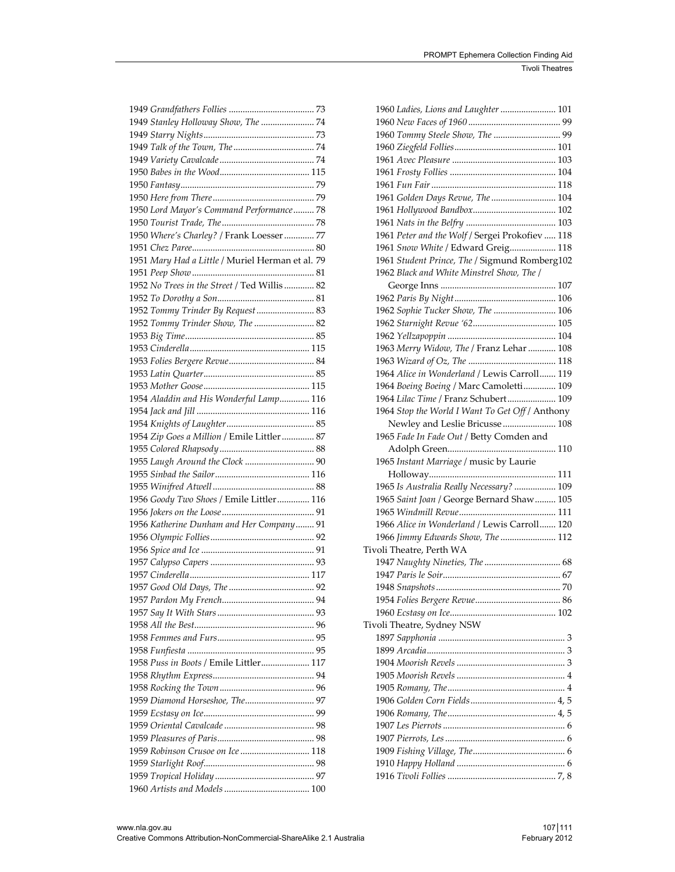| 1949 Stanley Holloway Show, The  74              |  |
|--------------------------------------------------|--|
|                                                  |  |
|                                                  |  |
|                                                  |  |
|                                                  |  |
|                                                  |  |
|                                                  |  |
| 1950 Lord Mayor's Command Performance 78         |  |
|                                                  |  |
| 1950 Where's Charley? / Frank Loesser 77         |  |
|                                                  |  |
| 1951 Mary Had a Little / Muriel Herman et al. 79 |  |
|                                                  |  |
| 1952 No Trees in the Street / Ted Willis  82     |  |
|                                                  |  |
| 1952 Tommy Trinder By Request  83                |  |
| 1952 Tommy Trinder Show, The  82                 |  |
|                                                  |  |
|                                                  |  |
|                                                  |  |
|                                                  |  |
|                                                  |  |
|                                                  |  |
| 1954 Aladdin and His Wonderful Lamp 116          |  |
|                                                  |  |
|                                                  |  |
| 1954 Zip Goes a Million / Emile Littler  87      |  |
|                                                  |  |
| 1955 Laugh Around the Clock  90                  |  |
|                                                  |  |
|                                                  |  |
| 1956 Goody Two Shoes / Emile Littler 116         |  |
|                                                  |  |
| 1956 Katherine Dunham and Her Company 91         |  |
|                                                  |  |
|                                                  |  |
|                                                  |  |
|                                                  |  |
|                                                  |  |
|                                                  |  |
|                                                  |  |
|                                                  |  |
|                                                  |  |
|                                                  |  |
| 1958 Puss in Boots / Emile Littler 117           |  |
|                                                  |  |
|                                                  |  |
|                                                  |  |
|                                                  |  |
|                                                  |  |
|                                                  |  |
| 1959 Robinson Crusoe on Ice  118                 |  |
|                                                  |  |
|                                                  |  |
|                                                  |  |
|                                                  |  |

| 1960 Ladies, Lions and Laughter  101            |  |
|-------------------------------------------------|--|
|                                                 |  |
| 1960 Tommy Steele Show, The  99                 |  |
|                                                 |  |
|                                                 |  |
|                                                 |  |
|                                                 |  |
|                                                 |  |
| 1961 Golden Days Revue, The  104                |  |
|                                                 |  |
|                                                 |  |
| 1961 Peter and the Wolf / Sergei Prokofiev  118 |  |
| 1961 Snow White / Edward Greig 118              |  |
| 1961 Student Prince, The / Sigmund Romberg102   |  |
| 1962 Black and White Minstrel Show, The /       |  |
|                                                 |  |
|                                                 |  |
| 1962 Sophie Tucker Show, The  106               |  |
|                                                 |  |
|                                                 |  |
| 1963 Merry Widow, The / Franz Lehar  108        |  |
|                                                 |  |
| 1964 Alice in Wonderland / Lewis Carroll 119    |  |
| 1964 Boeing Boeing / Marc Camoletti 109         |  |
| 1964 Lilac Time / Franz Schubert 109            |  |
| 1964 Stop the World I Want To Get Off / Anthony |  |
| Newley and Leslie Bricusse 108                  |  |
| 1965 Fade In Fade Out / Betty Comden and        |  |
|                                                 |  |
|                                                 |  |
| 1965 Instant Marriage / music by Laurie         |  |
|                                                 |  |
| 1965 Is Australia Really Necessary?  109        |  |
| 1965 Saint Joan / George Bernard Shaw  105      |  |
|                                                 |  |
| 1966 Alice in Wonderland / Lewis Carroll 120    |  |
| 1966 Jimmy Edwards Show, The  112               |  |
| Tivoli Theatre, Perth WA                        |  |
|                                                 |  |
|                                                 |  |
|                                                 |  |
|                                                 |  |
|                                                 |  |
| Tivoli Theatre, Sydney NSW                      |  |
|                                                 |  |
|                                                 |  |
|                                                 |  |
|                                                 |  |
|                                                 |  |
|                                                 |  |
|                                                 |  |
|                                                 |  |
|                                                 |  |
|                                                 |  |
|                                                 |  |
|                                                 |  |
|                                                 |  |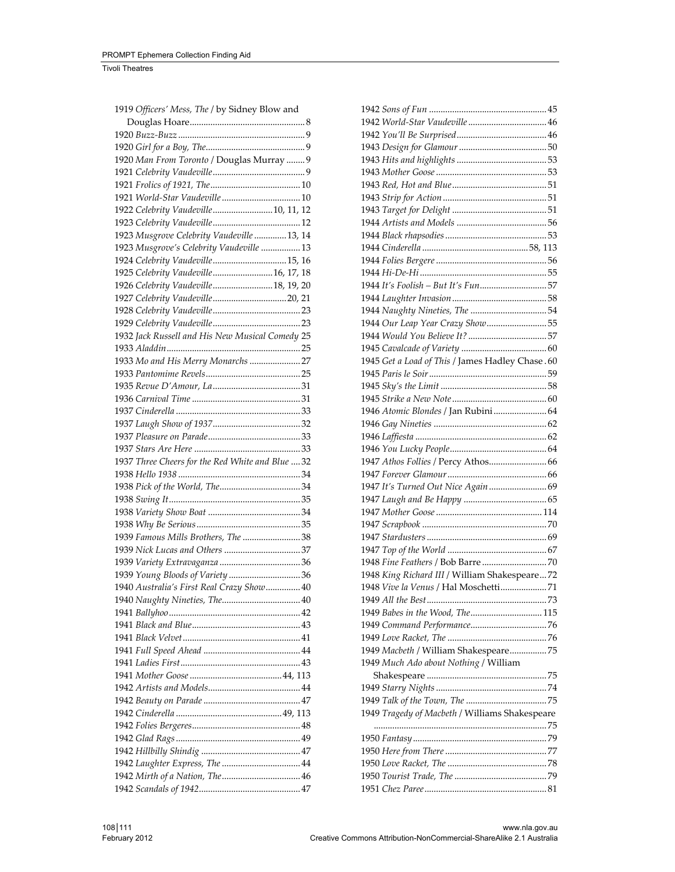| 1919 Officers' Mess, The / by Sidney Blow and    |  |
|--------------------------------------------------|--|
|                                                  |  |
|                                                  |  |
|                                                  |  |
| 1920 Man From Toronto / Douglas Murray  9        |  |
|                                                  |  |
|                                                  |  |
|                                                  |  |
| 1922 Celebrity Vaudeville10, 11, 12              |  |
|                                                  |  |
| 1923 Musgrove Celebrity Vaudeville  13, 14       |  |
| 1923 Musgrove's Celebrity Vaudeville  13         |  |
| 1924 Celebrity Vaudeville 15, 16                 |  |
| 1925 Celebrity Vaudeville16, 17, 18              |  |
| 1926 Celebrity Vaudeville18, 19, 20              |  |
|                                                  |  |
|                                                  |  |
|                                                  |  |
| 1932 Jack Russell and His New Musical Comedy 25  |  |
|                                                  |  |
| 1933 Mo and His Merry Monarchs  27               |  |
|                                                  |  |
|                                                  |  |
|                                                  |  |
|                                                  |  |
|                                                  |  |
|                                                  |  |
|                                                  |  |
|                                                  |  |
|                                                  |  |
| 1937 Three Cheers for the Red White and Blue  32 |  |
|                                                  |  |
|                                                  |  |
|                                                  |  |
|                                                  |  |
|                                                  |  |
| 1939 Famous Mills Brothers, The 38               |  |
|                                                  |  |
|                                                  |  |
| 1939 Young Bloods of Variety  36                 |  |
| 1940 Australia's First Real Crazy Show  40       |  |
| 1940 Naughty Nineties, The 40                    |  |
|                                                  |  |
|                                                  |  |
|                                                  |  |
|                                                  |  |
|                                                  |  |
|                                                  |  |
|                                                  |  |
|                                                  |  |
|                                                  |  |
|                                                  |  |
|                                                  |  |
|                                                  |  |
|                                                  |  |
|                                                  |  |

| 1944 It's Foolish - But It's Fun57              |
|-------------------------------------------------|
|                                                 |
|                                                 |
| 1944 Our Leap Year Crazy Show55                 |
|                                                 |
|                                                 |
| 1945 Get a Load of This / James Hadley Chase.60 |
|                                                 |
|                                                 |
|                                                 |
|                                                 |
| 1946 Atomic Blondes / Jan Rubini 64             |
|                                                 |
|                                                 |
|                                                 |
|                                                 |
|                                                 |
| 1947 It's Turned Out Nice Again  69             |
|                                                 |
|                                                 |
|                                                 |
|                                                 |
|                                                 |
|                                                 |
|                                                 |
|                                                 |
| 1948 King Richard III / William Shakespeare72   |
| 1948 Vive la Venus / Hal Moschetti71            |
|                                                 |
| 1949 Babes in the Wood, The  115                |
|                                                 |
|                                                 |
| 1949 Macbeth / William Shakespeare75            |
| 1949 Much Ado about Nothing / William           |
|                                                 |
|                                                 |
|                                                 |
| 1949 Tragedy of Macbeth / Williams Shakespeare  |
|                                                 |
|                                                 |
|                                                 |
|                                                 |
|                                                 |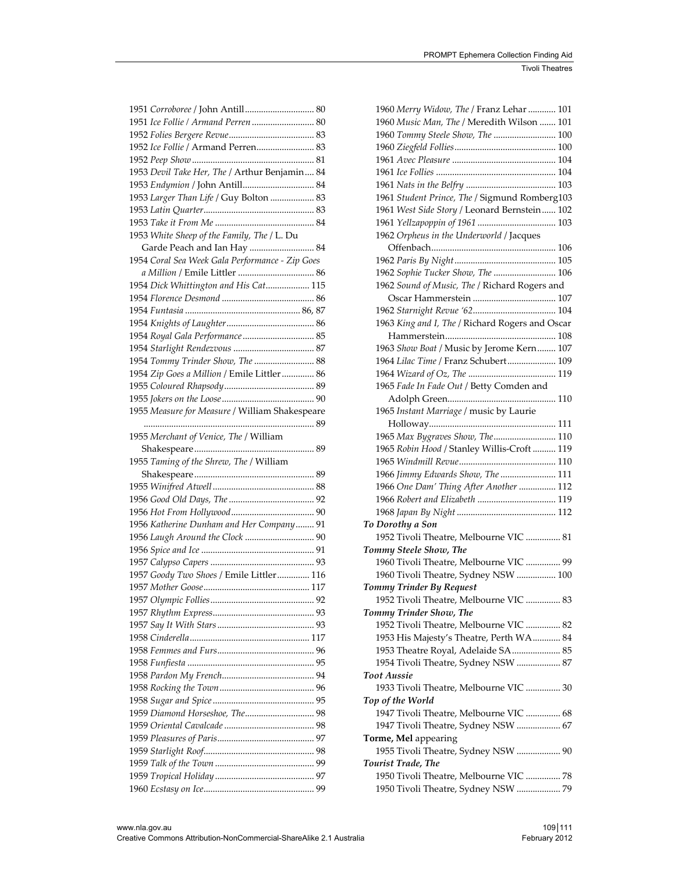| 1951 Corroboree / John Antill 80                |  |
|-------------------------------------------------|--|
| 1951 Ice Follie / Armand Perren  80             |  |
|                                                 |  |
| 1952 Ice Follie / Armand Perren 83              |  |
|                                                 |  |
| 1953 Devil Take Her, The / Arthur Benjamin 84   |  |
| 1953 Endymion / John Antill 84                  |  |
| 1953 Larger Than Life / Guy Bolton  83          |  |
|                                                 |  |
|                                                 |  |
| 1953 White Sheep of the Family, The / L. Du     |  |
| Garde Peach and Ian Hay  84                     |  |
| 1954 Coral Sea Week Gala Performance - Zip Goes |  |
|                                                 |  |
| 1954 Dick Whittington and His Cat  115          |  |
|                                                 |  |
|                                                 |  |
|                                                 |  |
| 1954 Royal Gala Performance  85                 |  |
|                                                 |  |
| 1954 Tommy Trinder Show, The  88                |  |
| 1954 Zip Goes a Million / Emile Littler 86      |  |
|                                                 |  |
|                                                 |  |
| 1955 Measure for Measure / William Shakespeare  |  |
|                                                 |  |
| 1955 Merchant of Venice, The / William          |  |
|                                                 |  |
| 1955 Taming of the Shrew, The / William         |  |
|                                                 |  |
|                                                 |  |
|                                                 |  |
|                                                 |  |
| 1956 Katherine Dunham and Her Company 91        |  |
| 1956 Laugh Around the Clock  90                 |  |
|                                                 |  |
|                                                 |  |
| 1957 Goody Two Shoes / Emile Littler 116        |  |
|                                                 |  |
|                                                 |  |
|                                                 |  |
|                                                 |  |
|                                                 |  |
|                                                 |  |
|                                                 |  |
|                                                 |  |
|                                                 |  |
|                                                 |  |
|                                                 |  |
|                                                 |  |
|                                                 |  |
|                                                 |  |
|                                                 |  |
|                                                 |  |
|                                                 |  |
|                                                 |  |

| 1960 Merry Widow, The / Franz Lehar  101                                      |
|-------------------------------------------------------------------------------|
| 1960 Music Man, The / Meredith Wilson  101                                    |
| 1960 Tommy Steele Show, The  100                                              |
|                                                                               |
|                                                                               |
|                                                                               |
|                                                                               |
| 1961 Student Prince, The / Sigmund Romberg103                                 |
| 1961 West Side Story / Leonard Bernstein 102                                  |
|                                                                               |
| 1962 Orpheus in the Underworld / Jacques                                      |
|                                                                               |
|                                                                               |
| 1962 Sophie Tucker Show, The  106                                             |
| 1962 Sound of Music, The / Richard Rogers and                                 |
|                                                                               |
|                                                                               |
| 1963 King and I, The / Richard Rogers and Oscar                               |
|                                                                               |
| 1963 Show Boat / Music by Jerome Kern 107                                     |
| 1964 Lilac Time / Franz Schubert 109                                          |
|                                                                               |
| 1965 Fade In Fade Out / Betty Comden and                                      |
|                                                                               |
| 1965 Instant Marriage / music by Laurie                                       |
|                                                                               |
| 1965 Max Bygraves Show, The 110                                               |
| 1965 Robin Hood / Stanley Willis-Croft  119                                   |
|                                                                               |
| 1966 Jimmy Edwards Show, The  111                                             |
| 1966 One Dam' Thing After Another  112                                        |
| 1966 Robert and Elizabeth  119                                                |
|                                                                               |
| To Dorothy a Son                                                              |
| 1952 Tivoli Theatre, Melbourne VIC  81                                        |
| Tommy Steele Show, The                                                        |
| 1960 Tivoli Theatre, Melbourne VIC  99                                        |
| 1960 Tivoli Theatre, Sydney NSW  100                                          |
| <b>Tommy Trinder By Request</b>                                               |
| 1952 Tivoli Theatre, Melbourne VIC  83                                        |
| Tommy Trinder Show, The                                                       |
| 1952 Tivoli Theatre, Melbourne VIC  82                                        |
| 1953 His Majesty's Theatre, Perth WA 84                                       |
| 1953 Theatre Royal, Adelaide SA 85                                            |
| 1954 Tivoli Theatre, Sydney NSW  87                                           |
| <b>Toot Aussie</b>                                                            |
| 1933 Tivoli Theatre, Melbourne VIC  30                                        |
| Top of the World                                                              |
|                                                                               |
|                                                                               |
| 1947 Tivoli Theatre, Melbourne VIC  68                                        |
| 1947 Tivoli Theatre, Sydney NSW  67                                           |
| Torme, Mel appearing                                                          |
| 1955 Tivoli Theatre, Sydney NSW  90                                           |
| Tourist Trade, The                                                            |
| 1950 Tivoli Theatre, Melbourne VIC  78<br>1950 Tivoli Theatre, Sydney NSW  79 |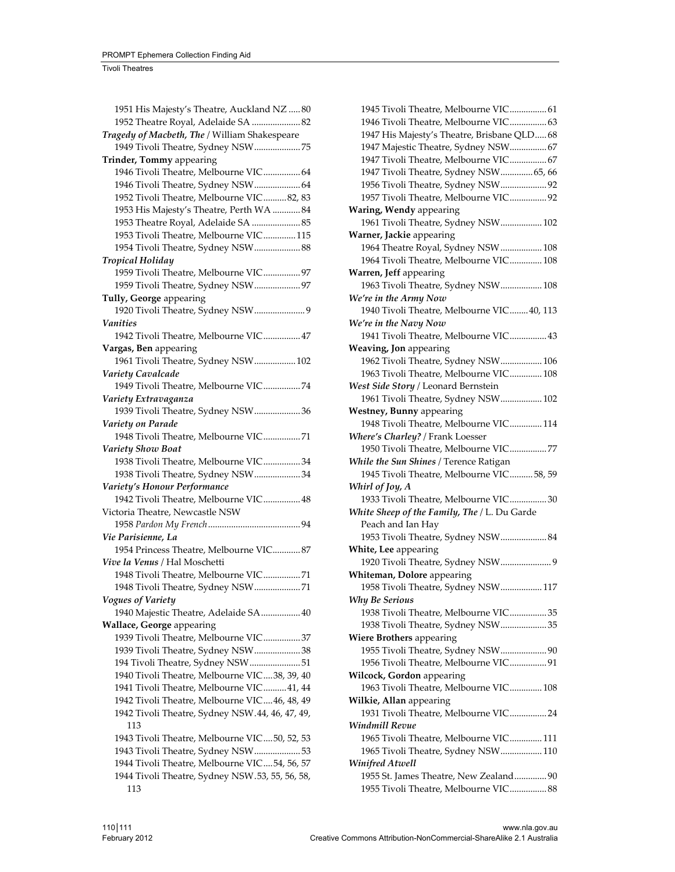## Tivoli Theatres

| 1951 His Majesty's Theatre, Auckland NZ  80                 |
|-------------------------------------------------------------|
| 1952 Theatre Royal, Adelaide SA  82                         |
| Tragedy of Macbeth, The / William Shakespeare               |
| 1949 Tivoli Theatre, Sydney NSW 75                          |
| Trinder, Tommy appearing                                    |
| 1946 Tivoli Theatre, Melbourne VIC 64                       |
| 1946 Tivoli Theatre, Sydney NSW  64                         |
| 1952 Tivoli Theatre, Melbourne VIC82, 83                    |
| 1953 His Majesty's Theatre, Perth WA  84                    |
| 1953 Theatre Royal, Adelaide SA  85                         |
| 1953 Tivoli Theatre, Melbourne VIC 115                      |
| 1954 Tivoli Theatre, Sydney NSW 88                          |
| <b>Tropical Holiday</b>                                     |
| 1959 Tivoli Theatre, Melbourne VIC 97                       |
|                                                             |
| 1959 Tivoli Theatre, Sydney NSW 97                          |
| Tully, George appearing<br>1920 Tivoli Theatre, Sydney NSW9 |
|                                                             |
| Vanities                                                    |
| 1942 Tivoli Theatre, Melbourne VIC 47                       |
| Vargas, Ben appearing                                       |
| 1961 Tivoli Theatre, Sydney NSW 102                         |
| Variety Cavalcade                                           |
| 1949 Tivoli Theatre, Melbourne VIC74                        |
| Variety Extravaganza                                        |
| 1939 Tivoli Theatre, Sydney NSW36                           |
| Variety on Parade                                           |
| 1948 Tivoli Theatre, Melbourne VIC71                        |
| <b>Variety Show Boat</b>                                    |
|                                                             |
| 1938 Tivoli Theatre, Melbourne VIC34                        |
| 1938 Tivoli Theatre, Sydney NSW34                           |
| Variety's Honour Performance                                |
| 1942 Tivoli Theatre, Melbourne VIC 48                       |
| Victoria Theatre, Newcastle NSW                             |
|                                                             |
| Vie Parisienne, La                                          |
| 1954 Princess Theatre, Melbourne VIC 87                     |
| Vive la Venus / Hal Moschetti                               |
| 1948 Tivoli Theatre, Melbourne VIC71                        |
| 1948 Tivoli Theatre, Sydney NSW71                           |
| <b>Vogues of Variety</b>                                    |
| 1940 Majestic Theatre, Adelaide SA 40                       |
| Wallace, George appearing                                   |
| 1939 Tivoli Theatre, Melbourne VIC 37                       |
| 1939 Tivoli Theatre, Sydney NSW 38                          |
|                                                             |
| 194 Tivoli Theatre, Sydney NSW51                            |
| 1940 Tivoli Theatre, Melbourne VIC38, 39, 40                |
| 1941 Tivoli Theatre, Melbourne VIC 41, 44                   |
| 1942 Tivoli Theatre, Melbourne VIC46, 48, 49                |
| 1942 Tivoli Theatre, Sydney NSW.44, 46, 47, 49,             |
| 113                                                         |
| 1943 Tivoli Theatre, Melbourne VIC50, 52, 53                |
| 1943 Tivoli Theatre, Sydney NSW 53                          |
| 1944 Tivoli Theatre, Melbourne VIC54, 56, 57                |
| 1944 Tivoli Theatre, Sydney NSW.53, 55, 56, 58,<br>113      |

| 1945 Tivoli Theatre, Melbourne VIC 61        |
|----------------------------------------------|
| 1946 Tivoli Theatre, Melbourne VIC 63        |
| 1947 His Majesty's Theatre, Brisbane QLD 68  |
| 1947 Majestic Theatre, Sydney NSW 67         |
| 1947 Tivoli Theatre, Melbourne VIC 67        |
| 1947 Tivoli Theatre, Sydney NSW  65, 66      |
| 1956 Tivoli Theatre, Sydney NSW 92           |
| 1957 Tivoli Theatre, Melbourne VIC 92        |
| Waring, Wendy appearing                      |
| 1961 Tivoli Theatre, Sydney NSW 102          |
| Warner, Jackie appearing                     |
| 1964 Theatre Royal, Sydney NSW  108          |
| 1964 Tivoli Theatre, Melbourne VIC 108       |
| Warren, Jeff appearing                       |
| 1963 Tivoli Theatre, Sydney NSW 108          |
| We're in the Army Now                        |
| 1940 Tivoli Theatre, Melbourne VIC 40, 113   |
| We're in the Navy Now                        |
| 1941 Tivoli Theatre, Melbourne VIC 43        |
| Weaving, Jon appearing                       |
| 1962 Tivoli Theatre, Sydney NSW 106          |
| 1963 Tivoli Theatre, Melbourne VIC 108       |
| West Side Story / Leonard Bernstein          |
| 1961 Tivoli Theatre, Sydney NSW 102          |
| Westney, Bunny appearing                     |
| 1948 Tivoli Theatre, Melbourne VIC 114       |
| Where's Charley? / Frank Loesser             |
| 1950 Tivoli Theatre, Melbourne VIC77         |
| While the Sun Shines / Terence Ratigan       |
| 1945 Tivoli Theatre, Melbourne VIC58, 59     |
| Whirl of Joy, A                              |
| 1933 Tivoli Theatre, Melbourne VIC30         |
| White Sheep of the Family, The / L. Du Garde |
| Peach and Ian Hay                            |
| 1953 Tivoli Theatre, Sydney NSW 84           |
| White, Lee appearing                         |
| 1920 Tivoli Theatre, Sydney NSW 9            |
| Whiteman, Dolore appearing                   |
| 1958 Tivoli Theatre, Sydney NSW 117          |
| Why Be Serious                               |
| 1938 Tivoli Theatre, Melbourne VIC35         |
| 1938 Tivoli Theatre, Sydney NSW35            |
| Wiere Brothers appearing                     |
| 1955 Tivoli Theatre, Sydney NSW 90           |
| 1956 Tivoli Theatre, Melbourne VIC 91        |
| Wilcock, Gordon appearing                    |
| 1963 Tivoli Theatre, Melbourne VIC 108       |
| Wilkie, Allan appearing                      |
| 1931 Tivoli Theatre, Melbourne VIC 24        |
| Windmill Revue                               |
| 1965 Tivoli Theatre, Melbourne VIC 111       |
| 1965 Tivoli Theatre, Sydney NSW 110          |
| Winifred Atwell                              |
| 1955 St. James Theatre, New Zealand 90       |
| 1955 Tivoli Theatre, Melbourne VIC 88        |